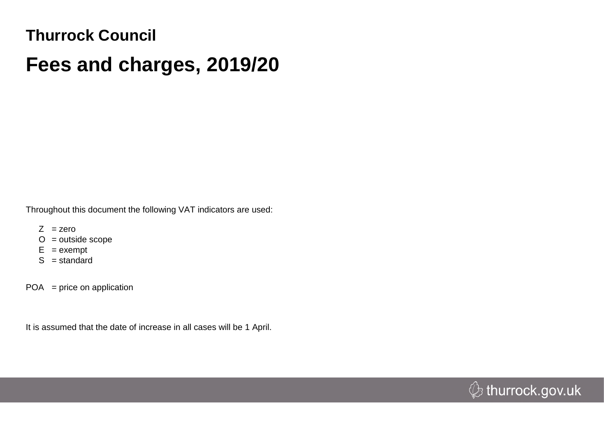## **Thurrock Council**

## **Fees and charges, 2019/20**

Throughout this document the following VAT indicators are used:

- $Z$  = zero
- $O =$  outside scope
- $E = e$ xempt
- $S =$ standard

 $POA = price on application$ 

It is assumed that the date of increase in all cases will be 1 April.

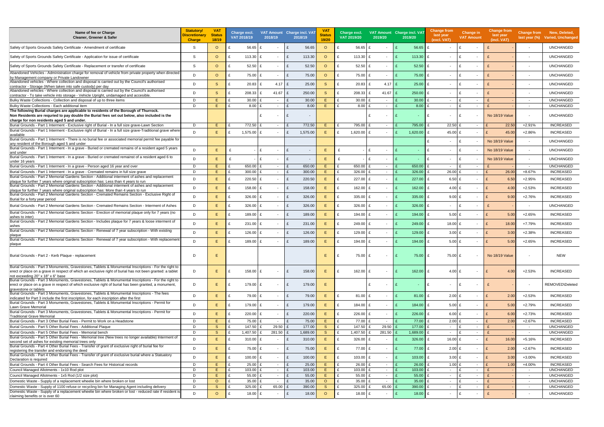| Name of fee or Charge<br>Cleaner, Greener & Safer                                                                                                                                                                                                      | <b>Statutory/</b><br>Discretionary<br><b>Charge</b> | <b>VAT</b><br><b>Status</b><br>18/19 | Charge excl.<br>VAT 2018/19 | 2018/19          | VAT Amount Charge incl. VAT<br>2018/19 | <b>VA</b><br><b>Status</b><br>19/20 | Charge excl.<br>VAT 2019/20 | 2019/20                  | VAT Amount Charge incl. VAT<br>2019/20 | <b>Change from</b><br>last year<br>(excl. VAT) | <b>Change in</b><br><b>VAT Amount</b>    | <b>Change from</b><br>last year<br>(incl. VAT) |                          | Change from New, Deleted,<br>last year (%) Varied, Unchanged |
|--------------------------------------------------------------------------------------------------------------------------------------------------------------------------------------------------------------------------------------------------------|-----------------------------------------------------|--------------------------------------|-----------------------------|------------------|----------------------------------------|-------------------------------------|-----------------------------|--------------------------|----------------------------------------|------------------------------------------------|------------------------------------------|------------------------------------------------|--------------------------|--------------------------------------------------------------|
| Safety of Sports Grounds Safety Certificate - Amendment of certificate                                                                                                                                                                                 | S.                                                  | $\circ$                              | 56.65                       |                  |                                        | 56.65<br>$\circ$                    | 56.65                       |                          | 56.65                                  |                                                | £<br>$\blacksquare$                      |                                                | $\overline{\phantom{a}}$ | <b>UNCHANGED</b>                                             |
| Safety of Sports Grounds Safety Certificate - Application for issue of certificate                                                                                                                                                                     | -S                                                  | $\circ$                              | 113.30                      | $\sim$           |                                        | 113.30<br>$\Omega$                  | 113.30<br>£                 | $\overline{\phantom{a}}$ | 113.30                                 | £<br>$\sim$                                    | f<br>$\overline{\phantom{a}}$            |                                                | $\overline{\phantom{a}}$ | <b>UNCHANGED</b>                                             |
| Safety of Sports Grounds Safety Certificate - Replacement or transfer of certificate                                                                                                                                                                   | -S                                                  | $\Omega$                             | 52.50<br>£                  | $\sim$           | £                                      | 52.50<br>$\circ$                    | 52.50 £<br>£                | $\overline{\phantom{a}}$ | 52.50                                  | $\mathbf{f}$<br>$\sim$                         | ۱F<br>$\overline{\phantom{a}}$           |                                                | $\sim$                   | <b>UNCHANGED</b>                                             |
| Abandoned Vehicles - Administration charge for removal of vehicle from private property when directed<br>by Management company or Private Landowner                                                                                                    | D                                                   | $\circ$                              | 75.00<br>£                  | $\sim$           |                                        | 75.00<br>$\circ$                    | 75.00 £<br>£                | $\overline{\phantom{a}}$ | 75.00                                  | $\mathbf{f}$<br>$\sim$                         | ۱F<br>$\overline{\phantom{a}}$           |                                                | $\overline{\phantom{a}}$ | <b>UNCHANGED</b>                                             |
| Abandoned vehicles - Where collection and disposal is carried out by the Council's authorised<br>contractor - Storage (When taken into safe custody) per day                                                                                           | D                                                   | <sub>S</sub>                         | 20.83                       | 4.17             |                                        | 25.00<br><sub>S</sub>               | $20.83$ £<br>£              | $4.17$ £                 | 25.00                                  | $\mathbf{f}$<br>$\sim$                         | ۱F<br>$\blacksquare$                     |                                                | $\overline{\phantom{a}}$ | <b>UNCHANGED</b>                                             |
| Abandoned vehicles - Where collection and disposal is carried out by the Council's authorised<br>contractor - To take vehicle into storage - Vehicle Upright, undamaged and accesible                                                                  | D                                                   | <sub>S</sub>                         | 208.33                      | 41.67            |                                        | 250.00<br><sub>S</sub>              | 208.33                      | 41.67                    | 250.00                                 | $\mathbf{f}$<br>$\sim$                         | ۱F<br>$\overline{\phantom{a}}$           |                                                | $\overline{\phantom{a}}$ | <b>UNCHANGED</b>                                             |
| Bulky Waste Collections - Collection and disposal of up to three items                                                                                                                                                                                 | D                                                   | F.                                   | 30.00<br>£                  | $\sim$           |                                        | 30.00<br>E                          | 30.00                       | $\sim$                   | 30.00                                  | $\sim$                                         | ۱F<br>$\sim$                             |                                                | $\overline{\phantom{a}}$ | <b>UNCHANGED</b>                                             |
| Bulky Waste Collections - Each additional item                                                                                                                                                                                                         | D                                                   | F.                                   | 8.00                        | $\sim$           |                                        | 8.00<br>E                           | 8.00                        | $\overline{\phantom{a}}$ | 8.00                                   | $\sim$                                         | ۱£<br>$\sim$                             |                                                | $\overline{\phantom{a}}$ | <b>UNCHANGED</b>                                             |
| The following Burial charges are applicable to residents of the Borough of Thurrock.<br>Non Residents are requried to pay double the Burial fees set out below, also included is the<br>charge for non residents aged 5 and under.                     |                                                     |                                      |                             | $\sim$           | £                                      | $\overline{\phantom{a}}$            |                             | $\overline{\phantom{a}}$ |                                        | £<br>$\sim$                                    | ۱F<br>$\overline{\phantom{a}}$           | <b>No 18/19 Value</b>                          | $\overline{\phantom{a}}$ | <b>UNCHANGED</b>                                             |
| Burial Grounds - Part 1 Interment - Exclusive right of Burial - In a full size grave-Lawn Section                                                                                                                                                      | D                                                   | F.                                   | 772.50                      | $\sim$           | 772.50                                 | F.                                  | 795.00 £                    | $\sim$                   | 795.00                                 | $22.50$ £<br>£                                 | $\sim$                                   | 22.50                                          | $+2.91%$                 | <b>INCREASED</b>                                             |
| Burial Grounds - Part 1 Interment - Exclusive right of Burial - In a full size grave-Traditional grave where<br>available                                                                                                                              | D                                                   | E                                    | 1,575.00                    | $\sim$           | 1.575.00<br>£                          | E.                                  | $1,620.00$ £<br>£           | $\sim$                   | 1,620.00                               | £<br>45.00 £                                   | $\sim$                                   | 45.00                                          | $+2.86%$                 | <b>INCREASED</b>                                             |
| Burial Grounds - Part 1 Interment - There is no burial fee or associated memorial permit fee payable for<br>any resident of the Borough aged 5 and under                                                                                               |                                                     |                                      |                             |                  |                                        |                                     |                             |                          |                                        | $\sim$                                         | $\sim$                                   | No 18/19 Value                                 | $\overline{\phantom{a}}$ | <b>UNCHANGED</b>                                             |
| Burial Grounds - Part 1 Interment - In a grave - Buried or cremated remains of a resident aged 5 years<br>and under                                                                                                                                    | D                                                   | E                                    | £                           | $\mathbf{f}$     |                                        | Е                                   |                             |                          |                                        | £<br>$\overline{\phantom{0}}$                  | ۱£<br>$\overline{\phantom{a}}$           | No 18/19 Value                                 | $\overline{\phantom{a}}$ | <b>UNCHANGED</b>                                             |
| Burial Grounds - Part 1 Interment - In a grave - Buried or cremated remainst of a resident aged 6 to<br>under 16 years                                                                                                                                 | D                                                   | E                                    | £                           | £<br>$\sim$      |                                        | Е                                   |                             | $\overline{\phantom{a}}$ |                                        | £<br>$\overline{\phantom{0}}$                  | ۱£<br>$\overline{a}$                     | No 18/19 Value                                 | $\blacksquare$           | <b>UNCHANGED</b>                                             |
| Burial Grounds - Part 1 Interment - In a grave - Person aged 16 year and over                                                                                                                                                                          | D                                                   | F.                                   | 650.00                      | $\sim$           |                                        | 650.00<br>E.                        | $\mathbf{f}$<br>650.00 £    | $\overline{\phantom{a}}$ | 650.00                                 | £<br>$\sim$                                    | ۱£<br>$\sim$                             |                                                | $\overline{\phantom{a}}$ | <b>UNCHANGED</b>                                             |
| Burial Grounds - Part 1 Interment - In a grave - Cremated remains in full size grave                                                                                                                                                                   | D                                                   | E                                    | 300.00                      | $\sim$           |                                        | 300.00<br>E                         | $326.00$ £                  | $\sim$                   | 326.00                                 | $26.00 \text{ E}$<br>£                         | $\sim$                                   | 26.00                                          | +8.67%                   | INCREASED                                                    |
| Burial Grounds - Part 2 Memorial Gardens Section - Additional interment of ashes and replacement<br>plaque for further 7 years where original subscription has: Less than 4 years to run                                                               | D                                                   | E                                    | 220.50                      | £                |                                        | 220.50<br>E.                        | 227.00 £<br>£               | $\overline{\phantom{a}}$ | 227.00                                 | 6.50 $E$<br>£                                  | $\sim$                                   | $\mathsf{F}$<br>6.50                           | $+2.95%$                 | INCREASED                                                    |
| Burial Grounds - Part 2 Memorial Gardens Section - Additional interment of ashes and replacement<br>plaque for further 7 years where original subscription has: More than 4 years to run                                                               | D                                                   | E                                    | 158.00                      | $\sim$           |                                        | 158.00<br>E.                        | 162.00 £<br>$\mathbf{f}$    | $\overline{\phantom{a}}$ | 162.00                                 | 4.00 $E$<br>£                                  | $\overline{\phantom{a}}$                 | $\mathsf{F}$<br>4.00                           | $+2.53%$                 | <b>INCREASED</b>                                             |
| Burial Grounds - Part 2 Memorial Gardens Section - Cremated Remains Section - Exclusive Right of<br>Burial for a forty year period                                                                                                                     | D                                                   | E                                    | 326.00                      | $\sim$           |                                        | 326.00<br>Ε                         | 335.00                      | $\overline{\phantom{a}}$ | 335.00                                 | $9.00$ £<br>£                                  | $\overline{\phantom{a}}$                 | 9.00                                           | $+2.76%$                 | <b>INCREASED</b>                                             |
| Burial Grounds - Part 2 Memorial Gardens Section - Cremated Remains Section - Interment of Ashes                                                                                                                                                       | D                                                   | E                                    | 326.00                      | $\sim$           |                                        | 326.00<br>E.                        | 326.00 £<br>f               | $\sim$                   | 326.00                                 | $\mathbf{f}$<br>$\overline{\phantom{0}}$       | ۱£<br>$\blacksquare$                     |                                                |                          | <b>UNCHANGED</b>                                             |
| Burial Grounds - Part 2 Memorial Gardens Section - Erection of memorial plaque only for 7 years (no                                                                                                                                                    | D.                                                  | E                                    | 189.00                      | $\sim$           |                                        | 189.00<br>E.                        | 194.00 £                    | $\sim$                   | 194.00                                 | £<br>$5.00$ £                                  | $\sim$                                   | 5.00                                           | $+2.65%$                 | <b>INCREASED</b>                                             |
| ashes to inter)<br>Burial Grounds - Part 2 Memorial Gardens Section - Includes plaque for 7 years & loose interment of                                                                                                                                 | D.                                                  | E                                    | 231.00                      | $\sim$           |                                        | 231.00<br>E.                        | 249.00 £<br>$\mathbf{f}$    | $\sim$                   | 249.00                                 | £<br>18.00 $E$                                 | $\sim$                                   | $\mathsf{F}$<br>18.00                          | $+7.79%$                 | <b>INCREASED</b>                                             |
| ashes<br>Burial Grounds - Part 2 Memorial Gardens Section - Renewal of 7 year subscription - With existing                                                                                                                                             | D                                                   | E                                    | 126.00                      | $\sim$           |                                        | 126.00<br>E.                        | 129.00                      | $\sim$                   | 129.00                                 | $3.00$ £<br>£                                  | $\sim$                                   | $\mathbf{f}$<br>3.00                           | $+2.38%$                 | <b>INCREASED</b>                                             |
| plaque<br>Burial Grounds - Part 2 Memorial Gardens Section - Renewal of 7 year subscription - With replacement                                                                                                                                         | D                                                   | E                                    | 189.00<br>£                 | $\sim$           | £                                      | 189.00<br>E.                        | 194.00 £                    | $\sim$                   | 194.00                                 | $5.00$ £<br>£                                  | $\sim$                                   | ∣ £<br>5.00                                    | $+2.65%$                 | <b>INCREASED</b>                                             |
| plaque                                                                                                                                                                                                                                                 |                                                     |                                      |                             |                  |                                        |                                     |                             |                          |                                        |                                                |                                          |                                                |                          |                                                              |
| Burial Grounds - Part 2 - Kerb Plaque - replacement                                                                                                                                                                                                    | D                                                   |                                      |                             |                  |                                        | Ε.                                  | 75.00 £                     | $\overline{\phantom{a}}$ | 75.00 E                                | 75.00 £                                        |                                          | No 18/19 Value                                 |                          | NEW                                                          |
| Burial Grounds - Part 3 Monuments, Gravestones, Tablets & Monumental Inscriptions - For the right to<br>erect or place on a grave in respect of which an exclusive right of burial has not been granted: a tablet<br>not exceeding 20" x 18" x 6" base | D                                                   | E                                    | 158.00 £                    | $\sim$           | £                                      | 158.00<br>E                         | 162.00 £<br>$\mathbf{f}$    | $\overline{\phantom{a}}$ | 162.00                                 | 4.00 $E$<br>£                                  | $\overline{\phantom{a}}$                 | 4.00                                           | $+2.53%$                 | <b>INCREASED</b>                                             |
| Burial Grounds - Part 3 Monuments, Gravestones, Tablets & Monumental Inscriptions - For the right to<br>erect or place on a grave in respect of which exclusive right of burial has been granted, a monument,<br>gravestone or tablets                 | D                                                   | E                                    | 179.00 $E$<br>£             | $\sim$           | £                                      | 179.00<br>E.                        |                             | $\mathbf{f}$<br>$\sim$   | E                                      | £<br>$\sim$                                    | E<br>$\sim$                              | $\mathbf{f}$                                   | $\overline{\phantom{a}}$ | <b>REMOVED\Deleted</b>                                       |
| Burial Grounds - Part 3 Monuments, Gravestones, Tablets & Monumental Inscriptions - The fees<br>indicated for Part 3 include the first inscription, for each inscription after the first                                                               | D                                                   | E                                    | 79.00 £<br>£                | $\sim$           | £                                      | 79.00                               | 81.00 £<br>$\mathbf{f}$     | $\overline{\phantom{a}}$ | 81.00                                  | £<br>$2.00$ £                                  | $\sim$                                   | $\mathsf{F}$<br>2.00                           | $+2.53%$                 | <b>INCREASED</b>                                             |
| Burial Grounds - Part 3 Monuments, Gravestones, Tablets & Monumental Inscriptions - Permit for<br>Lawn Grave Memorial                                                                                                                                  | D                                                   | E                                    | 179.00 £                    | $\sim$           |                                        | 179.00<br>Е                         | 184.00 £<br>£               | $\overline{\phantom{a}}$ | 184.00                                 | £<br>5.00 $E$                                  | $\sim$                                   | E<br>5.00                                      | $+2.79%$                 | <b>INCREASED</b>                                             |
| Burial Grounds - Part 3 Monuments, Gravestones, Tablets & Monumental Inscriptions - Permit for                                                                                                                                                         | D                                                   | E                                    | $220.00$ £<br>£             | $\sim$           |                                        | 220.00<br>Е                         | f<br>$226.00$ £             | $\sim$                   | 226.00                                 | £<br>6.00 £                                    | $\sim$                                   | $\mathbf{f}$<br>6.00                           | $+2.73%$                 | <b>INCREASED</b>                                             |
| Traditional Grave Memorial<br>Burial Grounds - Part 3 Other Burial Fees - Permit to Work on a Headstone                                                                                                                                                | D                                                   | E                                    | 75.00 £                     | $\sim$           |                                        | 75.00<br>E                          | 77.00 £                     | $\overline{\phantom{a}}$ | 77.00                                  | $2.00$ £<br>£                                  | $\overline{\phantom{a}}$                 | 2.00                                           | $+2.67%$                 | <b>INCREASED</b>                                             |
| Burial Grounds - Part 5 Other Burial Fees - Additional Plaque                                                                                                                                                                                          | D                                                   | <sub>S</sub>                         | £<br>147.50                 | 29.50            |                                        | 177.00<br><sub>S</sub>              | 147.50 £                    | 29.50                    | 177.00                                 | £<br>$\sim$                                    | ۱F<br>$\sim$                             |                                                | $\sim$                   | <b>UNCHANGED</b>                                             |
| Burial Grounds - Part 5 Other Burial Fees - Memorial bench                                                                                                                                                                                             | D                                                   | <sub>S</sub>                         | 1,407.50                    | 281.50           | 1,689.00                               | <sub>S</sub>                        | 1,407.50 £                  | 281.50                   | 1,689.00                               | £<br>$\sim$                                    | ۱£<br>$\sim$                             |                                                | $\sim$                   | <b>UNCHANGED</b>                                             |
| Burial Grounds - Part 5 Other Burial Fees - Memorial tree (New trees no longer available) Interment of<br>second set of ashes for existing memorial trees only                                                                                         | D                                                   | E                                    | 310.00<br>£                 | $\sim$           | £                                      | 310.00<br>E.                        | 326.00 £<br>f               | $\sim$                   | 326.00                                 | £<br>16.00 $E$                                 | $\sim$                                   | $\mathbf{f}$<br>16.00                          | $+5.16%$                 | <b>INCREASED</b>                                             |
| Burial Grounds - Part 4 Other Burial Fees - Transfer of grant of exclusive right of burial fee for<br>registering the transfer and endorsing the deed                                                                                                  | D                                                   | E                                    | 75.00 £<br>£                | $\sim$           |                                        | 75.00<br>E.                         | 77.00 £<br>f                | $\sim$                   | $77.00 \text{ E}$                      | 2.00 E                                         | $\sim$                                   | $\mathsf{F}$<br>2.00                           | $+2.67%$                 | <b>INCREASED</b>                                             |
| Burial Grounds - Part 4 Other Burial Fees - Transfer of grant of exclusive burial where a Statuatory<br>Declaration is required                                                                                                                        | D                                                   | E                                    | 100.00<br>£                 | $\sim$           |                                        | 100.00<br>E.                        | 103.00 £<br>£               | $\sim$                   | 103.00                                 | $3.00$ £<br>£                                  | $\sim$                                   | $\mathsf{F}$<br>3.00                           | +3.00%                   | <b>INCREASED</b>                                             |
| Burial Grounds - Part 4 Other Burial Fees - Search Fees for Historical records                                                                                                                                                                         | D                                                   | F.                                   | 25.00<br>£                  | $\sim$           |                                        | 25.00<br>E.                         | $26.00$ £                   | $\sim$                   | 26.00                                  | $1.00$ £<br>£                                  | $\sim$                                   | 1.00                                           | +4.00%                   | <b>INCREASED</b>                                             |
| Council Managed Allotments - 1x10 Rod plot                                                                                                                                                                                                             | D                                                   | E                                    | £<br>103.00                 | $\sim$           |                                        | 103.00<br>E                         | 103.00 £<br>$\mathbf{f}$    | $\sim$                   | 103.00                                 | $\mathbf{f}$<br>$\sim$                         | ۱£<br>$\sim$<br>۱F                       |                                                | $\sim$                   | <b>UNCHANGED</b>                                             |
| Council Managed Allotments - 1x5 Rod (1/2 size plot)<br>Domestic Waste - Supply of a replacement wheelie bin where broken or lost                                                                                                                      | D<br>D                                              | E<br>$\circ$                         | 55.00<br>£<br>35.00         | $\sim$<br>$\sim$ |                                        | 55.00<br>E<br>35.00<br>$\circ$      | $55.00$ £<br>35.00 £        | $\sim$<br>$\sim$         | 55.00<br>35.00                         | $\sim$<br>$\sim$                               | $\sim$<br>۱£<br>$\overline{\phantom{a}}$ |                                                | $\sim$<br>$\sim$         | <b>UNCHANGED</b><br><b>UNCHANGED</b>                         |
| Domestic Waste - Supply of 1100 refuse or recycling bin for Managing Agent including delivery                                                                                                                                                          | D                                                   | <sub>S</sub>                         | 325.00                      | 65.00            | 390.00                                 | <sub>S</sub>                        | 325.00 £                    | 65.00                    | 390.00                                 | $\sim$                                         | ۱F<br>$\overline{\phantom{a}}$           |                                                | $\overline{\phantom{a}}$ | <b>UNCHANGED</b>                                             |
| Domestic Waste - Supply of a replacement wheelie bin where broken or lost - reduced rate if resident is<br>claiming benefits or is over 60                                                                                                             | D                                                   | $\circ$                              | 18.00<br>£                  | $\sim$           | £                                      | $\circ$<br>18.00                    | $18.00 \text{ } \pounds$    | $\sim$                   | 18.00                                  | £<br>$\sim$                                    | ۱F<br>$\overline{\phantom{a}}$           |                                                | $\sim$                   | <b>UNCHANGED</b>                                             |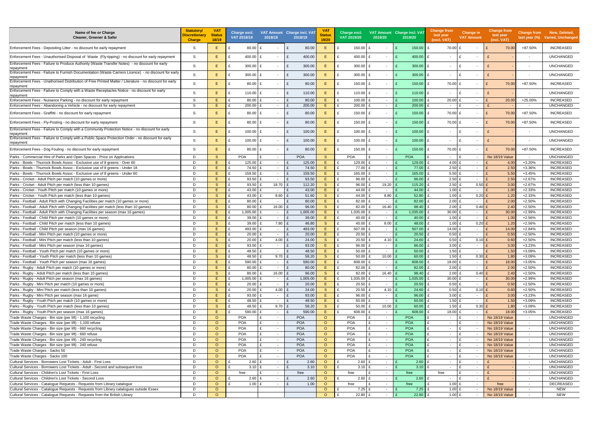| Name of fee or Charge<br>Cleaner, Greener & Safer                                                                            | <b>Statutory/</b><br><b>Discretionary</b><br><b>Charge</b> | <b>VAT</b><br><b>Status</b><br>18/19 | Charge excl.<br>VAT 2018/19 | 2018/19                            | VAT Amount Charge incl. VAT<br>2018/19 | VA <sub>1</sub><br>Status<br>19/20 | Charge excl.<br>VAT 2019/20 | 2019/20                  | VAT Amount Charge incl. VAT<br>2019/20 | <b>Change from</b><br>last year<br>(excl. VAT) | <b>Change in</b><br><b>VAT Amount</b> | <b>Change from</b><br>last year<br>(incl. VAT) | <b>Change from</b>       | New, Deleted,<br>last year (%) Varied, Unchanged |
|------------------------------------------------------------------------------------------------------------------------------|------------------------------------------------------------|--------------------------------------|-----------------------------|------------------------------------|----------------------------------------|------------------------------------|-----------------------------|--------------------------|----------------------------------------|------------------------------------------------|---------------------------------------|------------------------------------------------|--------------------------|--------------------------------------------------|
| Enforcement Fees - Depositing Litter - no discount for early repayment                                                       | -S                                                         | Е                                    | 80.00                       | £                                  | 80.00<br>£                             | E                                  | 150.00                      | $\overline{\phantom{a}}$ | 150.00                                 | 70.00 £<br>£                                   | $\overline{\phantom{0}}$              | 70.00<br>£                                     | +87.50%                  | <b>INCREASED</b>                                 |
| Enforcement Fees - Unauthorised Disposal of Waste (Fly-tipping) - no discount for early repayment                            | <sub>S</sub>                                               | E.                                   | 400.00                      | E                                  | £<br>400.00                            | Е                                  | 400.00 £                    | $\sim$                   | 400.00                                 | £<br>$\blacksquare$                            | £<br>$\sim$                           |                                                | $\overline{\phantom{a}}$ | <b>UNCHANGED</b>                                 |
| Enforcement Fees - Failure to Produce Authority (Waste Transfer Notes) - no discount for early<br>repayment                  | <sub>S</sub>                                               | Ε.                                   | 300.00                      | £                                  | 300.00<br>£                            | Е                                  | $300.00$ £                  | $\sim$                   | 300.00                                 | £<br>$\sim$                                    | £<br>$\sim$                           |                                                | $\overline{\phantom{a}}$ | <b>UNCHANGED</b>                                 |
| Enforcement Fees - Failure to Furnish Documentation (Waste Carriers Licence) - no discount for early<br>repaymen             | -S                                                         | E.                                   | 300.00                      | £                                  | 300.00<br>£                            | Е                                  | $300.00$ £                  | $\sim$                   | 300.00                                 | £<br>$\sim$                                    | £<br>$\sim$                           |                                                | $\blacksquare$           | <b>UNCHANGED</b>                                 |
| Enforcement Fees - Unathorised Distribution of Free Printed Matter / Literature - no discount for early<br>repaymen          | -S                                                         | E.                                   | 80.00                       | £                                  | 80.00<br>£                             | E.                                 | $150.00$ £<br>£             | $\sim$                   | 150.00                                 | 70.00 £<br>£                                   | $\sim$                                | 70.00<br>£                                     | +87.50%                  | <b>INCREASED</b>                                 |
| Enforcement Fees - Failure to Comply with a Waste Receptacles Notice - no discount for early<br>repaymen                     | -S                                                         | E.                                   | 110.00                      | £                                  | £<br>110.00                            | E                                  | £<br>110.00 $E$             | $\sim$                   | 110.00                                 | £<br>$\overline{\phantom{a}}$                  | £<br>$\sim$                           |                                                |                          | <b>UNCHANGED</b>                                 |
| Enforcement Fees - Nuisance Parking - no discount for early repayment                                                        | <sub>S</sub>                                               | E.                                   | 80.00                       | $\sim$                             | $\mathbf{f}$<br>80.00                  | Е                                  | £<br>100.00                 | $\sim$                   | 100.00                                 | £<br>$20.00$ £                                 | $\sim$                                | 20.00                                          | +25.00%                  | <b>INCREASED</b>                                 |
| Enforcement Fees - Abandoning a Vehicle - no discount for early repayment                                                    | S                                                          | E.                                   | 200.00                      | $\sim$                             | 200.00                                 | E.                                 | 200.00                      | $\sim$                   | 200.00                                 | $\overline{\phantom{0}}$                       | $\mathbf{f}$<br>$\sim$                |                                                | $\sim$                   | <b>UNCHANGED</b>                                 |
| Enforcement Fees - Graffitti - no discount for early repayment                                                               | -S                                                         | E.                                   | 80.00                       | £                                  | 80.00<br>$\mathbf{f}$                  | E                                  | 150.00                      | £<br>$\sim$              | 150.00                                 | £<br>70.00 £                                   | $\sim$                                | 70.00                                          | +87.50%                  | <b>INCREASED</b>                                 |
| Enforcement Fees - Fly-Posting - no discount for early repayment                                                             | -S                                                         | E.                                   | 80.00                       | £                                  | 80.00<br>£                             | Е                                  | 150.00                      | $\sim$                   | 150.00                                 | £<br>70.00 £                                   | $\sim$                                | 70.00<br>£                                     | +87.50%                  | <b>INCREASED</b>                                 |
| Enforcement Fees - Failure to Comply with a Community Protection Notice - no discount for early                              | <sub>S</sub>                                               | E.                                   | $100.00$ £                  |                                    | 100.00                                 | Е                                  | $100.00$ £                  | $\sim$                   | 100.00                                 | £<br>$\blacksquare$                            | £<br>$\sim$                           |                                                |                          | <b>UNCHANGED</b>                                 |
| repayment<br>Enforcement Fees - Failure to Comply with a Public Space Protection Order - no discount for early<br>repayment  | <sub>S</sub>                                               | E.                                   | 100.00                      | f                                  | 100.00<br>£                            | Е                                  | 100.00                      | $\sim$                   | 100.00                                 | £<br>$\overline{\phantom{a}}$                  | £<br>$\sim$                           |                                                | $\overline{\phantom{a}}$ | <b>UNCHANGED</b>                                 |
| Enforcement Fees - Dog Fouling - no discount for early repayment                                                             | <sub>S</sub>                                               | E.                                   | 80.00                       | f                                  | £<br>80.00                             | E                                  | 150.00                      | £<br>$\sim$              | 150.00                                 | £<br>70.00 £                                   | $\sim$                                | 70.00                                          | +87.50%                  | <b>INCREASED</b>                                 |
| Parks - Commercial Hire of Parks and Open Spaces - Price on Applications                                                     | D                                                          | <sub>S</sub>                         | <b>POA</b>                  | $\sim$                             | <b>POA</b>                             | <sub>S</sub>                       | <b>POA</b>                  | £<br>$\sim$              | POA                                    |                                                | £<br>$\sim$                           | No 18/19 Value                                 | $\sim$                   | <b>UNCHANGED</b>                                 |
| Parks - Bowls - Thurrock Bowls Assoc - Exclusive use of 8 greens - Over 60                                                   | D                                                          | E.                                   | 125.00                      | $\sim$                             | 125.00<br>$\mathbf{f}$                 | Е                                  | 129.00                      | $\sim$                   | 129.00                                 | 4.00 £                                         | $\sim$                                | 4.00                                           | $+3.20%$                 | <b>INCREASED</b>                                 |
| Parks - Bowls - Thurrock Bowls Assoc - Exclusive use of 8 greens - Under 18                                                  | D                                                          | E.                                   | 74.50                       | £<br>$\sim$                        | 74.50                                  | E                                  | 77.00                       | $\sim$                   | 77.00                                  | $2.50$ £                                       | $\sim$                                | 2.50                                           | +3.36%                   | <b>INCREASED</b>                                 |
| Parks - Bowls - Thurrock Bowls Assoc - Exclusive use of 8 greens - Under 60                                                  | D<br>D                                                     | E.<br>E.                             | 159.50                      | $\sim$                             | 159.50<br>$\mathbf{f}$                 | E.<br>Е                            | 165.00                      | $\sim$                   | 165.00<br>96.00                        | $5.50$ £<br>2.50 E                             | $\sim$                                | 5.50                                           | $+3.45%$                 | <b>INCREASED</b>                                 |
| Parks - Cricket - Adult Pitch per match (10 games or more)<br>Parks - Cricket - Adult Pitch per match (less than 10 games)   | D                                                          | <sub>S</sub>                         | 93.50<br>93.50              | $\sim$<br>18.70                    | 93.50<br>112.20                        | <sub>S</sub>                       | 96.00<br>96.00              | $\sim$<br>19.20          | 115.20                                 | $2.50$ £                                       | $\sim$<br>0.50                        | 2.50<br>3.00                                   | $+2.67%$<br>$+2.67%$     | <b>INCREASED</b><br><b>INCREASED</b>             |
| Parks - Cricket - Youth Pitch per match (10 games or more)                                                                   | D                                                          | E.                                   | 43.00                       | $\sim$                             | 43.00                                  | Е                                  | 44.00                       | $\sim$                   | 44.00                                  | 1.00 £                                         | $\sim$                                | 1.00                                           | $+2.33%$                 | <b>INCREASED</b>                                 |
| Parks - Cricket - Youth Pitch per match (less than 10 games)                                                                 | D                                                          | <sub>S</sub>                         | 43.00                       | 8.60                               | 51.60                                  | S                                  | 44.00                       | 8.80                     | 52.80                                  | $1.00$ £                                       | 0.20                                  | 1.20                                           | $+2.33%$                 | <b>INCREASED</b>                                 |
| Parks - Football - Adult Pitch with Changing Facilities per match (10 games or more)                                         | D                                                          | E.                                   | 80.00                       | $\sim$                             | 80.00                                  | Е                                  | 82.00                       | $\sim$                   | 82.00                                  | $2.00$ £                                       | $\sim$                                | 2.00                                           | $+2.50%$                 | <b>INCREASED</b>                                 |
| Parks - Football - Adult Pitch with Changing Facilities per match (less than 10 games)                                       | D                                                          | S                                    | 80.00                       | 16.00                              | 96.00                                  | <sub>S</sub>                       | 82.00                       | 16.40                    | 98.40                                  | $2.00$ £                                       | 0.40                                  | 2.40                                           | $+2.50%$                 | <b>INCREASED</b>                                 |
| Parks - Football - Adult Pitch with Changing Facilities per season (max 16 games)                                            | D                                                          | E.                                   | 1,005.00                    | $\sim$                             | 1,005.00                               | E.                                 | 1,035.00                    | $\sim$                   | 1,035.00                               | $30.00$ £                                      | $\sim$                                | 30.00<br>$\mathbf{f}$                          | +2.99%                   | <b>INCREASED</b>                                 |
| Parks - Football - Child Pitch per match (10 games or more)                                                                  | D                                                          | E.                                   | 39.00                       | $\sim$                             | $\mathbf{f}$<br>39.00                  | E                                  | 40.00                       | $\sim$                   | 40.00                                  | 1.00 £                                         | $\sim$                                | 1.00                                           | $+2.56%$                 | <b>INCREASED</b>                                 |
| Parks - Football - Child Pitch per match (less than 10 games)                                                                | D                                                          | <sub>S</sub>                         | 39.00                       | 7.80                               | 46.80                                  | <sub>S</sub>                       | 40.00                       | 8.00                     | 48.00                                  | $1.00$ £                                       | 0.20                                  | 1.20                                           | $+2.56%$                 | <b>INCREASED</b>                                 |
| Parks - Football - Child Pitch per season (max 16 games)                                                                     | D                                                          | E.                                   | 493.00                      | $\sim$                             | 493.00                                 | E.                                 | 507.00                      | $\sim$                   | 507.00                                 | 14.00 £                                        | $\sim$                                | 14.00                                          | $+2.84%$                 | <b>INCREASED</b>                                 |
| Parks - Football - Mini Pitch per match (10 games or more)                                                                   | D                                                          | E.                                   | 20.00                       | $\sim$                             | 20.00<br>£                             | E                                  | 20.50<br>£                  | $\sim$                   | 20.50                                  | $0.50$ £                                       | $\sim$                                | 0.50                                           | $+2.50%$                 | <b>INCREASED</b>                                 |
| Parks - Football - Mini Pitch per match (less than 10 games)                                                                 | D                                                          | <sub>S</sub>                         | 20.00                       | 4.00                               | 24.00                                  | <sub>S</sub>                       | 20.50                       | 4.10                     | 24.60                                  | 0.50 E                                         | $0.10$ £                              | 0.60                                           | $+2.50%$                 | <b>INCREASED</b>                                 |
| Parks - Football - Mini Pitch per season (max 16 games)                                                                      | D                                                          | Ε                                    | 93.00                       | $\sim$                             | 93.00                                  | E                                  | 96.00                       | $\sim$                   | 96.00                                  | 3.00 $E$                                       | $\sim$                                | 3.00                                           | $+3.23%$                 | <b>INCREASED</b>                                 |
| Parks - Football - Youth Pitch per match (10 games or more)<br>Parks - Football - Youth Pitch per match (less than 10 games) | D                                                          | F.<br>S.                             | 48.50                       |                                    | $\mathbf{f}$<br>48.50                  | E                                  | 50.00<br>£                  | $\sim$                   | 50.00                                  | 1.50 $E$                                       |                                       | 1.50                                           | +3.09%                   | <b>INCREASED</b><br><b>INCREASED</b>             |
| Parks - Football - Youth Pitch per season (max 16 games)                                                                     | D<br>D                                                     | E                                    | 48.50 £<br>590.00           | $9.70$ £<br>$\mathbf{f}$<br>$\sim$ | 58.20<br>590.00<br>£                   | S<br>E                             | 50.00<br>£<br>608.00 £      | $10.00$ £<br>$\sim$      | $60.00$ $E$<br>608.00                  | 1.50 $E$<br>£<br>18.00 £                       | $0.30$ £<br>$\sim$                    | 1.80<br>E<br>18.00                             | +3.09%<br>+3.05%         | <b>INCREASED</b>                                 |
| Parks - Rugby - Adult Pitch per match (10 games or more)                                                                     | D                                                          | E                                    | £<br>80.00                  | £<br>$\sim$                        | £<br>80.00                             | E.                                 | $\mathbf{f}$<br>82.00 £     | $\sim$                   | 82.00                                  | $2.00$ £<br>£                                  | $\sim$                                | 2.00<br>E                                      | $+2.50%$                 | <b>INCREASED</b>                                 |
| Parks - Rugby - Adult Pitch per match (less than 10 games)                                                                   | D                                                          | S.                                   | 80.00                       | 16.00<br>$\mathbf{f}$              | 96.00<br>£                             | <sub>S</sub>                       | 82.00 £                     | 16.40                    | 98.40                                  | £<br>$2.00$ £                                  | $0.40$ £                              | 2.40                                           | $+2.50%$                 | <b>INCREASED</b>                                 |
| Parks - Rugby - Adult Pitch per season (max 16 games)                                                                        | D                                                          | E                                    | 1,005.00                    | f<br>$\sim$                        | 1,005.00<br>£                          | E                                  | 1,035.00 £                  | $\sim$                   | 1,035.00                               | 30.00 £                                        | $\sim$                                | 30.00<br>$\mathbf{f}$                          | +2.99%                   | <b>INCREASED</b>                                 |
| Parks - Rugby - Mini Pitch per match (10 games or more)                                                                      | D                                                          | E                                    | $20.00$ £                   | $\sim$                             | £<br>20.00                             | E.                                 | $20.50$ £                   | $\sim$                   | 20.50                                  | $0.50$ £                                       | $\sim$                                | $\mathbf{f}$<br>0.50                           | $+2.50%$                 | <b>INCREASED</b>                                 |
| Parks - Rugby - Mini Pitch per match (less than 10 games)                                                                    | D                                                          | <sub>S</sub>                         | 20.00                       | 4.00                               | 24.00<br>£                             | <sub>S</sub>                       | $20.50$ £                   | 4.10                     | 24.60                                  | $0.50$ £                                       | $0.10$ £                              | 0.60                                           | $+2.50%$                 | <b>INCREASED</b>                                 |
| Parks - Rugby - Mini Pitch per season (max 16 game)                                                                          | D                                                          | E                                    | 93.00                       | E<br>$\sim$                        | 93.00<br>£                             | E.                                 | £<br>96.00 £                | $\sim$                   | 96.00                                  | £<br>$3.00$ £                                  | $\sim$                                | $\mathbf{f}$<br>3.00                           | $+3.23%$                 | <b>INCREASED</b>                                 |
| Parks - Rugby - Youth Pitch per match (10 games or more)                                                                     | D                                                          | E                                    | 48.50 £                     | $\sim$                             | 48.50<br>£                             | E.                                 | 50.00 $E$<br>£              | $\sim$                   | 50.00                                  | £<br>$1.50$ £                                  | $\sim$                                | 1.50<br>$\mathbf{f}$                           | +3.09%                   | <b>INCREASED</b>                                 |
| Parks - Rugby - Youth Pitch per match (less than 10 games)                                                                   | D                                                          | S                                    | 48.50 £                     | 9.70                               | 58.20<br>£                             | <sub>S</sub>                       | 50.00 $E$                   | 10.00                    | 60.00                                  | £<br>1.50 E                                    | $0.30$ £                              | 1.80                                           | +3.09%                   | <b>INCREASED</b>                                 |
| Parks - Rugby - Youth Pitch per season (max 16 games)                                                                        | D                                                          | E                                    | 590.00 £                    | $\sim$                             | 590.00<br>£                            | E.                                 | 608.00                      | £<br>$\sim$              | 608.00                                 | £<br>18.00 £                                   | $\sim$                                | 18.00                                          | +3.05%                   | <b>INCREASED</b>                                 |
| Trade Waste Charges - Bin size (per lift) - 1,100 recycling                                                                  | D                                                          | $\circ$                              | <b>POA</b>                  | £<br>$\sim$                        | <b>POA</b>                             | $\circ$                            | <b>POA</b>                  | £<br>$\sim$              | POA                                    | $\sim$                                         | $\mathbf{f}$<br>$\sim$                | No 18/19 Value                                 | $\sim$                   | <b>UNCHANGED</b>                                 |
| Trade Waste Charges - Bin size (per lift) - 1,100 refuse                                                                     | D                                                          | $\circ$                              | <b>POA</b>                  | £<br>$\sim$                        | <b>POA</b>                             | $\circ$                            | POA                         | £<br>$\sim$              | POA                                    | $\sim$                                         | E                                     | No 18/19 Value                                 | $\sim$                   | <b>UNCHANGED</b>                                 |
| Trade Waste Charges - Bin size (per lift) - 660 recycling                                                                    | D                                                          | $\circ$                              | <b>POA</b>                  | £<br>$\sim$<br>£                   | <b>POA</b>                             | $\circ$                            | <b>POA</b>                  | £<br>$\sim$              | POA                                    | $\sim$                                         | £<br>£                                | No 18/19 Value                                 | $\sim$                   | <b>UNCHANGED</b>                                 |
| Trade Waste Charges - Bin size (per lift) - 660 refuse                                                                       | D<br>D                                                     | $\circ$<br>$\circ$                   | <b>POA</b><br><b>POA</b>    | $\sim$<br>$\mathbf{f}$             | <b>POA</b><br><b>POA</b>               | $\circ$<br>$\circ$                 | <b>POA</b><br><b>POA</b>    | £<br>$\sim$<br>£         | POA<br>POA                             | $\sim$                                         | £                                     | No 18/19 Value                                 | $\sim$                   | <b>UNCHANGED</b><br><b>UNCHANGED</b>             |
| Trade Waste Charges - Bin size (per lift) - 240 recycling<br>Trade Waste Charges - Bin size (per lift) - 240 refuse          | D                                                          | $\circ$                              | <b>POA</b>                  | $\sim$<br>$\mathbf{f}$<br>$\sim$   | <b>POA</b>                             | $\circ$                            | <b>POA</b>                  | $\sim$<br>$\sim$         | <b>POA</b>                             | $\sim$<br>$\sim$                               | $\mathbf{f}$                          | No 18/19 Value<br>No 18/19 Value               | $\sim$<br>$\sim$         | <b>UNCHANGED</b>                                 |
| Trade Waste Charges - Sacks 50                                                                                               | D                                                          | $\circ$                              | <b>POA</b>                  | $\mathbf{f}$<br>$\sim$             | <b>POA</b>                             | $\circ$                            | <b>POA</b>                  | £<br>$\sim$              | POA                                    | $\sim$                                         | £                                     | No 18/19 Value                                 | $\sim$                   | <b>UNCHANGED</b>                                 |
| Trade Waste Charges - Sacks 100                                                                                              | D                                                          | $\circ$                              | <b>POA</b>                  | $\sim$                             | <b>POA</b>                             | $\circ$                            | <b>POA</b>                  | £<br>$\sim$              | POA                                    | $\sim$                                         | £                                     | No 18/19 Value                                 | $\sim$                   | <b>UNCHANGED</b>                                 |
| Cultural Services - Borrowers Lost Tickets - Adult - First Loss                                                              | D                                                          | $\circ$                              | 2.60                        | £<br>$\sim$                        | 2.60<br>$\mathbf{f}$                   | $\circ$                            | 2.60 E                      | $\sim$                   | 2.60                                   | $\sim$                                         | £<br>$\sim$                           |                                                | $\sim$                   | <b>UNCHANGED</b>                                 |
| Cultural Services - Borrowers Lost Tickets - Adult - Second and subsequent loss                                              | D                                                          | $\circ$                              | 3.10 $E$                    | $\sim$                             | 3.10                                   | $\circ$                            | $3.10$ £                    | $\sim$                   | 3.10                                   | $\sim$                                         | £<br>$-$                              |                                                | $\sim$                   | <b>UNCHANGED</b>                                 |
| Cultural Services - Children's Lost Tickets - First Loss                                                                     | D                                                          | $\circ$                              | free                        |                                    | free                                   | $\circ$                            | free                        | $\sim$                   | free                                   | free                                           | $-$                                   |                                                | $\sim$                   | <b>UNCHANGED</b>                                 |
| Cultural Services - Children's Lost Tickets - Second Loss                                                                    | D                                                          | $\circ$                              | 2.60                        | $\mathbf{f}$<br>$\sim$             | 2.60<br>$\mathbf{f}$                   | $\circ$                            | $2.60$ £                    | $\sim$                   | 2.60                                   | £                                              | $\mathbf{f}$<br>$\sim$                |                                                | $\sim$                   | <b>UNCHANGED</b>                                 |
| Cultural Services - Catalogue Requests - Requests from Library catalogue                                                     | D                                                          | $\circ$                              | 1.00 $E$                    |                                    | £<br>1.00                              | $\circ$                            | free                        | £<br>$\sim$              | free                                   | 1.00 E                                         | $\sim$                                | free                                           | $\sim$                   | DECREASED                                        |
| Cultural Services - Catalogue Requests - Requests from Library catalogues outside Essex                                      | D                                                          | $\circ$                              |                             |                                    |                                        | $\circ$                            | $7.25$ £                    | $\sim$                   | $7.25$ £                               | $1.00$ £                                       | $\sim$                                | No 18/19 Value                                 | $\sim$                   | <b>NEW</b>                                       |
| Cultural Services - Catalogue Requests - Requests from the British Library                                                   | D                                                          | $\circ$                              |                             |                                    |                                        | $\circ$                            | 22.80 £                     | $\sim$                   | 22.80                                  | £<br>$1.00$ £                                  |                                       | No 18/19 Value                                 | $\sim$                   | NEW                                              |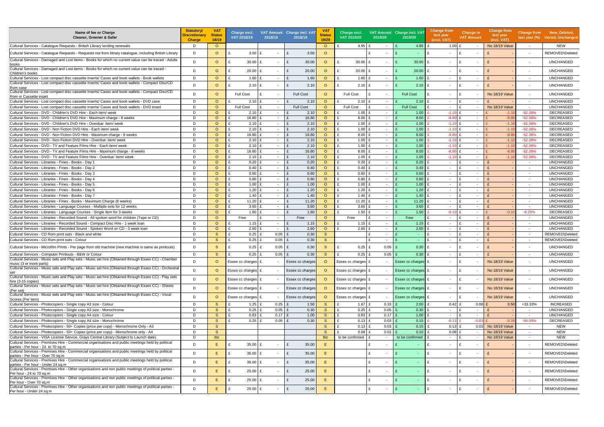| Name of fee or Charge<br>Cleaner, Greener & Safer                                                                                                                                 | <b>Statutory/</b><br>Discretionary<br><b>Charge</b> | <b>VAT</b><br><b>Status</b><br>18/19 | Charge excl.<br>VAT 2018/19 | 2018/19                  | <b>VAT Amount</b> Charge incl. VAT<br>2018/19 | VA <sub>1</sub><br><b>Status</b><br>19/20 | Charge excl.<br>VAT 2019/20           | 2019/20                          | VAT Amount Charge incl. VAT<br>2019/20 | <b>Change from</b><br>last year<br>(excl. VAT) | <b>Change in</b><br><b>VAT Amount</b>    | <b>Change from</b><br>last year<br>(incl. VAT) |                                      | Change from New, Deleted,<br>last year (%) Varied, Unchanged |
|-----------------------------------------------------------------------------------------------------------------------------------------------------------------------------------|-----------------------------------------------------|--------------------------------------|-----------------------------|--------------------------|-----------------------------------------------|-------------------------------------------|---------------------------------------|----------------------------------|----------------------------------------|------------------------------------------------|------------------------------------------|------------------------------------------------|--------------------------------------|--------------------------------------------------------------|
| Cultural Services - Catalogue Requests - British Library lending renewals                                                                                                         | D                                                   | $\circ$                              |                             |                          |                                               | $\circ$                                   | 4.95                                  |                                  | 4.95                                   | 1.00 $E$<br>£                                  | $\sim$                                   | No 18/19 Value                                 | $\sim$                               | <b>NEW</b>                                                   |
| Cultural Services - Catalogue Requests - Requests not from library catalogue, including British Library                                                                           | D                                                   | $\circ$                              | $3.50$ £<br>£               | $\overline{\phantom{a}}$ | 3.50<br>$\mathbf{f}$                          | $\Omega$                                  |                                       |                                  |                                        | £                                              | $\sim$                                   |                                                | $\overline{\phantom{a}}$             | REMOVED\Deleted                                              |
| Cultural Services - Damaged and Lost items - Books for which no current value can be traced - Adults<br>books                                                                     | D                                                   | $\circ$                              | £<br>$30.00$ £              | $\sim$                   | E<br>30.00                                    | $\circ$                                   | 30.00<br>£                            |                                  | 30.00                                  | £<br>$\sim$                                    | Ŀ£<br>$\overline{\phantom{a}}$           |                                                | $\overline{\phantom{a}}$             | <b>UNCHANGED</b>                                             |
| Cultural Services - Damaged and Lost items - Books for which no current value can be traced -<br>Children's books                                                                 | D                                                   | $\circ$                              | $20.00$ £<br>£              | $\sim$                   | 20.00<br>£                                    | $\circ$                                   | 20.00<br>£                            |                                  | 20.00                                  | £<br>$\overline{\phantom{a}}$                  | ١£<br>$\overline{\phantom{a}}$           |                                                | $\overline{\phantom{a}}$             | <b>UNCHANGED</b>                                             |
| Cultural Services - Lost compact disc cassette inserts/ Cases and book wallets - Book wallets                                                                                     | D                                                   | $\circ$                              | $\mathbf{f}$<br>$1.60$ £    | $\sim$                   | £<br>1.60                                     | $\circ$                                   | $\mathbf{f}$<br>$1.60 \quad \text{£}$ | $\sim$                           | 1.60                                   | £<br>$\sim$                                    | ١£<br>$\sim$                             |                                                | $\sim$                               | <b>UNCHANGED</b>                                             |
| Cultural Services - Lost compact disc cassette inserts/ Cases and book wallets - Compact Disc/CD                                                                                  | D                                                   | $\circ$                              | $2.10$ £<br>£               | $\sim$                   | 2.10<br>£                                     | $\circ$                                   | $2.10$ £                              | $\sim$                           | 2.10                                   | £<br>$\sim$                                    | ١£<br>$\sim$                             |                                                | $\overline{\phantom{a}}$             | <b>UNCHANGED</b>                                             |
| Rom case<br>Cultural Services - Lost compact disc cassette inserts/ Cases and book wallets - Compact Disc/CD<br>Rom or Cassette insert                                            | D                                                   | $\circ$                              | <b>Full Cost</b>            | $\mathbf{f}$             | <b>Full Cost</b>                              | $\Omega$                                  | <b>Full Cost</b>                      |                                  | <b>Full Cost</b>                       | $\mathbf{f}$<br>$\sim$                         | ١£                                       | No 18/19 Value                                 | $\overline{\phantom{a}}$             | <b>UNCHANGED</b>                                             |
| Cultural Services - Lost compact disc cassette inserts/ Cases and book wallets - DVD case                                                                                         | D                                                   | $\circ$                              | $2.10$ £                    | $\sim$                   | $\mathbf{f}$<br>2.10                          | $\circ$                                   | $2.10$ £                              | $\sim$                           | 2.10                                   | £<br>$\sim$                                    | f<br>$\sim$                              |                                                | $\sim$                               | <b>UNCHANGED</b>                                             |
| Cultural Services - Lost compact disc cassette inserts/ Cases and book wallets - DVD insert                                                                                       | D                                                   | $\circ$                              | <b>Full Cost</b>            | $\mathbf{f}$<br>$\sim$   | <b>Full Cost</b>                              | $\Omega$                                  | <b>Full Cost</b>                      | $\sim$                           | <b>Full Cost</b>                       | $\sim$                                         | ١£<br>$\sim$                             | No 18/19 Value                                 | $\sim$                               | <b>UNCHANGED</b>                                             |
| Cultural Services - DVD - Children's DVD Hire - Each item/ week                                                                                                                   | D                                                   | $\circ$                              | $2.10$ £                    | $\sim$                   | 2.10                                          | $\circ$                                   | 1.00                                  | $\sim$                           | 1.00                                   | $-1.10$ £                                      | $\sim$                                   | $-1.1$                                         | $-52.38%$                            | DECREASED                                                    |
| Cultural Services - DVD - Children's DVD Hire - Maximum charge - 8 weeks                                                                                                          | D                                                   | $\circ$                              | 16.80 $E$                   | $\sim$                   | 16.80<br>£                                    | $\circ$                                   | 8.00                                  | $\sim$                           | 8.00                                   | $-8.80$ £                                      | $\sim$                                   | $-8.80$                                        | $-52.38%$                            | DECREASED                                                    |
| Cultural Services - DVD - Children's DVD Hire - Overdue: item/ week                                                                                                               | D                                                   | $\circ$                              | $2.10$ £                    | $\sim$                   | £<br>2.10                                     | $\circ$                                   | 1.00                                  | $\sim$                           | 1.00                                   | $-1.10$ £                                      | $\overline{\phantom{a}}$                 | $-1.1$                                         | $-52.38%$                            | <b>DECREASED</b>                                             |
| Cultural Services - DVD - Non Fiction DVD Hire - Each item/ week                                                                                                                  | D                                                   | $\circ$                              | $2.10$ £<br>£               | $\sim$                   | 2.10<br>$\mathbf{f}$                          | $\circ$                                   | 1.00                                  | $\sim$                           | 1.00                                   | $-1.10$                                        | $\sim$                                   | $-1.1$                                         | $-52.38%$                            | <b>DECREASED</b>                                             |
| ECultural Services - DVD - Non Fiction DVD Hire - Maximum charge - 8 weeks                                                                                                        | D                                                   | $\circ$                              | $16.80$ £<br>£              | $\sim$                   | 16.80<br>£                                    | $\Omega$                                  | 8.00                                  | $\sim$                           | 8.00                                   | $-8.80$                                        | $\overline{\phantom{a}}$                 | $-8.8$                                         | $-52.38%$                            | <b>DECREASED</b>                                             |
| Cultural Services - DVD - Non Fiction DVD Hire - Overdue: item/ week                                                                                                              | D                                                   | $\circ$                              | $2.10$ £                    | $\sim$                   | 2.10                                          | $\circ$                                   | 1.00                                  | $\sim$                           | 1.00                                   | $-1.10$                                        | $\overline{\phantom{a}}$                 | $-1.1$                                         | $-52.38%$                            | <b>DECREASED</b>                                             |
| Cultural Services - DVD - TV and Feature Films Hire - Each item/ week                                                                                                             | D                                                   | $\circ$                              | $2.10$ £<br>£               | $\sim$                   | 2.10<br>£                                     | $\circ$                                   | 1.00                                  | $\sim$                           | 1.00                                   | $-1.10$ £                                      | $\sim$                                   | $-1.1$                                         | $-52.38%$                            | <b>DECREASED</b>                                             |
| Cultural Services - DVD - TV and Feature Films Hire - Maximum charge - 8 weeks                                                                                                    | D                                                   | $\circ$                              | 16.80 £                     | $\sim$                   | 16.80<br>£                                    | $\circ$                                   | 8.00                                  | $\sim$                           | 8.00                                   | $-8.80$                                        | $\sim$                                   | $-8.8$                                         | $-52.38%$                            | <b>DECREASED</b>                                             |
| Cultural Services - DVD - TV and Feature Films Hire - Overdue: item/ week                                                                                                         | D                                                   | $\circ$                              | $2.10$ £<br>£               | $\sim$                   | $\mathbf{f}$<br>2.10                          | $\Omega$                                  | 1.00                                  | $\sim$                           | 1.00                                   | $-1.10$ £                                      | $\overline{\phantom{a}}$                 | $-1.1$                                         | $-52.38%$                            | <b>DECREASED</b>                                             |
| Cultural Services - Libraries - Fines - Books - Day 1                                                                                                                             | D                                                   | $\circ$                              | $0.20$ £<br>$\mathbf{f}$    | $\sim$                   | 0.20<br>$\mathbf{f}$                          | $\circ$                                   | 0.20                                  | $\sim$                           | 0.20                                   | $\sim$                                         | $\overline{\phantom{a}}$                 |                                                | $\sim$                               | <b>UNCHANGED</b>                                             |
| Cultural Services - Libraries - Fines - Books - Day 2                                                                                                                             | D.                                                  | $\circ$                              | 0.40 E                      | $\sim$                   | 0.40<br>£                                     | $\circ$                                   | 0.40                                  | $\sim$                           | 0.40                                   | $\sim$                                         | $\sim$                                   |                                                | $\sim$                               | <b>UNCHANGED</b>                                             |
| Cultural Services - Libraries - Fines - Books - Day 3                                                                                                                             | D                                                   | $\circ$                              | $0.60$ £<br>$\mathbf{f}$    | $\sim$                   | 0.60<br>$\mathbf{f}$                          | $\Omega$                                  | 0.60                                  | $\sim$                           | 0.60                                   | $\overline{\phantom{a}}$                       | $\mathbf{f}$<br>$\overline{\phantom{a}}$ |                                                | $\sim$                               | <b>UNCHANGED</b>                                             |
| Cultural Services - Libraries - Fines - Books - Day 4                                                                                                                             | D                                                   | $\circ$                              | $0.80$ £                    | $\sim$                   | 0.80<br>£                                     | $\circ$                                   | 0.80                                  | $\sim$                           | 0.80                                   | $\sim$                                         | $\sim$                                   |                                                | $\overline{\phantom{a}}$             | <b>UNCHANGED</b>                                             |
| Cultural Services - Libraries - Fines - Books - Day 5                                                                                                                             | D                                                   | $\circ$                              | 1.00 £                      | $\sim$                   | £<br>1.00                                     | $\circ$                                   | 1.00                                  | $\sim$                           | 1.00                                   | £<br>$\sim$                                    | $\mathbf{f}$<br>$\sim$                   |                                                | $\sim$                               | <b>UNCHANGED</b>                                             |
| Cultural Services - Libraries - Fines - Books - Day 6                                                                                                                             | D                                                   | $\circ$                              | $1.20$ £<br>£               | $\sim$                   | 1.20<br>$\mathbf{f}$                          | $\circ$                                   | 1.20                                  | $\sim$                           | 1.20                                   | $\sim$                                         | $\sim$                                   |                                                | $\sim$                               | <b>UNCHANGED</b>                                             |
| Cultural Services - Libraries - Fines - Books - Day 7                                                                                                                             | D                                                   | $\circ$                              | 1.40 $E$<br>£               | $\sim$                   | $\mathbf{f}$<br>1.40                          | $\Omega$                                  | 1.40                                  | $\sim$                           | 1.40                                   | £<br>$\sim$                                    | $\mathbf{f}$<br>$\sim$                   |                                                | $\sim$                               | <b>UNCHANGED</b>                                             |
| Cultural Services - Libraries - Fines - Books - Maximum Charge (8 weeks)                                                                                                          | D                                                   | $\circ$                              | 11.20 £<br>£                | $\sim$                   | 11.20<br>$\mathbf{f}$                         | $\circ$                                   | 11.20                                 | $\sim$                           | 11.20                                  | £<br>$\sim$                                    | $\mathbf{f}$<br>$\overline{\phantom{a}}$ |                                                | $\sim$                               | <b>UNCHANGED</b>                                             |
| Cultural Services - Libraries - Language Courses - Multiple sets for 12 weeks                                                                                                     | D<br>D                                              | $\circ$<br>$\circ$                   | $3.60$ £<br>£<br>$1.60$ £   | $\sim$<br>$\sim$         | 3.60<br>$\mathbf{f}$<br>1.60<br>$\mathbf{f}$  | $\circ$<br>$\Omega$                       | 3.60<br>1.50                          | $\sim$                           | 3.60<br>1.50                           | $\sim$<br>$-0.10$                              | $\sim$<br>١£                             |                                                | $\overline{\phantom{a}}$<br>$-6.25%$ | <b>UNCHANGED</b><br><b>DECREASED</b>                         |
| Cultural Services - Libraries - Language Courses - Single item for 3 weeks<br>Cultural Services - Libraries - Recorded Sound - All spoken word for children (Tape or CD)          | D                                                   | $\circ$                              | Free                        | $\sim$                   | Free                                          | $\Omega$                                  | Free                                  | $\sim$<br>$\sim$                 | Free                                   | $\sim$                                         | $\sim$<br>$\sim$                         | $-0.1$                                         | $\sim$                               | <b>UNCHANGED</b>                                             |
| ECultural Services - Libraries - Recorded Sound - Compact Disc Hire - 1 week loan                                                                                                 | D                                                   | $\circ$                              | $1.15$ £<br>£               | $\sim$                   | $\mathbf{f}$<br>1.15                          | $\Omega$                                  | 1.15                                  | $\sim$                           | 1.15                                   | $\sim$                                         | $\overline{\phantom{a}}$                 |                                                | $\sim$                               | <b>UNCHANGED</b>                                             |
| Cultural Services - Libraries - Recorded Sound - Spoken Word on CD - 3 week loan                                                                                                  | D                                                   | $\circ$                              | $2.60$ £                    | $\sim$                   | 2.60<br>$\mathbf{f}$                          | $\Omega$                                  | 2.60                                  | $\sim$                           | 2.60                                   | £<br>$\sim$                                    | $\sim$                                   |                                                | $\sim$                               | <b>UNCHANGED</b>                                             |
| Cultural Services - CD Rom print outs - Black and white                                                                                                                           | D                                                   | <sub>S</sub>                         | $0.25$ £<br>£               | 0.05                     | 0.30<br>E                                     | <sub>S</sub>                              |                                       | $\sim$                           | <b>Section</b>                         | £<br>$\sim$                                    | $\mathbf{f}$<br>$\overline{\phantom{a}}$ |                                                | $\sim$                               | REMOVED\Deleted                                              |
| Cultural Services - CD Rom print outs - Colour                                                                                                                                    | D                                                   | <sub>S</sub>                         | $0.25$ £<br>£               | 0.05                     | 0.30<br>E                                     | <sub>S</sub>                              |                                       | $\sim$                           |                                        | $\mathbf{f}$<br>$\sim$                         | f<br>$\sim$                              |                                                | $\sim$                               | REMOVED\Deleted                                              |
| Cultural Services - Microfilm Prints - Per page from old machine (new machine is same as printouts)                                                                               | D                                                   | <sub>S</sub>                         | $0.25$ £<br>£               | $0.05$ £                 | 0.30                                          |                                           | 0.25                                  | 0.05<br>£                        | 0.30                                   | $\mathbf{f}$<br>$\overline{\phantom{a}}$       | ١£<br>$\overline{\phantom{a}}$           |                                                | $\sim$                               | <b>UNCHANGED</b>                                             |
| Cultural Services - Computer Printouts - B&W or Colour                                                                                                                            | D                                                   | <sub>S</sub>                         | $0.25$ £                    | $0.05$ £                 | 0.30                                          | S                                         | $\mathbf{r}$<br>0.25                  | 0.05                             | 0.30                                   |                                                | E                                        | $\mathbf{f}$                                   |                                      | <b>UNCHANGED</b>                                             |
| Cultural Services - Music sets and Play sets - Music set hire (Obtained through Essex CC) - Chamber<br>music (3 or more parts)                                                    | D                                                   | $\circ$                              | Essex cc charges £          |                          | Essex cc charges                              | $\circ$                                   | Essex cc charges                      |                                  | Essex cc charges                       | £<br>$\overline{\phantom{a}}$                  | E                                        | No 18/19 Value                                 |                                      | <b>UNCHANGED</b>                                             |
| Cultural Services - Music sets and Play sets - Music set hire (Obtained through Essex CC) - Orchestral                                                                            | D                                                   | $\circ$                              | Essex cc charges £          |                          | Essex cc charges                              | $\circ$                                   | Essex cc charges £                    |                                  | Essex cc charges £                     | $\sim$                                         | Ι£                                       | No 18/19 Value                                 | $\overline{\phantom{a}}$             | <b>UNCHANGED</b>                                             |
| Cultural Services - Music sets and Play sets - Music set hire (Obtained through Essex CC) - Play sets<br>hire (3-15 copies)                                                       | D                                                   | $\circ$                              | Essex cc charges £          |                          | Essex cc charges                              | $\circ$                                   | Essex cc charges                      |                                  | <b>Essex cc charges</b>                | £<br>$\overline{\phantom{a}}$                  | ١£                                       | No 18/19 Value                                 | $\sim$                               | <b>UNCHANGED</b>                                             |
| Cultural Services - Music sets and Play sets - Music set hire (Obtained through Essex CC) - Sheets<br>(Per set)                                                                   | D                                                   | $\circ$                              | Essex cc charges £          |                          | Essex cc charges                              | $\circ$                                   | Essex cc charges £                    |                                  | <b>Essex cc charges</b> £              | $\sim$                                         | £                                        | <b>No 18/19 Value</b>                          | $\sim$                               | <b>UNCHANGED</b>                                             |
| Cultural Services - Music sets and Play sets - Music set hire (Obtained through Essex CC) - Vocal<br>Scores (Per item)                                                            | D                                                   | $\circ$                              | Essex cc charges £          | $\sim$                   | Essex cc charges                              | $\Omega$                                  | Essex cc charges                      |                                  | <b>Essex cc charges</b> £              | $\sim$                                         | Ι£                                       | No 18/19 Value                                 | $\overline{\phantom{a}}$             | <b>UNCHANGED</b>                                             |
| Cultural Services - Photocopiers - Single copy A3 size - Colour                                                                                                                   | D                                                   | <sub>S</sub>                         | $1.25$ £                    | $0.25$ £                 | 1.50                                          | <sub>S</sub>                              | 1.67                                  | 0.33                             | 2.00                                   | 0.42 E<br>£                                    | $0.08$ £                                 | 0.50                                           | +33.33%                              | <b>INCREASED</b>                                             |
| Cultural Services - Photocopiers - Single copy A3 size - Monochrome                                                                                                               | D                                                   | $\mathsf{S}$                         | $0.25$ £<br>£               | $0.05$ £                 | 0.30                                          | <sub>S</sub>                              | 0.25                                  | 0.05                             | 0.30                                   | $\sim$                                         | Ŀ£<br>$\sim$                             |                                                | $\sim$                               | <b>UNCHANGED</b>                                             |
| Cultural Services - Photocopiers - Single copy A4 size - Colour                                                                                                                   | D                                                   | -S                                   | $0.83$ £                    | $0.17$ £                 | 1.00                                          | <sub>S</sub>                              | 0.83                                  | 0.17                             | 1.00                                   | $\sim$                                         | ١£<br>$\overline{\phantom{a}}$           |                                                | $\overline{\phantom{a}}$             | <b>UNCHANGED</b>                                             |
| Cultural Services - Photocopiers - Single copy A4 size - Monochrome                                                                                                               | D                                                   | <sub>S</sub>                         | $0.25$ £                    | $0.05$ £                 | 0.30                                          | <sub>S</sub>                              | 0.13                                  | 0.03                             | 0.15                                   | $-0.13$                                        | $-0.03$                                  | $-0.1$                                         | $-50.00%$                            | DECREASED                                                    |
| ECultural Services - Photocopiers - 50+ Copies (price per copy) - Monochrome Only - A3                                                                                            | D                                                   | $\mathsf{S}$                         |                             |                          |                                               | <sub>S</sub><br><sub>S</sub>              | 0.13                                  | 0.03                             | 0.15                                   | $0.13$ £<br>$\mathbf{f}$<br>£                  | 0.03                                     | No 18/19 Value                                 | $\sim$                               | NEW                                                          |
| Cultural Services - Photocopiers - 50+ Copies (price per copy) - Monochrome only - A4<br>Cultural Services - VISA License Service, Grays Central Library (Subject to Launch date) | D<br>D                                              | <sub>S</sub><br>tbc                  |                             |                          |                                               | tbc                                       | 0.08<br>to be confirmed               | 0.02<br>$\overline{\phantom{a}}$ | 0.10<br>to be confirmed                | $0.08$ £<br>£<br>$\sim$                        | ١£<br>$\overline{\phantom{a}}$           | No 18/19 Value<br>No 18/19 Value               | $\sim$<br>$\overline{\phantom{a}}$   | NEW<br><b>NEW</b>                                            |
| Cultural Services - Premises Hire - Commercial organisations and public meetings held by political                                                                                |                                                     |                                      |                             |                          |                                               |                                           |                                       |                                  |                                        |                                                |                                          |                                                |                                      |                                                              |
| parties - Per hour - 24 to 70 sq.m                                                                                                                                                | D                                                   | E                                    | $35.00$ £<br>£              |                          | £<br>35.00                                    |                                           |                                       |                                  |                                        | £<br>$\overline{\phantom{a}}$                  | f                                        |                                                | $\sim$                               | REMOVED\Deleted                                              |
| Cultural Services - Premises Hire - Commercial organisations and public meetings held by political<br>parties - Per hour - Over 70 sq.m                                           | D                                                   | E                                    | 35.00 £<br>£                | $\overline{\phantom{a}}$ | £<br>35.00                                    |                                           |                                       |                                  |                                        | £<br>$\overline{\phantom{a}}$                  | $\mathbf{f}$                             |                                                | $\overline{\phantom{a}}$             | REMOVED\Deleted                                              |
| Cultural Services - Premises Hire - Commercial organisations and public meetings held by political<br>parties - Per hour - Under 24 sq.m                                          | D                                                   | E.                                   | 35.00 £<br>£                |                          | £<br>35.00                                    |                                           |                                       | £                                |                                        | £<br>$\overline{\phantom{a}}$                  | Ŀ£<br>$\overline{\phantom{a}}$           |                                                | $\sim$                               | REMOVED\Deleted                                              |
| Cultural Services - Premises Hire - Other organisations and non public meetings of political parties -<br>Per hour - 24 to 70 sq.m                                                | D                                                   | E.                                   | 25.00 £<br>£                | $\overline{\phantom{a}}$ | £<br>25.00                                    |                                           |                                       | £                                |                                        | £<br>$\sim$                                    | Ŀ£<br>$\sim$                             | £                                              | $\overline{\phantom{a}}$             | REMOVED\Deleted                                              |
| Cultural Services - Premises Hire - Other organisations and non public meetings of political parties -<br>Per hour - Over 70 sq.m                                                 | D                                                   | E.                                   | £<br>$25.00$ £              | $\overline{\phantom{a}}$ | £<br>25.00                                    |                                           |                                       |                                  |                                        | £<br>$\sim$                                    | ١£<br>$\sim$                             |                                                | $\overline{\phantom{a}}$             | REMOVED\Deleted                                              |
| Cultural Services - Premises Hire - Other organisations and non public meetings of political parties -<br>Per hour - Under 24 sq.m                                                | D                                                   | E.                                   | $25.00$ £<br>£              |                          | E<br>25.00                                    | F.                                        |                                       |                                  |                                        | £<br>$\overline{\phantom{a}}$                  | Ŀ£<br>$\overline{\phantom{a}}$           | £                                              | $\overline{\phantom{a}}$             | REMOVED\Deleted                                              |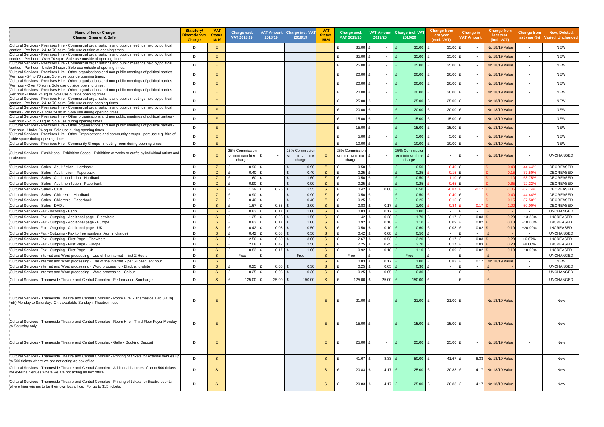| Name of fee or Charge<br>Cleaner, Greener & Safer                                                                                                                                | <b>Statutory/</b><br><b>Discretionary</b><br><b>Charge</b> | <b>VAT</b><br><b>Status</b><br>18/19 | Charge excl.<br>VAT 2018/19 | 2018/19                                | VAT Amount Charge incl. VAT<br>2018/19 | <b>VAT</b><br><b>Status</b><br>19/20 | Charge excl.<br>VAT 2019/20 | 2019/20                  | VAT Amount Charge incl. VAT<br>2019/20 | <b>Change from</b><br>last year<br>(excl. VAT) | Change in<br><b>VAT Amount</b> | <b>Change from</b><br>last year<br>(incl. VAT) |                          | Change from New, Deleted,<br>last year (%) Varied, Unchanged |
|----------------------------------------------------------------------------------------------------------------------------------------------------------------------------------|------------------------------------------------------------|--------------------------------------|-----------------------------|----------------------------------------|----------------------------------------|--------------------------------------|-----------------------------|--------------------------|----------------------------------------|------------------------------------------------|--------------------------------|------------------------------------------------|--------------------------|--------------------------------------------------------------|
| Cultural Services - Premises Hire - Commercial organisations and public meetings held by political<br>parties - Per hour - 24 to 70 sq.m. Sole use outside of opening times.     | D                                                          | E.                                   |                             |                                        |                                        |                                      | $35.00 \text{ E}$           | $\overline{\phantom{a}}$ | 35.00                                  | £<br>35.00 £                                   | $\sim$                         | No 18/19 Value                                 | $\overline{\phantom{a}}$ | <b>NEW</b>                                                   |
| Cultural Services - Premises Hire - Commercial organisations and public meetings held by political                                                                               | D                                                          | E.                                   |                             |                                        |                                        |                                      | $35.00 \text{ E}$           | $\sim$                   | 35.00<br>$\mathbf{f}$                  | 35.00 £<br>£                                   | $\sim$                         | <b>No 18/19 Value</b>                          | $\overline{\phantom{a}}$ | <b>NEW</b>                                                   |
| parties - Per hour - Over 70 sq.m. Sole use outside of opening times.<br>Cultural Services - Premises Hire - Commercial organisations and public meetings held by political      |                                                            |                                      |                             |                                        |                                        |                                      |                             |                          |                                        |                                                |                                |                                                |                          |                                                              |
| parties - Per hour - Under 24 sq.m. Sole use outside of opening times.<br>Cultural Services - Premises Hire - Other organisations and non public meetings of political parties - | D                                                          | E.                                   |                             |                                        |                                        |                                      | $25.00$ £                   | $\sim$                   | 25.00                                  | £<br>25.00 £                                   | $\sim$                         | <b>No 18/19 Value</b>                          | $\overline{\phantom{a}}$ | <b>NEW</b>                                                   |
| Per hour - 24 to 70 sq.m. Sole use outside opening times.                                                                                                                        | D                                                          | E.                                   |                             |                                        |                                        |                                      | $20.00$ £<br>£              | $\overline{\phantom{a}}$ | 20.00<br>£                             | £<br>$20.00$ £                                 | $\sim$                         | No 18/19 Value                                 | $\overline{\phantom{a}}$ | <b>NEW</b>                                                   |
| ECultural Services - Premises Hire - Other organisations and non public meetings of political parties -<br>Per hour - Over 70 sq.m. Sole use outside opening times.              | D                                                          | E.                                   |                             |                                        |                                        |                                      | $20.00$ £                   | $\sim$                   | 20.00                                  | £<br>$20.00$ £                                 | $\sim$                         | <b>No 18/19 Value</b>                          | $\blacksquare$           | <b>NEW</b>                                                   |
| ECultural Services - Premises Hire - Other organisations and non public meetings of political parties -                                                                          | D                                                          | E.                                   |                             |                                        |                                        |                                      | $20.00$ £                   | $\sim$                   | 20.00                                  | £<br>$20.00$ £                                 | $\sim$                         | No 18/19 Value                                 | $\overline{\phantom{a}}$ | <b>NEW</b>                                                   |
| Per hour - Under 24 sq.m. Sole use outside opening times.<br>Cultural Services - Premises Hire - Commercial organisations and public meetings held by political                  |                                                            |                                      |                             |                                        |                                        |                                      |                             |                          |                                        |                                                |                                |                                                |                          |                                                              |
| parties - Per hour - 24 to 70 sq.m. Sole use during opening times.                                                                                                               | D                                                          | E.                                   |                             |                                        |                                        |                                      | $25.00$ £                   | $\overline{\phantom{a}}$ | 25.00                                  | £<br>25.00 £                                   | $\sim$                         | <b>No 18/19 Value</b>                          | $\overline{\phantom{a}}$ | <b>NEW</b>                                                   |
| Cultural Services - Premises Hire - Commercial organisations and public meetings held by political<br>parties - Per hour - Under 24 sq.m. Sole use during opening times.         | D                                                          | E.                                   |                             |                                        |                                        |                                      | $20.00$ £                   | $\sim$                   | 20.00<br>$\mathbf{f}$                  | £<br>$20.00$ £                                 | $\sim$                         | <b>No 18/19 Value</b>                          | $\blacksquare$           | <b>NEW</b>                                                   |
| Cultural Services - Premises Hire - Other organisations and non public meetings of political parties -                                                                           | D                                                          | E.                                   |                             |                                        |                                        |                                      | £<br>15.00 £                | $\overline{\phantom{a}}$ | 15.00<br>$\mathbf{f}$                  | £<br>15.00 £                                   |                                | <b>No 18/19 Value</b>                          |                          | <b>NEW</b>                                                   |
| Per hour - 24 to 70 sq.m. Sole use during opening times.<br>ECultural Services - Premises Hire - Other organisations and non public meetings of political parties -              |                                                            |                                      |                             |                                        |                                        |                                      |                             |                          |                                        |                                                |                                |                                                |                          |                                                              |
| Per hour - Under 24 sq.m. Sole use during opening times.                                                                                                                         | D                                                          | E.                                   |                             |                                        |                                        |                                      | 15.00 £<br>£                |                          | $15.00$ £<br>$\mathbf{f}$              | 15.00 £                                        |                                | No 18/19 Value                                 | $\overline{\phantom{a}}$ | <b>NEW</b>                                                   |
| Cultural Services - Premises Hire - Other Organisations and community groups - part use e.g. hire of<br>table space during opening times                                         | D                                                          | E.                                   |                             |                                        |                                        |                                      | $5.00$ £                    |                          | $\mathbf{f}$<br>$5.00$ £               | 5.00 $E$                                       |                                | No 18/19 Value                                 | $\overline{\phantom{a}}$ | <b>NEW</b>                                                   |
| Cultural Services - Premises Hire - Community Groups - meeting room during opening times                                                                                         | D                                                          | E.                                   |                             |                                        |                                        |                                      | 10.00 £                     | $\sim$                   | 10.00                                  | 10.00 $E$<br>$\mathbf{f}$                      | $\sim$                         | No 18/19 Value                                 | $\overline{\phantom{a}}$ | <b>NEW</b>                                                   |
|                                                                                                                                                                                  |                                                            |                                      | 25% Commission              |                                        | 25% Commission                         |                                      | 25% Commission              |                          | 25% Commission                         |                                                |                                |                                                |                          |                                                              |
| Cultural Services - Exhibitions - Exhibition Space - Exhibition of works or crafts by individual artists and<br>craftsmen                                                        | D                                                          | E.                                   | or minimum hire $E$         |                                        | or minimum hire                        | E.                                   | or minimum hire $E$         | $\overline{\phantom{a}}$ | or minimum hire                        | £<br>$\sim$                                    | l £                            | <b>No 18/19 Value</b>                          | $\overline{\phantom{a}}$ | <b>UNCHANGED</b>                                             |
|                                                                                                                                                                                  |                                                            |                                      | charge                      |                                        | charge                                 |                                      | charge                      |                          | charge                                 |                                                |                                |                                                |                          |                                                              |
| Cultural Services - Sales - Adult fiction - Hardback                                                                                                                             | D<br>D                                                     | Z.                                   | 0.90                        | $\mathbf{f}$<br>$\sim$<br>$\mathbf{f}$ | 0.90<br>$\mathbf{f}$<br>£              | Z.                                   | $0.50$ £                    | $\sim$                   | 0.50                                   | $-0.40$ £                                      | $\sim$                         | $-0.4$                                         | $-44.44%$                | <b>DECREASED</b>                                             |
| Cultural Services - Sales - Adult fiction - Paperback<br>Cultural Services - Sales - Adult non fiction - Hardback                                                                | D                                                          | Z<br>Z                               | 0.40<br>£.<br>1.60          | $\sim$<br>£<br>$\sim$                  | 0.40<br>1.60<br>$\mathbf{f}$           | Z<br>Z                               | $0.25$ £<br>$0.50$ £        | $\sim$<br>$\sim$         | 0.25<br>0.50                           | $-0.15$ £<br>$-1.10$ £                         | $\sim$<br>$\sim$               | $-0.1$<br>$-1.1$                               | $-37.50%$<br>$-68.75%$   | <b>DECREASED</b><br>DECREASED                                |
| Cultural Services - Sales - Adult non fiction - Paperback                                                                                                                        | D                                                          | Z                                    | £<br>0.90                   | $\sim$                                 | 0.90<br>$\mathbf{f}$                   | Z                                    | $0.25$ £                    | $\sim$                   | 0.25                                   | $-0.65$ £                                      | $\sim$                         | $-0.6$                                         | $-72.22%$                | <b>DECREASED</b>                                             |
| Cultural Services - Sales - CD's                                                                                                                                                 | D                                                          | <sub>S</sub>                         | 1.29                        | 0.26<br>$\mathbf{f}$                   | 1.55<br>$\mathbf{f}$                   | <sub>S</sub>                         | $0.42 \quad \text{£}$       | 0.08                     | 0.50                                   | $-0.87$                                        | $-0.17$                        | $-1.0$                                         | $-67.74%$                | DECREASED                                                    |
| Cultural Services - Sales - Children's - Hardback                                                                                                                                | D                                                          | Z                                    | 0.90                        | $\mathbf{f}$<br>$\sim$                 | 0.90<br>$\mathbf{f}$                   | Z                                    | $0.50$ £                    | $\sim$                   | 0.50                                   | $-0.40$ £                                      | $\sim$                         | $-0.4$                                         | $-44.44%$                | DECREASED                                                    |
| Cultural Services - Sales - Children's - Paperback                                                                                                                               | D                                                          | Z                                    | 0.40                        | $\mathbf{f}$<br>$\sim$                 | 0.40<br>£                              | Z                                    | $0.25$ £                    | $\sim$                   | 0.25                                   | $-0.15$ £                                      | $\sim$                         | $-0.1$                                         | $-37.50%$                | <b>DECREASED</b>                                             |
| Cultural Services - Sales - DVD's                                                                                                                                                | D                                                          | <sub>S</sub>                         | 1.67                        | 0.33<br>£                              | 2.00<br>£                              | <sub>S</sub>                         | $0.83$ £                    | 0.17                     | 1.00                                   | $-0.84$                                        | $-0.17$                        | $-1.0$                                         | $-50.00%$                | DECREASED                                                    |
| Cultural Services - Fax - Incoming - Each                                                                                                                                        | D                                                          | S.                                   | 0.83<br>£                   | 0.17<br>$\mathbf{f}$                   | 1.00<br>$\mathbf{f}$                   | <sub>S</sub>                         | $0.83$ £                    | 0.17                     | 1.00                                   | £<br>$\sim$                                    | ۱£<br>$\sim$                   | $\mathbf{f}$                                   | $\sim$                   | <b>UNCHANGED</b>                                             |
| Cultural Services - Fax - Outgoing - Additional page - Elsewhere                                                                                                                 | D                                                          | <sub>S</sub>                         | 1.25<br>£                   | 0.25<br>$\mathbf{f}$                   | 1.50<br>£                              | <sub>S</sub>                         | 1.42 $E$                    | 0.28                     | 1.70                                   | $0.17$ £<br>£                                  | $0.03$ £                       | 0.20                                           | +13.33%                  | <b>INCREASED</b>                                             |
| Cultural Services - Fax - Outgoing - Additional page - Europe                                                                                                                    | D                                                          | S                                    | 0.83<br>£                   | $0.17$ £<br>£                          | 1.00                                   | S                                    | 0.92 E                      | 0.18                     | 1.10                                   | $0.09$ £<br>£                                  | $0.02$ £                       | 0.10                                           | +10.00%                  | <b>INCREASED</b>                                             |
| Cultural Services - Fax - Outgoing - Additional page - UK                                                                                                                        | D                                                          | S.                                   | 0.42                        | 0.08<br>$\mathbf{f}$                   | 0.50<br>$\mathbf{f}$                   | <sub>S</sub>                         | $0.50$ £                    | 0.10                     | 0.60                                   | $0.08$ £<br>$\mathbf{f}$                       | $0.02$ £                       | 0.10                                           | +20.00%                  | <b>INCREASED</b>                                             |
| Cultural Services - Fax - Outgoing - Fax to free numbers (Admin charge)                                                                                                          | D                                                          | <sub>S</sub>                         | 0.42                        | 0.08<br>$\mathbf{f}$                   | 0.50<br>£                              | <sub>S</sub>                         | $0.42 \quad \text{£}$       | 0.08                     | 0.50                                   | £<br>$\sim$                                    | E<br>$\sim$                    | $\mathbf{f}$                                   | $\sim$                   | <b>UNCHANGED</b>                                             |
| Cultural Services - Fax - Outgoing - First Page - Elsewhere                                                                                                                      | D                                                          | <sub>S</sub>                         | £<br>2.50                   | 0.50<br>$\mathbf{f}$                   | 3.00<br>£                              | <sub>S</sub>                         | $2.67$ £                    | 0.53                     | 3.20                                   | £<br>$0.17$ £                                  | $0.03$ £                       | 0.20                                           | $+6.67%$                 | <b>INCREASED</b>                                             |
| Cultural Services - Fax - Outgoing - First Page - Europe                                                                                                                         | D                                                          | S.                                   | 2.08                        | 0.42                                   | 2.50<br>$\mathbf{f}$                   | S.                                   | $2.25$ £                    | 0.45                     | 2.70                                   | $\mathbf{f}$<br>$0.17$ £                       | $0.03$ £                       | 0.20                                           | +8.00%                   | <b>INCREASED</b>                                             |
| Cultural Services - Fax - Outgoing - First Page - UK                                                                                                                             | D                                                          | <sub>S</sub>                         | 0.83                        | 0.17<br>£                              | 1.00<br>E                              | <sub>S</sub>                         | $0.92$ £                    | 0.18                     | $1.10$ £                               | $0.09$ £                                       | $0.02$ £                       | 0.10                                           | +10.00%                  | <b>INCREASED</b>                                             |
| Eultural Services -Internet and Word processing - Use of the internet -first 2 Hours                                                                                             | D                                                          | S.                                   | Free                        | $\sim$                                 | Free                                   | S.                                   | Free                        | $\sim$                   | Free                                   | $\sim$                                         | $\sim$                         |                                                | $\overline{\phantom{a}}$ | UNCHANGED                                                    |
| Cultural Services -Internet and Word processing - Use of the internet - per Subsequent hour                                                                                      | D                                                          | S.                                   |                             |                                        |                                        | <sub>S</sub>                         | $0.83$ £                    | 0.17                     | 1.00                                   | £<br>$0.83$ £                                  | 0.17                           | No 18/19 Value                                 | $\sim$                   | NEW                                                          |
| Cultural Services -Internet and Word processing - Word processing - Black and white                                                                                              | D                                                          | <sub>S</sub>                         | $0.25$ £                    | 0.05                                   | 0.30<br>E                              | <sub>S</sub>                         | $0.25$ £                    | 0.05                     | 0.30                                   | £<br>$\sim$ $-$                                | £<br>$\sim$                    |                                                | $\sim$                   | <b>UNCHANGED</b>                                             |
| Cultural Services -Internet and Word processing - Word processing - Colour                                                                                                       | D                                                          | <sub>S</sub>                         | $0.25$ £                    | $0.05$ £                               | 0.30                                   | <sub>S</sub>                         | $0.25$ £                    | $0.05$ £                 | $0.30$ £                               | $\sim$                                         | E<br>$\sim$                    |                                                | $\sim$                   | <b>UNCHANGED</b>                                             |
| Cultural Services - Thameside Theatre and Central Complex - Performance Surcharge                                                                                                | D                                                          | S                                    | 125.00                      | 25.00<br>£                             | 150.00<br>E                            | <sub>S</sub>                         | 125.00 $E$                  | $25.00$ $E$              | $150.00$ £                             | $\sim$                                         | l £<br>$\sim$                  |                                                | $\overline{\phantom{a}}$ | <b>UNCHANGED</b>                                             |
| Cultural Services - Thameside Theatre and Central Complex - Room Hire - Thameside Two (40 sq<br>imtr) Monday to Saturday. Only available Sunday if Theatre in use.               | D                                                          | E                                    |                             |                                        |                                        | Ε.                                   | £<br>$21.00$ £              | $\overline{\phantom{a}}$ | $21.00$ £                              | $21.00 \text{ E}$                              | $\sim$                         | No 18/19 Value                                 | $\overline{\phantom{a}}$ | New                                                          |
| Cultural Services - Thameside Theatre and Central Complex - Room Hire - Third Floor Foyer Monday<br>to Saturday only                                                             | D                                                          | E.                                   |                             |                                        |                                        | E.                                   | $15.00 \text{ E}$           | $\sim$                   | $15.00$ £<br>$\mathbf{f}$              | 15.00 £                                        | $\sim$                         | No 18/19 Value                                 | $\overline{\phantom{a}}$ | New                                                          |
| Cultural Services - Thameside Theatre and Central Complex - Gallery Booking Deposit                                                                                              | D                                                          | Ε                                    |                             |                                        |                                        | E.                                   | $25.00 \text{ E}$<br>f      | $\overline{\phantom{a}}$ | $25.00 \text{ E}$<br>$\mathbf{f}$      | $25.00 \text{ E}$                              | $\sim$                         | No 18/19 Value                                 | $\overline{\phantom{a}}$ | <b>New</b>                                                   |
| Cultural Services - Thameside Theatre and Central Complex - Printing of tickets for external venues up<br>to 500 tickets where we are not acting as box office.                  | D                                                          | S                                    |                             |                                        |                                        | <sub>S</sub>                         | 41.67 £<br>£                | $8.33$ £                 | $50.00$ £                              | 41.67 £                                        |                                | 8.33 No 18/19 Value                            | $\overline{\phantom{a}}$ | <b>New</b>                                                   |
| Cultural Services - Thameside Theatre and Central Complex - Additional batches of up to 500 tickets<br>for external venues where we are not acting as box office.                | D                                                          | <sub>S</sub>                         |                             |                                        |                                        | S.                                   | $20.83 \tE$                 | $4.17$ £                 | $25.00$ £                              | $20.83$ £                                      | 4.17                           | No 18/19 Value                                 | $\overline{\phantom{a}}$ | New                                                          |
| Cultural Services - Thameside Theatre and Central Complex - Printing of tickets for theatre events<br>where hirer wishes to be their own box office. For up to 315 tickets.      | D                                                          | S                                    |                             |                                        |                                        | S                                    | 20.83                       | $4.17$ £                 | $25.00$ £                              | $20.83$ £                                      | 4.17                           | No 18/19 Value                                 | $\overline{\phantom{a}}$ | New                                                          |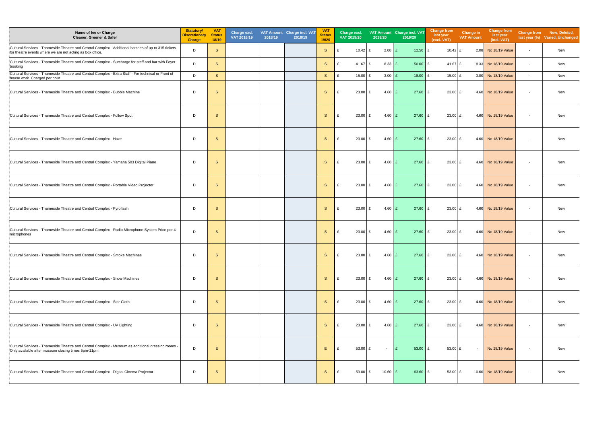| Name of fee or Charge<br>Cleaner, Greener & Safer                                                                                                                | <b>Statutory/</b><br><b>Discretionary</b><br><b>Charge</b> | <b>VAT</b><br><b>Status</b><br>18/19 | Charge excl.<br>VAT 2018/19 | 2018/19 | VAT Amount Charge incl. VAT<br>2018/19 | <b>VAT</b><br>Status<br>19/20 | Charge excl.<br>VAT 2019/20            | 2019/20                 | VAT Amount Charge incl. VAT<br>2019/20 | <b>Change from</b><br>last year<br>(excl. VAT) | Change in<br><b>VAT Amount</b> | <b>Change from</b><br>last year<br>(incl. VAT) |                          | Change from New, Deleted,<br>last year (%) Varied, Unchanged |
|------------------------------------------------------------------------------------------------------------------------------------------------------------------|------------------------------------------------------------|--------------------------------------|-----------------------------|---------|----------------------------------------|-------------------------------|----------------------------------------|-------------------------|----------------------------------------|------------------------------------------------|--------------------------------|------------------------------------------------|--------------------------|--------------------------------------------------------------|
| Cultural Services - Thameside Theatre and Central Complex - Additional batches of up to 315 tickets<br>for theatre events where we are not acting as box office. | D                                                          | S                                    |                             |         |                                        | <sub>S</sub>                  | $10.42 \text{ } \text{ } \pounds$<br>£ | $2.08$ £                | 12.50                                  | £<br>10.42 $E$                                 | 2.08                           | No 18/19 Value                                 | $\sim$                   | New                                                          |
| Cultural Services - Thameside Theatre and Central Complex - Surcharge for staff and bar with Foyer<br>booking                                                    | D                                                          | $\mathsf{s}$                         |                             |         |                                        | S                             | 41.67 £<br>£                           | $8.33$ $E$              | 50.00                                  | £<br>41.67 £                                   | 8.33                           | No 18/19 Value                                 | $\sim$                   | New                                                          |
| Cultural Services - Thameside Theatre and Central Complex - Extra Staff - For technical or Front of<br>house work. Charged per hour.                             | D                                                          | S                                    |                             |         |                                        | S                             | £<br>15.00 £                           | $3.00$ £                | 18.00                                  | £<br>15.00 £                                   | 3.00                           | No 18/19 Value                                 | $\sim$                   | New                                                          |
| Cultural Services - Thameside Theatre and Central Complex - Bubble Machine                                                                                       | D                                                          | S                                    |                             |         |                                        | S                             | $23.00$ £<br>£                         | $4.60$ £                | 27.60                                  | £<br>$23.00$ £                                 | 4.60                           | No 18/19 Value                                 | $\sim$                   | New                                                          |
| Cultural Services - Thameside Theatre and Central Complex - Follow Spot                                                                                          | D                                                          | <sub>S</sub>                         |                             |         |                                        | S                             | £<br>23.00                             | $4.60 \quad \text{E}$   | 27.60                                  | £<br>$23.00$ £                                 | 4.60                           | No 18/19 Value                                 | $\overline{\phantom{a}}$ | New                                                          |
| Cultural Services - Thameside Theatre and Central Complex - Haze                                                                                                 | D                                                          | <sub>S</sub>                         |                             |         |                                        | S                             | £<br>23.00                             | $4.60$ £                | 27.60                                  | £<br>23.00 £                                   |                                | 4.60 No 18/19 Value                            | $\sim$                   | New                                                          |
| Cultural Services - Thameside Theatre and Central Complex - Yamaha 503 Digital Piano                                                                             | D                                                          | S                                    |                             |         |                                        | S                             | £<br>$23.00$ £                         | $4.60$ £                | 27.60                                  | £<br>$23.00 \text{ } \pounds$                  |                                | 4.60 No 18/19 Value                            | $\overline{\phantom{a}}$ | New                                                          |
| Cultural Services - Thameside Theatre and Central Complex - Portable Video Projector                                                                             | D                                                          | <sub>S</sub>                         |                             |         |                                        | S                             | £<br>23.00                             | $4.60 \quad \text{E}$   | 27.60                                  | £<br>$23.00 \text{ } \pounds$                  | 4.60                           | No 18/19 Value                                 | $\sim$                   | New                                                          |
| Cultural Services - Thameside Theatre and Central Complex - Pyroflash                                                                                            | D                                                          | S                                    |                             |         |                                        | S                             | £<br>23.00                             | $4.60$ £                | 27.60                                  | £<br>$23.00$ £                                 | 4.60                           | No 18/19 Value                                 | $\overline{\phantom{a}}$ | New                                                          |
| Cultural Services - Thameside Theatre and Central Complex - Radio Microphone System Price per 4<br>microphones                                                   | D                                                          | S                                    |                             |         |                                        | S                             | $23.00$ £<br>£                         | $4.60$ £                | 27.60                                  | £<br>23.00 £                                   | 4.60                           | No 18/19 Value                                 | $\overline{\phantom{a}}$ | New                                                          |
| Cultural Services - Thameside Theatre and Central Complex - Smoke Machines                                                                                       | D                                                          | <sub>S</sub>                         |                             |         |                                        | S.                            | $\mathsf{E}$<br>$23.00 \, \text{E}$    | $4.60 \text{ } \pounds$ | $27.60 \, \text{E}$                    | $23.00 \text{ } \pounds$                       |                                | 4.60 No 18/19 Value                            | $\sim$                   | New                                                          |
| Cultural Services - Thameside Theatre and Central Complex - Snow Machines                                                                                        | D                                                          | S                                    |                             |         |                                        | S                             | £<br>$23.00$ £                         | $4.60$ £                | $27.60$ £                              | $23.00$ £                                      |                                | 4.60 No 18/19 Value                            | $\overline{\phantom{a}}$ | New                                                          |
| Cultural Services - Thameside Theatre and Central Complex - Star Cloth                                                                                           | D                                                          | S                                    |                             |         |                                        | S                             | £<br>$23.00 \text{ E}$                 | $4.60$ £                | $27.60$ £                              | $23.00$ £                                      |                                | 4.60 No 18/19 Value                            | $\sim$                   | New                                                          |
| Cultural Services - Thameside Theatre and Central Complex - UV Lighting                                                                                          | D                                                          | S                                    |                             |         |                                        | S                             | £<br>$23.00 \text{ } \text{ } \pounds$ | $4.60 \quad \text{E}$   | $27.60$ £                              | $23.00 \text{ } \pounds$                       |                                | 4.60 No 18/19 Value                            | $\sim$                   | New                                                          |
| Cultural Services - Thameside Theatre and Central Complex - Museum as additional dressing rooms -<br>Only available after museum closing times 5pm-11pm          | D                                                          | E                                    |                             |         |                                        | Ε                             | £<br>53.00 £                           | $\sim$                  | 53.00<br>E                             | £<br>53.00 £                                   | $\sim$                         | No 18/19 Value                                 | $\overline{\phantom{a}}$ | New                                                          |
| Cultural Services - Thameside Theatre and Central Complex - Digital Cinema Projector                                                                             | D                                                          | S                                    |                             |         |                                        | S                             | £<br>53.00 £                           | 10.60 £                 | 63.60                                  | £<br>53.00 £                                   |                                | 10.60 No 18/19 Value                           | $\overline{\phantom{a}}$ | New                                                          |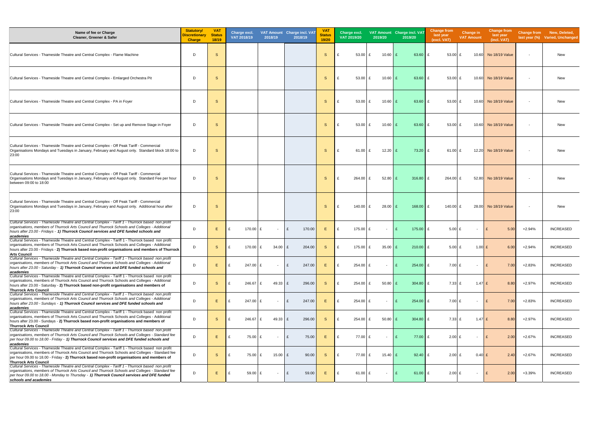| Name of fee or Charge<br>Cleaner, Greener & Safer                                                                                                                                                                                                                                                                             | <b>Statutory/</b><br><b>Discretionary</b><br><b>Charge</b> | <b>VAT</b><br><b>Status</b><br>18/19 | Charge excl.<br>VAT 2018/19 | 2018/19    | VAT Amount Charge incl. VAT<br>2018/19 | <b>VAT</b><br><b>Status</b><br>19/20 | Charge excl.<br>VAT 2019/20 | 2019/20                  | VAT Amount Charge incl. VAT<br>2019/20 | <b>Change from</b><br>last year<br>(excl. VAT) | Change in<br><b>VAT Amount</b> | <b>Change from</b><br>last year<br>(incl. VAT) |                          | Change from New, Deleted,<br>last year (%) Varied, Unchanged |
|-------------------------------------------------------------------------------------------------------------------------------------------------------------------------------------------------------------------------------------------------------------------------------------------------------------------------------|------------------------------------------------------------|--------------------------------------|-----------------------------|------------|----------------------------------------|--------------------------------------|-----------------------------|--------------------------|----------------------------------------|------------------------------------------------|--------------------------------|------------------------------------------------|--------------------------|--------------------------------------------------------------|
| Cultural Services - Thameside Theatre and Central Complex - Flame Machine                                                                                                                                                                                                                                                     | D                                                          | S                                    |                             |            |                                        | S.                                   | 53.00                       | 10.60<br>£               | $63.60 \text{ E}$                      | 53.00 $E$                                      |                                | 10.60 No 18/19 Value                           | $\overline{\phantom{a}}$ | New                                                          |
| Cultural Services - Thameside Theatre and Central Complex - Emlarged Orchestra Pit                                                                                                                                                                                                                                            | D                                                          | S                                    |                             |            |                                        | S.                                   | 53.00                       | $10.60$ $E$<br>£         | $63.60$ £                              | 53.00 £                                        |                                | 10.60 No 18/19 Value                           | $\overline{\phantom{a}}$ | <b>New</b>                                                   |
| Cultural Services - Thameside Theatre and Central Complex - PA in Foyer                                                                                                                                                                                                                                                       | D                                                          | <sub>S</sub>                         |                             |            |                                        | S.                                   | $53.00 \text{ E}$           | $10.60$ £                | $63.60 \text{ E}$                      | 53.00 £                                        |                                | 10.60 No 18/19 Value                           | $\overline{\phantom{a}}$ | New                                                          |
| Cultural Services - Thameside Theatre and Central Complex - Set up and Remove Stage in Foyer                                                                                                                                                                                                                                  | D                                                          | <sub>S</sub>                         |                             |            |                                        | S.                                   | $53.00 \text{ E}$           | 10.60                    | $63.60 \text{ E}$                      | 53.00 $E$                                      |                                | 10.60 No 18/19 Value                           | $\overline{\phantom{a}}$ | New                                                          |
| Cultural Services - Thameside Theatre and Central Complex - Off Peak Tariff - Commercial<br>Organisations Mondays and Tuesdays in January, February and August only. Standard block 18:00 to<br>23:00                                                                                                                         | D                                                          | <sub>S</sub>                         |                             |            |                                        | <sub>S</sub>                         | 61.00 £                     | $12.20$ £                | $73.20$ £                              | 61.00 £                                        |                                | 12.20 No 18/19 Value                           | $\overline{\phantom{a}}$ | New                                                          |
| Cultural Services - Thameside Theatre and Central Complex - Off Peak Tariff - Commercial<br>Organisations Mondays and Tuesdays in January, February and August only. Standard Fee per hour<br>between 09:00 to 18:00                                                                                                          | D                                                          | S                                    |                             |            |                                        | S.                                   | 264.00 £                    | $52.80$ £                | $316.80$ £                             | 264.00 £                                       |                                | 52.80 No 18/19 Value                           | $\overline{\phantom{a}}$ | <b>New</b>                                                   |
| Cultural Services - Thameside Theatre and Central Complex - Off Peak Tariff - Commercial<br>Organisations Mondays and Tuesdays in January, February and August only. Additional hour after<br>23:00                                                                                                                           | D                                                          | S                                    |                             |            |                                        | S.                                   | 140.00 £                    | $28.00$ £                | $168.00$ E                             | 140.00 £                                       |                                | 28.00 No 18/19 Value                           | $\overline{\phantom{a}}$ | <b>New</b>                                                   |
| Cultural Services - Thameside Theatre and Central Complex - Tariff 1 - Thurrock based non profit<br>organisations, members of Thurrock Arts Council and Thurrock Schools and Colleges - Additional<br>hours after 23.00 - Fridays - 1) Thurrock Council services and DFE funded schools and<br>academies                      | D                                                          | E.                                   | 170.00 £<br>£               |            | 170.00<br>£                            | E.                                   | $\mathbf{f}$<br>175.00 £    | $\sim$                   | $175.00 \text{ E}$                     | $5.00 \text{ E}$                               | $\sim$                         | $\mathbf{f}$<br>5.00                           | $+2.94%$                 | <b>INCREASED</b>                                             |
| Cultural Services - Thameside Theatre and Central Complex - Tariff 1 - Thurrock based non profit<br>organisations, members of Thurrock Arts Council and Thurrock Schools and Colleges - Additional<br>hours after 23.00 - Fridays - 2) Thurrock based non-profit organisations and members of Thurrock<br><b>Arts Council</b> | D                                                          | <sub>S</sub>                         | 170.00 £                    | 34.00      | 204.00<br>E                            | S.                                   | 175.00 £                    | $35.00$ £                | $210.00$ £                             | $5.00$ £                                       | $1.00$ £                       | 6.00                                           | $+2.94%$                 | <b>INCREASED</b>                                             |
| Cultural Services - Thameside Theatre and Central Complex - Tariff 1 - Thurrock based non profit<br>organisations, members of Thurrock Arts Council and Thurrock Schools and Colleges - Additional<br>hours after 23.00 - Saturday - 1) Thurrock Council services and DFE funded schools and<br>academies                     | D                                                          | E.                                   | 247.00 £                    |            | 247.00<br>£                            | E.                                   | 254.00                      | $\overline{\phantom{a}}$ | $254.00$ £                             | $7.00$ £                                       | $\sim$                         | 7.00<br>£                                      | $+2.83%$                 | <b>INCREASED</b>                                             |
| Cultural Services - Thameside Theatre and Central Complex - Tariff 1 - Thurrock based non profit<br>organisations, members of Thurrock Arts Council and Thurrock Schools and Colleges - Additional<br>hours after 23.00 - Saturday - 2) Thurrock based non-profit organisations and members of<br>Thurrock Arts Council       | D                                                          | <sub>S</sub>                         | 246.67                      | 49.33<br>E | 296.00<br>£                            | <sub>S</sub>                         | $254.00 \, \text{E}$        | 50.80                    | $304.80 \, \text{E}$                   | $7.33 \text{ } \pounds$                        | 1.47 £                         | 8.80                                           | $+2.97%$                 | INCREASED                                                    |
| ECultural Services - Thameside Theatre and Central Complex - Tariff 1 - Thurrock based non profit<br>organisations, members of Thurrock Arts Council and Thurrock Schools and Colleges - Additional<br>hours after 23.00 - Sundays - 1) Thurrock Council services and DFE funded schools and<br>academies                     | D                                                          | E.                                   | 247.00 £                    |            | 247.00<br>£                            | E.                                   | $254.00 \text{ E}$          | $\sim$                   | $254.00$ £                             | 7.00 £                                         | $\sim$                         | 7.00<br>£                                      | $+2.83%$                 | <b>INCREASED</b>                                             |
| Cultural Services - Thameside Theatre and Central Complex - Tariff 1 - Thurrock based non profit<br>organisations, members of Thurrock Arts Council and Thurrock Schools and Colleges - Additional<br>hours after 23.00 - Sundays - 2) Thurrock based non-profit organisations and members of<br>Thurrock Arts Council        | D                                                          | <sub>S</sub>                         | 246.67 £                    | $49.33$ £  | 296.00                                 | <sub>S</sub>                         | 254.00                      | 50.80                    | $304.80$ £                             | $7.33$ £                                       | $1.47$ £                       | 8.80                                           | $+2.97%$                 | <b>INCREASED</b>                                             |
| Cultural Services - Thameside Theatre and Central Complex - Tariff 1 - Thurrock based non profit<br>organisations, members of Thurrock Arts Council and Thurrock Schools and Colleges - Standard fee<br>per hour 09.00 to 18.00 - Friday - 1) Thurrock Council services and DFE funded schools and<br>academies               | D                                                          | Ε.                                   | 75.00 £                     |            | 75.00<br>£                             | Ε.                                   | 77.00 £<br>£                | $\sim$                   | 77.00 E                                | 2.00 E                                         | $\sim$                         | 2.00<br>£                                      | $+2.67%$                 | <b>INCREASED</b>                                             |
| Cultural Services - Thameside Theatre and Central Complex - Tariff 1 - Thurrock based non profit<br>organisations, members of Thurrock Arts Council and Thurrock Schools and Colleges - Standard fee<br>per hour 09.00 to 18.00 - Friday - 2) Thurrock based non-profit organisations and members of<br>Thurrock Arts Council | D                                                          | <sub>S</sub>                         | 75.00 £<br>£                | $15.00$ £  | 90.00                                  | <sub>S</sub>                         | 77.00 £                     | $15.40$ £                | $92.40$ £                              | $2.00$ £                                       | 0.40 E                         | 2.40                                           | $+2.67%$                 | <b>INCREASED</b>                                             |
| Cultural Services - Thameside Theatre and Central Complex - Tariff 1 - Thurrock based non profit<br>organisations, members of Thurrock Arts Council and Thurrock Schools and Colleges - Standard fee<br>per hour 09.00 to 18.00 - Monday to Thursday - 1) Thurrock Council services and DFE funded<br>schools and academies   | D                                                          | Ε                                    | $59.00 \text{ E}$<br>£      |            | £<br>59.00                             | Ε.                                   | £<br>61.00 £                | $\overline{\phantom{a}}$ | $61.00$ £                              | $2.00$ £                                       | $\sim$                         | £<br>2.00                                      | +3.39%                   | <b>INCREASED</b>                                             |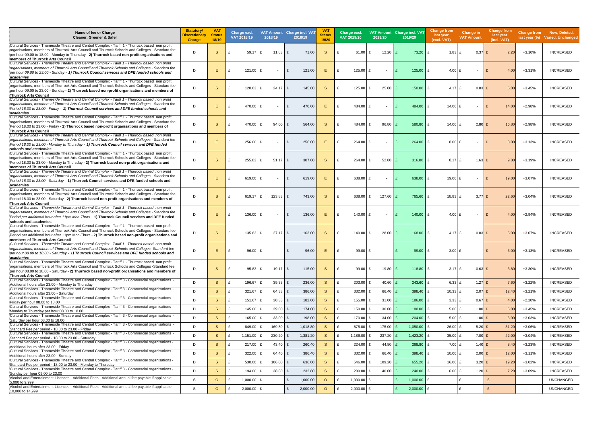| Name of fee or Charge<br>Cleaner, Greener & Safer                                                                                                                                                                                                                                                                                            | <b>Statutory/</b><br>Discretionary<br><b>Charge</b> | <b>VAT</b><br><b>Status</b><br>18/19 | Charge excl.<br>VAT 2018/19   | 2018/19                  | VAT Amount Charge incl. VAT<br>2018/19 | <b>VAT</b><br><b>Status</b><br>19/20 | Charge excl.<br>VAT 2019/20 | 2019/20                  | VAT Amount Charge incl. VAT<br>2019/20 | <b>Change from</b><br>last year<br>(excl. VAT) | <b>Change in</b><br><b>VAT Amount</b> | <b>Change from</b><br>last year<br>(incl. VAT) |                          | Change from New, Deleted,<br>last year (%) Varied, Unchanged |
|----------------------------------------------------------------------------------------------------------------------------------------------------------------------------------------------------------------------------------------------------------------------------------------------------------------------------------------------|-----------------------------------------------------|--------------------------------------|-------------------------------|--------------------------|----------------------------------------|--------------------------------------|-----------------------------|--------------------------|----------------------------------------|------------------------------------------------|---------------------------------------|------------------------------------------------|--------------------------|--------------------------------------------------------------|
| Cultural Services - Thameside Theatre and Central Complex - Tariff 1 - Thurrock based non profit<br>organisations, members of Thurrock Arts Council and Thurrock Schools and Colleges - Standard fee<br>per hour 09.00 to 18.00 - Monday to Thursday - 2) Thurrock based non-profit organisations and<br>members of Thurrock Arts Council    | D                                                   | -S                                   | $59.17 \tE$                   | $11.83$ $E$              | 71.00                                  | <sub>S</sub>                         | 61.00                       | $12.20$ $E$              | 73.20                                  | 1.83<br>£                                      | $0.37$ £                              | 2.20                                           | $+3.10%$                 | <b>INCREASED</b>                                             |
| Cultural Services - Thameside Theatre and Central Complex - Tariff 1 - Thurrock based non profit<br>organisations, members of Thurrock Arts Council and Thurrock Schools and Colleges - Standard fee<br>per hour 09.00 to 23.00 - Sunday - 1) Thurrock Council services and DFE funded schools and<br>academies                              | D                                                   | E.                                   | $121.00$ £<br>£               | $\sim$                   | £<br>121.00                            | F.                                   | $125.00$ £                  |                          | 125.00<br>$\mathbf{f}$                 | 4.00 $E$<br>£                                  | $\overline{\phantom{a}}$              | £<br>4.0                                       | $+3.31%$                 | <b>INCREASED</b>                                             |
| Cultural Services - Thameside Theatre and Central Complex - Tariff 1 - Thurrock based non profit<br>organisations, members of Thurrock Arts Council and Thurrock Schools and Colleges - Standard fee<br>per hour 09.00 to 23.00 - Sunday - 2) Thurrock based non-profit organisations and members of<br><b>Thurrock Arts Council</b>         | D                                                   | -S                                   | $120.83$ £<br>£               | $24.17$ $E$              | 145.00                                 | -S                                   | 125.00                      | $25.00$ E<br>£           | 150.00                                 | 4.17 $E$<br>£                                  | $0.83$ £                              | 5.00                                           | +3.45%                   | <b>INCREASED</b>                                             |
| Cultural Services - Thameside Theatre and Central Complex - Tariff 1 - Thurrock based non profit<br>organisations, members of Thurrock Arts Council and Thurrock Schools and Colleges - Standard fee<br>Period 18.00 to 23.00 - Friday - 1) Thurrock Council services and DFE funded schools and<br>academies                                | D                                                   | E.                                   | 470.00 £<br>£                 | $\overline{\phantom{a}}$ | 470.00<br>$\mathbf{f}$                 | F.                                   | 484.00                      |                          | 484.00<br>£                            | 14.00 £<br>£                                   | $\overline{\phantom{a}}$              | $\mathbf{f}$<br>14.00                          | $+2.98%$                 | <b>INCREASED</b>                                             |
| Cultural Services - Thameside Theatre and Central Complex - Tariff 1 - Thurrock based non profit<br>organisations, members of Thurrock Arts Council and Thurrock Schools and Colleges - Standard fee<br>Period 18.00 to 23.00 - Friday - 2) Thurrock based non-profit organisations and members of<br><b>Thurrock Arts Council</b>           | D                                                   | -S                                   | 470.00 £<br>£                 | 94.00 £                  | 564.00                                 | -S                                   | 484.00<br>£                 | $96.80$ £<br>£           | 580.80                                 | 14.00 £<br>£                                   | $2.80$ £                              | 16.80                                          | $+2.98%$                 | <b>INCREASED</b>                                             |
| Cultural Services - Thameside Theatre and Central Complex - Tariff 1 - Thurrock based non profit<br>organisations, members of Thurrock Arts Council and Thurrock Schools and Colleges - Standard fee<br>Period 18.00 to 23.00 - Monday to Thursday - 1) Thurrock Council services and DFE funded<br>schools and academies                    | D                                                   | Е                                    | $256.00$ £<br>£               | $\sim$                   | 256.00<br>$\mathbf{f}$                 | Е                                    | 264.00                      | $\overline{\phantom{a}}$ | 264.00                                 | $8.00$ £<br>£                                  | $\overline{\phantom{a}}$              | 8.00<br>ှင                                     | $+3.13%$                 | <b>INCREASED</b>                                             |
| Cultural Services - Thameside Theatre and Central Complex - Tariff 1 - Thurrock based non profit<br>organisations, members of Thurrock Arts Council and Thurrock Schools and Colleges - Standard fee<br>Period 18.00 to 23.00 - Monday to Thursday - 2) Thurrock based non-profit organisations and<br>members of Thurrock Arts Council      | D                                                   | -S                                   | $255.83$ £<br>£               | $51.17$ £                | 307.00                                 | -S                                   | 264.00<br>£                 | $52.80$ £<br>£           | 316.80                                 | $8.17$ £<br>£                                  | $1.63$ £                              | 9.8 <sub>0</sub>                               | $+3.19%$                 | <b>INCREASED</b>                                             |
| Cultural Services - Thameside Theatre and Central Complex - Tariff 1 - Thurrock based non profit<br>organisations, members of Thurrock Arts Council and Thurrock Schools and Colleges - Standard fee<br>Period 18.00 to 23.00 - Saturday - 1) Thurrock Council services and DFE funded schools and<br>academies                              | D                                                   | Е                                    | 619.00 £                      | $\sim$                   | 619.00<br>$\mathbf{f}$                 |                                      | 638.00                      | $\sim$                   | 638.00                                 | 19.00 £<br>£                                   | $\overline{\phantom{a}}$              | $\mathbf{f}$<br>19.00                          | +3.07%                   | <b>INCREASED</b>                                             |
| Cultural Services - Thameside Theatre and Central Complex - Tariff 1 - Thurrock based non profit<br>organisations, members of Thurrock Arts Council and Thurrock Schools and Colleges - Standard fee<br>Period 18.00 to 23.00 - Saturday - 2) Thurrock based non-profit organisations and members of<br>Thurrock Arts Council                | D                                                   | -S                                   | 619.17 $E$                    | $123.83$ £               | 743.00                                 | -S                                   | 638.00                      | $127.60$ £<br>£          | 765.60                                 | 18.83 £<br>£                                   | $3.77$ £                              | 22.60                                          | $+3.04%$                 | <b>INCREASED</b>                                             |
| Cultural Services - Thameside Theatre and Central Complex - Tariff 1 - Thurrock based non profit<br>organisations, members of Thurrock Arts Council and Thurrock Schools and Colleges - Standard fee<br>Period per additional hour after 11pm Mon-Thurs - 1) Thurrock Council services and DFE funded<br>schools and academies               | D                                                   | Е                                    | $136.00$ £                    | $\sim$                   | 136.00<br>$\mathbf{f}$                 |                                      | 140.00                      | $\sim$                   | 140.00<br>$\mathbf{f}$                 | 4.00 $E$<br>£                                  | $\overline{\phantom{a}}$              | $\mathbf{f}$<br>4.00                           | $+2.94%$                 | <b>INCREASED</b>                                             |
| Cultural Services - Thameside Theatre and Central Complex - Tariff 1 - Thurrock based non profit<br>organisations, members of Thurrock Arts Council and Thurrock Schools and Colleges - Standard fee<br>Period per additional hour after 11pm Mon-Thurs - 2) Thurrock based non-profit organisations and<br>members of Thurrock Arts Council | D                                                   | -S                                   | $135.83 \tE$<br>£             | $27.17$ £                | 163.00                                 | -S                                   | $140.00$ £                  | $28.00$ E                | 168.00                                 | 4.17 $E$<br>£                                  | $0.83$ £                              | 5.00                                           | +3.07%                   | <b>INCREASED</b>                                             |
| Cultural Services - Thameside Theatre and Central Complex - Tariff 1 - Thurrock based non profit<br>organisations, members of Thurrock Arts Council and Thurrock Schools and Colleges -Standard fee<br>per hour 08.00 to 18.00 - Saturday - 1) Thurrock Council services and DFE funded schools and<br>academies                             | D                                                   | Е                                    | $96.00 \text{ } \pounds$<br>£ | $\sim$                   | 96.00<br>£                             | Е                                    | 99.00                       | $\overline{\phantom{a}}$ | 99.00                                  | $3.00 \text{ E}$<br>£                          | $\sim$                                | l f<br>3.00                                    | $+3.13%$                 | <b>INCREASED</b>                                             |
| Cultural Services - Thameside Theatre and Central Complex - Tariff 1 - Thurrock based non profit<br>organisations, members of Thurrock Arts Council and Thurrock Schools and Colleges -Standard fee<br>per hour 08.00 to 18.00 - Saturday - 2) Thurrock based non-profit organisations and members of<br>Thurrock Arts Council               | D                                                   | -S                                   | $95.83 \tE$<br>£              | $19.17$ £                | 115.00                                 | -S                                   | 99.00<br>£                  | $19.80$ £<br>£           | 118.80                                 | $3.17$ £<br>£                                  | $0.63$ £                              | 3.80                                           | +3.30%                   | <b>INCREASED</b>                                             |
| Cultural Services - Thameside Theatre and Central Complex - Tariff 3 - Commercial organisations -<br>Additional hours after 23.00 - Monday to Thursday                                                                                                                                                                                       | D                                                   | <sub>S</sub>                         | 196.67 £<br>£                 | $39.33$ £                | 236.00                                 | -S                                   | £<br>$203.00$ £             | 40.60 $E$                | 243.60                                 | 6.33 E<br>£                                    | $1.27$ £                              | 7.60                                           | $+3.22%$                 | <b>INCREASED</b>                                             |
| - Cultural Services - Thameside Theatre and Central Complex - Tariff 3 - Commercial organisations<br>Additional hours after 23.00 - Saturday                                                                                                                                                                                                 | D                                                   | $\mathbf{s}$                         | 321.67 £<br>£                 | 64.33 £                  | 386.00                                 | -S                                   | 332.00<br>£                 | 66.40 £                  | 398.40                                 | 10.33 $E$<br>£                                 | $2.07$ £                              | 12.40                                          | $+3.21%$                 | <b>INCREASED</b>                                             |
| Cultural Services - Thameside Theatre and Central Complex - Tariff 3 - Commercial organisations -                                                                                                                                                                                                                                            | D                                                   | <sub>S</sub>                         | 151.67 £<br>£                 | $30.33$ £                | 182.00                                 | -S                                   | 155.00 £<br>£               | $31.00$ £                | 186.00                                 | 3.33 E<br>£                                    | $0.67$ £                              | 4.00                                           | $+2.20%$                 | <b>INCREASED</b>                                             |
| Friday per hour 08.00 to 18.00<br>Cultural Services - Thameside Theatre and Central Complex - Tariff 3 - Commercial organisations -                                                                                                                                                                                                          | D                                                   | <sub>S</sub>                         | 145.00 £<br>£                 | $29.00$ £                | 174.00                                 | <sub>S</sub>                         | 150.00 £<br>£               | $30.00$ £                | 180.00                                 | $5.00$ £<br>£                                  | $1.00$ £                              | 6.00                                           | +3.45%                   | <b>INCREASED</b>                                             |
| Monday to Thursday per hour 08,00 to 18,00<br>- Cultural Services - Thameside Theatre and Central Complex - Tariff 3 - Commercial organisations                                                                                                                                                                                              | D                                                   | <sub>S</sub>                         | 165.00 £<br>£                 | $33.00 \text{ E}$        | 198.00                                 | -S                                   | 170.00 £<br>£               | $34.00 \mid E$           | 204.00                                 | £<br>5.00 E                                    | $1.00$ £                              | 6.00                                           | +3.03%                   | <b>INCREASED</b>                                             |
| Saturday per hour 08.00 to 18.00<br>Cultural Services - Thameside Theatre and Central Complex - Tariff 3 - Commercial organisations -                                                                                                                                                                                                        | D                                                   | <sub>S</sub>                         | 849.00 £<br>£                 | $169.80$ £               | 1,018.80                               | -S                                   |                             | 175.00                   | 1,050.00                               | $26.00$ £                                      |                                       |                                                |                          | <b>INCREASED</b>                                             |
| Standard Fee per period - 18.00 to 23.00 - Friday<br>- Cultural Services - Thameside Theatre and Central Complex - Tariff 3 - Commercial organisations                                                                                                                                                                                       |                                                     |                                      |                               |                          |                                        |                                      | 875.00                      |                          |                                        | £                                              | $5.20$ £                              | 31.20                                          | +3.06%                   |                                                              |
| Standard Fee per period - 18.00 to 23.00 - Saturday<br>- Cultural Services - Thameside Theatre and Central Complex - Tariff 3 - Commercial organisations                                                                                                                                                                                     | D                                                   | <sub>S</sub>                         | 1,151.00 $E$<br>£             | $230.20$ £               | 1,381.20                               | -S                                   | 1,186.00<br>£               | 237.20<br>£              | 1,423.20                               | 35.00 £<br>£                                   | $7.00$ £                              | 42.00                                          | $+3.04%$                 | <b>INCREASED</b>                                             |
| Additional hours after 23.00 - Friday<br>- Cultural Services - Thameside Theatre and Central Complex - Tariff 3 - Commercial organisations -                                                                                                                                                                                                 | D                                                   | <sub>S</sub>                         | 217.00 £<br>£                 | 43.40 £                  | 260.40                                 | -S                                   | 224.00<br>£                 | 44.80 $E$                | 268.80                                 | $7.00$ £<br>£                                  | $1.40$ £                              | 8.40                                           | $+3.23%$                 | <b>INCREASED</b>                                             |
| Additional hours after 23.00 - Sunday                                                                                                                                                                                                                                                                                                        | D                                                   | <sub>S</sub>                         | 322.00<br>£                   | 64.40 £                  | 386.40                                 | -S                                   | 332.00<br>£                 | 66.40 $E$                | 398.40                                 | $10.00$ £<br>£                                 | $2.00$ £                              | 12.00                                          | $+3.11%$                 | <b>INCREASED</b>                                             |
| Cultural Services - Thameside Theatre and Central Complex - Tariff 3 - Commercial organisations -<br>Standard Fee per period - 18.00 to 23.00 - Monday to Thursday                                                                                                                                                                           | D                                                   | <sub>S</sub>                         | 530.00 £<br>$\mathbf{f}$      | $106.00$ £               | 636.00                                 | -S                                   | 546.00<br>£                 | $109.20$ £<br>£          | 655.20                                 | £<br>16.00 £                                   | $3.20$ £                              | 19.20                                          | $+3.02%$                 | <b>INCREASED</b>                                             |
| Cultural Services - Thameside Theatre and Central Complex - Tariff 3 - Commercial organisations -<br>Sunday per hour 09.00 to 23.00                                                                                                                                                                                                          | D                                                   | <sub>S</sub>                         | 194.00 £<br>$\mathbf{f}$      | $38.80$ £                | 232.80                                 | -S                                   | $200.00$ £<br>£             | 40.00 $E$                | 240.00                                 | £<br>6.00 E                                    | $1.20$ £                              | 7.20                                           | +3.09%                   | <b>INCREASED</b>                                             |
| Alcohol and Entertainment Licences - Additional Fees - Additional annual fee payable if applicable<br>5.000 to 9.999                                                                                                                                                                                                                         | S                                                   | $\circ$                              | 1,000.00 $E$<br>£             | $\sim$                   | 1,000.00<br>£                          | $\circ$                              | 1,000.00<br>£               |                          | 1,000.00                               | £<br>$\sim$                                    | l £<br>$\overline{\phantom{a}}$       | £                                              | $\overline{\phantom{a}}$ | <b>UNCHANGED</b>                                             |
| Alcohol and Entertainment Licences - Additional Fees - Additional annual fee payable if applicable<br>10,000 to 14,999                                                                                                                                                                                                                       | <sub>S</sub>                                        | $\circ$                              | 2,000.00 £<br>£               | $\sim$                   | 2,000.00<br>E                          | $\circ$                              | $2,000.00$ £<br>£           |                          | 2,000.00<br>£                          | £<br>$\overline{\phantom{a}}$                  | Ι£<br>$\overline{\phantom{a}}$        | £                                              | $\overline{\phantom{a}}$ | <b>UNCHANGED</b>                                             |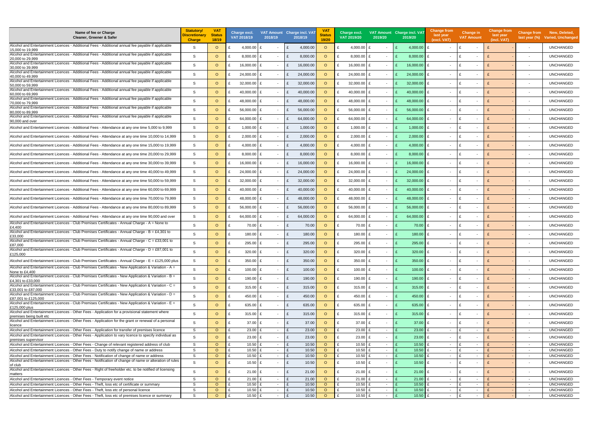| Name of fee or Charge<br>Cleaner, Greener & Safer                                                                                                                                                            | <b>Statutory/</b><br>Discretionary<br><b>Charge</b> | <b>VAT</b><br><b>Status</b><br>18/19 |                   | Charge excl.<br>VAT 2018/19 | 2018/19                  | VAT Amount Charge incl. VAT<br>2018/19 | <b>VAT</b><br><b>Status</b><br>19/20 | Charge excl.<br>VAT 2019/20    | 2019/20                            | VAT Amount Charge incl. VAT<br>2019/20 | Change from<br>last year<br>(excl. VAT)  | <b>Change in</b><br><b>VAT Amount</b>          | <b>Change from</b><br>last year<br>(incl. VAT) | <b>Change from</b>                 | New, Deleted,<br>last year (%) Varied, Unchanged |
|--------------------------------------------------------------------------------------------------------------------------------------------------------------------------------------------------------------|-----------------------------------------------------|--------------------------------------|-------------------|-----------------------------|--------------------------|----------------------------------------|--------------------------------------|--------------------------------|------------------------------------|----------------------------------------|------------------------------------------|------------------------------------------------|------------------------------------------------|------------------------------------|--------------------------------------------------|
| Alcohol and Entertainment Licences - Additional Fees - Additional annual fee payable if applicable                                                                                                           | -S                                                  | $\circ$                              |                   | 4,000.00                    |                          | 4,000.00                               | $\circ$                              | 4,000.00                       |                                    | 4,000.00                               | $\overline{\phantom{a}}$                 | $\blacksquare$                                 |                                                | $\blacksquare$                     | <b>UNCHANGED</b>                                 |
| 15,000 to 19,999<br>Alcohol and Entertainment Licences - Additional Fees - Additional annual fee payable if applicable                                                                                       | S                                                   | $\circ$                              |                   | 8,000.00                    | $\sim$                   | 8,000.00                               | $\circ$                              | 8,000.00                       | $\overline{\phantom{a}}$           | 8,000.00                               | $\mathbf{f}$                             |                                                |                                                |                                    | <b>UNCHANGED</b>                                 |
| 20,000 to 29,999<br>Alcohol and Entertainment Licences - Additional Fees - Additional annual fee payable if applicable                                                                                       | <sub>S</sub>                                        | $\circ$                              |                   | 16,000.00                   | $\overline{\phantom{0}}$ | 16,000.00                              | $\circ$                              | 16,000.00                      | $\sim$                             | 16,000.00                              | £                                        | $\blacksquare$                                 |                                                |                                    | <b>UNCHANGED</b>                                 |
| 30,000 to 39,999<br>Alcohol and Entertainment Licences - Additional Fees - Additional annual fee payable if applicable                                                                                       |                                                     |                                      |                   |                             |                          |                                        |                                      |                                |                                    |                                        |                                          |                                                |                                                |                                    |                                                  |
| 40,000 to 49,999<br>Alcohol and Entertainment Licences - Additional Fees - Additional annual fee payable if applicable                                                                                       | S                                                   | $\circ$                              |                   | 24,000.00                   | $\sim$                   | 24,000.00                              | $\circ$                              | 24,000.00                      | $\overline{\phantom{a}}$           | 24,000.00                              | £<br>$\overline{\phantom{a}}$            | $\overline{\phantom{a}}$                       |                                                |                                    | <b>UNCHANGED</b>                                 |
| 50,000 to 59.999                                                                                                                                                                                             | S.                                                  | $\circ$                              |                   | 32,000.00                   |                          | 32,000.00                              | $\circ$                              | 32,000.00 £                    |                                    | 32,000.00                              | £                                        | f                                              |                                                |                                    | <b>UNCHANGED</b>                                 |
| Alcohol and Entertainment Licences - Additional Fees - Additional annual fee payable if applicable<br>60,000 to 69,999                                                                                       | <sub>S</sub>                                        | $\circ$                              |                   | 40,000.00                   | $\sim$                   | 40,000.00                              | $\circ$                              | 40,000.00 £                    | $\overline{\phantom{a}}$           | 40,000.00                              | £<br>$\sim$                              | ۱F<br>$\blacksquare$                           |                                                |                                    | <b>UNCHANGED</b>                                 |
| Alcohol and Entertainment Licences - Additional Fees - Additional annual fee payable if applicable<br>70,000 to 79,999                                                                                       | <sub>S</sub>                                        | $\Omega$                             |                   | 48,000.00                   |                          | 48,000.00                              | $\circ$                              | 48,000.00 £                    |                                    | 48,000.00                              | £<br>$\sim$                              | ۱F<br>$\overline{\phantom{a}}$                 |                                                |                                    | <b>UNCHANGED</b>                                 |
| Alcohol and Entertainment Licences - Additional Fees - Additional annual fee payable if applicable<br>80,000 to 89,999                                                                                       | <sub>S</sub>                                        | $\circ$                              |                   | 56,000.00                   |                          | 56,000.00<br>£                         | $\circ$                              | 56,000.00 £                    |                                    | 56,000.00                              | £                                        | ۱F                                             |                                                |                                    | <b>UNCHANGED</b>                                 |
| Alcohol and Entertainment Licences - Additional Fees - Additional annual fee payable if applicable                                                                                                           | S                                                   | $\circ$                              |                   | 64,000.00                   |                          | 64,000.00                              | $\circ$                              | 64,000.00                      |                                    | 64,000.00                              | £                                        | $\blacksquare$                                 |                                                |                                    | <b>UNCHANGED</b>                                 |
| 90,000 and over<br>Alcohol and Entertainment Licences - Additional Fees - Attendance at any one time 5,000 to 9,999                                                                                          | S                                                   | $\circ$                              |                   | 1,000.00                    | $\sim$                   | 1,000.00<br>£                          | $\circ$                              | 1,000.00                       | $\overline{\phantom{a}}$           | 1,000.00                               | £<br>$\overline{\phantom{a}}$            | Ι£<br>$\overline{\phantom{a}}$                 |                                                | $\overline{\phantom{a}}$           | <b>UNCHANGED</b>                                 |
|                                                                                                                                                                                                              |                                                     |                                      |                   |                             |                          |                                        |                                      |                                |                                    |                                        |                                          |                                                |                                                |                                    |                                                  |
| Alcohol and Entertainment Licences - Additional Fees - Attendance at any one time 10,000 to 14,999                                                                                                           | S                                                   | $\circ$                              |                   | 2,000.00                    | $\sim$                   | 2,000.00                               | $\circ$                              | 2,000.00                       | $\overline{\phantom{a}}$           | 2,000.00                               | $\mathbf{f}$                             | $\overline{\phantom{a}}$                       |                                                |                                    | <b>UNCHANGED</b>                                 |
| Alcohol and Entertainment Licences - Additional Fees - Attendance at any one time 15,000 to 19,999                                                                                                           | S                                                   | $\circ$                              |                   | 4,000.00                    | $\sim$                   | 4,000.00                               | $\circ$                              | $4,000.00$                     | $\sim$                             | 4,000.00                               | £<br>$\overline{\phantom{a}}$            | - F<br>$\overline{\phantom{a}}$                |                                                |                                    | <b>UNCHANGED</b>                                 |
| Alcohol and Entertainment Licences - Additional Fees - Attendance at any one time 20,000 to 29,999                                                                                                           | <sub>S</sub>                                        | $\circ$                              |                   | 8,000.00                    | $\sim$                   | 8,000.00                               | $\circ$                              | 8,000.00                       | $\overline{\phantom{a}}$           | 8,000.00                               | $\mathbf{f}$<br>$\overline{\phantom{a}}$ | $\overline{\phantom{a}}$                       |                                                |                                    | <b>UNCHANGED</b>                                 |
| Alcohol and Entertainment Licences - Additional Fees - Attendance at any one time 30,000 to 39,999                                                                                                           | S                                                   | $\circ$                              |                   | 16,000.00                   | $\sim$                   | 16,000.00                              | $\circ$                              | 16,000.00                      | $\overline{\phantom{a}}$           | 16,000.00                              | f<br>$\overline{\phantom{a}}$            | $\overline{\phantom{a}}$                       |                                                | $\overline{\phantom{a}}$           | <b>UNCHANGED</b>                                 |
| Alcohol and Entertainment Licences - Additional Fees - Attendance at any one time 40,000 to 49,999                                                                                                           | S                                                   | $\circ$                              |                   | 24,000.00                   |                          | 24,000.00                              | $\circ$                              | 24,000.00                      |                                    | 24,000.00                              | £<br>$\overline{\phantom{a}}$            | $\overline{\phantom{a}}$                       |                                                |                                    | <b>UNCHANGED</b>                                 |
| Alcohol and Entertainment Licences - Additional Fees - Attendance at any one time 50,000 to 59,999                                                                                                           | S                                                   | $\circ$                              |                   | 32,000.00                   | $\overline{\phantom{0}}$ | 32,000.00                              | $\circ$                              | 32,000.00                      | $\sim$                             | 32,000.00                              | £<br>$\overline{\phantom{a}}$            | $\overline{\phantom{a}}$                       |                                                |                                    | <b>UNCHANGED</b>                                 |
| Alcohol and Entertainment Licences - Additional Fees - Attendance at any one time 60,000 to 69,999                                                                                                           | S                                                   | $\circ$                              |                   | 40,000.00                   |                          | 40,000.00                              | $\circ$                              | 40,000.00                      | $\overline{\phantom{a}}$           | 40,000.00                              | £<br>$\overline{\phantom{a}}$            | ۱F<br>$\overline{\phantom{a}}$                 |                                                |                                    | <b>UNCHANGED</b>                                 |
|                                                                                                                                                                                                              |                                                     |                                      |                   |                             |                          |                                        |                                      |                                |                                    |                                        |                                          |                                                |                                                |                                    |                                                  |
| Alcohol and Entertainment Licences - Additional Fees - Attendance at any one time 70,000 to 79,999                                                                                                           | S                                                   | $\circ$                              |                   | 48,000.00                   | $\sim$                   | 48,000.00                              | $\circ$                              | 48,000.00 £                    | $\overline{\phantom{a}}$           | 48,000.00                              | £<br>$\overline{\phantom{a}}$            | - F<br>$\overline{\phantom{a}}$                |                                                |                                    | <b>UNCHANGED</b>                                 |
| Alcohol and Entertainment Licences - Additional Fees - Attendance at any one time 80,000 to 89,999                                                                                                           | S                                                   | $\circ$                              |                   | 56,000.00                   |                          | 56,000.00                              | $\circ$                              | 56,000.00                      |                                    | 56,000.00                              | £<br>$\sim$                              | ۱F<br>$\overline{\phantom{a}}$                 |                                                |                                    | <b>UNCHANGED</b>                                 |
| Alcohol and Entertainment Licences - Additional Fees - Attendance at any one time 90,000 and over                                                                                                            | S                                                   | $\circ$                              |                   | 64,000.00                   |                          | 64,000.00                              | $\circ$                              | 64,000.00 £                    |                                    | 64,000.00                              | £<br>$\overline{\phantom{a}}$            | ۱F<br>$\overline{\phantom{a}}$                 |                                                |                                    | <b>UNCHANGED</b>                                 |
| Alcohol and Entertainment Licences - Club Premises Certificates - Annual Charge - A = None to<br>£4,400                                                                                                      | <sub>S</sub>                                        | $\circ$                              |                   | 70.00                       | $\sim$                   | 70.00<br>£                             | $\circ$                              | 70.00                          |                                    | 70.00                                  | £                                        | ۱F<br>$\overline{\phantom{a}}$                 |                                                |                                    | <b>UNCHANGED</b>                                 |
| Alcohol and Entertainment Licences - Club Premises Certificates - Annual Charge - $B = \text{\textsterling}4,301$ to<br>£33,000                                                                              | <sub>S</sub>                                        | $\Omega$                             |                   | 180.00                      | $\sim$                   | 180.00                                 | $\circ$                              | 180.00                         | $\overline{\phantom{a}}$           | 180.00                                 | £<br>$\overline{\phantom{a}}$            | $\blacksquare$                                 |                                                |                                    | <b>UNCHANGED</b>                                 |
| Alcohol and Entertainment Licences - Club Premises Certificates - Annual Charge - C = £33,001 to                                                                                                             | S                                                   | $\circ$                              |                   | 295.00 £                    | $\sim$                   | 295.00<br>£                            | $\circ$                              | 295.00                         | $\sim$                             | 295.00                                 | £<br>$\sim$                              | £<br>$\blacksquare$                            |                                                | $\overline{\phantom{a}}$           | <b>UNCHANGED</b>                                 |
| £87,000<br>Alcohol and Entertainment Licences - Club Premises Certificates - Annual Charge - D = £87,001 to                                                                                                  | S.                                                  | $\Omega$                             |                   | $320.00$ £                  |                          | 320.00                                 | $\circ$                              | 320.00                         |                                    | 320.00                                 | £                                        | ۱£                                             |                                                |                                    | <b>UNCHANGED</b>                                 |
| £125,000                                                                                                                                                                                                     |                                                     |                                      |                   |                             |                          |                                        |                                      |                                |                                    |                                        |                                          |                                                |                                                |                                    |                                                  |
| Alcohol and Entertainment Licences - Club Premises Certificates - Annual Charge - $E = £125,000$ plus<br>Alcohol and Entertainment Licences - Club Premises Certificates - New Application & Variation - A = | -S                                                  | $\circ$                              | £                 | 350.00                      | $\sim$                   | 350.00<br>£                            | $\circ$                              | 350.00                         | $\sim$                             | 350.00                                 | £<br>$\sim$                              | ۱£<br>$\overline{\phantom{a}}$                 |                                                | $\overline{\phantom{a}}$           | <b>UNCHANGED</b>                                 |
| None to £4,400                                                                                                                                                                                               | <sub>S</sub>                                        | $\circ$                              | £                 | $100.00$ £                  | $\sim$                   | 100.00<br>£                            | $\circ$                              | 100.00 £<br>$\mathbf{f}$       | $\sim$                             | 100.00                                 | £<br>$\overline{\phantom{a}}$            | ۱F<br>$\blacksquare$                           |                                                | $\overline{\phantom{a}}$           | <b>UNCHANGED</b>                                 |
| Alcohol and Entertainment Licences - Club Premises Certificates - New Application & Variation - B =<br>£4,301 to £33,000                                                                                     | <sub>S</sub>                                        | $\circ$                              | £                 | 190.00                      | $\sim$                   | 190.00<br>£                            | $\circ$                              | 190.00 £                       | $\overline{\phantom{a}}$           | $190.00$ £                             | $\overline{\phantom{a}}$                 | ۱F<br>$\overline{\phantom{a}}$                 |                                                |                                    | <b>UNCHANGED</b>                                 |
| Alcohol and Entertainment Licences - Club Premises Certificates - New Application & Variation - C =<br>£33,001 to £87,000                                                                                    | <sub>S</sub>                                        | $\circ$                              |                   | 315.00 $E$                  | $\sim$                   | 315.00                                 | $\circ$                              | 315.00                         | $\sim$                             | 315.00                                 | £<br>$\overline{\phantom{a}}$            | ۱£<br>$\overline{\phantom{a}}$                 |                                                |                                    | <b>UNCHANGED</b>                                 |
| Alcohol and Entertainment Licences - Club Premises Certificates - New Application & Variation - D =<br>E87,001 to £125,000                                                                                   | S                                                   | $\circ$                              |                   | 450.00                      | $\sim$                   | 450.00<br>£                            | $\circ$                              | 450.00                         | $\overline{\phantom{a}}$           | 450.00                                 | £<br>$\overline{\phantom{a}}$            | ۱£<br>$\overline{\phantom{a}}$                 |                                                | $\sim$                             | <b>UNCHANGED</b>                                 |
| Alcohol and Entertainment Licences - Club Premises Certificates - New Application & Variation - E =                                                                                                          | <sub>S</sub>                                        | $\circ$                              |                   | 635.00 £                    | $\sim$                   | 635.00                                 | $\circ$                              | 635.00 £                       | $\overline{\phantom{a}}$           | $635.00$ E                             | $\sim$                                   | ۱£<br>$\overline{\phantom{a}}$                 |                                                |                                    | <b>UNCHANGED</b>                                 |
| £125,000 plus<br>Alcohol and Entertainment Licences - Other Fees - Application for a provisional statement where                                                                                             | <sub>S</sub>                                        | $\circ$                              | £                 | 315.00                      | $\sim$                   | 315.00<br>£                            | $\circ$                              | $315.00 \text{ E}$             | $\sim$                             | $315.00$ E                             | $\sim$                                   | ۱£<br>$\overline{\phantom{a}}$                 | $\mathbf{f}$                                   | $\sim$                             | <b>UNCHANGED</b>                                 |
| premises being built etc<br>Alcohol and Entertainment Licences - Other Fees - Application for the grant or renewal of a personal                                                                             | <sub>S</sub>                                        |                                      |                   |                             |                          |                                        |                                      |                                |                                    |                                        |                                          |                                                |                                                |                                    |                                                  |
| licence<br>Alcohol and Entertainment Licences - Other Fees - Application for transfer of premises licence                                                                                                    | S                                                   | $\circ$<br>$\circ$                   | £<br>$\mathbf{f}$ | 37.00<br>$23.00 \text{ E}$  | $\sim$<br>$\sim$         | 37.00<br>£<br>23.00<br>$\mathbf{f}$    | $\circ$<br>$\circ$                   | $37.00 \text{ E}$<br>$23.00$ £ | $\overline{\phantom{a}}$<br>$\sim$ | 37.00<br>23.00                         | £<br>$\sim$<br>£<br>$\sim$               | ۱F<br>$\overline{\phantom{a}}$<br>۱£<br>$\sim$ |                                                | $\sim$                             | <b>UNCHANGED</b><br><b>UNCHANGED</b>             |
| Alcohol and Entertainment Licences - Other Fees - Application to vary licence to specify individual as                                                                                                       | S.                                                  | $\circ$                              | $\mathbf{f}$      | $23.00 \text{ } \pounds$    | $\sim$                   | 23.00<br>£                             | $\circ$                              | $23.00 \text{ } \pounds$       | $\sim$                             | £<br>23.00                             | £<br>$\overline{\phantom{a}}$            | ۱£<br>$\overline{\phantom{a}}$                 |                                                | $\sim$                             | <b>UNCHANGED</b>                                 |
| premises supervisor<br>Alcohol and Entertainment Licences - Other Fees - Change of relevant registered address of club                                                                                       | S.                                                  | $\circ$                              |                   | 10.50                       | $\sim$                   | 10.50                                  | $\circ$                              | $10.50$ £                      | $\sim$                             | 10.50                                  | £<br>$\sim$                              | ۱F<br>$\overline{\phantom{a}}$                 |                                                | $\overline{\phantom{a}}$           | <b>UNCHANGED</b>                                 |
| Alcohol and Entertainment Licences - Other Fees - Duty to notify change of name or address                                                                                                                   | S.                                                  | $\circ$                              | £                 | 10.50                       | $\sim$                   | 10.50                                  | $\circ$                              | 10.50                          | $\sim$                             | 10.50                                  | $\sim$                                   | ۱F<br>$\sim$                                   |                                                | $\overline{\phantom{a}}$           | <b>UNCHANGED</b>                                 |
| Alcohol and Entertainment Licences - Other Fees - Notification of change of name or address                                                                                                                  | S.                                                  | $\Omega$                             | £                 | 10.50                       | $\sim$                   | 10.50<br>£                             | $\circ$                              | 10.50                          | $\sim$                             | 10.50                                  | £<br>$\sim$                              | ۱£<br>$\sim$                                   |                                                | $\overline{\phantom{a}}$           | <b>UNCHANGED</b>                                 |
| Alcohol and Entertainment Licences - Other Fees - Notification of change of name or alteration of rules<br>of club                                                                                           | <sub>S</sub>                                        | $\circ$                              | $\mathbf{f}$      | 10.50                       | $\sim$                   | 10.50<br>£                             | $\circ$                              | 10.50 $E$                      | $\sim$                             | 10.50                                  | £<br>$\overline{\phantom{a}}$            | ۱F<br>$\overline{\phantom{a}}$                 |                                                | $\overline{\phantom{a}}$           | <b>UNCHANGED</b>                                 |
| Alcohol and Entertainment Licences - Other Fees - Right of freeholder etc. to be notified of licensing<br>matters                                                                                            | <sub>S</sub>                                        | $\circ$                              |                   | 21.00                       | $\sim$                   | 21.00                                  | $\circ$                              | $21.00 \text{ E}$              | $\overline{\phantom{a}}$           | 21.00                                  | £<br>$\sim$                              | ۱F<br>$\overline{\phantom{a}}$                 |                                                |                                    | <b>UNCHANGED</b>                                 |
| .<br>Alcohol and Entertainment Licences - Other Fees - Temporary event notice                                                                                                                                | S                                                   | $\circ$                              | £                 | 21.00                       | $\sim$                   | $\mathbf{f}$<br>21.00                  | $\circ$                              | $21.00$ £                      | $\sim$                             | 21.00                                  | £<br>$\sim$                              | ۱F<br>$\sim$                                   |                                                | $\sim$                             | <b>UNCHANGED</b>                                 |
| Alcohol and Entertainment Licences - Other Fees - Theft, loss etc of certificate or summary<br>Alcohol and Entertainment Licences - Other Fees - Theft, loss etc of personal licence                         | S.<br>S.                                            | $\circ$<br>$\circ$                   | £                 | 10.50<br>10.50              | $\sim$<br>$\sim$         | 10.50<br>10.50<br>£                    | $\circ$<br>$\circ$                   | 10.50 £<br>10.50 £             | $\sim$<br>$\sim$                   | 10.50<br>10.50                         | $\sim$<br>$\sim$                         | ۱£<br>$\sim$<br>۱£<br>$\sim$                   |                                                | $\sim$<br>$\overline{\phantom{a}}$ | <b>UNCHANGED</b><br><b>UNCHANGED</b>             |
| Alcohol and Entertainment Licences - Other Fees - Theft, loss etc of premises licence or summary                                                                                                             | S.                                                  | $\circ$                              | £                 | $10.50$ £                   | $\sim$                   | 10.50<br>£                             | $\circ$                              | 10.50 $E$                      | $\sim$                             | 10.50                                  | -F<br>$\overline{\phantom{a}}$           | ۱F<br>$\overline{\phantom{a}}$                 |                                                | $\sim$                             | <b>UNCHANGED</b>                                 |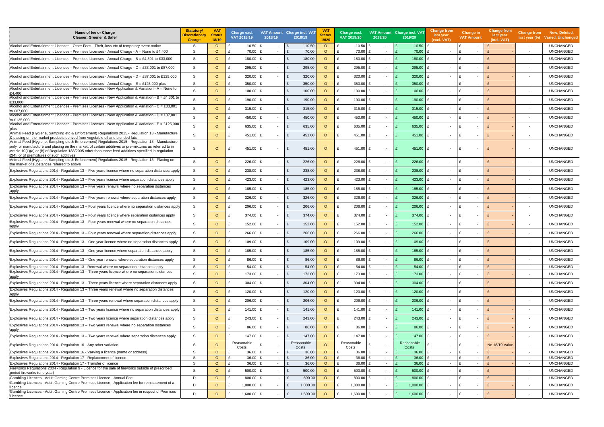| Name of fee or Charge<br>Cleaner, Greener & Safer                                                                                                                                                                                                                                                                                                                  | <b>Statutory/</b><br>Discretionary<br><b>Charge</b> | <b>VAT</b><br><b>Status</b><br>18/19 | Charge excl.<br>VAT 2018/19 | 2018/19 | VAT Amount Charge incl. VAT<br>2018/19 | <b>VA</b><br><b>Status</b><br>19/20 | Charge excl.<br>VAT 2019/20        | 2019/20                  | VAT Amount Charge incl. VAT<br>2019/20 | Change from<br>last year<br>(excl. VAT) | <b>Change in</b><br><b>VAT Amount</b>    | <b>Change from</b><br>last year<br>(incl. VAT) | <b>Change from</b><br>last year $(\%)$ | New, Deleted,<br><b>Varied, Unchanged</b> |
|--------------------------------------------------------------------------------------------------------------------------------------------------------------------------------------------------------------------------------------------------------------------------------------------------------------------------------------------------------------------|-----------------------------------------------------|--------------------------------------|-----------------------------|---------|----------------------------------------|-------------------------------------|------------------------------------|--------------------------|----------------------------------------|-----------------------------------------|------------------------------------------|------------------------------------------------|----------------------------------------|-------------------------------------------|
| Alcohol and Entertainment Licences - Other Fees - Theft, loss etc of temporary event notice                                                                                                                                                                                                                                                                        | S.                                                  | $\circ$                              | 10.50                       |         | 10.50                                  | $\circ$                             | $10.50$ £                          |                          | 10.50                                  | $\sim$                                  | ۱£<br>$\sim$                             |                                                | $\sim$                                 | <b>UNCHANGED</b>                          |
| Alcohol and Entertainment Licences - Premises Licenses - Annual Charge - A = None to £4,400                                                                                                                                                                                                                                                                        | S                                                   | $\circ$                              | 70.00<br>£                  | $\sim$  | 70.00                                  | $\circ$                             | 70.00                              | $\sim$                   | 70.00                                  | $\sim$                                  | ۱F<br>$\sim$                             |                                                | $\overline{\phantom{a}}$               | <b>UNCHANGED</b>                          |
| Alcohol and Entertainment Licences - Premises Licenses - Annual Charge - $B = \text{\pounds}4,301$ to £33,000                                                                                                                                                                                                                                                      | -S                                                  | $\circ$                              | 180.00                      |         | 180.00                                 | $\circ$                             | 180.00 E                           |                          | 180.00                                 | £                                       | $\overline{\phantom{a}}$                 |                                                | $\overline{\phantom{a}}$               | <b>UNCHANGED</b>                          |
| Alcohol and Entertainment Licences - Premises Licenses - Annual Charge - $C = £33,001$ to £87,000                                                                                                                                                                                                                                                                  | S                                                   | $\circ$                              | 295.00                      | $\sim$  | 295.00<br>£                            | $\circ$                             | 295.00                             | $\sim$                   | 295.00                                 | £<br>$\sim$                             | ۱£<br>$\overline{\phantom{a}}$           |                                                | $\overline{\phantom{a}}$               | <b>UNCHANGED</b>                          |
| Alcohol and Entertainment Licences - Premises Licenses - Annual Charge - D = £87,001 to £125,000                                                                                                                                                                                                                                                                   | S                                                   | $\circ$                              | 320.00                      | $\sim$  | 320.00                                 | $\circ$                             | £<br>$320.00$ £                    | $\overline{\phantom{a}}$ | 320.00                                 | £<br>$\sim$                             | ۱£<br>$\blacksquare$                     |                                                | $\overline{\phantom{a}}$               | <b>UNCHANGED</b>                          |
| Alcohol and Entertainment Licences - Premises Licenses - Annual Charge - $E = £125,000$ plus                                                                                                                                                                                                                                                                       | S                                                   | $\circ$                              | 350.00                      | $\sim$  | 350.00                                 | $\circ$                             | 350.00 £                           | $\sim$                   | 350.00                                 | £<br>$\sim$                             | ۱£<br>$\overline{\phantom{a}}$           |                                                | $\sim$                                 | <b>UNCHANGED</b>                          |
| Alcohol and Entertainment Licences - Premises Licenses - New Application & Variation - A = None to                                                                                                                                                                                                                                                                 | S                                                   | $\circ$                              | £<br>100.00                 | $\sim$  | 100.00<br>£                            | $\circ$                             | $100.00$ £                         | $\sim$                   | $100.00$ E                             | $\sim$                                  | ۱£<br>$\blacksquare$                     |                                                | $\overline{\phantom{a}}$               | <b>UNCHANGED</b>                          |
| £4,400<br>Alcohol and Entertainment Licences - Premises Licenses - New Application & Variation - $B = \pounds 4,301$ to                                                                                                                                                                                                                                            | S.                                                  | $\circ$                              | $190.00$ £                  | $\sim$  | 190.00                                 | $\circ$                             | £<br>190.00 £                      | $\overline{\phantom{a}}$ | 190.00                                 | £<br>$\overline{\phantom{a}}$           | ۱£<br>$\blacksquare$                     |                                                | $\overline{\phantom{a}}$               | <b>UNCHANGED</b>                          |
| £33,000<br>Alcohol and Entertainment Licences - Premises Licenses - New Application & Variation - $C = \text{\textsterling}33,001$                                                                                                                                                                                                                                 | S                                                   | $\circ$                              | 315.00 $E$                  | $\sim$  | 315.00<br>£                            | $\circ$                             | $\mathbf{f}$<br>$315.00 \text{ E}$ | $\overline{\phantom{a}}$ | 315.00                                 | £<br>$\sim$                             | ۱£<br>$\overline{\phantom{a}}$           |                                                | $\sim$                                 | <b>UNCHANGED</b>                          |
| to £87,000<br>Alcohol and Entertainment Licences - Premises Licenses - New Application & Variation - $D = \pounds87,001$                                                                                                                                                                                                                                           | -S                                                  | $\circ$                              | 450.00                      | $\sim$  | 450.00<br>£                            | $\Omega$                            | £<br>450.00 £                      | $\overline{\phantom{a}}$ | 450.00                                 | £<br>$\sim$                             | ۱£<br>$\blacksquare$                     |                                                | $\overline{\phantom{a}}$               | <b>UNCHANGED</b>                          |
| to £125,000<br>Alcohol and Entertainment Licences - Premises Licenses - New Application & Variation - $E = \pounds 125,000$                                                                                                                                                                                                                                        |                                                     |                                      |                             |         |                                        |                                     |                                    |                          |                                        |                                         |                                          |                                                |                                        |                                           |
| plus<br>Animal Feed (Hygiene, Sampling etc & Enforcement) Regulations 2015 - Regulation 13 - Manufacture                                                                                                                                                                                                                                                           | -S                                                  | $\circ$                              | 635.00 £<br>£               | $\sim$  | 635.00<br>£                            | $\circ$                             | 635.00 £<br>f                      | $\sim$                   | 635.00 $E$                             | $\sim$                                  | ۱£<br>$\blacksquare$                     |                                                | $\overline{\phantom{a}}$               | <b>UNCHANGED</b>                          |
| & placing on the market products derived from vegetable oil and blended fats                                                                                                                                                                                                                                                                                       | <sub>S</sub>                                        | $\circ$                              | 451.00                      | $\sim$  | 451.00                                 | $\circ$                             | 451.00 £                           | $\sim$                   | $451.00$ E                             | $\sim$                                  | ∣ £<br>$\blacksquare$                    |                                                | $\sim$                                 | <b>UNCHANGED</b>                          |
| Animal Feed (Hygiene, Sampling etc & Enforcement) Regulations 2015 - Regulation 13 - Manufacture<br>ionly, or manufacture and placing on the market, of certain additives or pre-mixtures as referred to in<br>Article 10(1)(a) or (b) of Regulation 183/2005 other than those feed additives specified in regulation<br>2(4), or of premixtures of such additives | -S                                                  | $\circ$                              | 451.00                      |         | 451.00<br>£                            | $\circ$                             | 451.00                             |                          | 451.00                                 | £                                       |                                          |                                                |                                        | <b>UNCHANGED</b>                          |
| Animal Feed (Hygiene, Sampling etc & Enforcement) Regulations 2015 - Regulation 13 - Placing on<br>the market of substances referred to above                                                                                                                                                                                                                      | S                                                   | $\circ$                              | 226.00                      | $\sim$  | 226.00                                 | $\circ$                             | 226.00<br>£                        | $\overline{\phantom{a}}$ | 226.00                                 | £<br>$\overline{\phantom{0}}$           | ۱£<br>$\overline{\phantom{a}}$           |                                                | $\sim$                                 | <b>UNCHANGED</b>                          |
| Explosives Requlations 2014 - Requlation 13 – Five years licence where no separation distances apply                                                                                                                                                                                                                                                               | -S                                                  | $\circ$                              | 238.00                      | $\sim$  | 238.00                                 | $\circ$                             | 238.00                             | $\sim$                   | 238.00                                 | £<br>$\sim$                             | ۱F<br>$\blacksquare$                     |                                                | $\overline{\phantom{a}}$               | <b>UNCHANGED</b>                          |
| Explosives Regulations 2014 - Regulation 13 – Five years licence where separation distances apply                                                                                                                                                                                                                                                                  | S                                                   | $\circ$                              | 423.00                      |         | 423.00                                 | $\circ$                             | £<br>423.00 £                      | $\overline{\phantom{a}}$ | 423.00 $E$                             | $\sim$                                  | ۱£<br>$\blacksquare$                     |                                                | $\overline{\phantom{a}}$               | <b>UNCHANGED</b>                          |
| Explosives Regulations 2014 - Regulation 13 - Five years renewal where no separation distances<br>apply                                                                                                                                                                                                                                                            | S                                                   | $\circ$                              | 185.00<br>£                 | $\sim$  | 185.00<br>£                            | $\circ$                             | £<br>185.00 £                      | $\sim$                   | 185.00                                 | £<br>$\sim$                             | ۱£<br>$\overline{\phantom{a}}$           |                                                | $\overline{\phantom{a}}$               | <b>UNCHANGED</b>                          |
| Explosives Regulations 2014 - Regulation 13 – Five years renewal where separation distances apply                                                                                                                                                                                                                                                                  | S                                                   | $\circ$                              | 326.00                      | $\sim$  | 326.00                                 | $\circ$                             | £<br>$326.00$ £                    | $\overline{\phantom{a}}$ | 326.00                                 | £<br>$\sim$                             | ۱F<br>$\overline{\phantom{a}}$           |                                                | $\blacksquare$                         | <b>UNCHANGED</b>                          |
| Explosives Regulations 2014 - Regulation 13 – Four years licence where no separation distances apply                                                                                                                                                                                                                                                               | S.                                                  | $\circ$                              | 206.00<br>£                 | $\sim$  | 206.00<br>£                            | $\circ$                             | £<br>$206.00$ £                    | $\overline{\phantom{a}}$ | $206.00$ E                             | $\overline{\phantom{a}}$                | ۱£<br>$\overline{\phantom{a}}$           |                                                |                                        | <b>UNCHANGED</b>                          |
| Explosives Regulations 2014 - Regulation 13 – Four years licence where separation distances apply                                                                                                                                                                                                                                                                  | S.                                                  | $\circ$                              | $374.00$ £                  | $\sim$  | 374.00<br>£                            | $\circ$                             | £<br>374.00 £                      | $\overline{\phantom{a}}$ | 374.00                                 | £<br>$\overline{\phantom{a}}$           | ۱£<br>$\overline{\phantom{a}}$           |                                                | $\sim$                                 | <b>UNCHANGED</b>                          |
| Explosives Regulations 2014 - Regulation 13 – Four years renewal where no separation distances<br>apply                                                                                                                                                                                                                                                            | S                                                   | $\circ$                              | $152.00$ £<br>£             | $\sim$  | 152.00<br>£                            | $\circ$                             | 152.00 £<br>f                      | $\overline{\phantom{a}}$ | 152.00                                 | £<br>$\sim$                             | ۱£<br>$\overline{\phantom{a}}$           |                                                | $\sim$                                 | <b>UNCHANGED</b>                          |
| Explosives Regulations 2014 - Regulation 13 – Four years renewal where separation distances apply                                                                                                                                                                                                                                                                  | S.                                                  | $\circ$                              | 266.00 £<br>£               | $\sim$  | 266.00<br>£                            | $\circ$                             | £<br>266.00 £                      | $\sim$                   | 266.00                                 | £<br>$\sim$                             | ۱£<br>$\overline{\phantom{a}}$           |                                                | $\overline{\phantom{a}}$               | <b>UNCHANGED</b>                          |
| Explosives Regulations 2014 - Regulation 13 – One year licence where no separation distances apply                                                                                                                                                                                                                                                                 | S.                                                  | $\circ$                              | 109.00<br>£                 | $\sim$  | 109.00<br>£                            | $\circ$                             | 109.00 £<br>f                      | $\sim$                   | $109.00$ E                             | $\sim$                                  | $\sim$                                   |                                                | $\overline{\phantom{a}}$               | <b>UNCHANGED</b>                          |
| Explosives Regulations 2014 - Regulation 13 - One year licence where separation distances apply                                                                                                                                                                                                                                                                    | S                                                   | $\Omega$                             | 185.00 E                    |         | 185.00                                 | $\circ$                             | 185.00 E                           |                          | 185.00 $E$                             |                                         |                                          |                                                |                                        | <b>UNCHANGED</b>                          |
| Explosives Regulations 2014 - Regulation 13 - One year renewal where separation distances apply                                                                                                                                                                                                                                                                    | S                                                   | $\circ$                              | £<br>86.00                  | $\sim$  | £<br>86.00                             | $\circ$                             | £<br>86.00 £                       | $\overline{\phantom{a}}$ | 86.00                                  | £<br>$\sim$                             | ۱£<br>$\overline{\phantom{a}}$           |                                                | $\overline{\phantom{a}}$               | <b>UNCHANGED</b>                          |
| Explosives Regulations 2014 - Regulation 13 - Renewal where no separation distances apply                                                                                                                                                                                                                                                                          | S                                                   | $\circ$                              | 54.00 £<br>£                | $\sim$  | 54.00                                  | $\circ$                             | £<br>54.00 £                       | $\sim$                   | 54.00                                  | £<br>$\sim$                             | $\mathbf{f}$<br>$\overline{\phantom{a}}$ |                                                | $\overline{\phantom{a}}$               | <b>UNCHANGED</b>                          |
| Explosives Regulations 2014 - Regulation 13 - Three years licence where no separation distances<br>apply                                                                                                                                                                                                                                                           | S                                                   | $\circ$                              | 173.00 £<br>£               | $\sim$  | 173.00<br>£                            | $\circ$                             | £<br>173.00 £                      | $\overline{\phantom{a}}$ | $173.00$ £                             | $\sim$                                  | ۱£<br>$\overline{\phantom{a}}$           | $\mathbf{f}$                                   | $\overline{\phantom{a}}$               | <b>UNCHANGED</b>                          |
| Explosives Regulations 2014 - Regulation 13 – Three years licence where separation distances apply                                                                                                                                                                                                                                                                 | S                                                   | $\circ$                              | 304.00 $E$                  | $\sim$  | 304.00<br>£                            | $\circ$                             | £<br>$304.00$ £                    | $\sim$                   | $304.00 \, \text{E}$                   | $\sim$                                  | ۱£<br>$\overline{\phantom{a}}$           |                                                | $\overline{\phantom{a}}$               | <b>UNCHANGED</b>                          |
| Explosives Regulations 2014 - Regulation 13 - Three years renewal where no separation distances<br>apply                                                                                                                                                                                                                                                           | S                                                   | $\circ$                              | 120.00                      | $\sim$  | 120.00                                 | $\circ$                             | £<br>$120.00$ £                    | $\overline{\phantom{a}}$ | $120.00$ E                             | $\sim$                                  | ۱£<br>$\overline{\phantom{a}}$           |                                                | $\overline{\phantom{a}}$               | <b>UNCHANGED</b>                          |
| Explosives Regulations 2014 - Regulation 13 - Three years renewal where separation distances apply                                                                                                                                                                                                                                                                 | S                                                   | $\circ$                              | 206.00 £<br>£               | $\sim$  | £<br>206.00                            | $\circ$                             | £<br>$206.00$ £                    | $\overline{\phantom{a}}$ | $206.00$ £                             | $\sim$                                  | E<br>$\overline{\phantom{a}}$            | $\mathbf{f}$                                   | $\overline{\phantom{a}}$               | <b>UNCHANGED</b>                          |
| Explosives Regulations 2014 - Regulation 13 – Two years licence where no separation distances apply                                                                                                                                                                                                                                                                | S                                                   | $\circ$                              | 141.00 £                    | $\sim$  | 141.00<br>£                            | $\circ$                             | £<br>141.00 £                      | $\overline{\phantom{a}}$ | 141.00 £                               | $\sim$                                  | $\mathbf{f}$<br>$\overline{\phantom{a}}$ |                                                | $\overline{\phantom{a}}$               | <b>UNCHANGED</b>                          |
| Explosives Regulations 2014 - Regulation 13 – Two years licence where separation distances apply                                                                                                                                                                                                                                                                   | S                                                   | $\circ$                              | 243.00 £<br>£               | $\sim$  | 243.00<br>£                            | $\circ$                             | £<br>243.00 £                      | $\overline{\phantom{a}}$ | 243.00                                 | £<br>$\sim$                             | £<br>$\overline{\phantom{a}}$            |                                                | $\sim$                                 | <b>UNCHANGED</b>                          |
| Explosives Regulations 2014 - Regulation 13 - Two years renewal where no separation distances<br>apply                                                                                                                                                                                                                                                             | S                                                   | $\circ$                              | 86.00 £                     | $\sim$  | 86.00<br>£                             | $\circ$                             | 86.00 £<br>£                       | $\overline{\phantom{a}}$ | $86.00$ £                              | $\sim$                                  | £<br>$\overline{\phantom{a}}$            |                                                | $\overline{\phantom{a}}$               | <b>UNCHANGED</b>                          |
| Explosives Regulations 2014 - Regulation 13 - Two years renewal where separation distances apply                                                                                                                                                                                                                                                                   | S                                                   | $\circ$                              | 147.00 £                    | $\sim$  | 147.00                                 | $\circ$                             | 147.00 £<br>£                      | $\sim$                   | $147.00 \text{ E}$                     | $\sim$                                  | ۱£<br>$\overline{\phantom{a}}$           |                                                | $\overline{\phantom{a}}$               | <b>UNCHANGED</b>                          |
| Explosives Regulations 2014 - Regulation 16 - Any other variation                                                                                                                                                                                                                                                                                                  | S                                                   | $\Omega$                             | Reasonable                  |         | Reasonable                             | $\circ$                             | Reasonable                         | $\overline{\phantom{a}}$ | Reasonable                             | $\sim$                                  | ۱£<br>$\sim$                             | No 18/19 Value                                 | $\overline{\phantom{a}}$               | <b>UNCHANGED</b>                          |
| Explosives Regulations 2014 - Regulation 16 - Varying a licence (name or address)                                                                                                                                                                                                                                                                                  | S                                                   | $\circ$                              | Costs<br>36.00<br>£         | $\sim$  | Costs<br>36.00                         | $\circ$                             | Costs<br>36.00 £                   | $\sim$                   | Costs<br>36.00                         | £<br>$\sim$                             | ۱£<br>$\sim$                             |                                                | $\sim$                                 | <b>UNCHANGED</b>                          |
| Explosives Regulations 2014 - Regulation 17 - Replacement of licence                                                                                                                                                                                                                                                                                               | S                                                   | $\circ$                              | 36.00                       | $\sim$  | 36.00                                  | $\circ$                             | 36.00 £                            | $\sim$                   | 36.00                                  | $\sim$                                  | ۱£<br>$\sim$                             |                                                | $\overline{\phantom{a}}$               | <b>UNCHANGED</b>                          |
| Explosives Regulations 2014 - Regulation 17 - Transfer of licence                                                                                                                                                                                                                                                                                                  | S                                                   | $\circ$                              | 36.00                       | $\sim$  | 36.00                                  | $\circ$                             | 36.00 $E$                          | $\sim$                   | 36.00                                  | £<br>$\sim$                             | ۱£<br>$\sim$                             |                                                | $\overline{\phantom{a}}$               | <b>UNCHANGED</b>                          |
| Fireworks Regulations 2004 - Regulation 9 - Licence for the sale of fireworks outside of prescribed                                                                                                                                                                                                                                                                | S                                                   | $\circ$                              | £<br>500.00                 | £       | 500.00                                 | $\circ$                             | £<br>500.00 £                      |                          | $500.00$ £                             | $\sim$                                  | $\mathbf{f}$<br>$\overline{\phantom{a}}$ |                                                |                                        | <b>UNCHANGED</b>                          |
| period fireworks (one year)<br>Gambling Licences - Adult Gaming Centre Premises Licence - Annual Fee                                                                                                                                                                                                                                                               | D                                                   | $\circ$                              | 800.00                      | $\sim$  | £<br>800.00                            | $\circ$                             | 800.00 £                           | $\sim$                   | 800.00                                 | $\mathbf{f}$<br>$\sim$                  | ۱£<br>$\overline{\phantom{a}}$           |                                                | $\sim$                                 | <b>UNCHANGED</b>                          |
| Gambling Licences - Adult Gaming Centre Premises Licence - Application fee for reinstatement of a                                                                                                                                                                                                                                                                  | D                                                   | $\circ$                              |                             |         |                                        | $\circ$                             | £                                  |                          |                                        |                                         | ۱£                                       |                                                |                                        |                                           |
| licence                                                                                                                                                                                                                                                                                                                                                            |                                                     |                                      | 1,000.00 £                  | $\sim$  | 1,000.00<br>£                          |                                     | 1,000.00 $E$                       | $\sim$                   | 1,000.00 $E$                           | $\sim$                                  | $\overline{\phantom{a}}$                 |                                                | $\overline{\phantom{a}}$               | <b>UNCHANGED</b>                          |
| Gambling Licences - Adult Gaming Centre Premises Licence - Application fee in respect of Premises<br>Licence                                                                                                                                                                                                                                                       | D                                                   | $\circ$                              | 1,600.00                    | $\sim$  | 1,600.00<br>£                          | $\circ$                             | 1,600.00 $E$<br>f                  | $\sim$                   | 1,600.00                               | £<br>$\sim$                             | ۱£<br>$\overline{\phantom{a}}$           |                                                | $\overline{\phantom{a}}$               | <b>UNCHANGED</b>                          |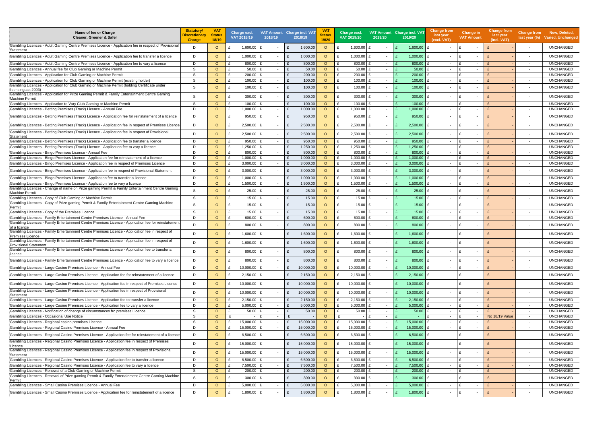| Name of fee or Charge<br><b>Cleaner, Greener &amp; Safer</b>                                                                                                                     | <b>Statutory/</b><br>Discretionary<br><b>Charge</b> | <b>VAT</b><br><b>Status</b><br>18/19 |   | Charge excl.<br>VAT 2018/19 | VAT Amount Charge incl. VA<br>2018/19 |              | 2018/19   | <b>VAT</b><br><b>Status</b><br>19/20 | Charge excl.<br>VAT 2019/20 | VAT Amount Charge incl. VAT<br>2019/20 | 2019/20       | <b>Change from</b><br>last year<br>(excl. VAT) | <b>Change in</b><br><b>VAT Amount</b>    | <b>Change from</b><br>last year<br>(incl. VAT) | <b>Change from</b>       | New, Deleted,<br>last year (%) Varied, Unchanged |
|----------------------------------------------------------------------------------------------------------------------------------------------------------------------------------|-----------------------------------------------------|--------------------------------------|---|-----------------------------|---------------------------------------|--------------|-----------|--------------------------------------|-----------------------------|----------------------------------------|---------------|------------------------------------------------|------------------------------------------|------------------------------------------------|--------------------------|--------------------------------------------------|
| Gambling Licences - Adult Gaming Centre Premises Licence - Application fee in respect of Provisional<br>Statement                                                                | D                                                   | $\circ$                              |   | 1,600.00                    | £                                     | £            | 1,600.00  | $\circ$                              | 1,600.00                    |                                        | 1,600.00      | £                                              | £<br>$\overline{\phantom{a}}$            |                                                | $\overline{\phantom{a}}$ | <b>UNCHANGED</b>                                 |
| Gambling Licences - Adult Gaming Centre Premises Licence - Application fee to transfer a licence                                                                                 | D                                                   | $\circ$                              |   | 1,000.00                    | f<br>$\sim$                           | £            | 1,000.00  | $\circ$                              | 1,000.00                    | $\sim$                                 | 1,000.00      | £<br>$\sim$                                    | £<br>$\sim$                              |                                                | $\overline{\phantom{a}}$ | <b>UNCHANGED</b>                                 |
| Gambling Licences - Adult Gaming Centre Premises Licence - Application fee to vary a licence                                                                                     | D                                                   | $\circ$                              |   | 800.00                      | $\sim$                                |              | 800.00    | $\circ$                              | 800.00                      | $\sim$                                 | 800.00        | $\sim$                                         | $\overline{\phantom{a}}$                 |                                                | $\overline{\phantom{a}}$ | <b>UNCHANGED</b>                                 |
| Gambling Licences - Annual fee for Club Gaming or Machine Permit                                                                                                                 | <sub>S</sub>                                        | $\Omega$                             |   | 50.00                       | $\sim$                                | $\mathbf{f}$ | 50.00     | $\circ$                              | 50.00                       | $\sim$                                 | 50.00         | $\sim$                                         | £<br>$\overline{\phantom{a}}$            |                                                | $\sim$                   | <b>UNCHANGED</b>                                 |
| Gambling Licences - Application for Club Gaming or Machine Permi                                                                                                                 | S                                                   | $\circ$                              |   | 200.00                      | $\sim$                                |              | 200.00    | $\circ$                              | 200.00                      | $\sim$                                 | 200.00        | $\sim$                                         | £<br>$\sim$                              |                                                | $\sim$                   | <b>UNCHANGED</b>                                 |
| Gambling Licences - Application for Club Gaming or Machine Permit (existing holder)                                                                                              | S                                                   | $\circ$                              |   | 100.00                      | £<br>$\sim$                           | $\mathbf{f}$ | 100.00    | $\circ$                              | 100.00                      | $\sim$                                 | 100.00        | $\sim$                                         | $\mathbf{f}$<br>$\sim$                   |                                                | $\sim$                   | <b>UNCHANGED</b>                                 |
| Gambling Licences - Application for Club Gaming or Machine Permit (holding Certificate under                                                                                     | S                                                   | $\circ$                              |   | 100.00                      | £                                     | £            | 100.00    | $\circ$                              | $100.00$ £                  | $\sim$                                 | 100.00        | £                                              | £                                        |                                                |                          | <b>UNCHANGED</b>                                 |
| licensing act 2003)<br>Gambling Licences - Application for Prize Gaming Permit & Family Entertainment Centre Gaming                                                              | <sub>S</sub>                                        | $\circ$                              |   | 300.00                      | £                                     | £            | 300.00    | $\circ$                              | $300.00$ £                  | $\sim$                                 | 300.00        | £                                              | f                                        |                                                | $\overline{\phantom{a}}$ | <b>UNCHANGED</b>                                 |
| <b>Machine Permit</b>                                                                                                                                                            |                                                     |                                      |   |                             |                                       |              |           |                                      |                             |                                        |               |                                                |                                          |                                                |                          |                                                  |
| Gambling Licences - Application to Vary Club Gaming or Machine Permit                                                                                                            | S                                                   | $\circ$                              |   | 100.00                      | $\sim$                                |              | 100.00    | $\circ$                              | 100.00                      | $\sim$                                 | 100.00        | $\sim$                                         | £<br>$\overline{\phantom{a}}$            |                                                | $\sim$                   | <b>UNCHANGED</b>                                 |
| Gambling Licences - Betting Premises (Track) Licence - Annual Fee                                                                                                                | D                                                   | $\circ$                              |   | 1,000.00                    | $\sim$                                |              | 1,000.00  | $\circ$                              | 1,000.00                    | $\sim$                                 | 1,000.00      | $\sim$                                         | $\mathbf{f}$<br>$\overline{\phantom{a}}$ |                                                |                          | <b>UNCHANGED</b>                                 |
| Gambling Licences - Betting Premises (Track) Licence - Application fee for reinstatement of a licence                                                                            | D                                                   | $\circ$                              |   | 950.00                      |                                       | £            | 950.00    | $\circ$                              | 950.00                      | $\sim$                                 | 950.00        | £                                              | £                                        |                                                | $\overline{\phantom{a}}$ | <b>UNCHANGED</b>                                 |
| Gambling Licences - Betting Premises (Track) Licence - Application fee in respect of Premises Licence                                                                            | D                                                   | $\circ$                              |   | 2,500.00                    | £                                     |              | 2,500.00  | $\circ$                              | 2,500.00                    | $\sim$                                 | 2,500.00      | £<br>$\blacksquare$                            | £                                        |                                                |                          | <b>UNCHANGED</b>                                 |
| Gambling Licences - Betting Premises (Track) Licence - Application fee in respect of Provisional<br>Statement                                                                    | D                                                   | $\circ$                              |   | 2,500.00                    | f                                     | $\mathbf{f}$ | 2,500.00  | $\circ$                              | 2,500.00                    | £<br>$\sim$                            | 2,500.00      | £<br>$\sim$                                    | £                                        |                                                | $\overline{\phantom{a}}$ | <b>UNCHANGED</b>                                 |
| Gambling Licences - Betting Premises (Track) Licence - Application fee to transfer a licence                                                                                     | D                                                   | $\circ$                              |   | 950.00                      | $\sim$                                | $\mathbf{f}$ | 950.00    | $\circ$                              | 950.00                      | $\sim$                                 | 950.00        | $\sim$                                         | £<br>$\overline{\phantom{a}}$            |                                                | $\sim$                   | <b>UNCHANGED</b>                                 |
| Gambling Licences - Betting Premises (Track) Licence - Application fee to vary a licence                                                                                         | D                                                   | $\circ$                              |   | 1,250.00                    | $\sim$                                |              | 1,250.00  | $\circ$                              | 1,250.00                    | £<br>$\sim$                            | 1,250.00      | $\sim$                                         | $\mathbf{f}$<br>$\overline{\phantom{a}}$ |                                                | $\sim$                   | <b>UNCHANGED</b>                                 |
| Gambling Licences - Bingo Premises Licence - Annual Fee                                                                                                                          | D                                                   | $\circ$                              |   | 800.00                      | $\sim$                                |              | 800.00    | $\circ$                              | 800.00                      | $\sim$                                 | 800.00        | $\sim$                                         | £<br>$\overline{\phantom{a}}$            |                                                | $\sim$                   | <b>UNCHANGED</b>                                 |
| Gambling Licences - Bingo Premises Licence - Application fee for reinstatement of a licence                                                                                      | D                                                   | $\circ$                              |   | 1,000.00                    | $\sim$                                |              | 1,000.0   | $\circ$                              | 1,000.00                    | $\sim$                                 | 1,000.00      | $\sim$                                         | $\overline{\phantom{a}}$                 |                                                | $\sim$                   | <b>UNCHANGED</b>                                 |
| Gambling Licences - Bingo Premises Licence - Application fee in respect of Premises Licence                                                                                      | D                                                   | $\circ$                              |   | 3,000.00                    | $\sim$                                |              | 3,000.00  | $\circ$                              | 3,000.00                    | $\sim$                                 | 3,000.00      | $\sim$                                         | £<br>$\overline{\phantom{a}}$            |                                                | $\sim$                   | <b>UNCHANGED</b>                                 |
| Gambling Licences - Bingo Premises Licence - Application fee in respect of Provisional Statement                                                                                 | D                                                   | $\circ$                              |   | 3,000.00                    | £                                     | $\mathbf{f}$ | 3,000.00  | $\circ$                              | 3,000.00 $E$                | $\sim$                                 | 3,000.00      | £                                              | £                                        |                                                | $\sim$                   | <b>UNCHANGED</b>                                 |
| Gambling Licences - Bingo Premises Licence - Application fee to transfer a licence                                                                                               | D                                                   | $\circ$                              |   | 1,000.00                    | £<br>$\sim$                           | $\mathbf{f}$ | 1,000.0   | $\circ$                              | 1,000.00                    | £<br>$\sim$                            | 1,000.00      | $\sim$                                         | £<br>$\overline{\phantom{a}}$            |                                                | $\sim$                   | <b>UNCHANGED</b>                                 |
| Gambling Licences - Bingo Premises Licence - Application fee to vary a licence<br>Gambling Licences - Change of name on Prize gaming Permit & Family Entertainment Centre Gaming | D                                                   | $\circ$                              |   | 1,500.00                    | $\sim$                                | $\mathbf{f}$ | 1,500.00  | $\circ$                              | 1,500.00                    | $\sim$                                 | 1,500.00      | $\sim$                                         | £<br>$\sim$                              |                                                | $\overline{\phantom{a}}$ | <b>UNCHANGED</b>                                 |
| Machine Permit                                                                                                                                                                   | S                                                   | $\circ$                              |   | 25.00                       | £                                     | £            | 25.00     | $\circ$                              | $25.00$ £                   | $\sim$                                 | 25.00         | £                                              | £                                        |                                                | $\overline{\phantom{a}}$ | <b>UNCHANGED</b>                                 |
| Gambling Licences - Copy of Club Gaming or Machine Permit                                                                                                                        | S                                                   | $\circ$                              |   | 15.00                       | £<br>$\sim$                           | $\mathbf{f}$ | 15.00     | $\circ$                              | 15.00 £                     | $\sim$                                 | 15.00         | $\sim$                                         | $\mathbf{f}$<br>$\overline{\phantom{a}}$ |                                                | $\sim$                   | <b>UNCHANGED</b>                                 |
| Gambling Licences - Copy of Prize gaming Permit & Family Entertainment Centre Gaming Machine<br>Permit                                                                           | <sub>S</sub>                                        | $\Omega$                             |   | 15.00                       | £<br>$\sim$                           | £            | 15.00     | $\circ$                              | $15.00 \text{ E}$           | $\sim$                                 | 15.00         | £<br>$\blacksquare$                            | £<br>$\overline{\phantom{a}}$            |                                                | $\overline{\phantom{a}}$ | <b>UNCHANGED</b>                                 |
| Gambling Licences - Copy of the Premises Licence                                                                                                                                 | S                                                   | $\circ$                              |   | 15.00                       | £<br>$\sim$                           | £            | 15.00     | $\circ$                              | 15.00 £<br>£                | $\sim$                                 | 15.00         | £<br>$\sim$                                    | $\mathbf{f}$<br>$\overline{\phantom{a}}$ |                                                | $\sim$                   | <b>UNCHANGED</b>                                 |
| Gambling Licences - Family Entertainment Centre Premises Licence - Annual Fee                                                                                                    | D                                                   | $\circ$                              |   | 600.00                      | $\sim$                                |              | 600.00    | $\circ$                              | 600.00                      | $\sim$                                 | 600.00        | $\sim$                                         | £<br>$\overline{\phantom{a}}$            |                                                | $\overline{\phantom{a}}$ | <b>UNCHANGED</b>                                 |
| Gambling Licences - Family Entertainment Centre Premises Licence - Application fee for reinstatement<br>of a licence                                                             | D                                                   | $\circ$                              |   | 800.00                      | £                                     | £            | 800.00    | $\circ$                              | $800.00$ £                  | $\sim$                                 | 800.00        | £<br>$\sim$                                    | f<br>$\overline{\phantom{a}}$            |                                                | $\overline{\phantom{a}}$ | <b>UNCHANGED</b>                                 |
| Gambling Licences - Family Entertainment Centre Premises Licence - Application fee in respect of<br>Premises Licence                                                             | D                                                   | $\circ$                              |   | 1,600.00                    | $\mathbf{f}$                          | $\mathbf{f}$ | 1,600.00  | $\circ$                              | 1,600.00                    | £<br>$\sim$                            | 1,600.00      | £<br>$\blacksquare$                            | f<br>$\overline{\phantom{a}}$            |                                                | $\overline{\phantom{a}}$ | <b>UNCHANGED</b>                                 |
| Gambling Licences - Family Entertainment Centre Premises Licence - Application fee in respect of<br>Provisional Statement                                                        | D                                                   | $\circ$                              |   | 1,600.00                    | £                                     | £            | 1,600.00  | $\circ$                              | $1,600.00$ £                | $\sim$                                 | 1,600.00      | £<br>$\sim$                                    | E<br>$\sim$                              | $\mathbf{f}$                                   |                          | <b>UNCHANGED</b>                                 |
| Gambling Licences - Family Entertainment Centre Premises Licence - Application fee to transfer a<br>icence                                                                       | D                                                   | $\circ$                              |   | 800.00                      | £                                     | £            | 800.00    | $\circ$                              | 800.00                      | $\overline{\phantom{a}}$               | 800.00        | £                                              | £                                        |                                                |                          | <b>UNCHANGED</b>                                 |
| Gambling Licences - Family Entertainment Centre Premises Licence - Application fee to vary a licence                                                                             | D                                                   | $\circ$                              |   | 800.00                      | £                                     | $\mathbf{f}$ | 800.00    | $\circ$                              | 800.00 £                    |                                        | 800.00        | £                                              | £                                        |                                                |                          | <b>UNCHANGED</b>                                 |
| Gambling Licences - Large Casino Premises Licence - Annual Fee                                                                                                                   | D                                                   | $\circ$                              |   | 10,000.00                   | f<br>$\sim$                           | $\mathbf{f}$ | 10,000.00 | $\circ$                              | 10,000.00 £                 | $\sim$                                 | 10,000.00     | $\sim$                                         | £<br>$\overline{\phantom{a}}$            |                                                | $\overline{\phantom{a}}$ | <b>UNCHANGED</b>                                 |
| Gambling Licences - Large Casino Premises Licence - Application fee for reinstatement of a licence                                                                               | D                                                   | $\circ$                              |   | 2,150.00                    | £<br>$\sim$                           | £            | 2,150.00  | $\circ$                              | $2,150.00$ £                | $\sim$                                 | $2,150.00$ £  | $\sim$                                         | £<br>$\overline{\phantom{a}}$            |                                                | $\overline{\phantom{a}}$ | <b>UNCHANGED</b>                                 |
| Gambling Licences - Large Casino Premises Licence - Application fee in respect of Premises Licence                                                                               | D                                                   | $\circ$                              | £ | 10,000.00                   | £<br>$\sim$                           | £            | 10,000.00 | $\circ$                              | 10,000.00 £<br>f            | $\sim$                                 | 10,000.00 $E$ | $\sim$                                         | E<br>$\overline{\phantom{a}}$            |                                                | $\blacksquare$           | <b>UNCHANGED</b>                                 |
| Gambling Licences - Large Casino Premises Licence - Application fee in respect of Provisional<br>Statement                                                                       | D                                                   | $\circ$                              |   | 10,000.00 £                 |                                       | £            | 10,000.00 | $\circ$                              | 10,000.00 £<br>£            | $\overline{\phantom{a}}$               | $10,000.00$ £ | $\sim$                                         | £                                        |                                                |                          | <b>UNCHANGED</b>                                 |
| Gambling Licences - Large Casino Premises Licence - Application fee to transfer a licence                                                                                        | D                                                   | $\circ$                              |   | 2,150.00                    | $\sim$                                | £            | 2,150.00  | $\circ$                              | $2,150.00$ £                | $\sim$                                 | 2,150.00      | $\sim$                                         | £<br>$\overline{\phantom{a}}$            |                                                | $\sim$                   | <b>UNCHANGED</b>                                 |
| Gambling Licences - Large Casino Premises Licence - Application fee to vary a licence                                                                                            | D                                                   | $\circ$                              |   | 5,000.00                    | $\sim$                                | £            | 5,000.00  | $\circ$                              | 5,000.00                    | $\sim$                                 | 5,000.00      | $\sim$                                         | £<br>$\overline{\phantom{a}}$            |                                                | $\sim$                   | <b>UNCHANGED</b>                                 |
| Gambling Licences - Notification of change of circumstances fro premises Licence                                                                                                 | S                                                   | $\circ$                              |   | 50.00                       | £<br>$\sim$                           | £            | 50.00     | $\circ$                              | $50.00$ £                   | $\sim$                                 | 50.00         | $\sim$                                         | £<br>$\overline{\phantom{a}}$            |                                                | $\sim$                   | <b>UNCHANGED</b>                                 |
| Gambling Licences - Occasional Use Notice                                                                                                                                        | S                                                   | $\circ$                              |   |                             | £<br>$\sim$                           | £            |           | $\circ$                              |                             | £<br>$\sim$                            |               | $\sim$                                         | £<br>$\overline{\phantom{a}}$            | No 18/19 Value                                 | $\sim$                   | <b>UNCHANGED</b>                                 |
| Gambling Licences - Regional casino premises Licence                                                                                                                             | S                                                   | $\circ$                              |   | 15,000.00                   | £<br>$\sim$                           |              | 15,000.00 | $\circ$                              | 15,000.00 £                 | $\overline{\phantom{a}}$               | 15,000.00     | $\sim$                                         | £<br>$\sim$                              |                                                | $\sim$                   | <b>UNCHANGED</b>                                 |
| Gambling Licences - Regional Casino Premises Licence - Annual Fee                                                                                                                | D                                                   | $\circ$                              |   | 15,000.00                   | £<br>$\sim$                           |              | 15,000.00 | $\circ$                              | $15,000.00$ £               | $\sim$                                 | 15,000.00     | $\sim$                                         | £<br>$\overline{\phantom{a}}$            |                                                | $\sim$                   | <b>UNCHANGED</b>                                 |
| Gambling Licences - Regional Casino Premises Licence - Application fee for reinstatement of a licence                                                                            | D                                                   | $\circ$                              |   | 6,500.00 £                  | $\sim$                                | $\mathbf{f}$ | 6,500.00  | $\circ$                              | 6,500.00 £                  | $\sim$                                 | 6,500.00 $E$  | $\sim$                                         | £<br>$\overline{\phantom{a}}$            |                                                | $\overline{\phantom{a}}$ | <b>UNCHANGED</b>                                 |
| Gambling Licences - Regional Casino Premises Licence - Application fee in respect of Premises                                                                                    | D                                                   | $\circ$                              |   | $15,000.00$ £               |                                       | £            | 15,000.00 | $\circ$                              | $15,000.00$ £               | $\sim$                                 | $15,000.00$ £ | $\sim$                                         | £<br>$\overline{\phantom{a}}$            |                                                | $\sim$                   | <b>UNCHANGED</b>                                 |
| Licence<br>Gambling Licences - Regional Casino Premises Licence - Application fee in respect of Provisional                                                                      | D                                                   | $\circ$                              |   | 15,000.00                   | £                                     | £            | 15,000.00 | $\circ$                              | 15,000.00 £                 | $\sim$                                 | 15,000.00 $E$ | $\sim$                                         | £                                        |                                                | $\overline{\phantom{a}}$ | <b>UNCHANGED</b>                                 |
| Statement<br>Gambling Licences - Regional Casino Premises Licence - Application fee to transfer a licence                                                                        | D                                                   | $\circ$                              |   | 6,500.00                    | £<br>$\sim$                           | $\mathbf{f}$ | 6,500.00  | $\circ$                              | 6,500.00                    | $\sim$                                 | 6,500.00      | $\sim$                                         | £<br>$\sim$                              |                                                | $\sim$                   | <b>UNCHANGED</b>                                 |
| Gambling Licences - Regional Casino Premises Licence - Application fee to vary a licence                                                                                         | D                                                   | $\circ$                              |   | 7,500.00                    | $\sim$                                | £            | 7,500.00  | $\circ$                              | $7,500.00$ £                | $\sim$                                 | 7,500.00      | $\sim$                                         | £<br>$\overline{\phantom{a}}$            |                                                | $\sim$                   | <b>UNCHANGED</b>                                 |
| Gambling Licences - Renewal of a Club Gaming or Machine Permit                                                                                                                   | S                                                   | $\circ$                              |   | 200.00                      | £<br>$\sim$                           | £            | 200.00    | $\circ$                              | 200.00                      | $\sim$                                 | 200.00        | $\sim$                                         | £<br>$\overline{\phantom{a}}$            |                                                | $\sim$                   | <b>UNCHANGED</b>                                 |
| Gambling Licences - Renewal of Prize gaming Permit & Family Entertainment Centre Gaming Machine                                                                                  | S                                                   | $\circ$                              |   | 300.00                      | $\sim$                                | £            | 300.00    | $\circ$                              | $300.00$ £                  | $\sim$                                 | 300.00        | £<br>$\overline{\phantom{a}}$                  | £<br>$\overline{\phantom{a}}$            |                                                | $\overline{\phantom{a}}$ | <b>UNCHANGED</b>                                 |
| Permit<br>Gambling Licences - Small Casino Premises Licence - Annual Fee                                                                                                         | D                                                   | $\circ$                              |   | 5,000.00 $E$                | $\sim$                                |              | 5,000.00  | $\circ$                              | 5,000.00 $E$                | $\sim$                                 | 5,000.00      | £<br>$\sim$                                    | £<br>$\overline{\phantom{a}}$            |                                                | $\sim$                   | <b>UNCHANGED</b>                                 |
| Gambling Licences - Small Casino Premises Licence - Application fee for reinstatement of a licence                                                                               | D                                                   | $\circ$                              |   | 1,800.00 £                  | $\sim$                                | £            | 1,800.00  | $\circ$                              | 1,800.00 £                  | $\sim$                                 | 1,800.00 $E$  | $\sim$                                         | £<br>$\overline{\phantom{a}}$            |                                                |                          | <b>UNCHANGED</b>                                 |
|                                                                                                                                                                                  |                                                     |                                      |   |                             |                                       |              |           |                                      |                             |                                        |               |                                                |                                          |                                                |                          |                                                  |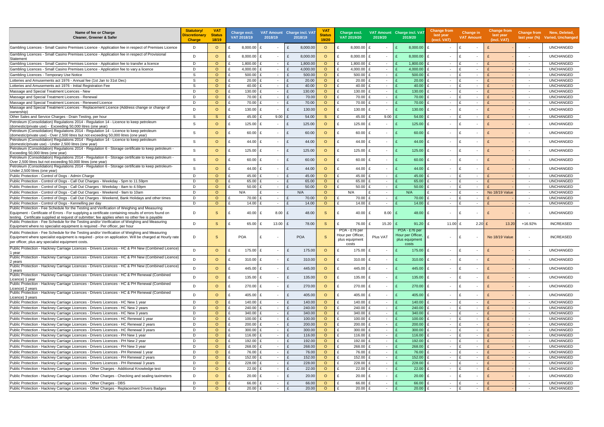| Name of fee or Charge<br>Cleaner, Greener & Safer                                                                                                                                                                                                                                                       | <b>Statutory/</b><br>Discretionary<br><b>Charge</b> | <b>VAT</b><br><b>Status</b><br>18/19 | Charge excl.<br>VAT 2018/19 | 2018/19                                  | VAT Amount Charge incl. VAT<br>2018/19 | <b>VA</b><br><b>Status</b><br>19/20 | Charge excl.<br>VAT 2019/20                          | 2019/20                  | VAT Amount Charge incl. VAT<br>2019/20               | Change from<br>last year<br>(excl. VAT)  | Change in<br><b>VAT Amount</b>           | <b>Change from</b><br>last year<br>(incl. VAT) |                          | Change from New, Deleted,<br>last year (%) Varied, Unchanged |
|---------------------------------------------------------------------------------------------------------------------------------------------------------------------------------------------------------------------------------------------------------------------------------------------------------|-----------------------------------------------------|--------------------------------------|-----------------------------|------------------------------------------|----------------------------------------|-------------------------------------|------------------------------------------------------|--------------------------|------------------------------------------------------|------------------------------------------|------------------------------------------|------------------------------------------------|--------------------------|--------------------------------------------------------------|
| Gambling Licences - Small Casino Premises Licence - Application fee in respect of Premises Licence                                                                                                                                                                                                      | D                                                   | $\circ$                              | 8,000.00                    |                                          | 8,000.00<br>£                          | $\circ$                             | 8,000.00                                             |                          | 8,000.00                                             | £<br>$\sim$                              | £<br>$\sim$                              |                                                | $\sim$                   | <b>UNCHANGED</b>                                             |
| Gambling Licences - Small Casino Premises Licence - Application fee in respect of Provisional<br>Statement                                                                                                                                                                                              | D                                                   | $\circ$                              | 8,000.00 £                  |                                          | $\mathbf{f}$<br>8,000.00               | $\circ$                             | 8,000.00                                             | ∣ £<br>$\sim$            | $8,000.00$ £                                         | $\sim$                                   | £<br>$\overline{\phantom{a}}$            |                                                | $\overline{\phantom{a}}$ | <b>UNCHANGED</b>                                             |
| Gambling Licences - Small Casino Premises Licence - Application fee to transfer a licence                                                                                                                                                                                                               | D                                                   | $\circ$                              | 1,800.00                    | $\sim$                                   | 1,800.00                               | $\circ$                             | 1,800.00                                             | $\sim$                   | 1,800.00                                             | $\sim$                                   | $\mathbf{f}$<br>$\sim$                   |                                                | $\overline{\phantom{a}}$ | <b>UNCHANGED</b>                                             |
| Gambling Licences - Small Casino Premises Licence - Application fee to vary a licence                                                                                                                                                                                                                   | D                                                   | $\circ$                              | 4,000.00                    | $\sim$                                   | 4,000.00                               | $\circ$                             | 4,000.00                                             | $\sim$                   | 4,000.00                                             | $\overline{\phantom{0}}$                 | £<br>$\sim$                              |                                                | $\sim$                   | <b>UNCHANGED</b>                                             |
| Gambling Licences - Temporary Use Notice                                                                                                                                                                                                                                                                | -S                                                  | $\circ$                              | 500.00                      |                                          | 500.00<br>£                            | $\circ$                             | 500.00                                               | $\overline{\phantom{a}}$ | 500.00                                               | $\sim$                                   | £<br>$\overline{\phantom{a}}$            |                                                | $\sim$                   | <b>UNCHANGED</b>                                             |
| Lotteries and Amusements act 1976 - Annual fee (1st Jan to 31st Dec)                                                                                                                                                                                                                                    | S.                                                  | $\circ$                              | 20.00                       | $\sim$                                   | 20.00                                  | $\circ$                             | $20.00$ £                                            | $\sim$                   | 20.00                                                | $\sim$                                   | $\mathbf{f}$<br>$\sim$                   |                                                | $\sim$                   | <b>UNCHANGED</b>                                             |
| Lotteries and Amusements act 1976 - Initial Registration Fee                                                                                                                                                                                                                                            | S                                                   | $\circ$                              | 40.00                       | $\sim$                                   | 40.00                                  | $\circ$                             | 40.00 £                                              | $\sim$                   | 40.00                                                | $\sim$                                   | £<br>$\overline{\phantom{a}}$            |                                                | $\sim$                   | <b>UNCHANGED</b>                                             |
| Massage and Special Treatment Licences - New                                                                                                                                                                                                                                                            | D                                                   | $\circ$                              | 130.00                      | f<br>$\sim$                              | 130.00                                 | $\circ$                             | 130.00                                               | $\sim$                   | 130.00                                               | $\sim$                                   | $\mathbf{f}$<br>$\sim$                   |                                                | $\sim$                   | <b>UNCHANGED</b>                                             |
| Massage and Special Treatment Licences - Renewal                                                                                                                                                                                                                                                        | D                                                   | $\circ$                              | 70.00                       | f<br>$\sim$                              | 70.00<br>£                             | $\circ$                             | 70.00 £                                              | $\sim$                   | 70.00                                                | £<br>$\sim$                              | £<br>$\sim$                              |                                                | $\overline{\phantom{a}}$ | <b>UNCHANGED</b>                                             |
| Massage and Special Treatment Licences - Renewed Licence                                                                                                                                                                                                                                                | D                                                   | $\circ$                              | 70.00                       | f<br>$\sim$                              | 70.00                                  | $\circ$                             | 70.00 £                                              | $\sim$                   | 70.00                                                | $\sim$                                   | £<br>$\sim$                              |                                                | $\sim$                   | <b>UNCHANGED</b>                                             |
| Massage and Special Treatment Licences - Replacement Licence (Address change or change of                                                                                                                                                                                                               |                                                     |                                      |                             |                                          |                                        |                                     |                                                      |                          |                                                      |                                          |                                          |                                                |                          |                                                              |
| ownership)                                                                                                                                                                                                                                                                                              | D                                                   | $\circ$                              | $130.00$ £<br>£             |                                          | 130.00<br>£                            | $\circ$                             | $130.00$ £<br>£                                      | $\sim$                   | 130.00                                               | $\mathbf{f}$<br>$\sim$                   | $\mathbf{f}$<br>$\overline{\phantom{a}}$ |                                                | $\sim$                   | <b>UNCHANGED</b>                                             |
| Other Sales and Service Charges - Drain Testing, per hour                                                                                                                                                                                                                                               | S                                                   | <sub>S</sub>                         | 45.00 £                     | 9.00                                     | 54.00                                  | S                                   | $45.00 \text{ }E$                                    | 9.00                     | 54.00                                                | $\sim$                                   | $\mathbf{f}$<br>$\sim$                   |                                                | $\overline{\phantom{a}}$ | <b>UNCHANGED</b>                                             |
| Petroleum (Consolidation) Regulations 2014 - Regulation 14 - Licence to keep petroleum                                                                                                                                                                                                                  | <sub>S</sub>                                        | $\circ$                              | 125.00                      | ∣ £                                      | 125.00                                 | $\circ$                             | 125.00 $E$                                           | $\overline{\phantom{a}}$ | 125.00                                               | £<br>$\overline{\phantom{a}}$            | £<br>$\overline{\phantom{a}}$            |                                                | $\overline{\phantom{a}}$ | <b>UNCHANGED</b>                                             |
| (domestic/private use) - Exceeding 50,000 litres (one year)<br>Petroleum (Consolidation) Regulations 2014 - Regulation 14 - Licence to keep petroleum                                                                                                                                                   |                                                     |                                      |                             |                                          |                                        |                                     |                                                      |                          |                                                      |                                          |                                          |                                                |                          |                                                              |
| (domestic/private use) - Over 2,500 litres but not exceeding 50,000 litres (one year)                                                                                                                                                                                                                   | S                                                   | $\Omega$                             | 60.00 £                     |                                          | £<br>60.00                             | $\circ$                             | $60.00$ £                                            | $\overline{\phantom{a}}$ | 60.00                                                | £<br>$\sim$                              | £<br>$\overline{\phantom{a}}$            |                                                | $\overline{\phantom{a}}$ | <b>UNCHANGED</b>                                             |
| Petroleum (Consolidation) Regulations 2014 - Regulation 14 - Licence to keep petroleum                                                                                                                                                                                                                  | -S                                                  | $\Omega$                             | 44.00 £                     |                                          | $\mathbf{f}$<br>44.00                  | $\circ$                             | 44.00 £                                              | $\overline{\phantom{a}}$ | 44.00                                                | $\mathbf{f}$<br>$\overline{\phantom{a}}$ | £<br>$\overline{\phantom{a}}$            |                                                | $\overline{\phantom{a}}$ | <b>UNCHANGED</b>                                             |
| (domestic/private use) - Under 2,500 litres (one year)                                                                                                                                                                                                                                                  |                                                     |                                      |                             |                                          |                                        |                                     |                                                      |                          |                                                      |                                          |                                          |                                                |                          |                                                              |
| - Petroleum (Consolidation) Regulations 2014 - Regulation 6 - Storage certificate to keep petroleum<br>Exceeding 50,000 litres (one year)                                                                                                                                                               | -S                                                  | $\circ$                              | $125.00$ £<br>£             |                                          | 125.00<br>£                            | $\circ$                             | 125.00 £<br>£                                        | $\sim$                   | 125.00                                               | $\mathbf{f}$<br>$\sim$                   | £<br>$\overline{\phantom{a}}$            |                                                | $\overline{\phantom{a}}$ | <b>UNCHANGED</b>                                             |
| - Petroleum (Consolidation) Regulations 2014 - Regulation 6 - Storage certificate to keep petroleum                                                                                                                                                                                                     |                                                     |                                      |                             |                                          |                                        |                                     |                                                      |                          |                                                      |                                          |                                          |                                                |                          |                                                              |
| Over 2,500 litres but not exceeding 50,000 litres (one year)                                                                                                                                                                                                                                            | -S                                                  | $\circ$                              | 60.00                       |                                          | 60.00<br>£                             | $\circ$                             | 60.00 £                                              | $\sim$                   | 60.00                                                | £<br>$\sim$                              | - F<br>$\sim$                            |                                                | $\overline{\phantom{a}}$ | <b>UNCHANGED</b>                                             |
| Petroleum (Consolidation) Regulations 2014 - Regulation 6 - Storage certificate to keep petroleum-                                                                                                                                                                                                      | -S                                                  | $\circ$                              | 44.00<br>£                  |                                          | 44.00<br>£                             | $\circ$                             | 44.00 £<br>£                                         | $\sim$                   | 44.00                                                | $\mathbf{f}$<br>$\sim$                   | - F<br>$\overline{\phantom{a}}$          |                                                | $\overline{\phantom{a}}$ | <b>UNCHANGED</b>                                             |
| Under 2,500 litres (one year)                                                                                                                                                                                                                                                                           |                                                     |                                      |                             |                                          |                                        |                                     |                                                      |                          |                                                      |                                          |                                          |                                                |                          |                                                              |
| Public Protection - Control of Dogs - Admin Charge                                                                                                                                                                                                                                                      | D                                                   | $\circ$                              | 45.00 $E$                   | $\sim$                                   | 45.00                                  | $\circ$                             | 45.00 £                                              | $\sim$                   | 45.00                                                | $\sim$                                   | £<br>$\sim$                              |                                                | $\sim$                   | <b>UNCHANGED</b>                                             |
| Public Protection - Control of Dogs - Call Out Charges - Weekday - 5pm to 11.59pm                                                                                                                                                                                                                       | D                                                   | $\circ$                              | $65.00 \text{ E}$           |                                          | 65.00                                  | $\circ$                             | 65.00 £                                              | $\overline{\phantom{a}}$ | 65.00                                                | $\overline{\phantom{0}}$                 | £<br>$\overline{\phantom{a}}$            |                                                | $\sim$                   | <b>UNCHANGED</b>                                             |
| Public Protection - Control of Dogs - Call Out Charges - Weekday - 8am to 4.59pm                                                                                                                                                                                                                        | D                                                   | $\circ$                              | 50.00 £                     | $\sim$                                   | 50.00                                  | $\circ$                             | $50.00$ £                                            | $\sim$                   | 50.00                                                | $\mathbf{f}$<br>$\sim$                   | $\mathbf{f}$<br>$\sim$                   |                                                | $\sim$                   | <b>UNCHANGED</b>                                             |
| Public Protection - Control of Dogs - Call Out Charges - Weekend - 9am to 10am                                                                                                                                                                                                                          | D                                                   | $\Omega$                             | N/A                         | $\sim$                                   | N/A                                    | $\circ$                             | N/A                                                  | $\sim$                   | N/A                                                  | $\overline{\phantom{0}}$                 | £<br>$\overline{\phantom{a}}$            | <b>No 18/19 Value</b>                          | $\sim$ $-$               | <b>UNCHANGED</b>                                             |
| Public Protection - Control of Dogs - Call Out Charges - Weekend, Bank Holidays and other times                                                                                                                                                                                                         | D                                                   | $\circ$                              | 70.00                       | $\mathbf{f}$<br>$\overline{\phantom{a}}$ | 70.00                                  | $\circ$                             | 70.00                                                | $\overline{\phantom{a}}$ | 70.00                                                | $\sim$                                   | £<br>$\overline{\phantom{a}}$            |                                                | $\sim$                   | <b>UNCHANGED</b>                                             |
| Public Protection - Control of Dogs - Kennelling per day                                                                                                                                                                                                                                                | D                                                   | $\circ$                              | t.<br>14.00                 | $\mathbf{f}$<br>$\sim$                   | 14.00                                  | $\circ$                             | 14.00                                                | $\sim$                   | 14.00                                                | $\sim$                                   | $\mathbf{f}$<br>$\sim$                   |                                                |                          | <b>UNCHANGED</b>                                             |
| Public Protection - Fee Schedule for the Testing and Verification of Weighing and Measuring<br>Equipment - Certificate of Errors - For supplying a certificate containing results of errors found on<br>testing. Certificate supplied at request of submitter; fee applies when no other fee is payable | D                                                   | <sub>S</sub>                         | 40.00                       | 8.00                                     | 48.00<br>$\mathbf{f}$                  | S.                                  | 40.00                                                | 8.00                     | 48.00                                                | f<br>$\sim$                              | - F<br>$\sim$                            |                                                | $\sim$                   | <b>UNCHANGED</b>                                             |
| Public Protection - Fee Schedule for the Testing and/or Verification of Weighing and Measuring<br>Equipment where no specialist equipment is required - Per officer, per hour                                                                                                                           | D                                                   | <sub>S</sub>                         | 65.00 £<br>£                | 13.00                                    | 78.00<br>£                             | S                                   | 76.00 £                                              | $15.20$ £                | $91.20$ £                                            | 11.00 $E$                                | $2.20$ £                                 | 13.20                                          | +16.92%                  | <b>INCREASED</b>                                             |
| Public Protection - Fee Schedule for the Testing and/or Verification of Weighing and Measuring<br>Equipment where specialist equipment is required - price on application. Will be charged at Hourly rate                                                                                               | D                                                   | <sub>S</sub>                         | <b>POA</b>                  |                                          | <b>POA</b>                             | <sub>S</sub>                        | POA - £76 per<br>Hour per Officer.<br>plus equipment | Plus VAT                 | POA - £76 per<br>Hour per Officer.<br>plus equipment | $\sim$                                   |                                          | <b>No 18/19 Value</b>                          | $\overline{\phantom{a}}$ | <b>INCREASED</b>                                             |
| per officer, plus any specialist equipment costs.                                                                                                                                                                                                                                                       |                                                     |                                      |                             |                                          |                                        |                                     | costs                                                |                          | costs                                                |                                          |                                          |                                                |                          |                                                              |
| Public Protection - Hackney Carriage Licences - Drivers Licences - HC & PH New (Combined Licence)<br>:1 year                                                                                                                                                                                            | D.                                                  | $\Omega$                             | 175.00 £                    |                                          | 175.00<br>£                            | $\circ$                             | 175.00 £                                             |                          | $175.00$ £                                           | $\sim$                                   | £                                        |                                                |                          | <b>UNCHANGED</b>                                             |
| Public Protection - Hackney Carriage Licences - Drivers Licences - HC & PH New (Combined Licence)<br>2 years                                                                                                                                                                                            | D                                                   | $\circ$                              | 310.00 £<br>£               |                                          | 310.00<br>£                            | $\circ$                             | £<br>310.00 $E$                                      |                          | 310.00 $E$                                           | $\overline{\phantom{0}}$                 | £                                        |                                                |                          | <b>UNCHANGED</b>                                             |
| Public Protection - Hackney Carriage Licences - Drivers Licences - HC & PH New (Combined Licence)                                                                                                                                                                                                       | D                                                   | $\circ$                              | 445.00 £                    |                                          | 445.00<br>£                            | $\circ$                             | £<br>445.00 £                                        | $\overline{\phantom{a}}$ | 445.00 £                                             | $\sim$                                   | £<br>$\overline{\phantom{a}}$            |                                                | $\overline{\phantom{a}}$ | <b>UNCHANGED</b>                                             |
| 3 years<br>Public Protection - Hackney Carriage Licences - Drivers Licences - HC & PH Renewal (Combined                                                                                                                                                                                                 | D                                                   | $\circ$                              | $135.00$ £                  |                                          | 135.00<br>£                            | $\circ$                             | $135.00$ £                                           | $\overline{\phantom{a}}$ | 135.00 £                                             | $\sim$                                   | £<br>$\blacksquare$                      |                                                |                          | <b>UNCHANGED</b>                                             |
| Licence) 1 year<br>Public Protection - Hackney Carriage Licences - Drivers Licences - HC & PH Renewal (Combined                                                                                                                                                                                         | D                                                   | $\circ$                              | 270.00 £                    |                                          | 270.00<br>£                            | $\circ$                             | $270.00$ £                                           | $\sim$                   | $270.00$ £                                           | $\sim$                                   | £<br>$\sim$                              |                                                | $\sim$                   | <b>UNCHANGED</b>                                             |
| Licence) 2 years<br>Public Protection - Hackney Carriage Licences - Drivers Licences - HC & PH Renewal (Combined                                                                                                                                                                                        |                                                     |                                      |                             |                                          | $\mathbf{f}$                           |                                     | $\mathbf{c}$                                         |                          |                                                      |                                          | £                                        |                                                |                          |                                                              |
| Licence) 3 years                                                                                                                                                                                                                                                                                        | D                                                   | $\circ$                              | $405.00 \text{ E}$          |                                          | 405.00                                 | $\circ$                             | $405.00 \, \text{E}$                                 | $\sim$                   | $405.00$ £                                           | $\sim$                                   | $\overline{\phantom{a}}$                 |                                                | $\overline{\phantom{a}}$ | <b>UNCHANGED</b>                                             |
| Public Protection - Hackney Carriage Licences - Drivers Licences - HC New 1 year                                                                                                                                                                                                                        | D                                                   | $\circ$                              | 140.00 £                    | $\sim$                                   | $\mathbf{f}$<br>140.00                 | $\circ$                             | 140.00 £                                             | $\sim$                   | 140.00                                               | $\mathbf{f}$<br>$\sim$                   | $\mathbf{f}$<br>$\sim$                   |                                                | $\sim$                   | <b>UNCHANGED</b>                                             |
| Public Protection - Hackney Carriage Licences - Drivers Licences - HC New 2 years                                                                                                                                                                                                                       | D                                                   | $\circ$                              | 240.00 £                    | $\sim$                                   | $\mathbf{f}$<br>240.00                 | $\circ$                             | $240.00$ £                                           | $\sim$                   | 240.00                                               | £<br>$\sim$                              | £<br>$\sim$                              |                                                | $\sim$                   | <b>UNCHANGED</b>                                             |
| Public Protection - Hackney Carriage Licences - Drivers Licences - HC New 3 years                                                                                                                                                                                                                       | D                                                   | $\circ$                              | 340.00 £                    | $\sim$                                   | £<br>340.00                            | $\circ$                             | 340.00 £                                             | $\sim$                   | 340.00                                               | £<br>$\sim$                              | $\mathbf f$<br>$\sim$                    |                                                | $\sim$                   | <b>UNCHANGED</b>                                             |
| Public Protection - Hackney Carriage Licences - Drivers Licences - HC Renewal 1 year                                                                                                                                                                                                                    | D                                                   | $\circ$                              | $100.00$ £                  | $\sim$                                   | £<br>100.00                            | $\circ$                             | $100.00$ £                                           | $\sim$                   | 100.00                                               | £<br>$\sim$                              | £<br>$\sim$                              |                                                | $\overline{\phantom{a}}$ | <b>UNCHANGED</b>                                             |
| Public Protection - Hackney Carriage Licences - Drivers Licences - HC Renewal 2 years                                                                                                                                                                                                                   | D                                                   | $\circ$                              | $200.00$ £                  | $\sim$                                   | 200.00<br>£                            | $\circ$                             | $200.00$ £                                           | $\sim$                   | 200.00                                               | £<br>$\overline{\phantom{0}}$            | £<br>$\sim$                              |                                                | $\sim$                   | <b>UNCHANGED</b>                                             |
| Public Protection - Hackney Carriage Licences - Drivers Licences - HC Renewal 3 years                                                                                                                                                                                                                   | D                                                   | $\circ$                              | $300.00$ £                  | $\sim$                                   | $\mathbf{f}$<br>300.00                 | $\circ$                             | 300.00 $E$                                           | $\sim$                   | 300.00                                               | £<br>$\sim$                              | $\mathbf{f}$<br>$\sim$                   |                                                | $\sim$                   | <b>UNCHANGED</b>                                             |
| Public Protection - Hackney Carriage Licences - Drivers Licences - PH New 1 year                                                                                                                                                                                                                        | D                                                   | $\circ$                              | 116.00 $E$                  | $\sim$                                   | £<br>116.00                            | $\circ$                             | 116.00 £                                             | $\sim$                   | 116.00                                               | £<br>$\sim$                              | £<br>$\sim$                              |                                                | $\sim$                   | <b>UNCHANGED</b>                                             |
| Public Protection - Hackney Carriage Licences - Drivers Licences - PH New 2 year                                                                                                                                                                                                                        | D                                                   | $\circ$                              | 192.00 £                    | $\sim$                                   | 192.00<br>£                            | $\circ$                             | 192.00 £                                             | $\sim$                   | 192.00                                               | £<br>$\sim$                              | £<br>$\overline{\phantom{a}}$            |                                                | $\sim$                   | <b>UNCHANGED</b>                                             |
| Public Protection - Hackney Carriage Licences - Drivers Licences - PH New 3 year                                                                                                                                                                                                                        | D                                                   | $\circ$                              | 268.00                      | E<br>$\sim$                              | 268.00<br>£                            | $\circ$                             | 268.00 £                                             | $\sim$                   | 268.00                                               | $\sim$                                   | $\mathbf{f}$<br>$\sim$                   |                                                | $\sim$                   | <b>UNCHANGED</b>                                             |
| Public Protection - Hackney Carriage Licences - Drivers Licences - PH Renewal 1 year                                                                                                                                                                                                                    | D                                                   | $\circ$                              | 76.00 £                     | $\sim$                                   | £<br>76.00                             | $\circ$                             | 76.00 £                                              | $\sim$                   | 76.00                                                | £<br>$\overline{a}$                      | £<br>$\sim$                              |                                                | $\sim$                   | <b>UNCHANGED</b>                                             |
| Public Protection - Hackney Carriage Licences - Drivers Licences - PH Renewal 2 years                                                                                                                                                                                                                   | D                                                   | $\circ$                              | $152.00$ £                  | $\sim$                                   | £<br>152.00                            | $\circ$                             | 152.00 £                                             | $\sim$                   | 152.00                                               | £<br>$\sim$                              | $\mathbf f$<br>$\sim$                    |                                                | $\sim$                   | <b>UNCHANGED</b>                                             |
| Public Protection - Hackney Carriage Licences - Drivers Licences - PH Renewal 3 years                                                                                                                                                                                                                   | D                                                   | $\circ$                              | $228.00$ £                  | $\sim$                                   | £<br>228.00                            | $\circ$                             | $228.00$ £                                           | $\sim$                   | 228.00                                               | $\sim$                                   | $\mathbf{f}$<br>$\sim$                   |                                                | $\sim$                   | <b>UNCHANGED</b>                                             |
| Public Protection - Hackney Carriage Licences - Other Charges - Additional Knowledge test                                                                                                                                                                                                               | D                                                   | $\circ$                              | $22.00$ £                   | $\sim$                                   | $\mathbf{f}$<br>22.00                  | $\circ$                             | $22.00$ £                                            | $\sim$                   | 22.00                                                | $\sim$                                   | $\mathbf{f}$<br>$\sim$                   |                                                | $\sim$                   | <b>UNCHANGED</b>                                             |
| Public Protection - Hackney Carriage Licences - Other Charges - Checking and sealing taximeters                                                                                                                                                                                                         | D                                                   | $\circ$                              | $20.00$ £                   |                                          | £<br>20.00                             | $\circ$                             | $20.00$ £                                            | $\sim$                   | 20.00                                                | £<br>$\sim$                              | £<br>$\overline{\phantom{a}}$            |                                                | $\sim$                   | <b>UNCHANGED</b>                                             |
| Public Protection - Hackney Carriage Licences - Other Charges - DBS                                                                                                                                                                                                                                     | D                                                   | $\circ$                              | 66.00 £                     | $\sim$                                   | 66.00<br>£                             | $\circ$                             | 66.00 £                                              | $\sim$                   | 66.00                                                | f<br>$\sim$ $-$                          | £<br>$\sim$                              |                                                | $\sim$                   | <b>UNCHANGED</b>                                             |
| Public Protection - Hackney Carriage Licences - Other Charges - Replacement Drivers Badges                                                                                                                                                                                                              | D                                                   | $\circ$                              | $20.00$ £                   | $\sim$                                   | $\mathbf{f}$<br>20.00                  | $\circ$                             | $20.00$ £<br>£                                       | $\sim$                   | $20.00$ £                                            | $\sim$                                   | £<br>$\sim$                              | $\mathbf{f}$                                   | $\sim$                   | <b>UNCHANGED</b>                                             |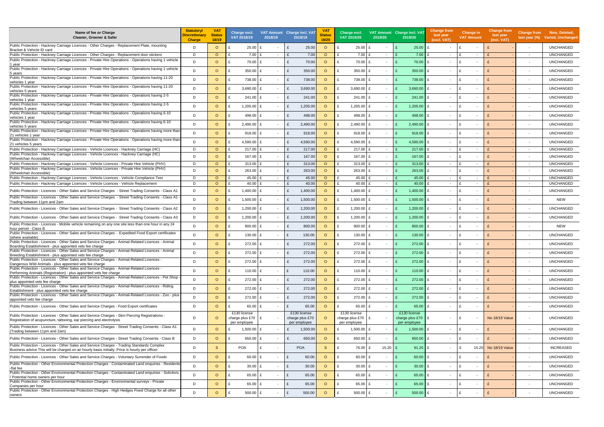| Name of fee or Charge<br>Cleaner, Greener & Safer                                                                                                                                                          | <b>Statutory/</b><br>Discretionary<br><b>Charge</b> | <b>VAT</b><br><b>Status</b><br>18/19 | Charge excl.<br>VAT 2018/19         | 2018/19                        | VAT Amount Charge incl. VAT<br>2018/19 | V <sub>A</sub><br><b>Status</b><br>19/20 | Charge excl.<br>VAT 2019/20           | 2019/20                  | VAT Amount Charge incl. VAT<br>2019/20 | <b>Change from</b><br>last year<br>(excl. VAT) | <b>Change in</b><br><b>VAT Amount</b>    | <b>Change from</b><br>last year<br>(incl. VAT) | <b>Change from</b><br>last year $(\%)$ | New, Deleted,<br>Varied, Unchanged |
|------------------------------------------------------------------------------------------------------------------------------------------------------------------------------------------------------------|-----------------------------------------------------|--------------------------------------|-------------------------------------|--------------------------------|----------------------------------------|------------------------------------------|---------------------------------------|--------------------------|----------------------------------------|------------------------------------------------|------------------------------------------|------------------------------------------------|----------------------------------------|------------------------------------|
| Public Protection - Hackney Carriage Licences - Other Charges - Replacement Plate, mounting<br>Bracket & Vehicle ID card                                                                                   | D                                                   | $\circ$                              | $25.00$ £                           | $\overline{\phantom{a}}$       | 25.00<br>£                             | $\Omega$                                 | 25.00                                 |                          | 25.00                                  | £                                              |                                          |                                                |                                        | <b>UNCHANGED</b>                   |
| Public Protection - Hackney Carriage Licences - Other Charges - Replacement door stickers                                                                                                                  | D                                                   | $\circ$                              | $7.00$ £<br>$\mathbf{f}$            | $\sim$                         | 7.00                                   | $\circ$                                  | 7.00                                  | $\sim$                   | 7.00                                   | $\sim$                                         | $\overline{\phantom{a}}$                 |                                                |                                        | <b>UNCHANGED</b>                   |
| Public Protection - Hackney Carriage Licences - Private Hire Operations - Operations having 1 vehicle<br>1 year                                                                                            | D                                                   | $\circ$                              | $\mathbf{f}$<br>70.00 £             | $\sim$                         | 70.00<br>£                             | $\circ$                                  | 70.00<br>£                            |                          | 70.00                                  | £<br>$\overline{\phantom{a}}$                  |                                          |                                                | $\overline{\phantom{a}}$               | <b>UNCHANGED</b>                   |
| Public Protection - Hackney Carriage Licences - Private Hire Operations - Operations having 1 vehicle                                                                                                      | D                                                   | $\circ$                              | $350.00$ £                          | $\sim$                         | 350.00<br>£                            | $\circ$                                  | 350.00<br>£                           |                          | 350.00                                 | £<br>$\sim$                                    |                                          |                                                |                                        | <b>UNCHANGED</b>                   |
| 5 years<br>Public Protection - Hackney Carriage Licences - Private Hire Operations - Operations having 11-20                                                                                               | D.                                                  | $\circ$                              | 738.00 £                            | $\sim$                         | 738.00<br>£                            | $\Omega$                                 | 738.00<br>£                           |                          | 738.00                                 | £<br>$\overline{\phantom{a}}$                  | $\mathbf{f}$<br>$\overline{\phantom{a}}$ |                                                | $\overline{\phantom{a}}$               | <b>UNCHANGED</b>                   |
| vehicles 1 year<br>Public Protection - Hackney Carriage Licences - Private Hire Operations - Operations having 11-20                                                                                       | D                                                   | $\circ$                              | 3,690.00                            | Ι£<br>$\overline{\phantom{a}}$ | 3,690.00                               | $\Omega$                                 | 3,690.00                              |                          | 3,690.00                               | £                                              | $\mathbf{f}$                             |                                                |                                        | <b>UNCHANGED</b>                   |
| vehicles 5 years<br>Public Protection - Hackney Carriage Licences - Private Hire Operations - Operations having 2-5                                                                                        | D                                                   | $\circ$                              | $241.00 \text{ E}$                  |                                | 241.00<br>£                            | $\circ$                                  | 241.00                                |                          | 241.00                                 | £<br>$\sim$                                    | - F                                      |                                                | $\overline{\phantom{a}}$               | <b>UNCHANGED</b>                   |
| vehicles 1 year<br>Public Protection - Hackney Carriage Licences - Private Hire Operations - Operations having 2-5                                                                                         |                                                     |                                      |                                     | $\sim$                         |                                        |                                          |                                       | $\overline{\phantom{a}}$ |                                        |                                                | $\overline{\phantom{a}}$                 |                                                |                                        |                                    |
| vehicles 5 vears<br>Public Protection - Hackney Carriage Licences - Private Hire Operations - Operations having 6-10                                                                                       | D.                                                  | $\circ$                              | 1,205.00                            | $\sim$                         | 1,205.00<br>f                          | $\circ$                                  | 1,205.00                              |                          | 1,205.00                               | £<br>$\sim$                                    | $\mathbf{f}$<br>$\overline{\phantom{a}}$ |                                                |                                        | <b>UNCHANGED</b>                   |
| vehicles 1 vear                                                                                                                                                                                            | D                                                   | $\circ$                              | 498.00                              | Ι£<br>$\sim$                   | 498.00<br>£                            | $\circ$                                  | 498.00                                |                          | 498.00                                 | £                                              | - F                                      |                                                |                                        | <b>UNCHANGED</b>                   |
| Public Protection - Hackney Carriage Licences - Private Hire Operations - Operations having 6-10<br>vehicles 5 years                                                                                       | D.                                                  | $\circ$                              | 2,490.00                            | Ι£<br>$\sim$                   | 2,490.00<br>- F                        | $\circ$                                  | 2,490.00<br>£                         |                          | 2,490.00                               | £<br>$\sim$                                    | f                                        |                                                |                                        | <b>UNCHANGED</b>                   |
| Public Protection - Hackney Carriage Licences - Private Hire Operations - Operations having more thar<br>:21 vehicles 1 year                                                                               | D                                                   | $\circ$                              | $918.00$ £                          | $\sim$                         | £<br>918.00                            | $\circ$                                  | 918.00<br>£                           |                          | 918.00                                 | £<br>$\sim$                                    | f<br>$\overline{\phantom{a}}$            |                                                | $\overline{\phantom{a}}$               | <b>UNCHANGED</b>                   |
| Public Protection - Hackney Carriage Licences - Private Hire Operations - Operations having more than<br>21 vehicles 5 years                                                                               | D                                                   | $\circ$                              | 4,590.00 £                          | $\sim$                         | 4,590.00<br>£                          | $\Omega$                                 | 4,590.00<br>£                         |                          | 4,590.00                               | £<br>$\overline{\phantom{a}}$                  | f<br>$\overline{\phantom{a}}$            |                                                | $\overline{\phantom{a}}$               | <b>UNCHANGED</b>                   |
| Fublic Protection - Hackney Carriage Licences - Vehicle Licences - Hackney Carriage (HC)                                                                                                                   | D                                                   | $\circ$                              | 217.00                              | $\sim$                         | 217.00                                 | $\circ$                                  | 217.00                                | $\sim$                   | 217.00                                 | $\sim$                                         | $\overline{\phantom{a}}$                 |                                                | $\overline{\phantom{a}}$               | <b>UNCHANGED</b>                   |
| Public Protection - Hackney Carriage Licences - Vehicle Licences - Hackney Carriage (HC)<br>(Wheelchair Accessible)                                                                                        | D                                                   | $\circ$                              | 167.00<br>£                         | $\sim$                         | 167.00<br>f                            | $\circ$                                  | 167.00<br>£                           |                          | 167.00                                 | £                                              |                                          |                                                | $\overline{\phantom{a}}$               | <b>UNCHANGED</b>                   |
| Public Protection - Hackney Carriage Licences - Vehicle Licences - Private Hire Vehicle (PHV)                                                                                                              | D                                                   | $\circ$                              | $313.00$ £                          | $\sim$                         | 313.00                                 | $\circ$                                  | 313.00                                | $\sim$                   | 313.00                                 | £<br>$\sim$                                    | $\overline{\phantom{a}}$                 |                                                | $\sim$                                 | <b>UNCHANGED</b>                   |
| Public Protection - Hackney Carriage Licences - Vehicle Licences - Private Hire Vehicle (PHV)<br>(Wheelchair Accessible)                                                                                   | D.                                                  | $\circ$                              | $263.00$ £                          | $\sim$                         | 263.00                                 | $\Omega$                                 | 263.00                                |                          | 263.00                                 | £                                              |                                          |                                                |                                        | <b>UNCHANGED</b>                   |
| Public Protection - Hackney Carriage Licences - Vehicle Licences - Vehicle Compliance Test                                                                                                                 | D                                                   | $\circ$                              | 45.00 £                             | $\sim$                         | 45.00                                  | $\circ$                                  | 45.00                                 | $\sim$                   | 45.00                                  | $\sim$                                         | $\overline{\phantom{a}}$                 |                                                | $\sim$                                 | <b>UNCHANGED</b>                   |
| Public Protection - Hackney Carriage Licences - Vehicle Licences - Vehicle Replacement                                                                                                                     | D                                                   | $\circ$                              | 40.00                               | $\sim$                         | $\mathbf{f}$<br>40.00                  | $\circ$                                  | 40.00                                 | $-$                      | 40.00                                  | $\sim$                                         | $\overline{\phantom{a}}$                 |                                                | $\overline{\phantom{a}}$               | <b>UNCHANGED</b>                   |
| Public Protection - Licences - Other Sales and Service Charges - Street Trading Consents - Class A1<br>Public Protection - Licences - Other Sales and Service Charges - Street Trading Consents - Class A1 | D.                                                  | $\circ$                              | 1,400.00 £                          | $\sim$                         | 1,400.00<br>£                          | $\circ$                                  | 1,400.00                              | $\sim$                   | 1,400.00                               | £<br>$\overline{\phantom{a}}$                  | $\overline{\phantom{a}}$                 |                                                | $\overline{\phantom{a}}$               | <b>UNCHANGED</b>                   |
| Trading between 11pm and 2am!                                                                                                                                                                              | D                                                   | $\circ$                              | 1,500.00                            | $\sim$                         | 1,500.00<br>£                          | $\Omega$                                 | 1,500.00<br>£                         | $\sim$                   | 1,500.00                               | £<br>$\overline{\phantom{a}}$                  | f<br>$\overline{\phantom{a}}$            |                                                |                                        | <b>NEW</b>                         |
| Public Protection - Licences - Other Sales and Service Charges - Street Trading Consents - Class A2                                                                                                        | D                                                   | $\circ$                              | 1,200.00                            | $\sim$                         | 1,200.00                               | $\Omega$                                 | 1,200.00                              | $\sim$                   | 1,200.00                               | £<br>$\overline{\phantom{a}}$                  | $\overline{\phantom{a}}$                 |                                                | $\overline{\phantom{a}}$               | <b>UNCHANGED</b>                   |
| Public Protection - Licences - Other Sales and Service Charges - Street Trading Consents - Class A3                                                                                                        | D                                                   | $\circ$                              | 1,200.00                            | $\sim$                         | 1,200.00<br>£                          | $\circ$                                  | 1,200.00<br>£                         | $\sim$                   | 1,200.00                               | £<br>$\overline{\phantom{a}}$                  | $\overline{\phantom{a}}$                 |                                                | $\overline{\phantom{a}}$               | <b>UNCHANGED</b>                   |
| Public Protection - Licences - Mobile vehicle remaining on any one site less than one hour in any 24<br>hour period - Class B                                                                              | D                                                   | $\circ$                              | 800.00                              | $\overline{\phantom{a}}$       | 800.00<br>f                            | $\circ$                                  | 800.00                                |                          | 800.00                                 | £                                              |                                          |                                                |                                        | <b>NEW</b>                         |
| Public Protection - Licences - Other Sales and Service Charges - Expedited Food Export certificates                                                                                                        | D                                                   | $\circ$                              | $130.00$ £                          | $\sim$                         | 130.00<br>£                            | $\circ$                                  | 130.00<br>£                           |                          | 130.00                                 | £<br>$\sim$                                    | $\overline{\phantom{a}}$                 |                                                |                                        | <b>UNCHANGED</b>                   |
| (where available)<br>Public Protection - Licences - Other Sales and Service Charges - Animal-Related Licences - Animal                                                                                     | D                                                   | $\circ$                              | 272.00 £                            | $\sim$                         | 272.00<br>£                            |                                          | 272.00                                |                          | 272.00                                 | £<br>$\sim$                                    |                                          |                                                |                                        | <b>UNCHANGED</b>                   |
| Boarding Establishment - plus appointed vets fee charge<br>Public Protection - Licences - Other Sales and Service Charges - Animal-Related Licences - Animal                                               |                                                     |                                      |                                     |                                |                                        |                                          |                                       |                          |                                        |                                                |                                          |                                                |                                        |                                    |
| Breeding Establishment - plus appointed vets fee charge<br>Fublic Protection - Licences - Other Sales and Service Charges - Animal-Related Licences -                                                      | D                                                   | $\Omega$                             | 272.00                              | $\overline{\phantom{a}}$       | 272.00                                 | $\Omega$                                 | 272.00                                |                          | 272.00                                 | $\mathbf{f}$                                   |                                          |                                                |                                        | <b>UNCHANGED</b>                   |
| Dangerous Wild Animals - plus appointed vets fee charge                                                                                                                                                    | D                                                   | $\circ$                              | 272.00 £<br>$\mathbf{f}$            | $\sim$                         | 272.00<br>$\mathbf{f}$                 | $\Omega$                                 | 272.00<br>£                           |                          | 272.00                                 | £<br>$\overline{\phantom{a}}$                  | £<br>$\overline{\phantom{a}}$            | $\mathbf{f}$                                   |                                        | <b>UNCHANGED</b>                   |
| Public Protection - Licences - Other Sales and Service Charges - Animal-Related Licences -<br>Performing Animals (Registration) - plus appointed vets fee charge                                           | D                                                   | $\circ$                              | 110.00 $E$<br>$\mathbf{f}$          | $\sim$                         | E<br>110.00                            | $\circ$                                  | £<br>110.00 $E$                       |                          | 110.00                                 | £<br>$\sim$                                    | E<br>$\overline{\phantom{a}}$            | $\mathbf{f}$                                   | $\overline{\phantom{a}}$               | <b>UNCHANGED</b>                   |
| Public Protection - Licences - Other Sales and Service Charges - Animal-Related Licences - Pet Shop<br>plus appointed vets fee charge                                                                      | D                                                   | $\circ$                              | 272.00 £<br>$\mathbf{f}$            | $\sim$                         | 272.00<br>$\mathbf{f}$                 | $\circ$                                  | £<br>272.00 £                         |                          | 272.00                                 | £<br>$\sim$                                    | £<br>$\overline{\phantom{a}}$            | $\mathbf{f}$                                   | $\overline{\phantom{a}}$               | <b>UNCHANGED</b>                   |
| Public Protection - Licences - Other Sales and Service Charges - Animal-Related Licences - Riding                                                                                                          | D                                                   | $\circ$                              | $272.00$ £<br>£                     | $\sim$                         | £<br>272.00                            | $\circ$                                  | £<br>$272.00$ £                       |                          | 272.00                                 | £<br>$\overline{\phantom{a}}$                  | £<br>$\overline{\phantom{a}}$            |                                                | $\overline{\phantom{a}}$               | <b>UNCHANGED</b>                   |
| Establishment - plus appointed vets fee charge<br>Public Protection - Licences - Other Sales and Service Charges - Animal-Related Licences - Zoo - plus                                                    | D                                                   | $\circ$                              | 272.00 £<br>£                       | $\sim$                         | 272.00<br>£                            | $\Omega$                                 | 272.00 £<br>£                         |                          | 272.00<br>£                            | £<br>$\overline{\phantom{a}}$                  | $\mathbf{f}$<br>$\overline{\phantom{a}}$ | $\mathbf{f}$                                   | $\overline{\phantom{a}}$               | <b>UNCHANGED</b>                   |
| appointed vets fee charge                                                                                                                                                                                  |                                                     |                                      | $\mathbf{f}$                        |                                |                                        |                                          | £                                     |                          |                                        |                                                | £                                        |                                                |                                        |                                    |
| Public Protection - Licences - Other Sales and Service Charges - Food Export certificates                                                                                                                  | D                                                   | $\circ$                              | 65.00 £<br>£130 license             | $\sim$                         | £<br>65.00<br>£130 license             | $\circ$                                  | 65.00 £<br>£130 license               |                          | 65.00<br>£130 license                  | £<br>$\overline{\phantom{a}}$                  | $\overline{\phantom{a}}$                 |                                                | $\overline{\phantom{a}}$               | <b>UNCHANGED</b>                   |
| Public Protection - Licences - Other Sales and Service Charges - Skin Piercing Registrations -<br>Registration of acupuncture, tattooing, ear piercing and electrolysis                                    | D                                                   | $\circ$                              | charge plus £70 $E$<br>per employee | $\sim$                         | charge plus £70                        | $\circ$                                  | charge plus £70   $E$<br>per employee |                          | charge plus £70 $\parallel$            | £<br>$\sim$                                    | E<br>$\overline{\phantom{a}}$            | No 18/19 Value                                 | $\overline{\phantom{a}}$               | <b>UNCHANGED</b>                   |
| Public Protection - Licences - Other Sales and Service Charges - Street Trading Consents - Class A1<br>(Trading between 11pm and 2am)                                                                      | D                                                   | $\circ$                              | 1,500.00 £                          | $\sim$                         | per employee<br>1,500.00<br>£          | $\Omega$                                 | 1,500.00 £                            | $\sim$                   | per employee<br>1,500.00 $E$           | $\overline{\phantom{a}}$                       | £<br>$\overline{\phantom{a}}$            |                                                | $\overline{\phantom{a}}$               | <b>UNCHANGED</b>                   |
| Public Protection - Licences - Other Sales and Service Charges - Street Trading Consents - Class B                                                                                                         | D                                                   | $\circ$                              | 650.00 £<br>$\mathbf{f}$            | $\sim$                         | 650.00<br>$\mathbf{f}$                 | $\Omega$                                 | 650.00 £<br>£                         |                          | 650.00                                 | £<br>$\overline{\phantom{a}}$                  | E                                        |                                                | $\overline{\phantom{a}}$               | <b>UNCHANGED</b>                   |
| Public Protection - Licences - Other Sales and Service Charges - Trading Standards Complex                                                                                                                 | D                                                   | <sub>S</sub>                         | POA                                 | $\overline{\phantom{a}}$       | <b>POA</b>                             | -S                                       | 76.00 £<br>£                          | $15.20$ £                | $91.20$ £                              | $\overline{\phantom{a}}$                       | 15.20<br>£                               | No 18/19 Value                                 | $\overline{\phantom{a}}$               | <b>INCREASED</b>                   |
| Business advice This will be charged on an hourly basis initially. Price is hourly per officer.                                                                                                            |                                                     |                                      |                                     |                                |                                        |                                          |                                       |                          |                                        |                                                |                                          |                                                |                                        |                                    |
| Public Protection - Licences - Other Sales and Service Charges - Voluntary Surrender of Foods<br>Public Protection - Other Environmental Protection Charges - Contaminated Land enquiries - Residents      | D                                                   | $\circ$                              | 60.00 £<br>£                        | $\sim$                         | £<br>60.00                             | $\Omega$                                 | $60.00$ £<br>£                        |                          | 60.00                                  | £<br>$\overline{\phantom{a}}$                  | £                                        |                                                |                                        | <b>UNCHANGED</b>                   |
| -flat fee                                                                                                                                                                                                  | D.                                                  | $\circ$                              | £<br>$30.00$ £                      | $\sim$                         | £<br>30.00                             | $\circ$                                  | 30.00 $E$<br>£                        |                          | 30.00<br>£                             | £<br>$\overline{\phantom{a}}$                  | £<br>$\overline{\phantom{a}}$            |                                                |                                        | <b>UNCHANGED</b>                   |
| Public Protection - Other Environmental Protection Charges - Contaminated Land enquiries - Solicitors<br>Potential home owners per hour                                                                    | D.                                                  | $\circ$                              | $\mathbf{f}$<br>65.00 £             | $\sim$                         | £<br>65.00                             | $\Omega$                                 | 65.00 £<br>£                          |                          | 65.00<br>£.                            | £<br>$\blacksquare$                            | $\mathbf{f}$<br>$\overline{\phantom{a}}$ |                                                |                                        | <b>UNCHANGED</b>                   |
| Public Protection - Other Environmental Protection Charges - Environmental surveys - Private<br>Companies per hour                                                                                         | D                                                   | $\circ$                              | $\mathbf{f}$<br>65.00 £             | $\sim$                         | 65.00<br>£                             | $\Omega$                                 | 65.00 £<br>£                          |                          | 65.00<br>£                             | £<br>$\overline{\phantom{a}}$                  | $\mathbf{f}$<br>$\overline{\phantom{a}}$ |                                                | $\overline{\phantom{a}}$               | <b>UNCHANGED</b>                   |
| Public Protection - Other Environmental Protection Charges - High Hedges Fixed Charge for all other<br>owners                                                                                              | D                                                   | $\circ$                              | $500.00$ £<br>£                     | $\sim$                         | £<br>500.00                            | $\circ$                                  | 500.00 £<br>£                         |                          | 500.00                                 | £<br>$\overline{\phantom{a}}$                  | £<br>$\overline{\phantom{a}}$            |                                                |                                        | <b>UNCHANGED</b>                   |
|                                                                                                                                                                                                            |                                                     |                                      |                                     |                                |                                        |                                          |                                       |                          |                                        |                                                |                                          |                                                |                                        |                                    |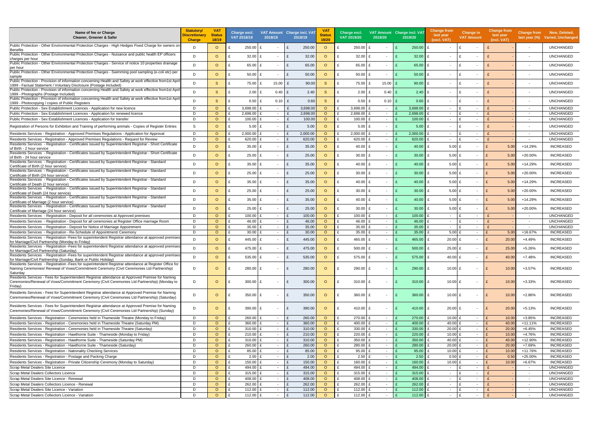| Name of fee or Charge<br>Cleaner, Greener & Safer                                                                                                                                                    | <b>Statutory/</b><br>Discretionary<br><b>Charge</b> | <b>VAT</b><br><b>Status</b><br>18/19 |              | Charge excl.<br>VAT 2018/19 | VAT Amount Charge incl. VAT<br>2018/19 |                              | 2018/19       | VA <sub>1</sub><br><b>Status</b><br>19/20 | Charge excl.<br>VAT 2019/20 | 2019/20                  | VAT Amount Charge incl. VAT<br>2019/20 | Change from<br>last year<br>(excl. VAT) | <b>Change in</b><br><b>VAT Amount</b> | <b>Change from</b><br>last year<br>(incl. VAT) |                          | Change from New, Deleted,<br>last year (%) Varied, Unchanged |
|------------------------------------------------------------------------------------------------------------------------------------------------------------------------------------------------------|-----------------------------------------------------|--------------------------------------|--------------|-----------------------------|----------------------------------------|------------------------------|---------------|-------------------------------------------|-----------------------------|--------------------------|----------------------------------------|-----------------------------------------|---------------------------------------|------------------------------------------------|--------------------------|--------------------------------------------------------------|
| Public Protection - Other Environmental Protection Charges - High Hedges Fixed Charge for owners on<br><b>Benefits</b>                                                                               | D                                                   | $\circ$                              |              | 250.00                      | $\sim$                                 |                              | 250.00        | $\circ$                                   | 250.00                      |                          | 250.00                                 | $\sim$                                  | $\sim$                                |                                                | $\overline{\phantom{a}}$ | <b>UNCHANGED</b>                                             |
| Public Protection - Other Environmental Protection Charges - Nuisance and public health EP officers                                                                                                  | D                                                   | $\Omega$                             | £            | 32.00                       | $\sim$                                 | £                            | 32.00         | $\Omega$                                  | 32.00                       | $\sim$                   | 32.00                                  | £<br>$\overline{\phantom{a}}$           | ١£<br>$\sim$                          |                                                | $\overline{\phantom{a}}$ | <b>UNCHANGED</b>                                             |
| charges per hour<br>Public Protection - Other Environmental Protection Charges - Service of notice 10 properties drainage                                                                            | D                                                   | $\circ$                              | £            | 65.00                       |                                        | £                            | 65.00         | $\circ$                                   | 65.00                       |                          | 65.00                                  | £                                       |                                       |                                                |                          | <b>UNCHANGED</b>                                             |
| per hour<br>Public Protection - Other Environmental Protection Charges - Swimming pool sampling (e-coli etc) per                                                                                     | D                                                   | $\circ$                              | £            | 50.00 £                     | $\sim$                                 | £                            | 50.00         | $\circ$                                   | 50.00                       | $\sim$                   | 50.00                                  | £<br>$\overline{\phantom{a}}$           | ١£<br>$\overline{\phantom{a}}$        |                                                | $\overline{\phantom{a}}$ | <b>UNCHANGED</b>                                             |
| sample<br>Public Protection - Provision of information concerning Health and Safety at work effective from1st Apri<br>1999 - Factual Statement / Voluntary Disclosure (Postage Included)             | D                                                   | <sub>S</sub>                         | £            | 75.00 £                     | 15.00 $E$                              |                              | 90.00         | <sub>S</sub>                              | 75.00                       | 15.00                    | 90.00                                  | £<br>$\overline{\phantom{a}}$           | f<br>$\overline{\phantom{a}}$         |                                                |                          | <b>UNCHANGED</b>                                             |
| Public Protection - Provision of information concerning Health and Safety at work effective from1st April                                                                                            | D                                                   | <sub>S</sub>                         | £            | $2.00$ £                    | 0.40 E                                 |                              | 2.40          | <sub>S</sub>                              | 2.00                        | 0.40                     | 2.40                                   | £<br>$\overline{\phantom{a}}$           | ١£<br>$\sim$                          |                                                |                          | <b>UNCHANGED</b>                                             |
| 1999 - Photographs (Postage Included)<br>Public Protection - Provision of information concerning Health and Safety at work effective from1st April                                                   | D                                                   | <sub>S</sub>                         | £            | $0.50$ £                    | $0.10$ £                               |                              | 0.60          | <sub>S</sub>                              | 0.50                        | 0.10                     | 0.60                                   | £<br>$\overline{\phantom{a}}$           | ١£<br>$\overline{\phantom{a}}$        |                                                |                          | <b>UNCHANGED</b>                                             |
| 1999 - Photocopying / copies of Public Registers<br>Public Protection - Sex Establishment Licences - Application for new licence                                                                     | D                                                   | $\circ$                              |              | 3,698.00 £                  | $\sim$                                 |                              | 3,698.00      | $\Omega$                                  | 3,698.00                    | $\sim$                   | 3,698.00                               | $\overline{\phantom{a}}$                | ١£<br>$\sim$                          |                                                | $\sim$                   | <b>UNCHANGED</b>                                             |
| Public Protection - Sex Establishment Licences - Application for renewed licence                                                                                                                     | D                                                   | $\Omega$                             |              | 2,698.00                    | $\sim$                                 |                              | 2,698.00      | $\circ$                                   | 2,698.00                    | $\sim$                   | 2,698.00                               | $\sim$                                  | ١£<br>$\sim$                          |                                                | $\sim$                   | <b>UNCHANGED</b>                                             |
| Public Protection - Sex Establishment Licences - Application for transfer                                                                                                                            | D                                                   | $\circ$                              |              | 100.00                      | $\sim$                                 |                              | 100.00        | $\circ$                                   | 100.00                      | $\sim$                   | 100.00                                 | $\sim$                                  | ١£<br>$\overline{\phantom{a}}$        |                                                |                          | <b>UNCHANGED</b>                                             |
| Registration of Persons for Exhibition and Training of performing animals - Copies of Register Entries                                                                                               | S                                                   | $\Omega$                             |              | 5.00                        | $\sim$                                 | £                            | 5.00          | $\circ$                                   | 5.00                        | $\sim$                   | 5.00                                   | £<br>$\overline{\phantom{a}}$           | - F<br>$\sim$                         |                                                | $\overline{\phantom{a}}$ | <b>UNCHANGED</b>                                             |
| Residents Services - Registration - Approved Premises Regulations - Application for Approval                                                                                                         | D                                                   | $\circ$                              |              | $2,000.00$ £                | $\sim$                                 |                              | 2,000.00      | $\circ$                                   | 2,000.00                    | $\sim$                   | 2,000.00                               | £<br>$\overline{\phantom{a}}$           | ١£<br>$\sim$                          |                                                | $\overline{\phantom{a}}$ | <b>UNCHANGED</b>                                             |
| Residents Services - Registration - Approved Premises Regulations - Request for Review                                                                                                               | D                                                   | $\Omega$                             | £            | 620.00 £                    | $\sim$                                 | $\mathbf{f}$                 | 620.00        | $\circ$                                   | 620.00                      | $\sim$                   | 620.00                                 | $\mathbf{f}$<br>$\sim$                  | ١£<br>$\sim$                          |                                                | $\overline{\phantom{a}}$ | <b>UNCHANGED</b>                                             |
| Residents Services - Registration - Certificates issued by Superintendent Registrar - Short Certificate<br>of Birth - 2 hour service                                                                 | D                                                   | $\circ$                              | £            | 35.00                       | $\overline{\phantom{a}}$               | £                            | 35.00         | $\circ$                                   | 40.00                       | $\sim$                   | 40.00                                  | £<br>$5.00$ £                           | $\overline{\phantom{a}}$              | 5.00<br>$\mathbf{f}$                           | +14.29%                  | <b>INCREASED</b>                                             |
| Residents Services - Registration - Certificates issued by Superintendent Registrar - Short Certificate<br>of Birth - 24 hour service                                                                | D                                                   | $\circ$                              | £            | 25.00                       | $\overline{\phantom{a}}$               | $\mathbf{f}$                 | 25.00         | $\circ$                                   | 30.00                       |                          | 30.00                                  | $5.00$ £<br>£                           | $\overline{\phantom{a}}$              | $\mathsf{F}$<br>5.00                           | +20.00%                  | <b>INCREASED</b>                                             |
| Residents Services - Registration - Certificates issued by Superintendent Registrar - Standard<br>Certificate of Birth (2 hour service)                                                              | D                                                   | $\circ$                              | $\mathbf{f}$ | 35.00 $£$                   | $\sim$                                 | E                            | 35.00         | $\circ$                                   | 40.00                       |                          | 40.00                                  | $5.00$ £<br>£                           | $\overline{\phantom{a}}$              | $\mathsf{F}$<br>5.00                           | +14.29%                  | <b>INCREASED</b>                                             |
| Residents Services - Registration - Certificates issued by Superintendent Registrar - Standard<br>Certificate of Birth (24 hour service)                                                             | D                                                   | $\circ$                              | $\mathbf{f}$ | $25.00$ £                   | $\overline{\phantom{a}}$               | £                            | 25.00         | $\circ$                                   | 30.00                       |                          | 30.00                                  | $5.00$ £<br>£                           | $\overline{\phantom{a}}$              | $\mathsf{F}$<br>5.00                           | +20.00%                  | <b>INCREASED</b>                                             |
| Residents Services - Registration - Certificates issued by Superintendent Registrar - Standard<br>Certificate of Death (2 hour service)                                                              | D                                                   | $\Omega$                             | £            | $35.00$ £                   | $\sim$                                 | £                            | 35.00         | $\Omega$                                  | 40.00<br>$\mathbf{f}$       | $\overline{\phantom{a}}$ | 40.00                                  | $5.00$ £<br>£                           | $\overline{\phantom{a}}$              | $\mathsf{F}$<br>5.00                           | +14.29%                  | <b>INCREASED</b>                                             |
| Residents Services - Registration - Certificates issued by Superintendent Registrar - Standard<br>Certificate of Death (24 hour service)                                                             | D                                                   | $\Omega$                             | $\mathbf{f}$ | $25.00$ £                   | $\sim$                                 | £                            | 25.00         | $\circ$                                   | 30.00                       |                          | 30.00                                  | $5.00$ £<br>£                           | $\overline{\phantom{a}}$              | $\mathsf{F}$<br>5.00                           | +20.00%                  | <b>INCREASED</b>                                             |
| Residents Services - Registration - Certificates issued by Superintendent Registrar - Standard<br>Certificate of Marriage (2 hour service)                                                           | D.                                                  | $\Omega$                             | £            | $35.00$ £                   | $\sim$                                 | £                            | 35.00         | $\circ$                                   | 40.00                       | $\sim$                   | 40.00                                  | £<br>$5.00$ £                           | $\sim$                                | 5.00                                           | +14.29%                  | <b>INCREASED</b>                                             |
| Residents Services - Registration - Certificates issued by Superintendent Registrar - Standard<br>Certificate of Marriage (24 hour service)                                                          | D                                                   | $\Omega$                             | £            | 25.00                       | $\sim$ $-$                             | £                            | 25.00         | $\Omega$                                  | 30.00                       | $\sim$                   | 30.00                                  | $5.00$ £<br>£                           | $\sim$                                | $\mathbf{f}$<br>5.00                           | +20.00%                  | <b>INCREASED</b>                                             |
| Residents Services - Registration - Deposit for all ceremonies at Approved premises                                                                                                                  | D                                                   | $\circ$                              | £            | $100.00$ £                  | $\sim$                                 | $\mathbf{f}$                 | 100.00        | $\circ$                                   | 100.00                      | $\sim$                   | 100.00                                 | £<br>$\sim$                             | ١£<br>$\sim$                          |                                                | $\overline{\phantom{a}}$ | <b>UNCHANGED</b>                                             |
| Residents Services - Registration - Deposit for all ceremonies at Register Office marriage Room                                                                                                      | D                                                   | $\Omega$                             |              | 46.00                       | $\sim$                                 | $\mathbf{f}$                 | 46.00         | $\circ$                                   | 46.00                       | $\sim$                   | 46.00                                  | $\sim$                                  | ١£<br>$\sim$                          |                                                | $\overline{\phantom{a}}$ | <b>UNCHANGED</b>                                             |
| Residents Services - Registration - Deposit for Notice of Marriage Appointment                                                                                                                       | D                                                   | $\circ$                              |              | 35.00                       | $\sim$                                 | $\mathbf{f}$                 | 35.00         | $\circ$                                   | 35.00                       | $\sim$                   | 35.00                                  | $\sim$                                  | ١£<br>$\sim$                          |                                                | $\overline{\phantom{a}}$ | <b>UNCHANGED</b>                                             |
| Residents Services - Registration - Re-Schedule of Appointment/ Ceremony                                                                                                                             | D                                                   | $\circ$                              | £            | 30.00 $£$                   | $\sim$                                 | $\mathbf{f}$                 | 30.00         | $\circ$                                   | 35.00                       | $\sim$                   | 35.00                                  | $5.00$ £                                | $\sim$                                | 5.00                                           | +16.67%                  | INCREASED                                                    |
| Residents Services - Registration -Fees for superintendent Registrar attendance at approved premises<br>for Marriage/Civil Partnership (Monday to Friday)                                            | D                                                   | $\Omega$                             | £            | 445.00 £                    | $\sim$                                 | E                            | 445.00        | $\circ$                                   | 465.00                      | $\sim$                   | 465.00                                 | $20.00$ £<br>£                          | $\sim$                                | E<br>20.00                                     | $+4.49%$                 | <b>INCREASED</b>                                             |
| Residents Services - Registration - Fees for superintendent Registrar attendance at approved premises<br>for Marriage/Civil Partnership (Saturday)                                                   | D.                                                  | $\circ$                              |              | 475.00 £                    | $\sim$                                 | E                            | 475.00        | $\circ$                                   | 500.00 £                    |                          | 500.00                                 | $25.00$ £<br>£                          | $\sim$                                | 25.00<br>∣ £                                   | +5.26%                   | <b>INCREASED</b>                                             |
| Residents Services - Registration -Fees for superintendent Registrar attendance at approved premises<br>for Marriage/Civil Partnership (Sunday, Bank or Public Holiday)                              | D                                                   | $\circ$                              |              | 535.00 £                    |                                        | E                            | 535.00        | $\circ$                                   | 575.00                      |                          | $575.00 \text{ E}$                     | 40.00 £                                 | $\overline{\phantom{a}}$              | E<br>40.00                                     | $+7.48%$                 | <b>INCREASED</b>                                             |
| Residents Services - Registration - Fees for superintendent Registrar attendance at Register Office for<br>Naming Ceremonies/ Renewal of Vows/Commitment Ceremony (Civil Ceremonies Ltd Partnership) | D                                                   | $\circ$                              |              | 280.00 £                    | $\sim$                                 | £                            | 280.00        | $\circ$                                   | 290.00                      | $\sim$                   | 290.00                                 | 10.00 £<br>£                            | $\overline{\phantom{a}}$              | 10.00                                          | +3.57%                   | <b>INCREASED</b>                                             |
| Saturday<br>Residents Services - Fees for Superintendent Registrar attendance at Approved Premise for Naming                                                                                         |                                                     |                                      |              |                             |                                        |                              |               |                                           |                             |                          |                                        |                                         |                                       |                                                |                          |                                                              |
| Ceremonies/Renewal of Vows/Commitment Ceremony (Civil Ceremonies Ltd Partnership) (Monday to<br>Friday)                                                                                              | D                                                   | $\circ$                              |              | 300.00 $E$                  | $\sim$                                 | £                            | 300.00        | $\circ$                                   | 310.00<br>f                 | $\sim$                   | 310.00                                 | 10.00 £<br>E                            | $\sim$                                | E<br>10.00                                     | $+3.33%$                 | <b>INCREASED</b>                                             |
| Residents Services - Fees for Superintendent Registrar attendance at Approved Premise for Naming<br>Ceremonies/Renewal of Vows/Commitment Ceremony (Civil Ceremonies Ltd Partnership) (Saturday)     | D                                                   | $\circ$                              | £            | 350.00 £                    | $\sim$                                 | £                            | 350.00        | $\circ$                                   | 360.00                      | $\sim$                   | 360.00                                 | 10.00 £<br>£                            | $\overline{\phantom{a}}$              | E<br>10.00                                     | $+2.86%$                 | <b>INCREASED</b>                                             |
| Residents Services - Fees for Superintendent Registrar attendance at Approved Premise for Naming<br>Ceremonies/Renewal of Vows/Commitment Ceremony (Civil Ceremonies Ltd Partnership) (Sunday)       | D                                                   | $\circ$                              | £            | 390.00 $E$                  | $\overline{\phantom{a}}$               | £                            | 390.00        | $\circ$                                   | 410.00                      | $\sim$                   | 410.00                                 | $20.00$ £<br>£                          | $\sim$                                | 20.00<br>E                                     | $+5.13%$                 | <b>INCREASED</b>                                             |
| Residents Services - Registration - Ceremonies held in Thameside Theatre (Monday to Friday)                                                                                                          | D                                                   | $\circ$                              |              | 260.00 £                    | $\sim$                                 |                              | 260.00        | $\circ$                                   | 270.00                      | $\sim$                   | 270.00                                 | 10.00 £                                 | $\sim$                                | 10.00                                          | +3.85%                   | <b>INCREASED</b>                                             |
| Residents Services - Registration - Ceremonies held in Thameside Theatre (Saturday PM)                                                                                                               | D                                                   | $\Omega$                             | £            | 360.00 £                    | $\sim$                                 | £                            | 360.00        | $\circ$                                   | 400.00                      | $\sim$                   | 400.00                                 | 40.00 £<br>£                            | $\sim$                                | 40.00                                          | $+11.11%$                | <b>INCREASED</b>                                             |
| Residents Services - Registration - Ceremonies held in Thameside Theatre (Saturday)                                                                                                                  | D                                                   | $\circ$                              |              | 310.00 £                    | $\sim$                                 |                              | 310.00        | $\circ$                                   | 330.00                      | $\sim$                   | 330.00                                 | $20.00$ £<br>£                          | $\sim$                                | 20.00                                          | $+6.45%$                 | <b>INCREASED</b>                                             |
| Residents Services - Registration - Hawthorne Suite - Thameside (Monday to Friday)                                                                                                                   | D                                                   | $\circ$                              |              | $210.00$ £                  | $\sim$                                 | E                            | 210.00        | $\circ$                                   | 220.00                      | $\sim$                   | 220.00                                 | 10.00 £<br>£                            | $\sim$                                | 10.00                                          | +4.76%                   | <b>INCREASED</b>                                             |
| Residents Services - Registration - Hawthorne Suite - Thameside (Saturday PM)                                                                                                                        | D                                                   | $\Omega$                             |              | 310.00 $E$                  | $\sim$                                 | £                            | 310.00        | $\circ$                                   | 350.00                      | $\sim$                   | 350.00                                 | 40.00 £<br>£                            | $\sim$                                | 40.00                                          | +12.90%                  | <b>INCREASED</b>                                             |
| Residents Services - Registration - Hawthorne Suite - Thameside (Saturday)                                                                                                                           | D                                                   | $\circ$                              |              | 260.00 £                    | $\sim$                                 | $\mathbf{f}$                 | 260.00        | $\circ$                                   | 280.00                      | $\sim$                   | 280.00                                 | $20.00$ £                               | $\sim$                                | 20.00                                          | +7.69%                   | INCREASED                                                    |
| Residents Services - Registration - Nationality Checking Services<br>Residents Services - Registration - Postage and Packing Charge                                                                  | D<br>D                                              | $\circ$<br>$\circ$                   | £            | 85.00 £<br>$2.00$ £         | $\sim$<br>$\sim$                       | $\mathbf{f}$<br>$\mathbf{f}$ | 85.00<br>2.00 | $\circ$<br>$\circ$                        | 95.00<br>2.50               | $\sim$<br>$\sim$         | 95.00<br>2.50                          | 10.00 £<br>£<br>$0.50$ £<br>£           | $\sim$<br>$\sim$                      | 10.00<br>0.50                                  | +11.76%<br>+25.00%       | <b>INCREASED</b><br><b>INCREASED</b>                         |
| Residents Services - Registration - Private Citizenship Ceremony (Monday to Saturday)                                                                                                                | D                                                   | $\circ$                              |              | 150.00 £                    | $\sim$                                 |                              | 150.00        | $\circ$                                   | 160.00                      | $\sim$                   | 160.00                                 | 10.00 $E$<br>£                          | $\sim$                                | 10.00                                          | +6.67%                   | <b>INCREASED</b>                                             |
| Scrap Metal Dealers Site Licence                                                                                                                                                                     | D                                                   | $\circ$                              |              | 494.00 £                    | $\sim$                                 | £                            | 494.00        | $\circ$                                   | 494.00                      | $\sim$                   | 494.00                                 | $\sim$                                  | ١£<br>$\overline{\phantom{a}}$        |                                                | $\sim$                   | <b>UNCHANGED</b>                                             |
| Scrap Metal Dealers Collectors Licence                                                                                                                                                               | D                                                   | $\circ$                              |              | $315.00$ £                  | $\sim$                                 | £                            | 315.00        | $\circ$                                   | 315.00                      | $\sim$                   | 315.00                                 | $\overline{\phantom{a}}$                | ١£<br>$\overline{\phantom{a}}$        |                                                | $\sim$                   | <b>UNCHANGED</b>                                             |
| Scrap Metal Dealers Site Licence - Renewal                                                                                                                                                           | D                                                   | $\circ$                              | £            | 408.00 £                    | $\sim$                                 | $\mathbf{f}$                 | 408.00        | $\circ$                                   | 408.00                      | $\sim$                   | 408.00                                 | £<br>$\sim$                             | ١£<br>$\sim$                          |                                                | $\sim$                   | <b>UNCHANGED</b>                                             |
| Scrap Metal Dealers Collectors Licence - Renewal                                                                                                                                                     | D                                                   | $\circ$                              |              | 262.00 £                    | $\sim$                                 |                              | 262.00        | $\circ$                                   | 262.00                      | $\sim$                   | 262.00                                 | $\sim$                                  | ١£<br>$\overline{\phantom{a}}$        |                                                | $\sim$                   | <b>UNCHANGED</b>                                             |
| Scrap Metal Dealers Site Licence - Variation                                                                                                                                                         | D                                                   | $\circ$                              |              | 112.00 £                    | $\sim$                                 | E                            | 112.00        | $\circ$                                   | 112.00                      | $\sim$                   | 112.00                                 | £<br>$\overline{\phantom{a}}$           | ١£<br>$\overline{\phantom{a}}$        |                                                | $\overline{\phantom{a}}$ | <b>UNCHANGED</b>                                             |
| Scrap Metal Dealers Collectors Licence - Variation                                                                                                                                                   | D                                                   | $\circ$                              | £            | 112.00 £                    | $\sim$                                 | E                            | 112.00        | $\circ$                                   | 112.00                      | $\sim$                   | 112.00                                 | $\sim$                                  | E<br>$\sim$                           |                                                | $\overline{\phantom{a}}$ | <b>UNCHANGED</b>                                             |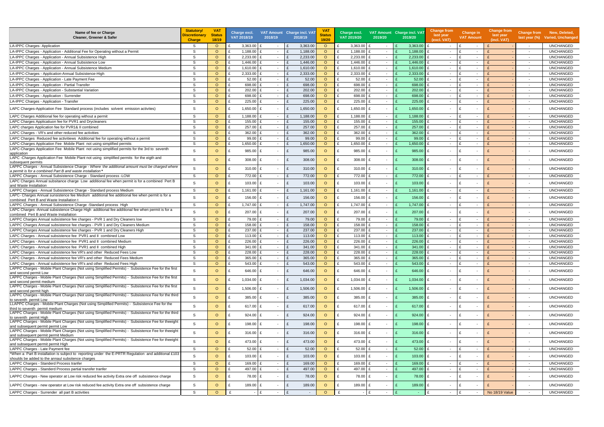| Name of fee or Charge<br><b>Cleaner, Greener &amp; Safer</b>                                                                                              | <b>Statutory/</b><br>Discretionarv<br><b>Charge</b> | <b>VAT</b><br><b>Status</b><br>18/19 | <b>VAT 2018/19</b> | Charge excl. | 2018/19                  | VAT Amount Charge incl. VAT<br>2018/19 | VA <sub>1</sub><br><b>Status</b><br>19/20 | Charge excl.<br>VAT 2019/20 | 2019/20                            | VAT Amount Charge incl. VAT<br>2019/20 | <b>Change from</b><br>last year<br>(excl. VAT) | Change in<br><b>VAT Amount</b>   | <b>Change from</b><br>last year<br>(incl. VAT) |                                                      | Change from New, Deleted,<br>last year (%) Varied, Unchanged |
|-----------------------------------------------------------------------------------------------------------------------------------------------------------|-----------------------------------------------------|--------------------------------------|--------------------|--------------|--------------------------|----------------------------------------|-------------------------------------------|-----------------------------|------------------------------------|----------------------------------------|------------------------------------------------|----------------------------------|------------------------------------------------|------------------------------------------------------|--------------------------------------------------------------|
| LA-IPPC Charges- Application                                                                                                                              | -S                                                  | $\circ$                              |                    | $3,363.00$ £ |                          | 3,363.00                               | $\circ$                                   | $3,363.00$ £                |                                    | 3,363.00                               | $\sim$                                         | $\sim$                           |                                                | $\sim$                                               | <b>UNCHANGED</b>                                             |
| LA-IPPC Charges - Application - Additional Fee for Operating without a Permit                                                                             | <sub>S</sub>                                        | $\circ$                              |                    | 1,188.00     | $\sim$                   | 1,188.00                               | $\circ$                                   | 1,188.00                    | $\overline{\phantom{a}}$           | 1,188.00                               | $\sim$                                         | $\sim$                           |                                                | $\sim$                                               | <b>UNCHANGED</b>                                             |
| LA-IPPC Charges - Application - Annual Subsistence High                                                                                                   | S                                                   | $\circ$                              |                    | 2,233.00     | $\sim$                   | 2,233.00                               | $\circ$                                   | 2,233.00                    | $\sim$                             | 2,233.00                               | $\sim$                                         | $\mathbf{f}$<br>$\sim$           |                                                | $\overline{\phantom{a}}$                             | <b>UNCHANGED</b>                                             |
| LA-IPPC Charges - Application - Annual Subsistence Low                                                                                                    | <sub>S</sub>                                        | $\circ$                              |                    | 1,446.00     | $\sim$                   | 1,446.00                               | $\circ$                                   | 1,446.00                    | $\sim$                             | 1,446.00                               | $\sim$                                         | $\sim$                           |                                                | $\sim$                                               | <b>UNCHANGED</b>                                             |
| LA-IPPC Charges - Application - Annual Subsistence Medium                                                                                                 | <sub>S</sub>                                        | $\circ$                              |                    | 1,610.00     | $\sim$                   | 1,610.00                               | $\circ$                                   | $1,610.00$ £                | $\sim$                             | 1,610.00                               | $\sim$                                         | $\sim$                           |                                                | $\sim$                                               | <b>UNCHANGED</b>                                             |
| LA-IPPC-Charges - Application-Annual Subsistence-High                                                                                                     | <sub>S</sub>                                        | $\Omega$                             |                    | 2,333.00     | $\sim$                   | 2,333.00                               | $\circ$                                   | 2,333.00                    | $\sim$                             | 2,333.00                               | $\sim$                                         | $\mathbf{f}$<br>$\sim$           |                                                | $\sim$                                               | UNCHANGED                                                    |
| LA-IPPC Charges - Application - Late Payment Fee                                                                                                          | <sub>S</sub>                                        | $\circ$                              |                    | 52.00        | $\sim$                   | 52.00                                  | $\circ$                                   | 52.00                       | $\sim$                             | 52.00                                  | $\sim$                                         | $\sim$                           |                                                | $\overline{\phantom{a}}$                             | <b>UNCHANGED</b>                                             |
| LA-IPPC Charges - Application - Partial Transfer                                                                                                          | S                                                   | $\Omega$                             |                    | 698.00       | $\sim$                   | 698.00                                 | $\circ$                                   | 698.00                      | $\sim$                             | 698.00                                 | $\sim$                                         | $\sim$                           |                                                | $\overline{\phantom{a}}$                             | <b>UNCHANGED</b>                                             |
| LA-IPPC Charges - Application - Substantial Variation                                                                                                     | S                                                   | $\circ$                              |                    | 202.00       | $\sim$                   | 202.00                                 | $\circ$                                   | 202.00                      | $\overline{\phantom{a}}$           | 202.00                                 | $\sim$                                         | $\sim$                           |                                                | $\sim$                                               | <b>UNCHANGED</b>                                             |
| LA-IPPC Charges - Application - Surrender                                                                                                                 | S                                                   | $\Omega$                             |                    | 698.00       | $\sim$                   | 698.00                                 | $\Omega$                                  | 698.00                      | $\sim$                             | 698.00                                 | $\sim$                                         | $\sim$                           |                                                | $\overline{\phantom{a}}$                             | <b>UNCHANGED</b>                                             |
| LA-IPPC Charges - Application - Transfer                                                                                                                  | S                                                   | $\Omega$                             |                    | 225.00       | $\sim$                   | 225.00                                 | $\circ$                                   | 225.00 £                    | $\sim$                             | 225.00                                 | $\sim$                                         | $\mathbf{f}$<br>$\sim$           |                                                | $\sim$                                               | <b>UNCHANGED</b>                                             |
| LAPC Charges-Application Fee Standard process (includes solvent emission activites)                                                                       | S                                                   | $\Omega$                             |                    | $1,650.00$ £ | $\sim$                   | 1,650.00                               | $\circ$                                   | 1,650.00                    | $\sim$                             | 1,650.00                               | £<br>$\sim$                                    | f<br>$\sim$                      |                                                | $\overline{\phantom{a}}$                             | <b>UNCHANGED</b>                                             |
| LAPC Charges Additional fee for operating without a permit                                                                                                | -S                                                  | $\circ$                              |                    | 1,188.00     | $\sim$                   | 1,188.00                               | $\circ$                                   | 1,188.00 £                  | $\sim$                             | 1,188.00                               | $\sim$                                         | $\sim$                           |                                                | $\sim$                                               | UNCHANGED                                                    |
| LAPC Charges Applicatiuon fee for PVR1 and Drycleaners                                                                                                    | <sub>S</sub>                                        | $\circ$                              |                    | 155.00       | $\sim$                   | 155.00                                 | $\circ$                                   | 155.00                      | $\sim$                             | 155.00                                 | $\sim$                                         | $\sim$                           |                                                | $\overline{\phantom{a}}$                             | <b>UNCHANGED</b>                                             |
| LAPC charges Application fee for PVR1& II combined                                                                                                        | S                                                   | $\Omega$                             |                    | 257.00       | $\sim$                   | 257.00                                 | $\circ$                                   | 257.00                      | $\sim$                             | 257.00                                 | $\sim$                                         | $\sim$                           |                                                | $\overline{\phantom{a}}$                             | <b>UNCHANGED</b>                                             |
| LAPC Charges - VR's and other reduced fee activities                                                                                                      | <sub>S</sub>                                        | $\Omega$                             |                    | 362.00       | $\sim$                   | 362.00                                 | $\circ$                                   | 362.00                      | $\overline{\phantom{a}}$           | 362.00                                 | $\sim$                                         | $\sim$                           |                                                | $\sim$                                               | <b>UNCHANGED</b>                                             |
| LAPC Charges Reduced fee activitiews Additional fee for operating without a permit                                                                        | <sub>S</sub>                                        | $\Omega$                             |                    | 99.00        | $\sim$                   | 99.00                                  | $\circ$                                   | 99.00                       | $\sim$                             | 99.00                                  | $\sim$                                         | $\mathbf{f}$<br>$\sim$           |                                                | $\sim$                                               | <b>UNCHANGED</b>                                             |
| LAPC-Charges Application Fee Mobile Plant not using simplified permits                                                                                    | S                                                   | $\Omega$                             |                    | 1,650.00     | $\sim$                   | 1,650.00                               | $\circ$                                   | 1,650.00                    | $\sim$                             | 1,650.00                               | $\sim$                                         | $\mathbf{f}$<br>$\sim$           |                                                | $\sim$                                               | <b>UNCHANGED</b>                                             |
| LAPC-Charges Application Fee Mobile Plant not using simplified permits for the 3rd to seventh                                                             | S                                                   | $\Omega$                             |                    | 985.00       | $\sim$                   | 985.00                                 | $\circ$                                   | 985.00 £                    | $\sim$                             | 985.00                                 | £<br>$\sim$                                    | $\sim$                           |                                                | $\overline{\phantom{a}}$                             | <b>UNCHANGED</b>                                             |
| application<br>LAPC -Charges Application Fee Mobile Plant not using simplified permits for the eigth and                                                  | S                                                   | $\Omega$                             |                    | 308.00       | $\sim$                   | 308.00                                 | $\circ$                                   | 308.00                      | $\sim$                             | 308.00                                 | £<br>$\sim$                                    | $\sim$                           |                                                | $\overline{a}$                                       | <b>UNCHANGED</b>                                             |
| subsequent permits<br>LAPPC Charges - Annual Subsistence Charge - Where the additional amount must be charged where                                       | S                                                   | $\Omega$                             | £                  | 310.00       | $\sim$                   | 310.00<br>$\mathbf{f}$                 | $\circ$                                   | 310.00                      | $\sim$                             | 310.00                                 | $\mathbf{f}$<br>$\sim$                         | f<br>$\overline{\phantom{a}}$    |                                                | $\overline{\phantom{a}}$                             | <b>UNCHANGED</b>                                             |
| a permit is for a combined Part B and waste installation                                                                                                  |                                                     |                                      |                    |              |                          |                                        |                                           |                             |                                    |                                        |                                                |                                  |                                                |                                                      |                                                              |
| LAPPC Charges - Annual Subsistence Charge - Standard process - LOW                                                                                        | S                                                   | $\circ$                              |                    | 772.00       | $\sim$                   | 772.00                                 | $\circ$                                   | 772.00 £                    | $\sim$                             | 772.00                                 | $\mathbf{f}$<br>$\sim$                         | $\mathbf{f}$<br>$\sim$           |                                                | $\overline{\phantom{a}}$                             | <b>UNCHANGED</b>                                             |
| LAPC Charges Annual subsitance charge Low additional fee when permit is for a combined Pert B<br>and Waste Installation                                   | S.                                                  | $\Omega$                             | £                  | 103.00       | $\sim$                   | 103.00<br>$\mathbf{f}$                 | $\circ$                                   | $103.00$ £                  | $\overline{\phantom{a}}$           | 103.00                                 | £<br>$\sim$                                    | $\mathbf{f}$                     |                                                |                                                      | <b>UNCHANGED</b>                                             |
| LAPPC Charges - Annual Subsistence Charge - Standard process Medium                                                                                       | S                                                   | $\circ$                              |                    | 1,161.00     | $\sim$                   | 1,161.00                               | $\circ$                                   | 1,161.00                    | $\sim$                             | 1,161.00                               | $\sim$                                         | $\sim$                           |                                                | $\sim$                                               | <b>UNCHANGED</b>                                             |
| LAPC- Charges Annual sunsistence fee Medium additional fee additional fee when permit is for a                                                            |                                                     |                                      |                    |              |                          |                                        |                                           |                             |                                    |                                        |                                                |                                  |                                                |                                                      |                                                              |
| combined Pert B and Waste Installation t                                                                                                                  | S                                                   | $\Omega$                             |                    | 156.00       | $\overline{\phantom{a}}$ | 156.00<br>$\mathbf{f}$                 | $\circ$                                   | $156.00$ £                  |                                    | 156.00                                 | $\mathbf{f}$<br>$\sim$                         | ۱£                               |                                                |                                                      | <b>UNCHANGED</b>                                             |
| LAPPC Charges - Annual Subsistence Charge - Standard process High                                                                                         | S.                                                  | $\circ$                              |                    | 1,747.00     | $\sim$                   | 1,747.00                               | $\circ$                                   | 1,747.00 £                  | $\sim$                             | 1,747.00                               | £<br>$\sim$                                    | $\mathbf{f}$<br>$\sim$           |                                                | $\sim$                                               | <b>UNCHANGED</b>                                             |
| LAPC Charges -Annual subsistence Charge High additional fee additional fee when permit is for a                                                           | S.                                                  | $\Omega$                             |                    | 207.00       | $\sim$                   | 207.00                                 | $\circ$                                   | $207.00$ £                  | $\sim$                             | 207.00                                 | $\mathbf{f}$<br>$\sim$                         | ۱£<br>$\sim$                     |                                                | $\overline{\phantom{a}}$                             | <b>UNCHANGED</b>                                             |
| combined Pert B and Waste Installation                                                                                                                    | S                                                   | $\circ$                              |                    | 79.00        |                          | 79.00                                  | $\circ$                                   | 79.00                       |                                    | 79.00                                  | $\sim$                                         |                                  |                                                |                                                      | <b>UNCHANGED</b>                                             |
| LAPPC Charges Annual subsistence fee charges - PVR 1 and Dry Cleaners low<br>LAPPC Charges Annual subsistence fee charges - PVR 1 and Dry Cleaners Medium | S                                                   | $\circ$                              |                    | 158.00       | $\sim$<br>$\sim$         | 158.00                                 | $\circ$                                   | 158.00                      | $\sim$                             | 158.00                                 | $\sim$                                         | $\sim$<br>$\mathbf{f}$<br>$\sim$ |                                                | $\overline{\phantom{a}}$<br>$\overline{\phantom{a}}$ | <b>UNCHANGED</b>                                             |
| LAPPC Charges Annual subsistence fee charges - PVR 1 and Dry Cleaners High                                                                                | -S                                                  | $\Omega$                             |                    | 237.00       |                          | 237.00                                 | $\circ$                                   | 237.00                      | $\sim$<br>$\overline{\phantom{a}}$ | 237.00                                 |                                                | $\mathbf{f}$                     |                                                | $\overline{\phantom{a}}$                             | <b>UNCHANGED</b>                                             |
| LAPC Charges - Annual subsistence fee PVR1 and II combined Low                                                                                            | S                                                   | $\circ$                              |                    | 113.00       | $\sim$<br>$\sim$         | 113.00                                 | $\circ$                                   | 113.00                      | $\sim$                             | 113.00                                 | $\sim$<br>$\sim$                               | $\sim$<br>$\mathbf{f}$<br>$\sim$ |                                                | $\sim$                                               | <b>UNCHANGED</b>                                             |
| LAPC Charges - Annual subsistence fee PVR1 and II combined Medium                                                                                         | S                                                   | $\Omega$                             |                    | 226.00       | $\sim$                   | 226.00                                 | $\Omega$                                  | 226.00 £                    | $\sim$                             | 226.00                                 | $\sim$                                         | $\mathbf{f}$<br>$\sim$           |                                                | $\sim$                                               | <b>UNCHANGED</b>                                             |
| LAPC Charges - Annual subsistence fee PVR1 and II combined High                                                                                           | -S                                                  | $\circ$                              |                    | 341.00       | $\sim$                   | 341.00                                 | $\circ$                                   | 341.00                      | $\overline{\phantom{a}}$           | 341.00                                 | $\sim$                                         | ۱£<br>$\sim$                     |                                                | $\sim$                                               | <b>UNCHANGED</b>                                             |
| LAPC Charges - Annual subsistence fee VR's and other Reduced Fees Low                                                                                     | S.                                                  | $\circ$                              | $\mathbf{f}$       | 228.00       | $\sim$                   | 228.00<br>$\mathbf{f}$                 | $\Omega$                                  | 228.00 £                    | $\sim$                             | 228.00                                 | $\mathbf{f}$<br>$\sim$                         | ۱£<br>$\sim$                     |                                                | $\overline{\phantom{a}}$                             | <b>UNCHANGED</b>                                             |
| LAPC Charges - Annual subsistence fee VR's and other Reduced Fees Medium                                                                                  | S                                                   | $\circ$                              |                    | 365.00       | $\sim$                   | 365.00                                 | $\Omega$                                  | 365.00                      | $\overline{\phantom{a}}$           | 365.00                                 | $\sim$                                         | f<br>$\sim$                      |                                                | $\sim$                                               | <b>UNCHANGED</b>                                             |
| LAPC Charges - Annual subsistence fee VR's and other Reduced Fees High                                                                                    | S                                                   | $\circ$                              | £                  | 543.00       | $\sim$                   | 543.00                                 | $\circ$                                   | 543.00 $E$                  | $\sim$                             | 543.00                                 | £<br>$\sim$                                    | $\mathbf{f}$<br>$\sim$           |                                                | $\sim$                                               | <b>UNCHANGED</b>                                             |
| LAPPC Charges - Mobile Plant Charges (Not using Simplified Permits) - Subsistence Fee for the first                                                       |                                                     |                                      |                    |              |                          |                                        |                                           |                             |                                    |                                        |                                                |                                  |                                                |                                                      |                                                              |
| and second permit Low                                                                                                                                     | S                                                   | $\circ$                              |                    | 646.00       | $\sim$                   | 646.00<br>£                            | $\circ$                                   | 646.00 £                    | $\overline{\phantom{a}}$           | 646.00 £                               | $\sim$                                         | E<br>$\overline{\phantom{a}}$    | $\mathbf{f}$                                   | $\overline{\phantom{a}}$                             | <b>UNCHANGED</b>                                             |
| LAPPC Charges - Mobile Plant Charges (Not using Simplified Permits) - Subsistence Fee for the first<br>and second permit medium                           | S                                                   | $\circ$                              |                    | 1,034.00 £   |                          | 1,034.00<br>$\mathbf{f}$               | $\circ$                                   | $1,034.00$ £                |                                    | $1,034.00$ £                           | $\overline{\phantom{a}}$                       | E<br>$\overline{\phantom{0}}$    | $\mathbf{f}$                                   |                                                      | <b>UNCHANGED</b>                                             |
| LAPPC Charges - Mobile Plant Charges (Not using Simplified Permits) - Subsistence Fee for the first<br>and second permit high                             | S                                                   | $\circ$                              |                    | $1,506.00$ £ | $\sim$                   | 1,506.00<br>£                          | $\circ$                                   | $1,506.00$ £                | $\overline{\phantom{a}}$           | $1,506.00$ £                           | $\sim$                                         | l £<br>$\sim$                    |                                                | $\overline{\phantom{a}}$                             | <b>UNCHANGED</b>                                             |
| LAPPC Charges - Mobile Plant Charges (Not using Simplified Permits) - Subsistence Fee for the third<br>to seventh permit Low                              | <sub>S</sub>                                        | $\circ$                              |                    | 385.00 £     | $\sim$                   | 385.00<br>£                            | $\circ$                                   | 385.00 £                    | $\overline{\phantom{a}}$           | $385.00$ £                             | $\sim$                                         | E<br>$\overline{\phantom{a}}$    |                                                | $\overline{\phantom{a}}$                             | <b>UNCHANGED</b>                                             |
| LLAPPC Charges - Mobile Plant Charges (Not using Simplified Permits) - Subsistence Fee for the<br>third to seventh permit medium                          | S                                                   | $\circ$                              |                    | 617.00 £     | $\sim$                   | 617.00<br>£                            | $\circ$                                   | 617.00 £<br>f               | $\sim$                             | 617.00 $E$                             | $\sim$                                         | l £<br>$\sim$                    |                                                | $\overline{\phantom{a}}$                             | <b>UNCHANGED</b>                                             |
| LAPPC Charges - Mobile Plant Charges (Not using Simplified Permits) - Subsistence Fee for the third<br>to seventh permit High                             | S                                                   | $\circ$                              |                    | 924.00       | $\sim$                   | 924.00<br>£                            | $\circ$                                   | $924.00$ £                  | $\sim$                             | $924.00 \, \text{E}$                   | $\sim$                                         | ۱£<br>$\sim$                     |                                                | $\overline{\phantom{a}}$                             | <b>UNCHANGED</b>                                             |
| LAPPC Charges - Mobile Plant Charges (Not using Simplified Permits) - Subsistence Fee for theeight<br>and subsequent permit permit Low                    | S                                                   | $\Omega$                             | £                  | 198.00       | $\sim$                   | 198.00<br>£                            | $\circ$                                   | 198.00 £<br>£               | $\sim$                             | $198.00 \text{ E}$                     | $\sim$                                         | ۱F<br>$\sim$                     |                                                | $\sim$                                               | <b>UNCHANGED</b>                                             |
| LAPPC Charges - Mobile Plant Charges (Not using Simplified Permits) - Subsistence Fee for theeight<br>and subsequent permit permit Medium                 | S                                                   | $\circ$                              | £                  | 316.00       | $\sim$                   | 316.00<br>£                            | $\circ$                                   | 316.00 £<br>£               | $\sim$                             | $316.00$ £                             | $\sim$                                         | ۱£<br>$\sim$                     |                                                |                                                      | <b>UNCHANGED</b>                                             |
| LAPPC Charges - Mobile Plant Charges (Not using Simplified Permits) - Subsistence Fee for theeight                                                        | S                                                   | $\circ$                              | £                  | 473.00 £     |                          | 473.00<br>£                            | $\circ$                                   | 473.00 £<br>f               |                                    | 473.00                                 | £<br>$\sim$                                    | l £                              |                                                |                                                      | <b>UNCHANGED</b>                                             |
| and subsequent permit permit High                                                                                                                         |                                                     |                                      |                    |              | $\sim$                   |                                        |                                           |                             | $\overline{\phantom{a}}$           |                                        |                                                | $\overline{\phantom{0}}$         |                                                | $\overline{\phantom{a}}$                             |                                                              |
| LAPPC Charges - Late Payment fee                                                                                                                          | S                                                   | $\Omega$                             |                    | 52.00 $E$    | $\sim$                   | 52.00<br>$\mathbf{f}$                  | $\circ$                                   | $52.00$ £                   | $\sim$                             | 52.00                                  | $\mathbf{f}$<br>$\sim$                         | E<br>$\sim$                      |                                                | $\sim$                                               | <b>UNCHANGED</b>                                             |
| *When a Part B installation is subject to reporting under the E-PRTR Regulation and additional £103<br>shoulds be added to the annaul subsitence charges  | <sub>S</sub>                                        | $\circ$                              |                    | 103.00       | $\sim$                   | 103.00<br>$\mathbf{f}$                 | $\circ$                                   | $103.00$ £                  | $\overline{\phantom{a}}$           | $103.00$ £                             | $\sim$                                         | ۱£<br>$\sim$                     |                                                | $\overline{\phantom{a}}$                             | <b>UNCHANGED</b>                                             |
| LAPPC Charges - Standerd Process tranfer                                                                                                                  | S                                                   | $\circ$                              | $\mathbf{f}$       | 169.00       | $\sim$                   | $\mathbf{f}$<br>169.00                 | $\circ$                                   | 169.00 £                    | $\sim$                             | 169.00                                 | $\mathbf{f}$<br>$\sim$                         | ۱£<br>$\sim$                     |                                                | $\sim$                                               | <b>UNCHANGED</b>                                             |
| LAPPC Charges - Standerd Process partial transfer tranfer                                                                                                 | <sub>S</sub>                                        | $\circ$                              |                    | 497.00 £     | $\sim$                   | 497.00                                 | $\circ$                                   | 497.00 £                    | $\sim$                             | 497.00                                 | £<br>$\sim$                                    | ۱£<br>$\sim$                     |                                                | $\sim$                                               | <b>UNCHANGED</b>                                             |
| LAPPC Charges - New operator at Low risk reduced fee activity Extra one off subsistence charge                                                            | <sub>S</sub>                                        | $\circ$                              | £                  | 78.00        | $\sim$                   | 78.00<br>£                             | $\circ$                                   | $\mathbf{f}$<br>78.00 £     | $\overline{\phantom{a}}$           | 78.00                                  | £<br>$\sim$                                    | E<br>$\overline{\phantom{a}}$    |                                                | $\overline{\phantom{a}}$                             | <b>UNCHANGED</b>                                             |
| LAPPC Charges - new operator at Low risk reduced fee activity Extra one off subsistence charge                                                            | S                                                   | $\circ$                              |                    | 189.00       | $\sim$                   | 189.00                                 | $\circ$                                   | 189.00 £                    | $\sim$                             | 189.00                                 | £<br>$\sim$                                    | $\overline{\phantom{a}}$         |                                                | $\overline{\phantom{a}}$                             | <b>UNCHANGED</b>                                             |
| LAPPC Charges - Surrender all part B activities                                                                                                           | S                                                   | $\circ$                              | $\mathbf{f}$       |              | $\sim$                   | $\mathbf{f}$<br>$\sim$                 | $\circ$                                   |                             | $\sim$                             |                                        | £<br>$\sim$                                    | ۱£<br>$\sim$                     | No 18/19 Value                                 | $\sim$                                               | <b>UNCHANGED</b>                                             |
|                                                                                                                                                           |                                                     |                                      |                    |              |                          |                                        |                                           |                             |                                    |                                        |                                                |                                  |                                                |                                                      |                                                              |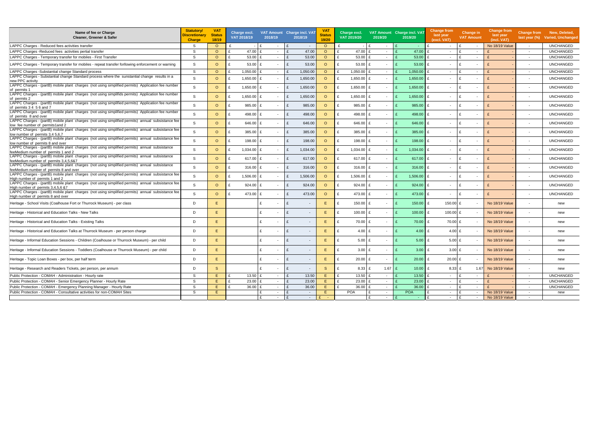| Name of fee or Charge<br>Cleaner, Greener & Safer                                                                                        | <b>Statutory/</b><br>Discretionary<br><b>Charge</b> | <b>VAT</b><br><b>Status</b><br>18/19 |   | Charge excl.<br>VAT 2018/19 | VAT Amount Charge incl. VAT<br>2018/19 |   | 2018/19                  | V <sub>A</sub><br><b>Status</b><br>19/20 | Charge excl.<br>VAT 2019/20 | VAT Amount Charge incl. VAT<br>2019/20 | 2019/20            | <b>Change from</b><br>last year<br>(excl. VAT) | <b>Change in</b><br><b>VAT Amount</b> | <b>Change from</b><br>last year<br>(incl. VAT) | last year (%)            | Change from New, Deleted,<br><b>Varied, Unchanged</b> |
|------------------------------------------------------------------------------------------------------------------------------------------|-----------------------------------------------------|--------------------------------------|---|-----------------------------|----------------------------------------|---|--------------------------|------------------------------------------|-----------------------------|----------------------------------------|--------------------|------------------------------------------------|---------------------------------------|------------------------------------------------|--------------------------|-------------------------------------------------------|
| LAPPC Charges - Reduced fees activities transfer                                                                                         | S.                                                  | $\circ$                              | £ |                             |                                        |   | $\overline{\phantom{a}}$ | $\circ$                                  |                             | $\overline{\phantom{a}}$               |                    | £<br>$\overline{\phantom{a}}$                  | $\mathbf{f}$<br>$\sim$                | <b>No 18/19 Value</b>                          | $\sim$                   | <b>UNCHANGED</b>                                      |
| LAPPC Charges - Reduced fees activities pertial transfer                                                                                 | S.                                                  | $\circ$                              | £ | 47.00                       | $\sim$                                 | £ | 47.00                    | $\circ$                                  | £<br>47.00 £                | $\overline{\phantom{a}}$               | 47.00              | $\mathbf{f}$<br>$\sim$                         | E<br>$\sim$                           |                                                | $\sim$                   | <b>UNCHANGED</b>                                      |
| LAPPC Charges - Temporary transfer for mobiles - First Transfer                                                                          | <sub>S</sub>                                        | $\circ$                              | £ | 53.00                       |                                        |   | 53.00                    | $\circ$                                  | 53.00 $E$                   | $\overline{\phantom{a}}$               | 53.00              | $\sim$                                         | £<br>$\sim$                           |                                                | $\overline{\phantom{a}}$ | <b>UNCHANGED</b>                                      |
| LAPPC Charges - Temporary transfer for mobiles - repeat transfer forllowing enforcement or warning                                       | -S                                                  | $\circ$                              |   | 53.00                       |                                        |   | 53.00                    | $\circ$                                  | $53.00 \text{ E}$           | $\overline{\phantom{a}}$               | 53.00              | $\mathbf{f}$<br>$\sim$                         | $\mathbf{f}$<br>$\sim$                |                                                | $\overline{\phantom{a}}$ | <b>UNCHANGED</b>                                      |
| LAPPC Charges -Substantial change Standard process                                                                                       | S                                                   | $\circ$                              |   | 1,050.00                    | $\sim$                                 |   | 1,050.00                 | $\circ$                                  | $1,050.00$ £                | $\sim$                                 | 1,050.00           | £<br>$\sim$                                    | ۱£<br>$\sim$                          |                                                | $\sim$                   | <b>UNCHANGED</b>                                      |
| LAPPC Charges - Substantial change Standard process where the sunstantial change results in a<br>new PPC activity                        | S.                                                  | $\circ$                              |   | $1,650.00$ £                | $\sim$                                 | £ | 1,650.00                 | $\circ$                                  | 1,650.00 £<br>£             | $\sim$                                 | $1,650.00$ £       | $\sim$                                         | E<br>$\sim$                           |                                                | $\overline{\phantom{a}}$ | <b>UNCHANGED</b>                                      |
| LAPPC Charges - (partB) mobile plant charges (not using simplified permits) Application fee number<br>of permits 1                       | -S                                                  | $\circ$                              |   | $1,650.00$ £                |                                        | £ | 1,650.00                 | $\circ$                                  | $1,650.00$ £<br>£           | $\overline{\phantom{a}}$               | 1,650.00           | £<br>$\sim$                                    | ۱£<br>$\sim$                          |                                                | $\sim$                   | <b>UNCHANGED</b>                                      |
| LAPPC Charges - (partB) mobile plant charges (not using simplifids permits) Application fee number<br>of permits 2                       | -S                                                  | $\circ$                              |   | 1,650.00 £                  |                                        | £ | 1,650.00                 | $\circ$                                  | 1,650.00 £<br>£             | $\overline{\phantom{a}}$               | $1,650.00$ £       | $\sim$                                         | ۱£<br>$\overline{\phantom{a}}$        |                                                | $\overline{\phantom{a}}$ | <b>UNCHANGED</b>                                      |
| LAPPC Charges - (partB) mobile plant charges (not using simplified permits) Application fee number<br>of permits 3 4 5 6 and 7           | -S                                                  | $\circ$                              |   | 985.00 £                    | $\sim$                                 | £ | 985.00                   | $\circ$                                  | 985.00 £                    | $\sim$                                 | 985.00             | £<br>$\sim$                                    | $\overline{\phantom{a}}$              |                                                | $\overline{\phantom{a}}$ | <b>UNCHANGED</b>                                      |
| LAPPC Charges - (partB) mobile plant charges (not using simplified permits) Application fee number<br>of permits 8 and over              | -S                                                  | $\circ$                              |   | 498.00                      | $\sim$                                 | £ | 498.00                   | $\circ$                                  | £<br>498.00 £               | $\sim$                                 | 498.00             | $\mathbf{f}$<br>$\sim$                         | $\sim$                                |                                                | $\sim$                   | <b>UNCHANGED</b>                                      |
| LAPPC Charges - (partB) mobile plant charges (not using simplified permits) annual subsistance fee<br>low fee number of permits1and 2    | -S                                                  | $\circ$                              |   | 646.00                      |                                        | £ | 646.00                   | $\circ$                                  | £<br>646.00                 | $\overline{\phantom{a}}$               | 646.00             | £<br>$\sim$                                    | ۱£<br>$\overline{\phantom{a}}$        |                                                | $\overline{\phantom{a}}$ | <b>UNCHANGED</b>                                      |
| LAPPC Charges - (partB) mobile plant charges (not using simplified permits) annual subsistance fee<br>low number of permits 3,4 5,6,7    | -S                                                  | $\circ$                              | £ | 385.00                      |                                        | £ | 385.00                   | $\circ$                                  | 385.00 £<br>£               | $\overline{\phantom{a}}$               | $385.00$ £         | $\sim$                                         | ۱£<br>$\sim$                          |                                                |                          | <b>UNCHANGED</b>                                      |
| LAPPC Charges - (partB) mobile plant charges (not using simplified permits) annual subsistance fee<br>low number of permits 8 and over   | <sub>S</sub>                                        | $\circ$                              |   | 198.00                      |                                        | £ | 198.00                   | $\circ$                                  | 198.00 £                    | $\overline{\phantom{a}}$               | 198.00             | $\mathbf{f}$<br>$\sim$                         | ۱£<br>$\sim$                          |                                                | $\overline{\phantom{a}}$ | <b>UNCHANGED</b>                                      |
| LAPPC Charges - (partB) mobile plant charges (not using simplified permits) annual subsistance<br>feeMedium number of permits 1 and 2    | -S                                                  | $\circ$                              |   | 1,034.00<br>$\mathbf{f}$    |                                        | £ | 1,034.00                 | $\circ$                                  | $1,034.00$ £                | $\overline{\phantom{a}}$               | 1,034.00 $E$       | $\sim$                                         | ۱£<br>$\sim$                          |                                                |                          | <b>UNCHANGED</b>                                      |
| LAPPC Charges - (partB) mobile plant charges (not using simplified permits) annual subsistance<br>feeMedium number of permits 3.4.5.6&7  | -S                                                  | $\circ$                              | £ | 617.00 £                    |                                        | £ | 617.00                   | $\circ$                                  | £<br>617.00 £               | $\overline{\phantom{a}}$               | 617.00 $E$         | $\sim$                                         | ۱£<br>$\overline{\phantom{a}}$        |                                                | $\blacksquare$           | <b>UNCHANGED</b>                                      |
| LAPPC Charges - (partB) mobile plant charges (not using simplified permits) annual subsistance<br>feeMedium number of permits 8 and over | S.                                                  | $\circ$                              |   | 316.00<br>$\mathbf{f}$      |                                        | £ | 316.00                   | $\circ$                                  | 316.00 £                    | $\sim$                                 | $316.00 \text{ E}$ | $\sim$                                         | ۱£<br>$\sim$                          |                                                | $\overline{\phantom{a}}$ | <b>UNCHANGED</b>                                      |
| LAPPC Charges - (partB) mobile plant charges (not using simplified permits) annual subsistance fee<br>High number of permits 1 and 2     | S.                                                  | $\circ$                              |   | 1,506.00                    |                                        | £ | 1,506.00                 | $\circ$                                  | $1,506.00$ £                | $\overline{\phantom{a}}$               | $1,506.00$ £       | $\sim$                                         | ۱£<br>$\overline{\phantom{a}}$        |                                                |                          | <b>UNCHANGED</b>                                      |
| LAPPC Charges - (partB) mobile plant charges (not using simplified permits) annual subsistance fee<br>High number of permits 3,4,5,6 &7  | <sub>S</sub>                                        | $\circ$                              |   | 924.00<br>$\mathbf{f}$      |                                        | £ | 924.00                   | $\circ$                                  | $924.00$ £                  | $\overline{\phantom{a}}$               | $924.00$ £         | $\sim$                                         | ۱£<br>$\sim$                          |                                                |                          | <b>UNCHANGED</b>                                      |
| LAPPC Charges - (partB) mobile plant charges (not using simplified permits) annual subsistance fee<br>High number of permits 8 and over  | <sub>S</sub>                                        | $\circ$                              |   | 473.00 £                    |                                        | £ | 473.00                   | $\circ$                                  | $\mathbf{f}$<br>473.00 £    | $\overline{\phantom{a}}$               | 473.00 £           | $\sim$                                         | l £<br>$\sim$                         |                                                | $\overline{\phantom{a}}$ | <b>UNCHANGED</b>                                      |
| Heritage - School Visits (Coalhouse Fort or Thurrock Museum) - per class                                                                 | D                                                   | E                                    |   | £                           |                                        |   |                          | E.                                       | 150.00 £                    | $\overline{\phantom{a}}$               | 150.00             | £<br>150.00 £                                  | $\sim$                                | No 18/19 Value                                 |                          | new                                                   |
| Heritage - Historical and Education Talks - New Talks                                                                                    | D                                                   | E.                                   |   | £                           |                                        | £ |                          | E.                                       | 100.00 £<br>£               |                                        | 100.00             | $100.00$ £<br>£                                | $\overline{\phantom{a}}$              | <b>No 18/19 Value</b>                          | $\overline{\phantom{a}}$ | new                                                   |
| Heritage - Historical and Education Talks - Existing Talks                                                                               | D                                                   | E.                                   |   | £                           |                                        | £ |                          | E.                                       | 70.00 £                     | $\overline{\phantom{a}}$               | 70.00              | £<br>70.00 £                                   | $\sim$                                | No 18/19 Value                                 | $\overline{\phantom{a}}$ | new                                                   |
| Heritage - Historical and Education Talks at Thurrock Museum - per person charge                                                         | D                                                   | E.                                   |   | £                           |                                        | £ |                          | E.                                       | 4.00 $E$                    | $\overline{\phantom{a}}$               | 4.00               | £<br>4.00 $E$                                  | $\sim$                                | No 18/19 Value                                 | $\sim$                   | new                                                   |
| Heritage - Informal Education Sessions - Children (Coalhouse or Thurrock Museum) - per child                                             | D                                                   | E.                                   |   | £                           |                                        | £ | $\overline{\phantom{a}}$ | E.                                       | $5.00$ £                    | $\overline{\phantom{a}}$               | 5.00               | £<br>5.00 $E$                                  | $\sim$                                | No 18/19 Value                                 | $\overline{\phantom{a}}$ | new                                                   |
| Heritage - Informal Education Sessions - Toddlers (Coalhouse or Thurrock Museum) - per child                                             | D                                                   | E                                    |   | £                           |                                        | £ |                          | E.                                       | $3.00$ £                    |                                        | $3.00$ £           | 3.00 $E$                                       |                                       | No 18/19 Value                                 |                          | new                                                   |
| Heritage - Topic Loan Boxes - per box, per half term                                                                                     | D                                                   | Ε                                    |   | £                           |                                        | £ | $\overline{\phantom{a}}$ | Е                                        | £<br>20.00 £                | $\overline{\phantom{a}}$               | $20.00$ £          | 20.00 £                                        | $\overline{\phantom{a}}$              | No 18/19 Value                                 | $\overline{\phantom{a}}$ | new                                                   |
| Heritage - Research and Readers Tickets, per person, per annum                                                                           | D                                                   | <sub>S</sub>                         |   | £                           | $\sim$                                 | £ | $\overline{\phantom{a}}$ | S                                        | 8.33 £<br>£                 | $1.67$ £                               | $10.00$ £          | $8.33$ £                                       | 1.67                                  | No 18/19 Value                                 | $\sim$                   | new                                                   |
| Public Protection - COMAH - Administration - Hourly rate                                                                                 | S                                                   | E                                    |   | 13.50 $E$                   | $\sim$                                 |   | 13.50                    | Е                                        | 13.50 £                     | $\sim$                                 | 13.50              | £<br>$\sim$                                    | Ι£<br>$\sim$                          |                                                | $\sim$                   | <b>UNCHANGED</b>                                      |
| Public Protection - COMAH - Senior Emergency Planner - Hourly Rate                                                                       | S                                                   | E                                    | £ | $23.00$ £                   | $\sim$                                 | £ | 23.00                    | E.                                       | $23.00$ £                   | $\sim$                                 | 23.00              | £<br>$\sim$                                    | ۱£<br>$\sim$                          | E                                              | $\sim$                   | <b>UNCHANGED</b>                                      |
| Public Protection - COMAH - Emergency Planning Manager - Hourly Rate                                                                     | S                                                   | E                                    | £ | 36.00 £                     | $\sim$                                 |   | 36.00                    | E.                                       | 36.00 £                     | $\sim$                                 | $36.00$ £          | $\sim$                                         | E<br>$\sim$                           |                                                | $\sim$                   | <b>UNCHANGED</b>                                      |
| Public Protection - COMAH - Consultative activities for non-COMAH Sites                                                                  | S.                                                  | E                                    |   | £                           | $\sim$                                 |   | $\sim$                   | Е                                        | POA                         | $\sim$                                 | POA                | $\sim$                                         | Ι£<br>$\sim$                          | No 18/19 Value                                 | $\sim$                   | new                                                   |
|                                                                                                                                          |                                                     |                                      |   |                             |                                        |   | $\sim$                   |                                          |                             | $\overline{\phantom{a}}$               | $\sim$             | $\sim$                                         | $\sim$                                | No 18/19 Value                                 | $\sim$ $-$               |                                                       |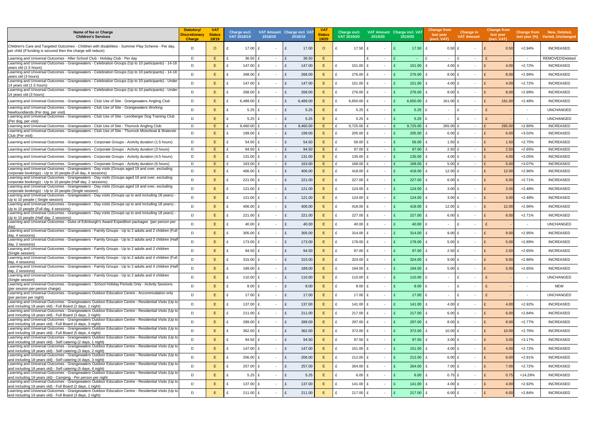| Name of fee or Charge<br><b>Children's Services</b>                                                                                                                               | <b>Statutory/</b><br>Discretionary<br><b>Charge</b> | <b>VAT</b><br><b>Status</b><br>18/19 | Charge excl.<br>VAT 2018/19 | 2018/19                | VAT Amount Charge incl. VAT<br>2018/19 | Status<br>19/20 | Charge excl.<br>VAT 2019/20<br>2019/20    |              | VAT Amount Charge incl. VAT<br>2019/20 | Change from<br>last year<br>(excl. VAT) | Change in<br><b>VAT Amount</b>           | <b>Change from</b><br>last year<br>(incl. VAT) |                          | Change from New, Deleted,<br>last year (%) Varied, Unchanged |
|-----------------------------------------------------------------------------------------------------------------------------------------------------------------------------------|-----------------------------------------------------|--------------------------------------|-----------------------------|------------------------|----------------------------------------|-----------------|-------------------------------------------|--------------|----------------------------------------|-----------------------------------------|------------------------------------------|------------------------------------------------|--------------------------|--------------------------------------------------------------|
| Children's Care and Targeted Outcomes - Children with disabilities - Summer Play Scheme - Per day,<br>per child (If funding is secured then the charge will reduce)               | D                                                   | $\circ$                              | 17.00                       | £                      | 17.00<br>$\mathbf{f}$                  | $\circ$         | 17.50<br>$\sim$                           |              | 17.50                                  | 0.50 E<br>£                             | $\sim$                                   | 0.50                                           | $+2.94%$                 | <b>INCREASED</b>                                             |
| Learning and Universal Outcomes - After School Club - Holiday Club - Per day                                                                                                      | D                                                   | E.                                   | 36.50                       | f<br>$\sim$            | 36.50<br>$\mathbf{f}$                  | E.              | $\sim$                                    |              | <b>Contract</b>                        | $\sim$                                  | ۱£<br>$\sim$                             |                                                | $\sim$                   | REMOVED\Deleted                                              |
| Learning and Universal Outcomes - Grangewaters - Celebration Groups (Up to 10 participants) - 14-18<br>years old (1.5 hours)                                                      | D                                                   | E.                                   | 147.00                      | £                      | 147.00<br>£                            | E.              | 151.00 £<br>$\sim$                        |              | $151.00 \text{ E}$                     | 4.00 $E$                                | $\sim$                                   | 4.00<br>$\mathsf{F}$                           | $+2.72%$                 | <b>INCREASED</b>                                             |
| Learning and Universal Outcomes - Grangewaters - Celebration Groups (Up to 10 participants) - 14-18<br>years old (3 hours)                                                        | D                                                   | E.                                   | 268.00                      | £                      | 268.00<br>£                            | E.              | 276.00 £<br>$\sim$                        |              | 276.00                                 | £<br>$8.00$ £                           | $\sim$                                   | E<br>8.00                                      | $+2.99%$                 | <b>INCREASED</b>                                             |
| Learning and Universal Outcomes - Grangewaters - Celebration Groups (Up to 10 participants) - Under<br>14 years old (1.5 hours)                                                   | D                                                   | E.                                   | 147.00                      | f                      | 147.00<br>£                            | E.              | 151.00 £<br>$\sim$                        |              | 151.00                                 | 4.00 $E$<br>£                           | $\sim$                                   | $\mathsf{F}$<br>4.00                           | $+2.72%$                 | <b>INCREASED</b>                                             |
| Learning and Universal Outcomes - Grangewaters - Celebration Groups (Up to 10 participants) - Under<br>14 years old (3 hours)                                                     | D                                                   | E.                                   | 268.00                      | f                      | 268.00<br>£                            | E.              | 276.00 £<br>$\sim$                        |              | 276.00                                 | £<br>8.00 E                             | $\sim$                                   | E<br>8.00                                      | $+2.99%$                 | <b>INCREASED</b>                                             |
| Learning and Universal Outcomes - Grangewaters - Club Use of Site - Grangewaters Angling Club                                                                                     | D                                                   | E.                                   | 6,489.00 £                  |                        | 6,489.00                               | E.              | 6,650.00 £<br>$\sim$                      |              | 6,650.00                               | 161.00 £<br>£                           | $\overline{\phantom{a}}$                 | 161.00<br>E                                    | $+2.48%$                 | <b>INCREASED</b>                                             |
| Learning and Universal Outcomes - Grangewaters - Club Use of Site - Grangewaters Working<br>Newfoundlands (Per dog, per visit)                                                    | D                                                   | E.                                   | 5.25 $E$                    |                        | £<br>5.25                              | E               | $5.25$ £<br>$\sim$                        |              | $5.25$ £                               | $\sim$                                  | E<br>$\sim$                              |                                                | $\overline{\phantom{a}}$ | <b>UNCHANGED</b>                                             |
| Learning and Universal Outcomes - Grangewaters - Club Use of Site - Leonberger Dog Training Club                                                                                  | D                                                   | F.                                   | $5.25$ £                    |                        | 5.25<br>$\mathbf{f}$                   | E.              | $5.25$ £<br>$\overline{\phantom{a}}$      |              | 5.25                                   | $\mathbf{f}$<br>$\sim$                  | E<br>$\overline{\phantom{a}}$            |                                                |                          | <b>UNCHANGED</b>                                             |
| (Per dog, per visit)<br>Learning and Universal Outcomes - Grangewaters - Club Use of Site - Thurrock Angling Club                                                                 | D                                                   | E.                                   | $9,460.00$ £                | $\sim$                 | 9,460.00<br>$\mathbf{f}$               | E.              | $9,725.00$ £<br>$\sim$                    |              | 9,725.00                               | 265.00 £<br>£                           | $\sim$                                   | 265.00                                         | $+2.80%$                 | <b>INCREASED</b>                                             |
| Learning and Universal Outcomes - Grangewaters - Club Use of Site - Thurrock Motorboat & Waterski<br>Club (Per visit)                                                             | D                                                   | E.                                   | 199.00                      | £                      | 199.00<br>£                            | E.              | 205.00 £<br>£<br>$\overline{\phantom{a}}$ |              | $205.00$ £                             | $6.00$ £                                | $\sim$                                   | E<br>6.00                                      | $+3.02%$                 | <b>INCREASED</b>                                             |
| Learning and Universal Outcomes - Grangewaters - Corporate Groups - Activity duration (1.5 hours)                                                                                 | D                                                   | E.                                   | $54.50 \text{ }E$           |                        | $\mathbf{f}$<br>54.50                  | E.              | 56.00 £<br>$\overline{\phantom{a}}$       |              | 56.00                                  | £<br>1.50 $E$                           | $\sim$                                   | $\mathbf{f}$<br>1.50                           | $+2.75%$                 | <b>INCREASED</b>                                             |
| Learning and Universal Outcomes - Grangewaters - Corporate Groups - Activity duration (3 hours)                                                                                   | D                                                   | E.                                   | 94.50                       | $\mathbf{f}$<br>$\sim$ | 94.50<br>$\mathbf{f}$                  | Ε               | 97.00 £<br>$\sim$                         |              | 97.00                                  | $\mathbf{f}$<br>2.50 E                  | $\sim$                                   | 2.50<br>$\mathbf{f}$                           | $+2.65%$                 | <b>INCREASED</b>                                             |
| Learning and Universal Outcomes - Grangewaters - Corporate Groups - Activity duration (4.5 hours)                                                                                 | D                                                   | E.                                   | 131.00                      | £<br>$\sim$            | £<br>131.00                            | E.              | 135.00 £<br>£<br>$\sim$                   |              | 135.00                                 | £<br>4.00 $E$                           | $\sim$                                   | E<br>4.00                                      | $+3.05%$                 | <b>INCREASED</b>                                             |
| Learning and Universal Outcomes - Grangewaters - Corporate Groups - Activity duration (6 hours)                                                                                   | D                                                   | E.                                   | 163.00                      | $\mathbf{f}$<br>$\sim$ | 163.00<br>$\mathbf{f}$                 | E.              | 168.00 £<br>$\sim$                        |              | 168.00                                 | £<br>$5.00$ £                           | $\sim$                                   | $\mathbf{f}$<br>5.00                           | $+3.07%$                 | <b>INCREASED</b>                                             |
| Learning and Universal Outcomes - Grangewaters - Day visits (Groups aged 19 and over, excluding<br>corporate bookings) - Up to 10 people (Full day, 4 sessions)                   | $\mathsf{D}$                                        | E.                                   | 406.00                      | f                      | 406.00<br>£                            | E.              | 418.00 £<br>$\sim$                        |              | 418.00                                 | £<br>12.00 £                            | $\sim$                                   | 12.00<br>E                                     | $+2.96%$                 | <b>INCREASED</b>                                             |
| Learning and Universal Outcomes - Grangewaters - Day visits (Groups aged 19 and over, excluding<br>corporate bookings) - Up to 10 people (Half day, 2 sessions)                   | D                                                   | E.                                   | 221.00 £                    |                        | 221.00<br>£                            | Е               | 227.00<br>$\overline{\phantom{a}}$        |              | 227.00                                 | £<br>6.00 E                             | $\overline{\phantom{a}}$                 | 6.00                                           | $+2.71%$                 | <b>INCREASED</b>                                             |
| Learning and Universal Outcomes - Grangewaters - Day visits (Groups aged 19 and over, excluding<br>corporate bookings) - Up to 10 people (Single session)                         | D                                                   | E.                                   | 121.00 £                    |                        | 121.00<br>£                            | E               | $124.00$ £<br>$\sim$                      |              | 124.00                                 | £<br>3.00 $E$                           | $\sim$                                   | E<br>3.00                                      | $+2.48%$                 | <b>INCREASED</b>                                             |
| - Learning and Universal Outcomes - Grangewaters - Day visits (Groups up to and including 18 years)                                                                               | D                                                   | E.                                   | 121.00                      | £                      | £<br>121.00                            | E.              | 124.00 £<br>$\sim$                        |              | 124.00                                 | £<br>$3.00$ £                           | $\sim$                                   | $\mathbf{f}$<br>3.00                           | $+2.48%$                 | <b>INCREASED</b>                                             |
| Up to 10 people (Single session)<br>Learning and Universal Outcomes - Grangewaters - Day visits (Groups up to and including 18 years) -<br>Up to 10 people (Full day, 4 sessions) | D                                                   | E.                                   | 406.00                      | f                      | 406.00<br>£                            | E.              | 418.00 £<br>$\sim$                        |              | 418.00                                 | £<br>12.00 $E$                          | $\sim$                                   | E<br>12.00                                     | $+2.96%$                 | <b>INCREASED</b>                                             |
| Learning and Universal Outcomes - Grangewaters - Day visits (Groups up to and including 18 years)                                                                                 | D                                                   | E.                                   | 221.00                      | £                      | $\mathbf{f}$<br>221.00                 | E.              | 227.00 £<br>$\overline{\phantom{a}}$      |              | 227.00                                 | £<br>6.00 $E$                           | $\overline{\phantom{0}}$                 | E<br>6.00                                      | $+2.71%$                 | <b>INCREASED</b>                                             |
| Up to 10 people (Half day, 2 sessions)<br>Learning and Universal Outcomes - Duke of Edinburgh's Award Expedition packages (per person per                                         | D                                                   | E.                                   | $40.00$ £                   |                        | £<br>40.00                             | E.              | £<br>40.00 £<br>$\sim$                    |              | $40.00$ £                              |                                         | Ι£                                       | $\mathbf{f}$                                   |                          | <b>UNCHANGED</b>                                             |
| Learning and Universal Outcomes - Grangewaters - Family Groups - Up to 2 adults and 2 children (Full                                                                              |                                                     |                                      |                             |                        |                                        |                 |                                           |              |                                        | $\sim$                                  | $\sim$                                   |                                                | $\sim$                   |                                                              |
| day, 4 sessions)                                                                                                                                                                  | D                                                   | E.                                   | 305.00 £                    |                        | E<br>305.00                            | E.              | 314.00 £<br>$\sim$                        |              | 314.00                                 | £<br>9.00 E                             | $\sim$                                   | E<br>9.00                                      | $+2.95%$                 | <b>INCREASED</b>                                             |
| Learning and Universal Outcomes - Grangewaters - Family Groups - Up to 2 adults and 2 children (Half<br>day, 2 sessions)                                                          | D                                                   | E.                                   | 173.00 £<br>£               |                        | £<br>173.00                            | E.              | £<br>178.00 £<br>$\sim$                   |              | $178.00$ £                             | $5.00$ £                                | $\sim$                                   | E<br>5.00                                      | $+2.89%$                 | <b>INCREASED</b>                                             |
| Learning and Universal Outcomes - Grangewaters - Family Groups - Up to 2 adults and 2 children<br>(Single session)                                                                | D                                                   | E                                    | 94.50 £                     |                        | £<br>94.50                             | Е               | $97.00$ £<br>$\sim$                       |              | $97.00$ £                              | 2.50 E                                  | $\sim$                                   | E<br>2.50                                      | $+2.65%$                 | <b>INCREASED</b>                                             |
| Learning and Universal Outcomes - Grangewaters - Family Groups - Up to 2 adults and 4 children (Full<br>day, 4 sessions)                                                          | D                                                   | E.                                   | 315.00 £                    |                        | £<br>315.00                            | E.              | 324.00 £<br>$\sim$                        |              | $324.00 \, \text{E}$                   | 9.00 E                                  | $\sim$                                   | E<br>9.00                                      | $+2.86%$                 | <b>INCREASED</b>                                             |
| Learning and Universal Outcomes - Grangewaters - Family Groups - Up to 2 adults and 4 children (Half<br>day, 2 sessions)                                                          | D                                                   | E.                                   | 189.00 £                    |                        | £<br>189.00                            | E.              | 194.00 £<br>£<br>$\sim$                   |              | 194.00 £                               | $5.00$ £                                | $\sim$                                   | E<br>5.00                                      | $+2.65%$                 | <b>INCREASED</b>                                             |
| Learning and Universal Outcomes - Grangewaters - Family Groups - Up to 2 adults and 4 children<br>(Single session)                                                                | D                                                   | E.                                   | 110.00 £                    |                        | £<br>110.00                            | E.              | 110.00 £<br>$\sim$                        |              | $110.00$ £                             | $\sim 10$                               | $\mathbf{f}$<br>$\overline{\phantom{a}}$ |                                                | $\overline{\phantom{a}}$ | <b>UNCHANGED</b>                                             |
| Learning and Universal Outcomes - Grangewaters - School Holiday Periods Only - Activity Sessions                                                                                  | D                                                   | E.                                   | $8.00 \text{ } \pounds$     |                        | 8.00<br>£                              | E.              | $8.00$ £<br>$\sim$                        |              | $8.00$ £                               | $\sim$                                  | $\mathbf{f}$<br>$\sim$                   |                                                |                          | NEW                                                          |
| (per session per person charge)<br>Learning and Universal Outcomes - Grangewaters Outdoor Education Centre - Accommodation only                                                   | D                                                   | E.                                   | 17.00 £<br>£                |                        | £<br>17.00                             | E.              | £<br>17.00 £<br>$\sim$                    | $\mathbf{f}$ | $17.00$ £                              | $\sim$                                  | Ι£<br>$\overline{\phantom{a}}$           |                                                |                          | <b>UNCHANGED</b>                                             |
| (per person per night)<br>Learning and Universal Outcomes - Grangewaters Outdoor Education Centre - Residential Visits (Up to                                                     |                                                     | E.                                   |                             |                        |                                        |                 | £                                         |              |                                        | 4.00 $E$                                |                                          | $\mathbf{f}$                                   |                          |                                                              |
| and including 18 years old) - Full Board (2 days, 1 night)<br>Learning and Universal Outcomes - Grangewaters Outdoor Education Centre - Residential Visits (Up to                 | D                                                   |                                      | 137.00 £                    |                        | 137.00<br>£                            | E.              | 141.00 £<br>$\sim$                        |              | $141.00$ £                             |                                         | $\overline{\phantom{a}}$                 | 4.00                                           | $+2.92%$                 | <b>INCREASED</b>                                             |
| and including 18 years old) - Full Board (3 days, 2 night)<br>Learning and Universal Outcomes - Grangewaters Outdoor Education Centre - Residential Visits (Up to                 | D                                                   | E.                                   | 211.00 £                    |                        | £<br>211.00                            | E.              | $\mathbf{f}$<br>217.00 £<br>$\sim$        |              | $217.00$ £                             | $6.00$ £                                | $\sim$                                   | E<br>6.00                                      | $+2.84%$                 | <b>INCREASED</b>                                             |
| and including 18 years old) - Full Board (4 days, 3 night)                                                                                                                        | D                                                   | E.                                   | 289.00 £                    |                        | 289.00<br>£                            | E.              | 297.00 £<br>$\sim$                        |              | $297.00$ £                             | $8.00$ £                                | $\sim$                                   | E<br>8.00                                      | $+2.77%$                 | <b>INCREASED</b>                                             |
| Learning and Universal Outcomes - Grangewaters Outdoor Education Centre - Residential Visits (Up to<br>and including 18 years old) - Full Board (5 days, 4 night)                 | D                                                   | E.                                   | 362.00 $£$                  |                        | £<br>362.00                            | E.              | £<br>372.00 £<br>$\sim$                   |              | $372.00$ £                             | 10.00 $E$                               | $\sim$                                   | E<br>10.00                                     | $+2.76%$                 | <b>INCREASED</b>                                             |
| Learning and Universal Outcomes - Grangewaters Outdoor Education Centre - Residential Visits (Up to<br>and including 18 years old) - Self catering (2 days, 1 night)              | D                                                   | E.                                   | 94.50 £                     |                        | £<br>94.50                             | E.              | 97.50 £<br>£<br>$\sim$                    | $\mathbf{f}$ | $97.50$ £                              | $3.00$ £                                | $\sim$                                   | E<br>3.00                                      | $+3.17%$                 | INCREASED                                                    |
| Learning and Universal Outcomes - Grangewaters Outdoor Education Centre - Residential Visits (Up to                                                                               | D                                                   | E.                                   | 147.00 £                    |                        | £<br>147.00                            | E.              | 151.00 £<br>£<br>$\sim$                   |              | 151.00 £                               | 4.00 $E$                                | $\sim$                                   | E<br>4.00                                      | $+2.72%$                 | <b>INCREASED</b>                                             |
| and including 18 years old) - Self catering (3 days, 2 night)<br>Learning and Universal Outcomes - Grangewaters Outdoor Education Centre - Residential Visits (Up to              | D                                                   | E.                                   | $206.00$ £                  |                        | £<br>206.00                            | E.              | £<br>212.00 £<br>$\sim$                   | $\mathbf{f}$ | $212.00$ £                             | 6.00 $E$                                | $\sim$                                   | E<br>6.00                                      | $+2.91%$                 | <b>INCREASED</b>                                             |
| and including 18 years old) - Self catering (4 days, 3 night)<br>Learning and Universal Outcomes - Grangewaters Outdoor Education Centre - Residential Visits (Up to              |                                                     | E.                                   |                             |                        |                                        |                 |                                           |              |                                        |                                         |                                          |                                                |                          |                                                              |
| and including 18 years old) - Self catering (5 days, 4 night)<br>Learning and Universal Outcomes - Grangewaters Outdoor Education Centre - Residential Visits (Up to              | D                                                   |                                      | $257.00$ £                  | $\sim$                 | 257.00<br>£                            | E.              | £<br>264.00 £<br>$\sim$                   |              | $264.00$ £                             | $7.00$ £                                | $\sim$                                   | E<br>7.00                                      | $+2.72%$                 | <b>INCREASED</b>                                             |
| and including 19 years old) - Camping - Per person per night                                                                                                                      | D                                                   | E.                                   | $5.25$ £                    |                        | £<br>5.25                              | E.              | 6.00 E<br>$\sim$                          |              | $6.00$ £                               | $0.75$ £                                | $\sim$                                   | E<br>0.75                                      | +14.29%                  | <b>INCREASED</b>                                             |
| Learning and Universal Outcomes - Grangewaters Outdoor Education Centre - Residential Visits (Up to<br>and including 19 years old) - Full Board (2 days, 1 night)                 | D                                                   | E.                                   | 137.00 £                    |                        | 137.00<br>£                            | E.              | £<br>141.00 £<br>$\sim$                   |              | 141.00 £                               | 4.00 E                                  | $\overline{\phantom{a}}$                 | E<br>4.00                                      | $+2.92%$                 | <b>INCREASED</b>                                             |
| Learning and Universal Outcomes - Grangewaters Outdoor Education Centre - Residential Visits (Up to<br>and including 19 years old) - Full Board (3 days, 2 night)                 | D                                                   | E.                                   | 211.00 £                    |                        | 211.00<br>£                            | E.              | 217.00 £                                  |              | $217.00$ £                             | $6.00$ £                                | $\sim$                                   | E<br>6.00                                      | $+2.84%$                 | <b>INCREASED</b>                                             |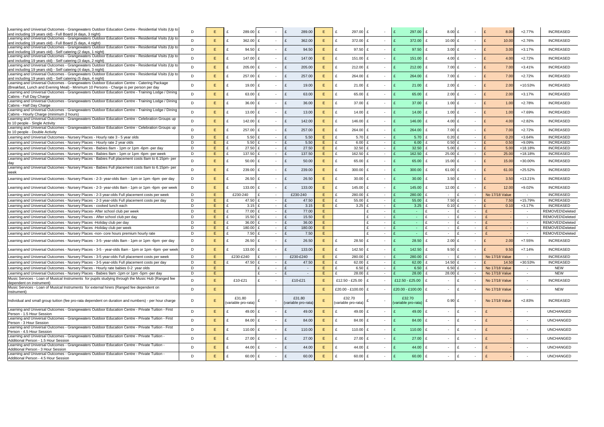| Learning and Universal Outcomes - Grangewaters Outdoor Education Centre - Residential Visits (Up to                                                               | D | E  | 289.00 £<br>£       |              |        | 289.00<br>£         | Ε  | 297.00 £<br>£                 | $\sim$                   |              | 297.00               | $8.00$ £               | $\sim$                   |                       | 8.00  | $+2.77%$                 | <b>INCREASED</b> |
|-------------------------------------------------------------------------------------------------------------------------------------------------------------------|---|----|---------------------|--------------|--------|---------------------|----|-------------------------------|--------------------------|--------------|----------------------|------------------------|--------------------------|-----------------------|-------|--------------------------|------------------|
| and including 19 years old) - Full Board (4 days, 3 night)<br>Learning and Universal Outcomes - Grangewaters Outdoor Education Centre - Residential Visits (Up to |   |    |                     |              |        |                     |    |                               |                          |              |                      |                        |                          |                       |       |                          |                  |
| and including 19 years old) - Full Board (5 days, 4 night)                                                                                                        | D | E. | 362.00<br>£         | £            |        | £<br>362.00         | Е  | £<br>$372.00$ £               | $\sim$                   |              | 372.00               | £<br>10.00 £           | $\sim$                   | E                     | 10.00 | $+2.76%$                 | <b>INCREASED</b> |
| Learning and Universal Outcomes - Grangewaters Outdoor Education Centre - Residential Visits (Up to                                                               |   |    |                     |              |        |                     |    |                               |                          |              |                      |                        |                          |                       |       |                          |                  |
| and including 19 years old) - Self catering (2 days, 1 night)                                                                                                     | D | E. | 94.50<br>£          | £            |        | £<br>94.50          | E  | £<br>$97.50$ £                | $\sim$                   | £            | 97.50                | £<br>3.00 E            | $\sim$                   | E                     | 3.0C  | $+3.17%$                 | <b>INCREASED</b> |
| Learning and Universal Outcomes - Grangewaters Outdoor Education Centre - Residential Visits (Up to                                                               |   |    |                     |              |        |                     |    |                               |                          |              |                      |                        |                          |                       |       |                          |                  |
| and including 19 years old) - Self catering (3 days, 2 night)                                                                                                     | D | E. | 147.00<br>£         | £            |        | 147.00<br>£         | E  | £<br>151.00 $E$               | $\sim$                   | £            | 151.00               | £<br>4.00 £            | $\sim$                   | E                     | 4.00  | $+2.72%$                 | <b>INCREASED</b> |
| Learning and Universal Outcomes - Grangewaters Outdoor Education Centre - Residential Visits (Up to                                                               | D |    |                     |              |        |                     |    | £                             |                          |              |                      | £                      |                          | E                     |       |                          | <b>INCREASED</b> |
| and including 19 years old) - Self catering (4 days, 3 night)                                                                                                     |   | E. | 205.00<br>£         | £            |        | £<br>205.00         | Е  | $212.00$ £                    | $\sim$                   | £            | 212.00               | 7.00 £                 | $\sim$                   |                       | 7.00  | $+3.41%$                 |                  |
| Learning and Universal Outcomes - Grangewaters Outdoor Education Centre - Residential Visits (Up to                                                               | D | E. | 257.00 £<br>£       |              |        | 257.00<br>£         | Е  | £<br>$264.00$ £               | $\sim$                   |              | 264.00               | £<br>$7.00$ £          | $\sim$                   | E                     | 7.00  | $+2.72%$                 | <b>INCREASED</b> |
| and including 19 years old) - Self catering (5 days, 4 night)                                                                                                     |   |    |                     |              |        |                     |    |                               |                          |              |                      |                        |                          |                       |       |                          |                  |
| Learning and Universal Outcomes - Grangewaters Outdoor Education Centre - Catering Package                                                                        | D | E. | £                   | 19.00 £      |        | £<br>19.00          | E  | £<br>$21.00$ £                | $\sim$                   | £            | 21.00                | £<br>$2.00$ £          | $\sim$                   | E                     | 2.00  | +10.53%                  | <b>INCREASED</b> |
| (Breakfast, Lunch and Evening Meal) - Minimum 10 Persons - Charge is per person per day                                                                           |   |    |                     |              |        |                     |    |                               |                          |              |                      |                        |                          |                       |       |                          |                  |
| Learning and Universal Outcomes - Grangewaters Outdoor Education Centre - Training Lodge / Dining                                                                 | D | E. | 63.00<br>£          | £            |        | 63.00<br>£          | Ε  | £<br>65.00 £                  | $\sim$                   |              | 65.00                | $2.00$ £<br>£          | $\sim$                   | $\mathbf{f}$          | 2.00  | $+3.17%$                 | <b>INCREASED</b> |
| Cabins - Full Day Charge                                                                                                                                          |   |    |                     |              |        |                     |    |                               |                          |              |                      |                        |                          |                       |       |                          |                  |
| Learning and Universal Outcomes - Grangewaters Outdoor Education Centre - Training Lodge / Dining                                                                 | D | E. | £                   | 36.00 £      |        | £<br>36.00          | Ε  | £<br>$37.00 \text{ } \pounds$ | $\sim$                   |              | 37.00                | 1.00 $E$<br>£          | $\sim$                   | E                     | 1.0C  | $+2.78%$                 | <b>INCREASED</b> |
| Cabins - Half Day Charge                                                                                                                                          |   |    |                     |              |        |                     |    |                               |                          |              |                      |                        |                          |                       |       |                          |                  |
| Learning and Universal Outcomes - Grangewaters Outdoor Education Centre - Training Lodge / Dining<br>Cabins - Hourly Charge (minimum 2 hours)                     | D | E. | £<br>13.00          | £            |        | 13.00<br>£          | Е  | £<br>14.00 £                  | $\overline{\phantom{a}}$ |              | 14.00                | £<br>1.00 $E$          | $\sim$                   | $\mathbf{f}$          | 1.0C  | +7.69%                   | <b>INCREASED</b> |
| Learning and Universal Outcomes - Grangewaters Outdoor Education Centre - Celebration Groups up                                                                   |   |    |                     |              |        |                     |    |                               |                          |              |                      |                        |                          |                       |       |                          |                  |
| to 10 people - Single Activity                                                                                                                                    | D | E. | 142.00<br>£         | £            |        | £<br>142.00         | E  | £<br>$146.00$ £               | $\sim$                   |              | 146.00               | £<br>4.00 £            | $\sim$                   | E                     | 4.00  | $+2.82%$                 | <b>INCREASED</b> |
| Learning and Universal Outcomes - Grangewaters Outdoor Education Centre - Celebration Groups up                                                                   |   |    |                     |              |        |                     |    |                               |                          |              |                      |                        |                          |                       |       |                          |                  |
| to 10 people - Double Activity                                                                                                                                    | D | E. | 257.00<br>£         | £            |        | £<br>257.00         | E  | £<br>$264.00$ £               | $\sim$                   |              | 264.00               | £<br>$7.00$ £          | $\sim$                   | E                     | 7.00  | $+2.72%$                 | <b>INCREASED</b> |
| Learning and Universal Outcomes - Nursery Places - Hourly rate 3 - 5 year olds                                                                                    | D | E. | £<br>5.50           |              | $\sim$ | £<br>5.50           | Е  | £<br>$5.70 \text{ E}$         | $\sim$                   |              | 5.70                 | $0.20$ £               | $\sim$                   |                       | 0.20  | $+3.64%$                 | <b>INCREASED</b> |
| Learning and Universal Outcomes - Nursery Places - Hourly rate 2 year olds                                                                                        | D | E  | £<br>5.50           |              | $\sim$ | 5.5C<br>£           | E  | £<br>6.00                     | $\sim$                   |              | 6.00                 | $0.50$ £               | $\sim$                   |                       | 0.50  | +9.09%                   | <b>INCREASED</b> |
|                                                                                                                                                                   | D | E. | 27.50               |              |        | 27.50<br>£          | E  | 32.50<br>£                    |                          |              | 32.50                |                        |                          |                       |       |                          |                  |
| Learning and Universal Outcomes - Nursery Places - Babies 8am - 1pm or 1pm -6pm -per day                                                                          |   |    |                     |              | $\sim$ |                     |    |                               | $\overline{\phantom{a}}$ |              |                      | $5.00$ £               | $\sim$                   |                       | 5.00  | +18.18%                  | <b>INCREASED</b> |
| Learning and Universal Outcomes - Nursery Places - Babies 8am - 1pm or 1pm -6pm -per week                                                                         | D | E. | £<br>137.50         |              | $\sim$ | £<br>137.50         | E  | £<br>162.50                   | $\sim$                   |              | 162.50               | $25.00$ £              | $\sim$                   |                       | 25.00 | +18.18%                  | <b>INCREASED</b> |
| Learning and Universal Outcomes - Nursery Places - Babies Full placement costs 8am to 6.15pm- per                                                                 | D | E  | 50.00<br>£          |              | $\sim$ | 50.00<br>£          | Е  | £<br>$65.00 \, \text{E}$      | $\sim$                   |              | 65.00                | 15.00 $E$<br>£         | $\sim$                   |                       | 15.00 | +30.00%                  | <b>INCREASED</b> |
| day                                                                                                                                                               |   |    |                     |              |        |                     |    |                               |                          |              |                      |                        |                          |                       |       |                          |                  |
| Learning and Universal Outcomes - Nursery Places - Babies Full placement costs 8am to 6.15pm- per                                                                 | D | E. | 239.00<br>£         | f            |        | 239.00<br>£         | E  | £<br>$300.00$ £               | $\sim$                   |              | 300.00               | £<br>61.00 £           | $\sim$                   | E                     | 61.00 | +25.52%                  | <b>INCREASED</b> |
| week                                                                                                                                                              |   |    |                     |              |        |                     |    |                               |                          |              |                      |                        |                          |                       |       |                          |                  |
| Learning and Universal Outcomes - Nursery Places - 2-3- year-olds 8am - 1pm or 1pm -6pm -per day                                                                  | D | E. | £<br>26.50          | £            |        | £<br>26.50          | E  | £<br>$30.00 \, \text{E}$      | $\sim$                   |              | 30.00                | £<br>$3.50$ £          | $\sim$                   | E                     | 3.5C  | +13.21%                  | <b>INCREASED</b> |
|                                                                                                                                                                   |   |    |                     |              |        |                     |    |                               |                          |              |                      |                        |                          |                       |       |                          |                  |
| Learning and Universal Outcomes - Nursery Places - 2-3- year-olds 8am - 1pm or 1pm -6pm -per week                                                                 | D | E. | 133.00<br>£         | £            |        | £<br>133.00         | E  | £<br>145.00 £                 | $\sim$                   |              | 145.00               | £<br>12.00 £           | $\sim$                   | E                     | 12.00 | $+9.02%$                 | <b>INCREASED</b> |
|                                                                                                                                                                   |   |    |                     |              |        |                     |    |                               |                          |              |                      |                        |                          |                       |       |                          |                  |
|                                                                                                                                                                   |   |    |                     |              |        |                     |    |                               |                          |              |                      |                        |                          |                       |       |                          |                  |
| Learning and Universal Outcomes - Nursery Places - 2-3 year-olds Full placement costs per week                                                                    | D | E. | £230-240            |              | $\sim$ | £230-240            | E. | £<br>280.00                   | $\sim$                   |              | 280.00               | l £<br>$\sim$          | $\sim$                   | <b>No 17/18 Value</b> |       | $\sim$                   | <b>INCREASED</b> |
| Learning and Universal Outcomes - Nursery Places - 2-3 year-olds Full placement costs per day                                                                     | D | E. | £<br>47.50          | £            | $\sim$ | 47.50<br>£          | E  | £<br>55.00                    | $\sim$                   |              | 55.00                | $7.50$ £               | $\sim$                   |                       | 7.50  | +15.79%                  | <b>INCREASED</b> |
| Learning and Universal Outcomes - Nursery Places - cooked lunch each                                                                                              | D | E. | £                   | $3.15$ £     | $\sim$ | £<br>3.15           | E  | $3.25$ £                      | $\sim$                   |              | 3.25                 | $0.10$ £               | $\sim$                   |                       | 0.10  | $+3.17%$                 | <b>INCREASED</b> |
| Learning and Universal Outcomes - Nursery Places- After school club per week                                                                                      | D | E. | 77.00<br>£          |              | $\sim$ | £<br>77.00          | E  |                               | $\sim$                   |              | $\sim$               | $\mathbf{f}$<br>$\sim$ | $\sim$                   |                       |       | $\sim$                   | REMOVED\Deleted  |
| Learning and Universal Outcomes - Nursery Places - After school club per day                                                                                      | D | E  | £<br>15.50          |              | $\sim$ | £<br>15.50          | E  |                               | $\sim$                   |              | $\sim$               | $\mathbf{f}$<br>$\sim$ | $\sim$                   |                       |       | $\sim$                   | REMOVED\Deleted  |
|                                                                                                                                                                   | D | E. | £<br>36.00          |              | $\sim$ | £<br>36.00          | E  |                               | $\sim$                   |              | $\sim$               | $\mathbf{f}$<br>$\sim$ | $\sim$                   |                       |       | $\sim$                   | REMOVED\Deleted  |
| Learning and Universal Outcomes - Nursery Places - Holiday club per day                                                                                           |   |    |                     |              |        |                     |    |                               |                          |              | $\sim$               | $\sim$                 |                          |                       |       |                          |                  |
| Learning and Universal Outcomes - Nursery Places - Holiday club per week                                                                                          | D | E. | £<br>180.00         |              | $\sim$ | £<br>180.00         | E  |                               | $\sim$                   |              |                      | £                      | $\sim$                   |                       |       | $\sim$ $-$               | REMOVED\Deleted  |
| Learning and Universal Outcomes - Nursery Places -non- core hours premium hourly rate                                                                             | D | E. | 7.50                | £            | $\sim$ | £<br>7.50           | E  |                               | $\sim$                   |              | $\sim$               | $\mathbf{f}$<br>$\sim$ | $\sim$                   |                       |       | $\sim$ $-$               | REMOVED\Deleted  |
| Learning and Universal Outcomes - Nursery Places - 3-5- year-olds 8am - 1pm or 1pm -6pm -per day                                                                  | D | E  | £                   | $26.50$ £    |        | £<br>26.50          | Е  | $28.50$ £<br>£                | $\sim$                   | £            | 28.50                | £<br>$2.00$ £          | $\sim$                   | $\mathbf{f}$          | 2.00  | $+7.55%$                 | <b>INCREASED</b> |
|                                                                                                                                                                   |   |    |                     |              |        |                     |    |                               |                          |              |                      |                        |                          |                       |       |                          |                  |
| Learning and Universal Outcomes - Nursery Places - 3-5 - year-olds 8am - 1pm or 1pm -6pm -per week                                                                | D | E. | £                   | 133.00 £     |        | 133.00<br>£         | Е  | 142.50 £<br>£                 |                          |              | 142.50               | $9.50$ £<br>£          | $\overline{\phantom{a}}$ | $\mathbf{f}$          | 9.50  | $+7.14%$                 | <b>INCREASED</b> |
|                                                                                                                                                                   |   |    |                     |              | $\sim$ |                     |    |                               |                          |              |                      | $\mathbf{f}$<br>$\sim$ |                          |                       |       |                          |                  |
| Learning and Universal Outcomes - Nursery Places - 3-5 year-olds Full placement costs per week                                                                    | D | E  | £230-£240           |              |        | £230-£240           | E  | 280.00<br>£                   | $\sim$                   |              | 280.00               |                        | $\sim$                   | No 17/18 Value        |       | $\sim$                   | <b>INCREASED</b> |
| Learning and Universal Outcomes - Nursery Places - 3-5 year-olds Full placement costs per day                                                                     | D | E  | t.                  | 47.50 £      | $\sim$ | 47.50<br>£          | E  | £<br>62.00                    | $\sim$                   |              | 62.00                | 14.50 £                | $\sim$                   |                       | 14.50 | +30.53%                  | <b>INCREASED</b> |
| Learning and Universal Outcomes - Nursery Places - Hourly rate babies 0-2 year olds                                                                               | D | E. |                     | £            | $\sim$ | £<br>$\sim$         | Е. | £<br>$6.50 \text{ E}$         | $\sim$                   |              | 6.50                 | $6.50$ £<br>£          | $\overline{\phantom{a}}$ | No 17/18 Value        |       | $\sim$                   | NEW              |
| Learning and Universal Outcomes - Nursery Places - Babies 9am -1pm or 1pm -5pm -per day                                                                           | D | E. |                     | $\mathbf{f}$ | $\sim$ | £<br>$\sim$         | E. | $\mathbf{f}$<br>$28.00$ £     | $\sim$                   |              | 28.00                | £<br>28.00 £           | $\sim$                   | No 17/18 Value        |       | $\sim$                   | <b>NEW</b>       |
| Music Services - Loan of Musical Instruments for pupils studying through the Music Hub (Ranged fee                                                                | D |    |                     | £            | $\sim$ |                     |    |                               | $\sim$                   |              |                      | £<br>$\sim$            | $\sim$                   |                       |       | $\sim$                   |                  |
| dependent on instrument)                                                                                                                                          |   | E. | £10-£21             |              |        | £10-£21             | E. | £12.50 - £25.00   £           |                          |              | £12.50 - £25.00      | £                      |                          | No 17/18 Value        |       |                          | <b>INCREASED</b> |
| Music Services - Loan of Musical Instruments for external hirers (Ranged fee dependent on                                                                         | D | E. |                     |              |        |                     | E. | £20.00 - £100.00   £          |                          |              | $£20.00 - £100.00$ £ | £<br>$\sim$            |                          | <b>No 17/18 Value</b> |       | $\sim$                   | NEW              |
| instrument)                                                                                                                                                       |   |    |                     |              |        |                     |    |                               |                          |              |                      |                        |                          |                       |       |                          |                  |
|                                                                                                                                                                   |   |    | £31.80              |              |        | £31.80              |    | £32.70                        |                          |              | £32.70               |                        |                          |                       |       |                          |                  |
| Individual and small group tuition (fee pro-rata dependent on duration and numbers) - per hour charge                                                             | D | E  | (variable pro-rata) |              |        | (variable pro-rata) | E  | (variable pro-rata)           | $\sim$                   |              | (variable pro-rata)  | 0.90 E                 |                          | No 17/18 Value        |       | $+2.83%$                 | <b>INCREASED</b> |
|                                                                                                                                                                   |   |    |                     |              |        |                     |    |                               |                          |              |                      |                        |                          |                       |       |                          |                  |
| Learning and Universal Outcomes - Grangewaters Outdoor Education Centre - Private Tuition - First                                                                 | D | E. | £                   | 49.00 £      |        | £<br>49.00          | E. | £<br>49.00 £                  | $\overline{\phantom{a}}$ | $\mathbf{f}$ | 49.00                | £<br>E<br>$\sim$       | $\sim$                   | £                     |       | $\sim$                   | <b>UNCHANGED</b> |
| Person - 1.5 Hour Session                                                                                                                                         |   |    |                     |              |        |                     |    |                               |                          |              |                      |                        |                          |                       |       |                          |                  |
| Learning and Universal Outcomes - Grangewaters Outdoor Education Centre - Private Tuition - First                                                                 | D | E  | £                   | 84.00 £      |        | £<br>84.00          | E  | £<br>84.00 £                  | $\overline{\phantom{a}}$ | $\mathbf{f}$ | 84.00                | E<br>£<br>$\sim$       | $\sim$                   | $\mathbf{f}$          |       | $\sim$                   | <b>UNCHANGED</b> |
| Person - 3 Hour Session<br>Learning and Universal Outcomes - Grangewaters Outdoor Education Centre - Private Tuition - First                                      |   |    |                     |              |        |                     |    |                               |                          |              |                      |                        |                          |                       |       |                          |                  |
| Person - 4.5 Hour Session                                                                                                                                         | D | E  | £                   | 110.00 £     | $\sim$ | £<br>110.00         | E  | £<br>$110.00$ £               | $\sim$                   | £            | $110.00$ £           | E<br>$\sim$            | $\sim$                   | $\mathbf{f}$          |       | $\overline{\phantom{a}}$ | <b>UNCHANGED</b> |
| Learning and Universal Outcomes - Grangewaters Outdoor Education Centre - Private Tuition -                                                                       |   |    |                     |              |        |                     |    |                               |                          |              |                      |                        |                          |                       |       |                          |                  |
| Additional Person - 1.5 Hour Session                                                                                                                              | D | E  | 27.00<br>£          | £            | $\sim$ | £<br>27.00          | E  | £<br>$27.00$ £                | $\sim$                   | E            | 27.00                | £<br>£<br>$\sim$       | $\sim$                   |                       |       | $\sim$                   | <b>UNCHANGED</b> |
| Learning and Universal Outcomes - Grangewaters Outdoor Education Centre - Private Tuition -                                                                       |   |    |                     |              | $\sim$ |                     |    |                               | $\sim$                   | £            |                      | $\sim$                 | $\sim$                   | $\mathbf{f}$          |       | $\overline{\phantom{a}}$ |                  |
| Additional Person - 3 Hour Session                                                                                                                                | D | E. | £                   | 44.00 £      |        | £<br>44.00          | Е  | £<br>44.00 £                  |                          |              | 44.00                | £<br>E                 |                          |                       |       |                          | <b>UNCHANGED</b> |
| Learning and Universal Outcomes - Grangewaters Outdoor Education Centre - Private Tuition -<br>Additional Person - 4.5 Hour Session                               | D | E. | £                   | 60.00 £      |        | £<br>60.00          | Ε. | £<br>60.00 £                  | $\overline{\phantom{a}}$ | £            | $60.00$ £            | £                      | $\sim$                   |                       |       | $\overline{\phantom{a}}$ | <b>UNCHANGED</b> |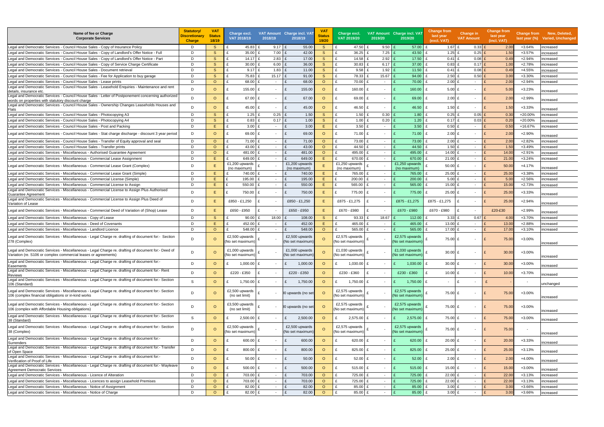| Name of fee or Charge<br><b>Corporate Services</b>                                                                                                                     | <b>Statutory/</b><br><b>Discretionary</b><br><b>Charge</b> | <b>VAT</b><br><b>Status</b><br>18/19 | Charge excl.<br>VAT 2018/19       | 2018/19                  | VAT Amount Charge incl. VAT<br>2018/19 | <b>VA</b><br><b>Status</b><br>19/20 | Charge excl.<br><b>VAT 2019/20</b> | 2019/20                  | VAT Amount Charge incl. VAT<br>2019/20 | <b>Change from</b><br>last year<br>(excl. VAT) | Change in<br><b>VAT Amount</b> | <b>Change from</b><br>last year<br>(incl. VAT) |                          | <b>Change from New, Deleted,</b><br>last year (%) Varied, Unchanged |
|------------------------------------------------------------------------------------------------------------------------------------------------------------------------|------------------------------------------------------------|--------------------------------------|-----------------------------------|--------------------------|----------------------------------------|-------------------------------------|------------------------------------|--------------------------|----------------------------------------|------------------------------------------------|--------------------------------|------------------------------------------------|--------------------------|---------------------------------------------------------------------|
| Legal and Democratic Services - Council House Sales - Copy of Insurance Policy                                                                                         | D                                                          | <sub>S</sub>                         | 45.83                             | $9.17$ £                 | 55.00                                  | <sub>S</sub>                        | 47.50                              | 9.50                     | 57.00                                  | 1.67 $E$                                       | $0.33$ £                       | 2.00                                           | +3.64%                   | increased                                                           |
| Legal and Democratic Services - Council House Sales - Copy of Landlord's Offer Notice - Full                                                                           | D                                                          | <sub>S</sub>                         | 35.00                             | 7.00                     | 42.00                                  | <sub>S</sub>                        | 36.25                              | 7.25                     | 43.50                                  | $1.25$ £                                       | 0.25                           | 1.50                                           | $+3.57%$                 | ncreased                                                            |
| Legal and Democratic Services - Council House Sales - Copy of Landlord's Offer Notice - Part                                                                           | D                                                          | S                                    | 14.17                             | 2.83                     | 17.00                                  | <sub>S</sub>                        | 14.58                              | 2.92                     | 17.50                                  | $0.41$ £                                       | 0.08                           | 0.49                                           | $+2.94%$                 | ncreased                                                            |
| Legal and Democratic Services - Council House Sales - Copy of Service Charge Certificate                                                                               | D                                                          | S                                    | 30.00                             | 6.00                     | 36.00                                  | <sub>S</sub>                        | 30.83                              | 6.17                     | 37.00                                  | $0.83$ £                                       | 0.17                           | 1.0 <sub>0</sub>                               | $+2.78%$                 | ncreased                                                            |
| Legal and Democratic Services - Council House Sales - Document retrieval                                                                                               | D                                                          | S                                    | 9.17                              | 1.83                     | 11.00<br>$\mathbf{f}$                  | <sub>S</sub>                        | 9.58                               | 1.92                     | 11.50                                  | 0.41                                           | 0.08<br>ΙF                     | 0.49                                           | +4.55%                   | าcreased                                                            |
| Legal and Democratic Services - Council House Sales - Fee for Application to buy garage                                                                                | D                                                          | S                                    | 75.83                             | 15.17                    | 91.00<br>$\mathbf{f}$                  | <sub>S</sub>                        | 78.33                              | 15.67                    | 94.00                                  | $2.50$ £                                       | 0.50                           | 3.0(                                           | $+3.30%$                 | าcreased                                                            |
| Legal and Democratic Services - Council House Sales - Lease prints                                                                                                     | D                                                          | $\circ$                              | 68.00                             | $\sim$                   | 68.00<br>$\mathbf{f}$                  | $\circ$                             | 70.00                              | $\overline{\phantom{a}}$ | 70.00                                  | $2.00$ £<br>$\mathbf{f}$                       | $\overline{\phantom{a}}$       | 2.00                                           | $+2.94%$                 | าcreased                                                            |
| Legal and Democratic Services - Council House Sales - Leasehold Enguiries - Maintenance and rent<br>details, insurance etc                                             | D                                                          | $\circ$                              | 155.00                            |                          | 155.00<br>$\mathbf{f}$                 | $\circ$                             | 160.00                             |                          | 160.00                                 | $5.00$ £<br>£                                  | $\overline{\phantom{a}}$       | 5.0(                                           | $+3.23%$                 | ncreased                                                            |
| Legal and Democratic Services - Council House Sales - Letter of Postponement concerning authorized<br>words on properties with statutory discount charge               | D                                                          | $\circ$                              | 67.00                             |                          | £<br>67.00                             | $\circ$                             | 69.00                              | $\overline{\phantom{a}}$ | 69.00                                  | $\mathbf{f}$<br>$2.00$ £                       | $\overline{\phantom{a}}$       | $\mathsf{F}$<br>2.00                           | $+2.99%$                 | ncreased                                                            |
| Legal and Democratic Services - Council House Sales - Ownership Changes Leaseholds Houses and<br>Flats                                                                 | D                                                          | $\circ$                              | 45.00                             |                          | 45.00<br>$\mathbf{f}$                  | $\Omega$                            | 46.50                              | $\overline{a}$           | 46.50                                  | $1.50$ £<br>£                                  | $\overline{\phantom{a}}$       | 1.50                                           | $+3.33%$                 | ncreased                                                            |
| Legal and Democratic Services - Council House Sales - Photocopying A3                                                                                                  | D.                                                         | <sub>S</sub>                         | 1.25                              | 0.25<br>$\mathbf{f}$     | $\mathbf{f}$<br>1.50                   | S                                   | 1.50                               | 0.30                     | 1.80                                   | $0.25$ £<br>£                                  | $0.05$ £                       | 0.3(                                           | +20.00%                  | ncreased                                                            |
| Legal and Democratic Services - Council House Sales - Photocopying A4                                                                                                  | D                                                          | S                                    | 0.83                              | 0.17                     | 1.00                                   | <sub>S</sub>                        | 1.00                               | 0.20                     | 1.20                                   | $0.17$ £                                       | 0.03                           | 0.2(                                           | +20.00%                  | ncreased                                                            |
| Legal and Democratic Services - Council House Sales - Post and Packing                                                                                                 | D                                                          | E                                    | 3.00                              | $\sim$                   | 3.00                                   | Ε                                   | 3.50                               | $\overline{\phantom{a}}$ | 3.50                                   | $0.50$ £<br>£                                  | $\overline{\phantom{a}}$       | 0.5 <sub>0</sub>                               | +16.67%                  | ncreased                                                            |
| Legal and Democratic Services - Council House Sales - Stat charge discharge - discount 3 year period                                                                   | D                                                          | $\circ$                              | 69.00                             |                          | 69.00<br>$\mathbf{f}$                  | $\circ$                             | 71.00                              | $\overline{\phantom{a}}$ | 71.00                                  | $2.00$ £<br>$\mathbf{f}$                       | $\sim$                         | 2.0                                            | $+2.90%$                 | ncreased                                                            |
| Legal and Democratic Services - Council House Sales - Transfer of Equity approval and seal                                                                             | D                                                          | $\circ$                              | 71.00                             | $\sim$                   | 71.00<br>$\mathbf{f}$                  | $\circ$                             | 73.00                              | $\overline{\phantom{a}}$ | 73.00                                  | $2.00$ £<br>$\mathbf{f}$                       | $\overline{\phantom{a}}$       | 2.00                                           | $+2.82%$                 | ncreased                                                            |
| Legal and Democratic Services - Council House Sales - Transfer prints                                                                                                  | D.                                                         | $\circ$                              | 43.00                             | $\overline{\phantom{a}}$ | 43.00                                  | $\circ$                             | 44.50                              | $\overline{\phantom{a}}$ | 44.50                                  | $1.50$ £                                       | $\sim$                         | 1.50                                           | $+3.49%$                 | ncreased                                                            |
| Legal and Democratic Services - Miscellaneous - Authorised Guarantee Agreement                                                                                         | D                                                          | $\Omega$                             | 481.00                            | $\sim$                   | $\mathbf{f}$<br>481.00                 | $\circ$                             | 495.00                             | $\overline{\phantom{a}}$ | 495.00                                 | 14.00 £<br>£                                   | $\sim$                         | 14.0                                           | $+2.91%$                 | ncreased                                                            |
| Legal and Democratic Services - Miscellaneous - Commercial Lease Assignment                                                                                            | D                                                          | E                                    | 649.00                            |                          | 649.00<br>$\mathbf{f}$                 | Ε                                   | 670.00                             | $\overline{\phantom{a}}$ | 670.00                                 | $21.00$ £<br>£                                 | $\overline{\phantom{a}}$       | 21.0                                           | $+3.24%$                 | ncreased                                                            |
| Legal and Democratic Services - Miscellaneous - Commercial Lease Grant (Complex)                                                                                       | D                                                          | E                                    | £1,200 upwards<br>(no maximum)    |                          | £1,200 upwards<br>(no maximum)         | Ε                                   | £1,250 upwards<br>(no maximum)     |                          | £1,250 upwards<br>(no maximum)         | 50.00 $E$                                      | $\overline{\phantom{a}}$       | 50.0                                           | $+4.17%$                 | าcreased                                                            |
| Legal and Democratic Services - Miscellaneous - Commercial Lease Grant (Simple)                                                                                        | D                                                          | E                                    | 740.00                            |                          | 740.00                                 | E                                   | 765.00                             | $\sim$                   | 765.00                                 | 25.00 £                                        | $\overline{\phantom{a}}$       | 25.0                                           | +3.38%                   | าcreased                                                            |
| Legal and Democratic Services - Miscellaneous - Commercial License (Simple)                                                                                            | D.                                                         | F                                    | 195.00                            | $\sim$                   | 195.00                                 | Ε                                   | 200.00                             | $\sim$                   | 200.00                                 | $5.00$ £<br>$\mathbf{f}$                       | $\overline{\phantom{a}}$       | 5.00                                           | $+2.56%$                 | าcreased                                                            |
| Legal and Democratic Services - Miscellaneous - Commercial License to Assign                                                                                           | D.                                                         | F.                                   | 550.00                            |                          | 550.00<br>$\mathbf{f}$                 | E.                                  | 565.00                             | $\overline{\phantom{a}}$ | 565.00                                 | 15.00 £<br>£                                   | $\overline{\phantom{a}}$       | 15.0                                           | $+2.73%$                 | ncreased                                                            |
| Legal and Democratic Services - Miscellaneous - Commercial License to Assign Plus Authorised<br>Guarantee Agreement                                                    | D                                                          | E                                    | 750.00                            |                          | 750.00                                 | Ε                                   | 775.00                             | $\overline{\phantom{a}}$ | 775.00                                 | 25.00 £                                        | $\blacksquare$                 | 25.0                                           | $+3.33%$                 | increased                                                           |
| Legal and Democratic Services - Miscellaneous - Commercial License to Assign Plus Deed of<br>Variation of Lease                                                        | D.                                                         | E.                                   | £850 - £1,250                     |                          | £850 - £1,250                          | Ε                                   | £875 - £1,275                      | $\overline{\phantom{a}}$ | £875 - £1,275                          | £875 - £1,275                                  | $\overline{\phantom{a}}$       | 25.00                                          | $+2.94%$                 | ncreased                                                            |
| Legal and Democratic Services - Miscellaneous - Commercial Deed of Variation of (Shop) Lease                                                                           | D                                                          | E                                    | £650 - £950                       |                          | £650 - £950                            | E.                                  | £670 - £980                        | $\overline{\phantom{a}}$ | £670 - £980                            | £670 - £980                                    | $\blacksquare$                 | £20-£30                                        | +2.99%                   | ncreased                                                            |
| Legal and Democratic Services - Miscellaneous - Copy of Lease                                                                                                          | D                                                          | <sub>S</sub>                         | 90.00                             | 18.00                    | 108.00                                 | <sub>S</sub>                        | 93.33                              | 18.67                    | 112.00                                 | 3.33 E<br>£                                    | 0.67                           | 4.00                                           | +3.70%                   | าcreased                                                            |
| Legal and Democratic Services - Miscellaneous - Deed of Covenants                                                                                                      | D                                                          | Ε                                    | 452.00                            | $\overline{\phantom{a}}$ | 452.00                                 | Ε                                   | 465.00                             | $\overline{\phantom{a}}$ | 465.00                                 | 13.00 £                                        | $\overline{\phantom{a}}$       | 13.00                                          | $+2.88%$                 | ncreased                                                            |
| Legal and Democratic Services - Miscellaneous - Landlord Licence                                                                                                       | D                                                          | $\circ$                              | 548.00                            | £<br>$\sim$              | 548.00<br>$\mathbf{f}$                 | $\circ$                             | 565.00                             | $\sim$                   | 565.00                                 | 17.00 £<br>£                                   | $\sim$                         | 17.00                                          | $+3.10%$                 | ncreased                                                            |
| Legal and Democratic Services - Miscellaneous - Legal Charge re. drafting of document for:- Section<br>278 (Complex)                                                   | D                                                          | $\circ$                              | £2,500 upwards<br>No set maximum) |                          | £2,500 upwards<br>(No set maximum)     | $\Omega$                            | £2,575 upwards<br>(No set maximum) |                          | £2,575 upwards<br>(No set maximum)     | 75.00 £                                        | $\overline{\phantom{a}}$       | 75.00<br>$\mathbf{f}$                          | +3.00%                   | increased                                                           |
| Legal and Democratic Services - Miscellaneous - Legal Charge re. drafting of document for:- Deed of<br>Variation (re. S106 or complex commercial leases or agreements) | D.                                                         | $\Omega$                             | £1,000 upwards<br>No set maximum  |                          | £1,000 upwards<br>No set maximum       | $\circ$                             | £1,030 upwards<br>No set maximum   | $\overline{\phantom{a}}$ | £1,030 upwards<br>No set maximum       | 30.00 $E$                                      | $\sim$                         | $\mathbf{f}$<br>30.00                          | $+3.00%$                 | increased                                                           |
| Legal and Democratic Services - Miscellaneous - Legal Charge re. drafting of document for:-<br>Easements                                                               | D                                                          | $\circ$                              | $1,000.00$ £                      |                          | £<br>1,000.00                          | $\circ$                             | £<br>1,030.00 $E$                  |                          | $1.030.00$ £                           | $30.00$ £                                      | $\overline{\phantom{a}}$       | 30.00<br>$\mathsf{F}$                          | $+3.00%$                 | ncreased                                                            |
| Legal and Democratic Services - Miscellaneous - Legal Charge re. drafting of document for:- Rent<br><b>Reviews</b>                                                     | D                                                          | $\circ$                              | £220 - £350                       | £                        | £220 - £350                            | $\circ$                             | £230 - £360                        |                          | £230 - £360                            | 10.00 $E$<br>£                                 | $\overline{\phantom{a}}$       | $\mathbf{f}$<br>10.00                          | +3.70%                   | ncreased                                                            |
| Legal and Democratic Services - Miscellaneous - Legal Charge re. drafting of document for:- Section<br>106 (Standard)                                                  | S                                                          | $\circ$                              | $1,750.00$ £                      |                          | 1,750.00<br>£                          | $\circ$                             | £<br>1,750.00 £                    | $\overline{\phantom{a}}$ | 1,750.00                               | £<br>$\overline{\phantom{a}}$                  | Ŀ£<br>$\overline{\phantom{a}}$ |                                                | $\overline{\phantom{a}}$ | unchanged                                                           |
| Legal and Democratic Services - Miscellaneous - Legal Charge re. drafting of document for:- Section<br>106 (complex financial obligations or in-kind works             | D                                                          | $\circ$                              | £2,500 upwards<br>(no set limit)  |                          | 00 upwards (no set                     | $\Omega$                            | £2,575 upwards<br>(No set maximum) |                          | £2,575 upwards<br>(No set maximum)     | 75.00 £<br>£                                   | $\sim$                         | 75.00<br>$\mathbf{f}$                          | +3.00%                   | increased                                                           |
| Legal and Democratic Services - Miscellaneous - Legal Charge re. drafting of document for:- Section<br>106 (complex with Affordable Housing obligations)               | D                                                          | $\circ$                              | £3,500 upwards<br>(no set limit)  |                          | 00 upwards (no set                     | $\Omega$                            | £2,575 upwards<br>(No set maximum) |                          | £2,575 upwards<br>(No set maximum)     | 75.00 £<br>£                                   | $\overline{\phantom{a}}$       | 75.00<br>∣ £                                   | +3.00%                   | increased                                                           |
| Legal and Democratic Services - Miscellaneous - Legal Charge re. drafting of document for:- Section<br>38 (Standard)                                                   | S                                                          | $\circ$                              | 2,500.00                          | £                        | 2,500.00<br>£                          | $\circ$                             | £<br>2,575.00 £                    |                          | 2,575.00                               | £<br>75.00 £                                   | $\overline{\phantom{a}}$       | E<br>75.00                                     | +3.00%                   | ncreased                                                            |
| Legal and Democratic Services - Miscellaneous - Legal Charge re. drafting of document for:- Section<br>38 (Complex)                                                    | D                                                          | $\circ$                              | £2,500 upwards<br>No set maximum  |                          | £2,500 upwards<br>(No set maximum      | $\Omega$                            | £2,575 upwards<br>(No set maximum) |                          | £2,575 upwards<br>(No set maximum      | 75.00 £<br>£                                   | $\overline{\phantom{a}}$       | $\mathbf{f}$<br>75.00                          |                          | increased                                                           |
| Legal and Democratic Services - Miscellaneous - Legal Charge re. drafting of document for:-<br>Surrenders                                                              | D                                                          | $\circ$                              | 600.00                            | $\mathbf{f}$             | 600.00<br>$\mathbf{f}$                 | $\circ$                             | 620.00 £                           | $\overline{\phantom{a}}$ | 620.00                                 | £<br>$20.00$ £                                 | $\overline{\phantom{a}}$       | $\mathsf{F}$<br>20.00                          | $+3.33%$                 | increased                                                           |
| Legal and Democratic Services - Miscellaneous - Legal Charge re. drafting of document for:- Transfer<br>of Open Space                                                  | D                                                          | $\circ$                              | 800.00                            | £                        | $\mathbf{f}$<br>800.00                 | $\circ$                             | 825.00 £                           | $\overline{\phantom{a}}$ | 825.00                                 | £<br>25.00 £                                   | $\overline{\phantom{a}}$       | E<br>25.00                                     | $+3.13%$                 | ncreased                                                            |
| Legal and Democratic Services - Miscellaneous - Legal Charge re. drafting of document for:-<br>Verification of Proof of Life                                           | D                                                          | $\circ$                              | 50.00                             | £                        | £<br>50.00                             | $\circ$                             | $52.00$ £                          |                          | 52.00                                  | £<br>$2.00$ £                                  | $\overline{\phantom{a}}$       | $\mathsf{F}$<br>2.00                           | $+4.00%$                 | ncreased                                                            |
| Legal and Democratic Services - Miscellaneous - Legal Charge re. drafting of document for:- Wayleave<br>Agreement Democratic Services                                  | D                                                          | $\circ$                              | 500.00                            | £                        | E<br>500.00                            | $\circ$                             | 515.00 £                           |                          | 515.00                                 | £<br>15.00 £                                   | $\overline{\phantom{a}}$       | $\mathbf{f}$<br>15.00                          | +3.00%                   | ncreased                                                            |
| Legal and Democratic Services - Miscellaneous - Licence of Alteration                                                                                                  | D                                                          | $\circ$                              | 703.00                            | $\sim$                   | 703.00<br>$\mathbf{f}$                 | $\circ$                             | 725.00                             | $\sim$                   | 725.00                                 | 22.00 $E$                                      | $\sim$                         | 22.00                                          | $+3.13%$                 | ncreased                                                            |
| Legal and Democratic Services - Miscellaneous - Licences to assign Leasehold Premises                                                                                  | D                                                          | $\circ$                              | 703.00                            | $\sim$                   | 703.00<br>$\mathbf{f}$                 | $\circ$                             | 725.00                             | $\sim$                   | 725.00                                 | 22.00 £<br>£                                   | $\overline{\phantom{a}}$       | 22.00                                          | $+3.13%$                 | ncreased                                                            |
| Legal and Democratic Services - Miscellaneous - Notice of Assignment                                                                                                   | D                                                          | $\circ$                              | 82.00                             | $\sim$                   | 82.00<br>£                             | $\circ$                             | 85.00                              | $\sim$                   | 85.00                                  | 3.00 E<br>£                                    | $\overline{\phantom{a}}$       | 3.00                                           | +3.66%                   | ncreased                                                            |
| Legal and Democratic Services - Miscellaneous - Notice of Charge                                                                                                       | D                                                          | $\circ$                              | 82.00 £                           |                          | £<br>82.00                             | $\circ$                             | 85.00 £<br>£                       | $\overline{\phantom{a}}$ | 85.00                                  | 3.00 E<br>£                                    | $\overline{\phantom{a}}$       | $\mathbf{f}$<br>3.00                           | +3.66%                   | increased                                                           |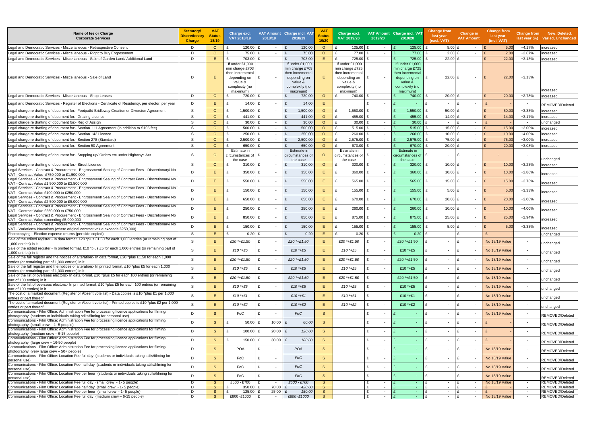| Name of fee or Charge<br><b>Corporate Services</b>                                                                                                                                                                                                                                     | <b>Statutory</b><br>Discretionary<br><b>Charge</b> | <b>VAT</b><br><b>Status</b><br>18/19 | Charge excl.<br>VAT 2018/19                                                                                     | 2018/19                   | VAT Amount Charge incl. VA<br>2018/19                                                                          | <b>VAT</b><br>Status<br>19/20 | Charge excl.<br>VAT 2019/20                                                                                     | 2019/20                                                 | VAT Amount Charge incl. VAT<br>2019/20                                                                          | Change from<br>last year<br>(excl. VAT)      | Change in<br><b>VAT Amount</b> | <b>Change from</b><br>last year<br>(incl. VAT) |                          | Change from New, Deleted,<br>last year (%) Varied, Unchanged |
|----------------------------------------------------------------------------------------------------------------------------------------------------------------------------------------------------------------------------------------------------------------------------------------|----------------------------------------------------|--------------------------------------|-----------------------------------------------------------------------------------------------------------------|---------------------------|----------------------------------------------------------------------------------------------------------------|-------------------------------|-----------------------------------------------------------------------------------------------------------------|---------------------------------------------------------|-----------------------------------------------------------------------------------------------------------------|----------------------------------------------|--------------------------------|------------------------------------------------|--------------------------|--------------------------------------------------------------|
| Legal and Democratic Services - Miscellaneous - Retrospective Consent                                                                                                                                                                                                                  | D                                                  | $\circ$                              | 120.00                                                                                                          |                           | 120.00<br>£                                                                                                    | $\circ$                       | 125.00<br>£                                                                                                     | $\sim$                                                  | 125.00                                                                                                          | $5.00$ £<br>£                                | $\overline{\phantom{a}}$       | 5.00                                           | $+4.17%$                 | ncreased                                                     |
| Legal and Democratic Services - Miscellaneous - Right to Buy Engrossment                                                                                                                                                                                                               | D                                                  | $\circ$                              | 75.00                                                                                                           | £                         | 75.00<br>£                                                                                                     | $\circ$                       | 77.00                                                                                                           | $\sim$                                                  | 77.00                                                                                                           | $2.00$ £                                     | $\sim$                         | 2.00                                           | $+2.67%$                 | ncreased                                                     |
| Legal and Democratic Services - Miscellaneous - Sale of Garden Land/ Additional Land                                                                                                                                                                                                   | D                                                  | E                                    | 703.00                                                                                                          | $\sim$                    | 703.00<br>£                                                                                                    | Ε                             | 725.00                                                                                                          | $\sim$                                                  | 725.00                                                                                                          | $22.00$ £                                    | $\sim$                         | 22.00                                          | $+3.13%$                 | ncreased                                                     |
| Legal and Democratic Services - Miscellaneous - Sale of Land                                                                                                                                                                                                                           | D                                                  | E                                    | If under £1,000<br>min charge £703<br>then incremental<br>depending on<br>value &<br>complexity (no<br>maximum) | £                         | If under £1,000<br>min charge £703<br>then incrementa<br>depending on<br>value &<br>complexity (no<br>maximum) | E                             | If under £1,000<br>min charge £725<br>then incremental<br>depending on<br>value &<br>complexity (no<br>maximum) | $\overline{\phantom{a}}$                                | If under £1,000<br>min charge £725<br>then incremental<br>depending on<br>value &<br>complexity (no<br>maximum) | $22.00$ £<br>£                               | $\sim$                         | $\mathbf{f}$<br>22.00                          | $+3.13%$                 | increased                                                    |
| Legal and Democratic Services - Miscellaneous - Shop Leases                                                                                                                                                                                                                            | D                                                  | $\circ$                              | 720.00                                                                                                          | $\sim$                    | 720.00<br>£                                                                                                    | $\circ$                       | 740.00                                                                                                          | $\sim$                                                  | 740.00                                                                                                          | $20.00$ £                                    | $\sim$                         | 20.00                                          | $+2.78%$                 | ncreased                                                     |
| Legal and Democratic Services - Register of Elections - Certificate of Residency, per elector, per year                                                                                                                                                                                | D                                                  | Е                                    | 14.00                                                                                                           | f<br>$\sim$               | 14.00<br>$\mathbf{f}$                                                                                          | E                             |                                                                                                                 | $\overline{\phantom{a}}$                                |                                                                                                                 | £                                            | $\mathbf{f}$<br>$\sim$         |                                                |                          |                                                              |
| Legal charge re drafting of document for:- Footpath/ Bridleway Creation or Diversion Agreement                                                                                                                                                                                         | S                                                  | $\circ$                              | 1,500.00                                                                                                        | £<br>$\sim$               | 1,500.00<br>£                                                                                                  | $\circ$                       | 1,550.00 £                                                                                                      | $\overline{\phantom{a}}$                                | 1,550.00                                                                                                        | $50.00$ £                                    | $\sim$                         | 50.00                                          | $+3.33%$                 | REMOVED\Deleted<br>ncreased                                  |
| Legal charge re drafting of document for:- Grazing Licence                                                                                                                                                                                                                             | S                                                  | $\Omega$                             | 441.00                                                                                                          | $\sim$                    | £<br>441.00                                                                                                    | $\circ$                       | 455.00                                                                                                          | $\overline{\phantom{a}}$                                | 455.00                                                                                                          | 14.00 $£$<br>£                               | $\sim$                         | 14.00                                          | $+3.17%$                 | ncreased                                                     |
| Legal charge re drafting of document for: - Reg of Assign                                                                                                                                                                                                                              | S                                                  | $\circ$                              | 30.00<br>£.                                                                                                     | £<br>$\sim$               | £<br>30.00                                                                                                     | $\circ$                       | £<br>30.00                                                                                                      | $\sim$                                                  | 30.00                                                                                                           | £<br>$\sim$                                  | $\mathbf{f}$<br>$\sim$         |                                                | $\sim$                   | unchanged                                                    |
| Legal charge re drafting of document for:- Section 111 Agreement (in addition to S106 fee)                                                                                                                                                                                             | S.                                                 | $\circ$                              | 500.00                                                                                                          | $\sim$                    | 500.00                                                                                                         | $\circ$                       | 515.00                                                                                                          | $\sim$                                                  | 515.00                                                                                                          | 15.00 £                                      | $\sim$                         | 15.00                                          | $+3.00%$                 | ncreased                                                     |
| Legal charge re drafting of document for:- Section 142 Licence                                                                                                                                                                                                                         | S                                                  | $\Omega$                             | 250.00                                                                                                          | £<br>$\sim$               | 250.00<br>£                                                                                                    | $\circ$                       | 260.00<br>£                                                                                                     | $\overline{\phantom{a}}$                                | 260.00                                                                                                          | £<br>10.00 $E$                               | $\sim$                         | 10.00                                          | +4.00%                   | ncreased                                                     |
| Legal charge re drafting of document for: - Section 278 (Standard)                                                                                                                                                                                                                     | S                                                  | $\circ$                              | 2,500.00                                                                                                        | $\sim$                    | 2,500.00                                                                                                       | $\circ$                       | 2,575.00                                                                                                        | $\overline{\phantom{a}}$                                | 2,575.00                                                                                                        | 75.00 £                                      | $\sim$                         | 75.0                                           | $+3.00%$                 | ncreased                                                     |
| Legal charge re drafting of document for:- Section 50 Agreement                                                                                                                                                                                                                        | S                                                  | $\circ$                              | 650.00                                                                                                          | $\sim$                    | $\mathbf{f}$<br>650.00                                                                                         | $\circ$                       | 670.00                                                                                                          | $\sim$                                                  | 670.00                                                                                                          | $20.00$ £<br>£                               | $\sim$                         | 20.00                                          | +3.08%                   | ncreased                                                     |
| Legal charge re drafting of document for:- Stopping up/ Orders etc under Highways Act                                                                                                                                                                                                  | S                                                  | $\circ$                              | Estimate in<br>circumstances of<br>the case                                                                     | f                         | Estimate in<br>circumstances o<br>the case                                                                     | $\Omega$                      | Estimate in<br>rcumstances of<br>the case                                                                       | $\sim$                                                  | Estimate in<br>circumstances of<br>the case                                                                     | $\sim$                                       | $\overline{\phantom{a}}$       |                                                | $\overline{\phantom{a}}$ | unchanged                                                    |
| Legal charge re drafting of document for:- Street License                                                                                                                                                                                                                              | S                                                  | $\circ$                              | 310.00                                                                                                          | $\sim$                    | 310.00<br>£                                                                                                    | $\circ$                       | 320.00                                                                                                          | $\sim$                                                  | 320.00                                                                                                          | $10.00$ £<br>£                               | $\sim$                         | 10.00                                          | $+3.23%$                 | ncreased                                                     |
| Legal Services - Contract & Procurement - Engrossment/ Sealing of Contract Fees - Discretionary/ No<br>VAT - Contract Value £750,000 to £1,500,000                                                                                                                                     | D                                                  | E                                    | 350.00                                                                                                          | £                         | 350.00<br>£                                                                                                    | Ε                             | $360.00$ E                                                                                                      | $\overline{\phantom{a}}$                                | 360.00                                                                                                          | £<br>10.00 $E$                               | $\blacksquare$                 | 10.00                                          | $+2.86%$                 | ncreased                                                     |
| Legal Services - Contract & Procurement - Engrossment/ Sealing of Contract Fees - Discretionary/ No<br>VAT - Contract Value £1,500,000 to £2,500,000                                                                                                                                   | D.                                                 | E.                                   | 550.00                                                                                                          | f                         | 550.00<br>$\mathbf{f}$                                                                                         | Е                             | 565.00 £<br>£                                                                                                   | $\sim$                                                  | 565.00                                                                                                          | 15.00 E<br>£                                 | $\overline{\phantom{a}}$       | 15.00                                          | $+2.73%$                 | ncreased                                                     |
| Legal Services - Contract & Procurement - Engrossment/ Sealing of Contract Fees - Discretionary/ No<br>VAT - Contract Value £100,000 to £250,000<br>Legal Services - Contract & Procurement - Engrossment/ Sealing of Contract Fees - Discretionary/ No                                | D.                                                 | E.                                   | 150.00                                                                                                          | £                         | 150.00<br>$\mathbf{f}$                                                                                         | E                             | 155.00                                                                                                          | $\overline{\phantom{a}}$                                | 155.00                                                                                                          | $5.00$ £<br>£                                | $\overline{\phantom{a}}$       | 5.00                                           | $+3.33%$                 | ncreased                                                     |
| VAT - Contract Value £2,500,000 to £5,000,000<br>Legal Services - Contract & Procurement - Engrossment/ Sealing of Contract Fees - Discretionary/ No                                                                                                                                   | D                                                  | E                                    | 650.00                                                                                                          | £<br>$\sim$               | £<br>650.00                                                                                                    | Е                             | 670.00 E<br>£                                                                                                   | $\sim$                                                  | 670.00                                                                                                          | $20.00$ £<br>£                               | $\overline{\phantom{a}}$       | 20.00                                          | +3.08%                   | ncreased                                                     |
| VAT - Contract Value £250,000 to £750,000                                                                                                                                                                                                                                              | D.                                                 | E                                    | 250.00                                                                                                          | £                         | 250.00<br>$\mathbf{f}$                                                                                         | E                             | £<br>$260.00$ E                                                                                                 | $\overline{\phantom{a}}$                                | 260.00                                                                                                          | 10.00 $E$<br>£                               | $\overline{\phantom{a}}$       | 10.00                                          | $+4.00%$                 | ncreased                                                     |
| Legal Services - Contract & Procurement - Engrossment/ Sealing of Contract Fees - Discretionary/ No<br>VAT - Contract Value exceeding £5,000,000<br>Legal Services - Contract & Procurement - Engrossment/ Sealing of Contract Fees - Discretionary/ No                                | D.                                                 | E                                    | 850.00                                                                                                          | £<br>$\sim$               | 850.00<br>£                                                                                                    | Е                             | 875.00 £<br>£                                                                                                   | $\sim$                                                  | 875.00                                                                                                          | £<br>$25.00$ £                               | $\overline{\phantom{a}}$       | 25.00                                          | $+2.94%$                 | ncreased                                                     |
| VAT - Variations/ Novations (where original contract value exceeds £250,000)                                                                                                                                                                                                           | D                                                  | E                                    | 150.00                                                                                                          | £<br>$\sim$               | 150.00<br>$\mathbf{f}$                                                                                         | E                             | 155.00 £                                                                                                        | $\overline{\phantom{a}}$                                | 155.00                                                                                                          | $5.00$ £<br>£                                | $\overline{\phantom{a}}$       | 5.00                                           | $+3.33%$                 | ncreased                                                     |
| Photocopying:- Election expense returns (per side copied)                                                                                                                                                                                                                              | S                                                  | Ε                                    | 0.20                                                                                                            | $\mathbf{f}$<br>$\sim$    | 0.20                                                                                                           | Е                             | $0.20$ £                                                                                                        | $\sim$                                                  | 0.20                                                                                                            | $\sim$                                       | £<br>$\sim$                    |                                                | $\sim$                   | inchanged                                                    |
| Sale of the edited register:- In data format, £20 *plus £1.50 for each 1,000 entries (or remaining part of<br>1,000 entries) in it                                                                                                                                                     | S.                                                 | E                                    | £20 *+£1.50                                                                                                     |                           | £20 *+£1.50                                                                                                    | E                             | £20 *+£1.50                                                                                                     | $\sim$                                                  | £20 $*$ +£1.50                                                                                                  | $\sim$                                       | £<br>$\sim$                    | No 18/19 Value                                 | $\sim$                   | unchanged                                                    |
| Sale of the edited register:- In printed format, £10 *plus £5 for each 1,000 entries (or remaining part of<br>1.000 entries) in it                                                                                                                                                     | S.                                                 | E                                    | £10 $*$ +£5                                                                                                     |                           | £10 $*$ +£5                                                                                                    | E                             | £10 *+£5                                                                                                        | $\sim$                                                  | £10 $*$ +£5                                                                                                     | $\sim$                                       | £<br>$\sim$                    | No 18/19 Value                                 | $\overline{\phantom{a}}$ | unchanged                                                    |
| Sale of the full register and the notices of alteration:- In data format, £20 *plus £1.50 for each 1,000<br>entries (or remaining part of 1,000 entries) in it                                                                                                                         | S                                                  | E                                    | £20 *+£1.50                                                                                                     |                           | £20 *+£1.50                                                                                                    | E                             | £20 *+£1.50                                                                                                     |                                                         | £20 *+£1.50                                                                                                     | $\sim$                                       | - F                            | No 18/19 Value                                 | $\overline{\phantom{a}}$ | unchanged                                                    |
| Sale of the full register and the notices of alteration:- In printed format, £10 *plus £5 for each 1,000<br>entries (or remaining part of 1,000 entries) in it<br>Sale of the list of overseas electors:- In data format, £20 *plus £5 for each 100 entries (or remaining              | S                                                  | E.                                   | £10 $*$ +£5                                                                                                     | £<br>$\sim$               | £10 $*$ +£5                                                                                                    | E.                            | £10 $*$ +£5                                                                                                     | $\sim$                                                  | £10 $*$ +£5                                                                                                     | £<br>$\sim$                                  | £<br>$\sim$                    | <b>No 18/19 Value</b>                          | $\sim$                   | unchanged                                                    |
| part of 100 entries) in it                                                                                                                                                                                                                                                             | S                                                  | E                                    | £20 *+£1.50                                                                                                     | $\mathbf{f}$              | £20 *+£1.50                                                                                                    | E.                            | £20 *+£1.50                                                                                                     | $\overline{\phantom{a}}$                                | £20 $*$ +£1.50                                                                                                  | £<br>$\sim$                                  | £<br>$\sim$                    | No 18/19 Value                                 | $\sim$                   | unchanged                                                    |
| Sale of the list of overseas electors:- In printed format, £10 *plus £5 for each 100 entries (or remaining<br>part of 100 entries) in it                                                                                                                                               | S                                                  | E.                                   | £10 $*$ +£5                                                                                                     | £<br>$\sim$               | £10 $*$ +£5                                                                                                    | E.                            | £10 $*$ +£5                                                                                                     | $\mathbf{f}$<br>$\overline{\phantom{a}}$                | £10 $*$ +£5                                                                                                     | £<br>$\sim$                                  | £<br>$\sim$                    | <b>No 18/19 Value</b>                          | $\sim$                   | unchanged                                                    |
| The cost of a marked document (Register or Absent vote list):- Data copies is £10 *plus £1 per 1,000<br>entries or part thereof                                                                                                                                                        | S                                                  | E.                                   | £10 $*$ +£1                                                                                                     | £<br>$\sim$               | £10 $*$ +£1                                                                                                    | E.                            | £10 $*$ +£1                                                                                                     | $\overline{\phantom{a}}$                                | £10 $*$ +£1                                                                                                     | £<br>$\sim$                                  | £                              | <b>No 18/19 Value</b>                          | $\sim$                   | unchanged                                                    |
| The cost of a marked document (Register or Absent vote list):- Printed copies is £10 *plus £2 per 1,000<br>entries or part thereof                                                                                                                                                     | S                                                  | E.                                   | £10 $*$ +£2                                                                                                     | £<br>$\sim$               | £10 $*$ +£2                                                                                                    | E.                            | £10 $*$ +£2                                                                                                     | £<br>$\overline{\phantom{a}}$                           | £10 $*$ +£2                                                                                                     | $\mathbf{f}$<br>$\sim$                       | £                              | <b>No 18/19 Value</b>                          | $\sim$                   | unchanged                                                    |
| Communications - Film Office: Administration Fee for processing licence applications for filming/<br>bhotography (students or individuals taking stills/filming for personal use)<br>Communications - Film Office: Administration Fee for processing licence applications for filming/ | D                                                  | S                                    | FoC                                                                                                             | £                         | FoC                                                                                                            | S.                            |                                                                                                                 | £<br>$\overline{\phantom{a}}$                           |                                                                                                                 | £<br>$\overline{\phantom{0}}$                | £                              | No 18/19 Value                                 | $\sim$                   | REMOVED\Deleted                                              |
| photography (small crew - 1-5 people)<br>Communications - Film Office: Administration Fee for processing licence applications for filming/                                                                                                                                             | D                                                  | <sub>S</sub>                         | 50.00                                                                                                           | 10.00                     | 60.00<br>£                                                                                                     | <sub>S</sub>                  |                                                                                                                 | $\mathbf{f}$<br>$\overline{\phantom{a}}$                |                                                                                                                 | £<br>$\overline{\phantom{a}}$                | £<br>$\overline{\phantom{a}}$  |                                                | $\sim$                   | REMOVED\Deleted                                              |
| $photography$ (medium crew $-6-15$ people)                                                                                                                                                                                                                                             | D                                                  | <sub>S</sub>                         | 100.00                                                                                                          | $20.00$ £<br>$\mathbf{f}$ | 120.00                                                                                                         | <sub>S</sub>                  |                                                                                                                 | $\mathbf{f}$<br>$\overline{\phantom{a}}$                |                                                                                                                 | £<br>$\sim$                                  | $\mathbf f$                    |                                                | $\overline{\phantom{a}}$ | REMOVED\Deleted                                              |
| Communications - Film Office: Administration Fee for processing licence applications for filming/<br>photography (large crew - 16-50 people)                                                                                                                                           | D                                                  | <sub>S</sub>                         | 150.00                                                                                                          | 30.00<br>£                | 180.00<br>$\mathbf{f}$                                                                                         | <sub>S</sub>                  |                                                                                                                 | $\mathbf{f}$<br>$\sim$                                  |                                                                                                                 | £<br>$\sim$                                  | £<br>$\overline{\phantom{a}}$  |                                                | $\sim$                   | REMOVED\Deleted                                              |
| Communications - Film Office: Administration Fee for processing licence applications for filming/<br>photography (very large crew - 50+ people)                                                                                                                                        | D                                                  | S                                    | POA                                                                                                             | $\mathbf{f}$              | POA                                                                                                            | S                             |                                                                                                                 | $\sim$                                                  |                                                                                                                 | £<br>$\sim$                                  | £<br>$\sim$                    | No 18/19 Value                                 | $\sim$                   | REMOVED\Deleted                                              |
| Communications - Film Office: Location Fee full day (students or individuals taking stills/filming for<br>personal use)                                                                                                                                                                | D                                                  | S.                                   | FoC                                                                                                             | £                         | FoC                                                                                                            | <sub>S</sub>                  |                                                                                                                 | $\mathbf{f}$                                            |                                                                                                                 | £<br>$\overline{\phantom{0}}$                | E                              | No 18/19 Value                                 | $\sim$                   | REMOVED\Deleted                                              |
| Communications - Film Office: Location Fee half day (students or individuals taking stills/filming for<br>bersonal use                                                                                                                                                                 | D                                                  | S                                    | FoC                                                                                                             | $\mathbf{f}$              | FoC                                                                                                            | <sub>S</sub>                  |                                                                                                                 | $\mathbf{f}$<br>$\overline{\phantom{a}}$                |                                                                                                                 | £<br>$\overline{\phantom{a}}$                | £                              | <b>No 18/19 Value</b>                          | $\sim$                   | REMOVED\Deleted                                              |
| Communications - Film Office: Location Fee per hour (students or individuals taking stills/filming for<br>personal use<br>Communications - Film Office: Location Fee full day (small crew - 1-5 people)                                                                                | D<br>D                                             | <sub>S</sub><br><sub>S</sub>         | FoC<br>£500 - £700                                                                                              | $\mathbf{f}$<br>$\sim$    | FoC<br>£500 - £700                                                                                             | <sub>S</sub><br>S.            |                                                                                                                 | £<br>$\overline{\phantom{a}}$<br>$\mathbf{f}$<br>$\sim$ | <b>Section</b>                                                                                                  | £<br>$\overline{\phantom{a}}$<br>£<br>$\sim$ | £<br>$\mathbf{f}$<br>$\sim$    | No 18/19 Value<br><b>No 18/19 Value</b>        | $\sim$<br>$\sim$ $ \sim$ | REMOVED\Deleted<br>REMOVED\Deleted                           |
| Communications - Film Office: Location Fee half day (small crew - 1- 5 people)                                                                                                                                                                                                         | D                                                  | <sub>S</sub>                         | 350.00                                                                                                          | 70.00                     | 420.00                                                                                                         | S.                            |                                                                                                                 | $\sim$                                                  | $\sim$                                                                                                          | £<br>$\sim$                                  | £<br>$\sim$                    |                                                | $\sim$ $-$               | REMOVED\Deleted                                              |
| Communications - Film Office: Location Fee per hour (small crew - 1-5 people)                                                                                                                                                                                                          | D                                                  | <sub>S</sub>                         | 125.00                                                                                                          | 25.00                     | 150.00                                                                                                         | <sub>S</sub>                  |                                                                                                                 | £<br>$\sim$                                             | $\sim$ $-$                                                                                                      | £<br>$\sim$ $-$                              | £<br>$\sim$                    |                                                | $\sim$ $-$               | REMOVED\Deleted                                              |
| Communications - Film Office: Location Fee full day (medium crew - 6-15 people)                                                                                                                                                                                                        | D.                                                 | S.                                   | £800 -£1000                                                                                                     | $\sim$                    | £800-£1000                                                                                                     | S.                            |                                                                                                                 | $\sim$                                                  | $\sim$ 10 $\pm$                                                                                                 | £<br>$\sim$                                  | $\mathbf{f}$<br>$\sim$         | <b>No 18/19 Value</b>                          | $\sim$ $-$               | REMOVED\Deleted                                              |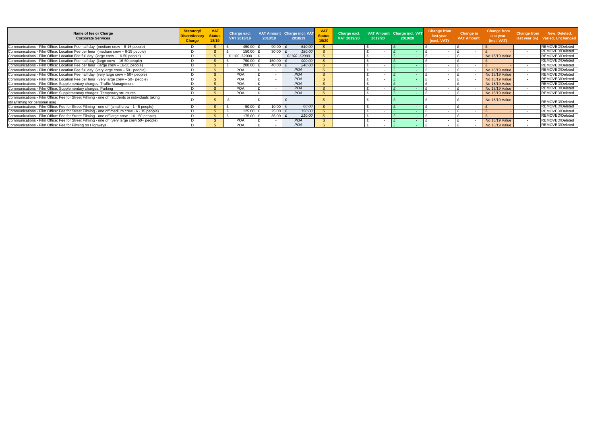| Name of fee or Charge<br><b>Corporate Services</b>                                                                                 | <b>Statutory/</b><br><b>Discretionary</b><br><b>Charge</b> | <b>VA</b><br><b>Status</b><br>18/19 | Charge excl.<br><b>VAT 2018/19</b> | 2018/19 | VAT Amount Charge incl. VAT<br>2018/19 | <b>VAT</b><br><b>Status</b><br>19/20 | Charge excl.<br>VAT 2019/20 | 2019/20 | VAT Amount Charge incl. VAT<br>2019/20 | <b>Change from</b><br>last year<br>(excl. VAT) | Change in<br><b>VAT Amount</b> | <b>Change from</b><br>last year<br>(incl. VAT) | <b>Change from</b>       | New, Deleted,<br>last year (%) Varied, Unchanged |
|------------------------------------------------------------------------------------------------------------------------------------|------------------------------------------------------------|-------------------------------------|------------------------------------|---------|----------------------------------------|--------------------------------------|-----------------------------|---------|----------------------------------------|------------------------------------------------|--------------------------------|------------------------------------------------|--------------------------|--------------------------------------------------|
| Communications - Film Office: Location Fee half day (medium crew - 6-15 people)                                                    |                                                            |                                     | 450.00                             | 90.00   | 540.00                                 |                                      |                             |         |                                        |                                                |                                |                                                |                          | <b>REMOVED\Deleted</b>                           |
| Communications - Film Office: Location Fee per hour (medium crew - 6-15 people)                                                    |                                                            | -S                                  | 150.00                             | 30.00   | 180.00                                 |                                      |                             |         |                                        | $\overline{\phantom{0}}$                       |                                |                                                | $\overline{\phantom{0}}$ | <b>REMOVED\Deleted</b>                           |
| Communications - Film Office: Location Fee full day (large crew - 16-50 people)                                                    |                                                            | <sub>S</sub>                        | £1100 -£2000                       |         | £1100-£2000                            |                                      |                             |         |                                        |                                                |                                | <b>No 18/19 Value</b>                          |                          | <b>REMOVED\Deleted</b>                           |
| Communications - Film Office: Location Fee half day (large crew - 16-50 people)                                                    |                                                            | -S                                  | 750.00                             | 150.00  | 900.00                                 |                                      |                             |         |                                        | $\overline{\phantom{0}}$                       |                                |                                                | $\sim$                   | <b>REMOVED\Deleted</b>                           |
| Communications - Film Office: Location Fee per hour (large crew - 16-50 people)                                                    |                                                            | -S                                  | 200.00                             | 40.00   | 240.00                                 |                                      |                             |         |                                        | $\overline{\phantom{0}}$                       |                                |                                                |                          | <b>REMOVED\Deleted</b>                           |
| Communications - Film Office: Location Fee full day (very large crew - 50+ people)                                                 |                                                            |                                     | <b>POA</b>                         |         | POA                                    | $\sim$                               |                             |         |                                        |                                                |                                | <b>No 18/19 Value</b>                          |                          | <b>REMOVED\Deleted</b>                           |
| Communications - Film Office: Location Fee half day (very large crew - 50+ people)                                                 |                                                            | <sub>S</sub>                        | <b>POA</b>                         |         | <b>POA</b>                             | $\mathbf{C}$                         |                             |         |                                        |                                                |                                | <b>No 18/19 Value</b>                          |                          | <b>REMOVED\Deleted</b>                           |
| Communications - Film Office: Location Fee per hour (very large crew - 50+ people)                                                 |                                                            | <sub>S</sub>                        | <b>POA</b>                         |         | <b>POA</b>                             | $\sim$                               |                             |         |                                        | $\overline{\phantom{0}}$                       |                                | <b>No 18/19 Value</b>                          | $\sim$                   | <b>REMOVED\Deleted</b>                           |
| Communications - Film Office: Supplementary charges: Traffic Management                                                            |                                                            |                                     | POA                                |         | POA                                    | $\sim$                               |                             |         |                                        |                                                |                                | No 18/19 Value                                 |                          | <b>REMOVED\Deleted</b>                           |
| Communications - Film Office: Supplementary charges: Parking                                                                       |                                                            | -S                                  | <b>POA</b>                         |         | <b>POA</b>                             | $\mathbf{C}$                         |                             | $\sim$  |                                        | $\overline{\phantom{0}}$                       |                                | No 18/19 Value                                 | $\sim$                   | REMOVED\Deleted                                  |
| Communications - Film Office: Supplementary charges: Temporary structures                                                          |                                                            | -S                                  | POA                                |         | <b>POA</b>                             | $\sim$                               |                             |         |                                        |                                                |                                | <b>No 18/19 Value</b>                          |                          | <b>REMOVED\Deleted</b>                           |
| Communications - Film Office: Fee for Street Filming - one off (students or individuals taking<br>stills/filming for personal use) |                                                            |                                     |                                    |         |                                        |                                      |                             |         |                                        |                                                |                                | <b>No 18/19 Value</b>                          |                          | <b>REMOVED\Deleted</b>                           |
| Communications - Film Office: Fee for Street Filming - one off (small crew - 1 - 5 people)                                         |                                                            | <sub>S</sub>                        | 50.00                              | 10.00   | 60.00                                  |                                      |                             |         |                                        |                                                |                                |                                                |                          | <b>REMOVED\Deleted</b>                           |
| Communications - Film Office: Fee for Street Filming - one off medium crew - 6 - 15 people)                                        |                                                            | -S                                  | 125.00                             | 25.00   | 150.00                                 |                                      |                             |         |                                        |                                                |                                |                                                |                          | <b>REMOVED\Deleted</b>                           |
| Communications - Film Office: Fee for Street Filming - one off large crew - 16 - 50 people)                                        |                                                            | <sub>S</sub>                        | 175.00                             | 35.00   | 210.00                                 |                                      |                             |         |                                        |                                                |                                |                                                |                          | <b>REMOVED\Deleted</b>                           |
| Communications - Film Office: Fee for Street Filming - one off (very large crew 50+ people)                                        |                                                            | <sub>S</sub>                        | <b>POA</b>                         |         | POA                                    |                                      |                             |         |                                        |                                                |                                | <b>No 18/19 Value</b>                          | $\sim$                   | <b>REMOVED\Deleted</b>                           |
| Communications - Film Office: Fee for Filming on Highways                                                                          |                                                            |                                     | <b>POA</b>                         |         | POA                                    |                                      |                             |         |                                        |                                                |                                | <b>No 18/19 Value</b>                          |                          | REMOVED\Deleted                                  |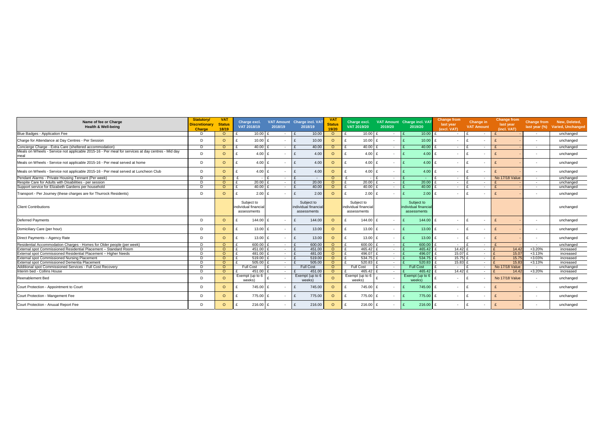| Name of fee or Charge<br><b>Health &amp; Well-being</b>                                                   | <b>Statutory/</b><br><b>Discretionary</b><br><b>Charge</b> | <b>VAT</b><br><b>Status</b><br>18/19 | Charge excl.<br>VAT 2018/19                       | 2018/19      |              | VAT Amount Charge incl. VAT<br>2018/19            | <b>VAT</b><br><b>Status</b><br>19/20 | Charge excl.<br>VAT 2019/20                       | 2019/20                  | VAT Amount Charge incl. VAT<br>2019/20           | <b>Change from</b><br>last year<br>(excl. VAT) |              | <b>Change in</b><br><b>VAT Amount</b> | <b>Change from</b><br>last year<br>(incl. VAT) | last year (%)            | Change from New, Deleted,<br>Varied, Unchanged |
|-----------------------------------------------------------------------------------------------------------|------------------------------------------------------------|--------------------------------------|---------------------------------------------------|--------------|--------------|---------------------------------------------------|--------------------------------------|---------------------------------------------------|--------------------------|--------------------------------------------------|------------------------------------------------|--------------|---------------------------------------|------------------------------------------------|--------------------------|------------------------------------------------|
| Blue Badges - Application Fee                                                                             | D                                                          | $\circ$                              | $10.00$ £                                         | $\sim$       |              | 10.00                                             | $\circ$                              | $10.00$ £                                         | $\sim$ $-$               | 10.00                                            | $\sim$                                         |              | $\sim$                                |                                                | $\overline{\phantom{0}}$ | unchanged                                      |
| Charge for Attendance at Day Centres - Per Session                                                        | D.                                                         | $\circ$                              | $10.00$ £                                         |              | $\mathbf{f}$ | 10.00                                             | $\Omega$                             | 10.00 $E$                                         | $\sim$                   | 10.00                                            | £<br>$\overline{\phantom{a}}$                  |              | $\sim$                                |                                                | $\overline{\phantom{a}}$ | unchanged                                      |
| Concierge Charge - Extra Care (sheltered accommodation)                                                   | D                                                          | $\circ$                              | 40.00                                             | $\sim$       |              | 40.00                                             | $\circ$                              | 40.00 $\pm$                                       | $\sim$                   | 40.00                                            | $\sim$                                         | $\mathbf{r}$ | $\sim$                                |                                                | $\sim$                   | unchanged                                      |
| Meals on Wheels - Service not applicable 2015-16 - Per meal for services at day centres - Mid day<br>meal | D                                                          | $\circ$                              | $4.00$ £                                          |              | $\mathbf{f}$ | 4.00                                              | $\circ$                              | 4.00 $E$                                          | $\sim$                   | 4.00                                             | £<br>$\overline{\phantom{a}}$                  | $\mathbf{f}$ | $\sim$                                |                                                | $\overline{\phantom{a}}$ | unchanged                                      |
| Meals on Wheels - Service not applicable 2015-16 - Per meal served at home                                | D                                                          | $\circ$                              | $4.00$ £                                          |              | $\mathbf{f}$ | 4.00                                              | $\circ$                              | $4.00$ £                                          | $\sim$                   | 4.00                                             | £<br>$\overline{\phantom{a}}$                  | $\mathbf{f}$ |                                       |                                                | $\overline{\phantom{a}}$ | unchanged                                      |
| Meals on Wheels - Service not applicable 2015-16 - Per meal served at Luncheon Club                       | D                                                          | $\circ$                              | $4.00$ £                                          |              | $\mathbf{f}$ | 4.00                                              | $\circ$                              | $4.00$ £                                          | $\sim$                   | 4.00                                             | $\mathbf{f}$<br>$\overline{\phantom{a}}$       | $\mathbf{f}$ | $\sim$                                |                                                | $\overline{\phantom{a}}$ | unchanged                                      |
| Pendant Alarms - Private Housing Tennant (Per week)                                                       | D                                                          | $\circ$                              |                                                   | $\sim$       |              | $\sim$                                            | $\circ$                              |                                                   | $\sim$                   | <b>Section</b>                                   | $\sim$                                         |              | $\sim$                                | No 17/18 Value                                 | $\sim$                   | unchanged                                      |
| Respite Care for Adults with Disabilities - per session                                                   | D                                                          | $\circ$                              | 20.00                                             | $\sim$       |              | 20.00                                             | $\circ$                              | 20.00                                             | $\sim$                   | 20.00                                            | $\sim$                                         | $\mathbf{c}$ | $\sim$                                |                                                | $\overline{\phantom{a}}$ | unchanged                                      |
| Support service for Elizabeth Gardens per household                                                       | D                                                          | $\Omega$                             | 40.00                                             | $\sim$       |              | 40.00                                             | $\circ$                              | 40.00 $E$                                         | $\sim$                   | 40.00                                            | ₽<br>$\sim$                                    | $\mathbf{f}$ | $\sim$                                |                                                | $\overline{a}$           | unchanged                                      |
| Transport - Per Journey (these charges are for Thurrock Residents)                                        | D                                                          | $\circ$                              | $2.00$ £                                          | $\sim$       | $\mathbf{f}$ | 2.00                                              | $\circ$                              | $2.00$ £                                          | $\sim$                   | 2.00                                             | £<br>$\sim$                                    |              | $\overline{\phantom{a}}$              |                                                | $\overline{\phantom{a}}$ | unchanged                                      |
| <b>Client Contributions</b>                                                                               |                                                            |                                      | Subject to<br>individual financial<br>assessments |              |              | Subject to<br>individual financial<br>assessments |                                      | Subject to<br>individual financial<br>assessments |                          | Subject to<br>individual financia<br>assessments |                                                |              |                                       |                                                |                          | unchanged                                      |
| Deferred Payments                                                                                         | D                                                          | $\circ$                              | 144.00                                            | ∣ £          | $\mathbf{f}$ | 144.00                                            | $\circ$                              | 144.00 £                                          | $\overline{a}$           | 144.00                                           | £<br>$\overline{\phantom{a}}$                  | $\mathbf{f}$ | $\sim$                                |                                                | $\overline{a}$           | unchanged                                      |
| Domiciliary Care (per hour)                                                                               | D                                                          | $\circ$                              | $13.00$ £                                         |              | $\mathbf{f}$ | 13.00                                             | $\circ$                              | $13.00$ £                                         | $\sim$                   | 13.00                                            | £<br>$\sim$                                    | $\mathbf{f}$ | $\sim$                                |                                                | $\overline{\phantom{a}}$ | unchanged                                      |
| Direct Payments - Agency Rate                                                                             | D                                                          | $\circ$                              | $13.00 \text{ E}$                                 |              | £            | 13.00                                             | $\circ$                              | $13.00$ £                                         | $\sim$                   | $13.00$ £                                        | $\sim$                                         | $\mathbf{f}$ | $\overline{\phantom{a}}$              |                                                |                          | unchanged                                      |
| Residential Accommodation Charges - Homes for Older people (per week)                                     | D                                                          | $\Omega$                             | $600.00$ £                                        | $\sim$       |              | 600.00                                            | $\circ$                              | $600.00$ £                                        | $\sim$                   | 600.00                                           | $\sim$                                         |              | $\sim$                                |                                                | $\sim$                   | unchanged                                      |
| External spot Commissioned Residential Placement - Standard Room                                          | D                                                          | $\circ$                              | 451.00 £                                          | $\sim$       | $\mathbf{f}$ | 451.00                                            | $\circ$                              | $465.42$ £                                        | $\sim$                   | 465.42                                           | $\mathbf{f}$<br>14.42 $E$                      |              | $\sim$                                | 14.42                                          | $+3.20%$                 | increased                                      |
| External spot Commissioned Residential Placement - Higher Needs                                           | D                                                          | $\circ$                              | 481.00 £                                          | $\sim$       |              | 481.00                                            | $\circ$                              | 496.07                                            | $\sim$                   | 496.07                                           | 15.07 £<br>$\mathbf{f}$                        |              | $\sim$                                | 15.07                                          | $+3.13%$                 | increased                                      |
| <b>External spot Commissioned Nursing Placement</b>                                                       | D                                                          | $\circ$                              | 519.00                                            | $\sim$       |              | 519.00                                            | $\circ$                              | $534.75$ £                                        | $\sim$                   | 534.75                                           | 15.75 £<br>£                                   |              | $\sim$                                | 15.75                                          | $+3.03%$                 | increased                                      |
| <b>External spot Commissioned Dementia Placement</b>                                                      | D                                                          | $\circ$                              | 505.00 $E$                                        | $\sim$       |              | 505.00                                            | $\circ$                              | 520.83                                            | $\sim$                   | 520.83                                           | £<br>15.83 £                                   |              | $\sim$                                | 15.83                                          | $+3.13%$                 | increased                                      |
| Additional spot Commissioned Services - Full Cost Recovery                                                | D                                                          | $\Omega$                             | <b>Full Cost</b>                                  | $\sim$       |              | Full Cost                                         | $\circ$                              | Full Cost                                         | $\sim$                   | <b>Full Cost</b>                                 | $\sim$                                         |              | $\sim$                                | No 17/18 Value                                 | $\sim$                   | unchanged                                      |
| Interim bed - Collins House                                                                               | D                                                          | $\circ$                              | $451.00 \text{ E}$                                | $\sim$       |              | 451.00                                            | $\circ$                              | 465.42 £                                          | $\sim$                   | 465.42                                           | 14.42 $E$<br>$\mathbf{f}$                      |              | $\sim$                                | 14.42                                          | $+3.20%$                 | increased                                      |
| Reenablement Bed                                                                                          | D                                                          | $\circ$                              | Exempt (up to 6<br>weeks)                         |              |              | Exempt (up to 6<br>weeks)                         | $\circ$                              | Exempt (up to 6<br>weeks)                         |                          | Exempt (up to 6<br>weeks)                        | $\blacksquare$                                 | $\mathbf{f}$ |                                       | No 17/18 Value                                 | $\sim$                   | unchanged                                      |
| Court Protection - Appointment to Court                                                                   | D                                                          | $\circ$                              | 745.00                                            | $\mathbf{f}$ | $\mathbf{f}$ | 745.00                                            | $\circ$                              | 745.00                                            | $\overline{\phantom{a}}$ | 745.00                                           | £<br>$\overline{\phantom{a}}$                  | $\mathbf{f}$ |                                       |                                                | $\overline{\phantom{a}}$ | unchanged                                      |
| Court Protection - Mangement Fee                                                                          | D                                                          | $\circ$                              | 775.00 £                                          |              | £            | 775.00                                            | $\circ$                              | 775.00 £                                          | $\sim$                   | 775.00                                           | £<br>$\sim$                                    | £            | $\overline{\phantom{a}}$              |                                                | $\overline{\phantom{a}}$ | unchanged                                      |
| Court Protection - Anuual Report Fee                                                                      | D                                                          | $\circ$                              | $216.00$ £                                        |              | £            | 216.00                                            | $\circ$                              | $216.00$ £                                        |                          | 216.00                                           | £<br>$\overline{\phantom{a}}$                  |              |                                       |                                                |                          | unchanged                                      |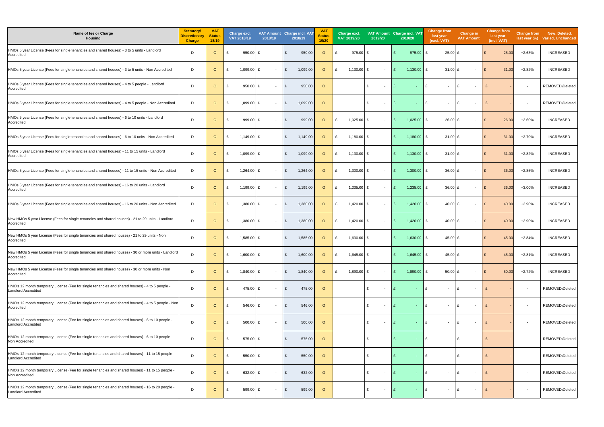| Name of fee or Charge<br><b>Housing</b>                                                                                       | <b>Statutory/</b><br>Discretionary<br><b>Charge</b> | <b>VAT</b><br><b>Status</b><br>18/19 | Charge excl.<br>VAT 2018/19 | 2018/19 | VAT Amount Charge incl. VAT<br>2018/19 | <b>VAT</b><br>Status<br>19/20 | Charge excl.<br>VAT 2019/20 | 2019/20                       | VAT Amount Charge incl. VAT<br>2019/20 | <b>Change from</b><br>last year<br>(excl. VAT) | <b>Change in</b><br><b>VAT Amount</b> | <b>Change from</b><br>last year<br>(incl. VAT) |                          | Change from New, Deleted,<br>last year (%) Varied, Unchanged |
|-------------------------------------------------------------------------------------------------------------------------------|-----------------------------------------------------|--------------------------------------|-----------------------------|---------|----------------------------------------|-------------------------------|-----------------------------|-------------------------------|----------------------------------------|------------------------------------------------|---------------------------------------|------------------------------------------------|--------------------------|--------------------------------------------------------------|
| HMOs 5 year License (Fees for single tenancies and shared houses) - 3 to 5 units - Landlord<br>Accredited                     | - D                                                 | $\circ$                              | $950.00$ £                  | $\sim$  | 950.00                                 | $\circ$                       | 975.00 £                    |                               | 975.00                                 | $25.00$ £                                      | $\overline{\phantom{0}}$              | 25.00                                          | $+2.63%$                 | <b>INCREASED</b>                                             |
| HMOs 5 year License (Fees for single tenancies and shared houses) - 3 to 5 units - Non Accredited                             | D                                                   | $\circ$                              | $1,099.00$ £<br>£           | $\sim$  | 1,099.00                               | $\circ$                       | 1,130.00 $E$<br>£           |                               | 1,130.00 $E$<br>$\mathbf{f}$           | 31.00 $E$                                      |                                       | 31.00<br>£                                     | $+2.82%$                 | <b>INCREASED</b>                                             |
| HMOs 5 year License (Fees for single tenancies and shared houses) - 4 to 5 people - Landlord<br>Accredited                    | D                                                   | $\circ$                              | $950.00$ £                  | $\sim$  | 950.00<br>£                            | $\circ$                       |                             | £                             | £                                      | £<br>$\sim$                                    | Ι£                                    |                                                | $\overline{\phantom{a}}$ | REMOVED\Deleted                                              |
| HMOs 5 year License (Fees for single tenancies and shared houses) - 4 to 5 people - Non Accredited                            | D                                                   | $\circ$                              | 1,099.00 £<br>£             | $\sim$  | 1,099.00<br>£                          | $\circ$                       |                             | £                             | £                                      | £<br>$\overline{\phantom{a}}$                  | f                                     | £                                              | $\overline{\phantom{a}}$ | REMOVED\Deleted                                              |
| HMOs 5 year License (Fees for single tenancies and shared houses) - 6 to 10 units - Landlord<br>Accredited                    | D                                                   | $\circ$                              | 999.00 £<br>£               | $\sim$  | 999.00<br>£                            | $\circ$                       | 1,025.00 £<br>£             | $\overline{\phantom{0}}$      | $1,025.00$ £<br>£                      | 26.00 £                                        | $\sim$                                | 26.00<br>E                                     | $+2.60%$                 | <b>INCREASED</b>                                             |
| HMOs 5 year License (Fees for single tenancies and shared houses) - 6 to 10 units - Non Accredited                            | D                                                   | $\circ$                              | 1,149.00 $E$                | $\sim$  | 1,149.00                               | $\circ$                       | 1,180.00<br>£               | E                             | 1,180.00 $E$                           | 31.00 $E$                                      | $\overline{\phantom{0}}$              | 31.00<br>E                                     | $+2.70%$                 | <b>INCREASED</b>                                             |
| HMOs 5 year License (Fees for single tenancies and shared houses) - 11 to 15 units - Landlord<br>Accredited                   | D                                                   | $\circ$                              | $1,099.00$ £<br>£           | $\sim$  | 1,099.00<br>£                          | $\circ$                       | 1,130.00 £<br>£             | $\overline{\phantom{0}}$      | 1,130.00 $E$<br>£                      | 31.00 £                                        | $\overline{\phantom{a}}$              | 31.00<br>$\mathbf{f}$                          | $+2.82%$                 | <b>INCREASED</b>                                             |
| HMOs 5 year License (Fees for single tenancies and shared houses) - 11 to 15 units - Non Accredited                           | D                                                   | $\circ$                              | 1,264.00 $E$                | $\sim$  | 1,264.00<br>£                          | $\circ$                       | 1,300.00 $E$<br>£           | $\sim$                        | 1,300.00<br>£                          | 36.00 £                                        | $\overline{\phantom{a}}$              | 36.00<br>$\mathbf{f}$                          | $+2.85%$                 | <b>INCREASED</b>                                             |
| HMOs 5 year License (Fees for single tenancies and shared houses) - 16 to 20 units - Landlord<br>Accredited                   | D                                                   | $\circ$                              | 1,199.00 $E$<br>£           | $\sim$  | 1,199.00<br>£                          | $\circ$                       | 1,235.00 £<br>£             | $\overline{\phantom{0}}$      | $1,235.00$ £<br>£                      | 36.00 $E$                                      | $\sim$                                | 36.00<br>E                                     | $+3.00\%$                | <b>INCREASED</b>                                             |
| HMOs 5 year License (Fees for single tenancies and shared houses) - 16 to 20 units - Non Accredited                           | D                                                   | $\circ$                              | 1,380.00 £                  | $\sim$  | 1,380.00<br>£                          | $\circ$                       | 1,420.00 £<br>£             |                               | $1,420.00$ £<br>£                      | 40.00 £                                        |                                       | 40.00<br>£                                     | $+2.90%$                 | <b>INCREASED</b>                                             |
| New HMOs 5 year License (Fees for single tenancies and shared houses) - 21 to 29 units - Landlord<br>Accredited               | D                                                   | $\circ$                              | 1,380.00 £                  | $\sim$  | 1,380.00                               | $\circ$                       | 1,420.00 £<br>£             |                               | 1,420.00 £                             | 40.00 £                                        | $\overline{\phantom{0}}$              | 40.00<br>$\mathbf{f}$                          | $+2.90%$                 | <b>INCREASED</b>                                             |
| New HMOs 5 year License (Fees for single tenancies and shared houses) - 21 to 29 units - Non<br>Accredited                    | D                                                   | $\circ$                              | 1,585.00 £                  | $\sim$  | 1,585.00<br>£                          | $\circ$                       | 1,630.00 £<br>£             | $\sim$                        | 1,630.00 £<br>£                        | 45.00 £                                        | $\overline{\phantom{0}}$              | 45.00                                          | $+2.84%$                 | <b>INCREASED</b>                                             |
| New HMOs 5 year License (Fees for single tenancies and shared houses) - 30 or more units - Landlord<br>Accredited             | D                                                   | $\circ$                              | 1,600.00 £                  |         | 1,600.00                               | $\circ$                       | 1,645.00 £                  |                               | 1,645.00                               | 45.00 £                                        |                                       | 45.00                                          | $+2.81%$                 | <b>INCREASED</b>                                             |
| New HMOs 5 year License (Fees for single tenancies and shared houses) - 30 or more units - Non<br>Accredited                  | D                                                   | $\circ$                              | $1,840.00$ £<br>£           | $\sim$  | 1,840.00<br>£                          | $\circ$                       | 1,890.00 £<br>£             | $\sim$                        | $1,890.00$ £<br>£                      | 50.00 $E$                                      | $\sim$                                | 50.00<br>£                                     | $+2.72%$                 | <b>INCREASED</b>                                             |
| HMO's 12 month temporary License (Fee for single tenancies and shared houses) - 4 to 5 people -<br><b>Landlord Accredited</b> | D                                                   | $\circ$                              | 475.00 £<br>£               | $\sim$  | 475.00<br>£                            | $\circ$                       |                             | £                             |                                        | £<br>$\sim$                                    | Ι£                                    | £                                              | $\overline{\phantom{a}}$ | <b>REMOVED\Deleted</b>                                       |
| HMO's 12 month temporary License (Fee for single tenancies and shared houses) - 4 to 5 people - Non<br>Accredited             | D                                                   | $\circ$                              | 546.00 £<br>£               | $\sim$  | 546.00<br>£                            | $\circ$                       |                             | £                             | £                                      | £<br>$\sim$                                    | l £                                   | $\mathbf{f}$                                   | $\overline{\phantom{a}}$ | REMOVED\Deleted                                              |
| HMO's 12 month temporary License (Fee for single tenancies and shared houses) - 6 to 10 people -<br>Landlord Accredited       | D                                                   | $\circ$                              | $500.00$ £                  | $\sim$  | 500.00<br>£                            | $\circ$                       |                             | £                             | £<br>$\sim$                            | £<br>$\sim$                                    | Ι£<br>$\sim$                          | £                                              | $\overline{\phantom{a}}$ | REMOVED\Deleted                                              |
| HMO's 12 month temporary License (Fee for single tenancies and shared houses) - 6 to 10 people -<br>Non Accredited            | D                                                   | $\circ$                              | 575.00 £<br>£               | $\sim$  | 575.00<br>£                            | $\circ$                       |                             | £<br>$\overline{\phantom{a}}$ | £<br>$\sim$                            | £<br>$\sim$                                    | l £<br>$\sim$                         | £                                              | $\overline{\phantom{a}}$ | REMOVED\Deleted                                              |
| HMO's 12 month temporary License (Fee for single tenancies and shared houses) - 11 to 15 people<br><b>Landlord Accredited</b> | D                                                   | $\circ$                              | 550.00 $E$                  | $\sim$  | 550.00<br>£                            | $\circ$                       |                             | £                             | £<br>$\sim$                            | £<br>$\sim$                                    | Ι£<br>$\sim$                          | £                                              | $\sim$                   | REMOVED\Deleted                                              |
| HMO's 12 month temporary License (Fee for single tenancies and shared houses) - 11 to 15 people<br>Non Accredited             | D                                                   | $\circ$                              | 632.00 £<br>£               | $\sim$  | 632.00<br>£                            | $\circ$                       |                             | £                             | £<br>$\sim$                            | £<br>$\sim$                                    | E<br>$\sim$                           | £                                              | $\overline{\phantom{a}}$ | REMOVED\Deleted                                              |
| HMO's 12 month temporary License (Fee for single tenancies and shared houses) - 16 to 20 people<br><b>Landlord Accredited</b> | D                                                   | $\circ$                              | 599.00 £                    | $\sim$  | 599.00<br>£                            | $\circ$                       |                             | £<br>$\sim$                   | E<br>$\sim$                            | £<br>$\sim$                                    | £<br>$\sim$                           | £                                              | $\overline{\phantom{a}}$ | REMOVED\Deleted                                              |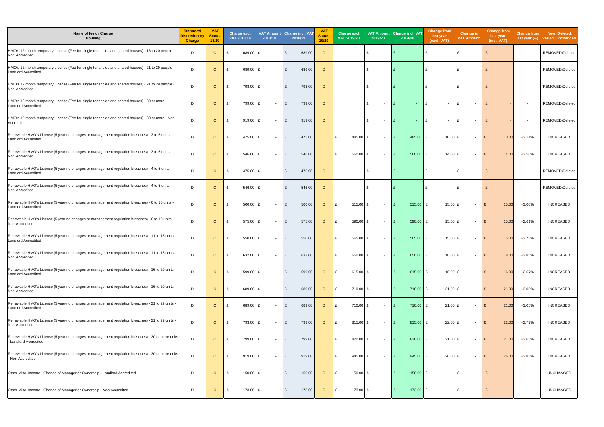| Name of fee or Charge<br><b>Housing</b>                                                                                       | Statutory/<br><b>Discretionary</b><br><b>Charge</b> | <b>VAT</b><br><b>Status</b><br>18/19 | Charge excl.<br>VAT 2018/19 |            | 2018/19                  | VAT Amount Charge incl. VAT<br>2018/19 | <b>VAT</b><br>Status<br>19/20 | Charge excl.<br>VAT 2019/20 | 2019/20                       | VAT Amount Charge incl. VAT<br>2019/20 | <b>Change from</b><br>last year<br>(excl. VAT) | <b>Change in</b><br><b>VAT Amount</b> | <b>Change from</b><br>last year<br>(incl. VAT) |                          | Change from New, Deleted,<br>last year (%) Varied, Unchanged |
|-------------------------------------------------------------------------------------------------------------------------------|-----------------------------------------------------|--------------------------------------|-----------------------------|------------|--------------------------|----------------------------------------|-------------------------------|-----------------------------|-------------------------------|----------------------------------------|------------------------------------------------|---------------------------------------|------------------------------------------------|--------------------------|--------------------------------------------------------------|
| HMO's 12 month temporary License (Fee for single tenancies and shared houses) - 16 to 20 people<br>Non Accredited             | D                                                   | $\circ$                              | £                           | 689.00 £   | $\sim$                   | 689.00                                 | $\circ$                       |                             | £                             |                                        | £                                              | £                                     |                                                | $\overline{\phantom{a}}$ | REMOVED\Deleted                                              |
| HMO's 12 month temporary License (Fee for single tenancies and shared houses) - 21 to 29 people<br><b>Landlord Accredited</b> | D                                                   | $\circ$                              |                             | 689.00     | $\sim$                   | 689.00                                 | $\circ$                       |                             | £                             | $\mathbf{f}$<br>$\sim$                 | £<br>$\sim$                                    | f<br>$\overline{\phantom{a}}$         | £                                              | $\overline{\phantom{a}}$ | REMOVED\Deleted                                              |
| HMO's 12 month temporary License (Fee for single tenancies and shared houses) - 21 to 29 people -<br>Non Accredited           | D                                                   | $\circ$                              | £                           | 793.00 £   | $\sim$                   | 793.00<br>£                            | $\circ$                       |                             | £                             | £<br>$\sim$                            | £<br>$\sim$                                    | f<br>$\overline{\phantom{0}}$         |                                                | $\overline{\phantom{a}}$ | REMOVED\Deleted                                              |
| HMO's 12 month temporary License (Fee for single tenancies and shared houses) - 30 or more ·<br><b>Landlord Accredited</b>    | D                                                   | $\circ$                              |                             | 799.00 £   | $\sim$                   | 799.00                                 | $\circ$                       |                             | £                             | $\sim$                                 | £<br>$\sim$                                    | $\overline{\phantom{0}}$              |                                                | $\overline{\phantom{a}}$ | REMOVED\Deleted                                              |
| HMO's 12 month temporary License (Fee for single tenancies and shared houses) - 30 or more - Non<br>Accredited                | D                                                   | $\circ$                              | £                           | $919.00$ £ | $\sim$                   | 919.00<br>£                            | $\circ$                       |                             | £                             | £<br>$\sim$                            | £<br>$\sim$                                    | l £<br>$\sim$                         | £                                              | $\overline{\phantom{a}}$ | REMOVED\Deleted                                              |
| Renewable HMO's License (5 year-no changes or management regulation breaches) - 3 to 5 units -<br><b>Landlord Accredited</b>  | -D                                                  | $\circ$                              |                             | 475.00 £   | $\sim$                   | 475.00                                 | $\circ$                       | 485.00<br>$\mathbf{f}$      | ∣ £                           | 485.00                                 | 10.00 £                                        | $\sim$                                | 10.00<br>£                                     | +2.11%                   | <b>INCREASED</b>                                             |
| Renewable HMO's License (5 year-no changes or management regulation breaches) - 3 to 5 units -<br>Non Accredited              | D                                                   | $\circ$                              | £                           | 546.00 £   | $\sim$                   | 546.00                                 | $\circ$                       | 560.00 £<br>£               |                               | 560.00<br>$\mathbf{f}$                 | 14.00 $E$<br>$\mathbf{f}$                      |                                       | 14.00                                          | $+2.56%$                 | <b>INCREASED</b>                                             |
| Renewable HMO's License (5 year-no changes or management regulation breaches) - 4 to 5 units -<br><b>Landlord Accredited</b>  | D                                                   | $\circ$                              |                             | 475.00 £   | $\sim$                   | 475.00                                 | $\circ$                       |                             | £<br>$\overline{\phantom{a}}$ | £<br>$\sim$                            | £<br>$\sim$                                    |                                       |                                                | $\overline{\phantom{a}}$ | REMOVED\Deleted                                              |
| Renewable HMO's License (5 year-no changes or management regulation breaches) - 4 to 5 units<br>Non Accredited                | D                                                   | $\circ$                              | £                           | 546.00 £   | $\sim$                   | 546.00<br>$\mathbf{f}$                 | $\circ$                       |                             | £                             | £<br>$\sim$                            | £<br>$\sim$                                    | £<br>$\sim$                           |                                                | $\overline{\phantom{a}}$ | REMOVED\Deleted                                              |
| Renewable HMO's License (5 year-no changes or management regulation breaches) - 6 to 10 units<br><b>Landlord Accredited</b>   | D                                                   | $\circ$                              |                             | $500.00$ £ | $\sim$                   | 500.00                                 | $\circ$                       | $515.00 \text{ E}$<br>£     | $\sim$                        | $515.00$ £<br>£                        | 15.00 £                                        | $\sim$                                | 15.00<br>E                                     | +3.00%                   | <b>INCREASED</b>                                             |
| Renewable HMO's License (5 year-no changes or management regulation breaches) - 6 to 10 units<br>Non Accredited               | D                                                   | $\circ$                              |                             | 575.00 £   | $\sim$                   | 575.00                                 | $\circ$                       | £<br>$590.00$ E             |                               | 590.00                                 | 15.00 $E$                                      |                                       | 15.00<br>£                                     | +2.61%                   | <b>INCREASED</b>                                             |
| Renewable HMO's License (5 year-no changes or management regulation breaches) - 11 to 15 units<br><b>Landlord Accredited</b>  | D                                                   | $\circ$                              |                             | 550.00 $E$ | $\sim$                   | 550.00                                 | $\circ$                       | $565.00$ £                  | $\sim$                        | 565.00<br>£                            | 15.00 £                                        | $\overline{\phantom{0}}$              | 15.00                                          | +2.73%                   | <b>INCREASED</b>                                             |
| Renewable HMO's License (5 year-no changes or management regulation breaches) - 11 to 15 units of<br>Non Accredited           | D                                                   | $\circ$                              |                             | 632.00 £   |                          | 632.00                                 | $\circ$                       | 650.00 £                    |                               | 650.00 £                               | 18.00 £                                        |                                       | 18.00                                          | $+2.85%$                 | <b>INCREASED</b>                                             |
| Renewable HMO's License (5 year-no changes or management regulation breaches) - 16 to 20 units<br><b>Landlord Accredited</b>  | D                                                   | $\circ$                              |                             | 599.00 £   | $\sim$                   | 599.00<br>£                            | $\circ$                       | 615.00 £<br>£               | $\sim$                        | 615.00 £<br>£                          | 16.00 £                                        | $\sim$                                | 16.00<br>E                                     | +2.67%                   | <b>INCREASED</b>                                             |
| Renewable HMO's License (5 year-no changes or management regulation breaches) - 16 to 20 units<br>Non Accredited              | D                                                   | $\circ$                              | £                           | 689.00 £   | $\sim$                   | 689.00<br>£                            | $\circ$                       | 710.00 £<br>£               |                               | 710.00 £<br>$\mathbf{f}$               | $21.00$ £                                      | $\sim$                                | E<br>21.00                                     | $+3.05%$                 | <b>INCREASED</b>                                             |
| Renewable HMO's License (5 year-no changes or management regulation breaches) - 21 to 29 units<br><b>Landlord Accredited</b>  | D                                                   | $\circ$                              |                             | 689.00 £   | $\sim$                   | 689.00<br>£                            | $\circ$                       | 710.00 £<br>£               | $\sim$                        | $710.00$ £<br>£                        | $21.00$ £                                      | $\sim$                                | E<br>21.00                                     | +3.05%                   | <b>INCREASED</b>                                             |
| Renewable HMO's License (5 year-no changes or management regulation breaches) - 21 to 29 units -<br>Non Accredited            | D                                                   | $\circ$                              |                             | 793.00 £   | $\sim$                   | 793.00<br>£                            | $\circ$                       | $\mathbf{f}$<br>815.00 $E$  |                               | $815.00$ £<br>£                        | $22.00$ £                                      | $\sim$                                | 22.00<br>E                                     | $+2.77%$                 | <b>INCREASED</b>                                             |
| Renewable HMO's License (5 year-no changes or management regulation breaches) - 30 or more units<br>- Landlord Accredited     | D                                                   | $\circ$                              |                             | 799.00 £   | $\sim$                   | 799.00                                 | $\circ$                       | $820.00$ E<br>£             | $\sim$                        | 820.00 $E$<br>£                        | $21.00 \text{ E}$                              | $\sim$                                | 21.00<br>£                                     | $+2.63%$                 | <b>INCREASED</b>                                             |
| Renewable HMO's License (5 year-no changes or management regulation breaches) - 30 or more units<br>- Non Accredited          | D                                                   | $\circ$                              | £                           | 919.00 £   | $\overline{\phantom{a}}$ | 919.00<br>£                            | $\circ$                       | 945.00 £<br>£               |                               | $945.00$ £<br>$\mathbf{f}$             | $26.00$ £                                      |                                       | 26.00<br>$\mathbf{f}$                          | $+2.83%$                 | <b>INCREASED</b>                                             |
| Other Misc. Income - Change of Manager or Ownership - Landlord Accredited                                                     | D                                                   | $\circ$                              |                             | 150.00 £   | $\sim$                   | 150.00<br>£                            | $\circ$                       | 150.00 £<br>$\mathbf{f}$    | $\overline{\phantom{0}}$      | $150.00$ £<br>$\mathbf{f}$             | $\sim$                                         | Ι£<br>$\sim$                          | £                                              | $\overline{\phantom{a}}$ | <b>UNCHANGED</b>                                             |
| Other Misc. Income - Change of Manager or Ownership - Non Accredited                                                          | D                                                   | $\circ$                              | £                           | 173.00 £   | $\sim$                   | 173.00<br>£                            | $\circ$                       | 173.00 £<br>£               | $\overline{\phantom{0}}$      | 173.00 $E$<br>£                        | $\sim$                                         | £                                     | £                                              | $\overline{\phantom{a}}$ | <b>UNCHANGED</b>                                             |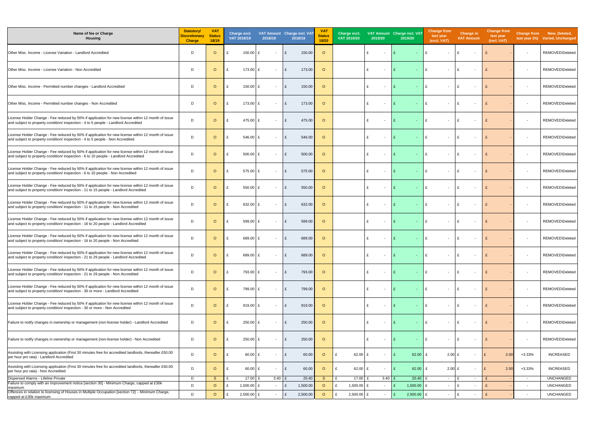| Name of fee or Charge<br><b>Housing</b>                                                                                                                                                     | <b>Statutory/</b><br><b>Discretionary</b><br><b>Charge</b> | <b>VAT</b><br><b>Status</b><br>18/19 | Charge excl.<br>VAT 2018/19 | 2018/19                        | VAT Amount Charge incl. VAT<br>2018/19 | <b>VAT</b><br><b>Status</b><br>19/20 | Charge excl.<br>VAT 2019/20 | 2019/20                       | VAT Amount Charge incl. VAT<br>2019/20 | <b>Change from</b><br>last year<br>(excl. VAT) | <b>Change in</b><br><b>VAT Amount</b> | <b>Change from</b><br>last year<br>(incl. VAT) |                          | Change from New, Deleted,<br>last year (%) Varied, Unchanged |
|---------------------------------------------------------------------------------------------------------------------------------------------------------------------------------------------|------------------------------------------------------------|--------------------------------------|-----------------------------|--------------------------------|----------------------------------------|--------------------------------------|-----------------------------|-------------------------------|----------------------------------------|------------------------------------------------|---------------------------------------|------------------------------------------------|--------------------------|--------------------------------------------------------------|
| Other Misc. Income - License Variation - Landlord Accredited                                                                                                                                | D                                                          | $\circ$                              | 150.00                      | $\sim$                         | 150.00<br>$\mathbf{f}$                 | $\circ$                              |                             | £                             | $\mathbf{f}$<br>$\omega_{\rm c}$       | $\mathbf{f}$<br>$\sim$                         | $\mathbf{f}$                          |                                                | $\overline{\phantom{a}}$ | REMOVED\Deleted                                              |
| Other Misc. Income - License Variation - Non Accredited                                                                                                                                     | D                                                          | $\circ$                              | 173.00                      | £<br>$\overline{\phantom{a}}$  | $\mathbf{f}$<br>173.00                 | $\circ$                              |                             | $\mathbf{f}$                  | £<br>$\sim$                            | £<br>$\sim$                                    | $\mathbf{f}$                          | £                                              | $\overline{\phantom{a}}$ | REMOVED\Deleted                                              |
| Other Misc. Income - Permitted number changes - Landlord Accredited                                                                                                                         | D                                                          | $\circ$                              | 150.00                      | - F<br>$\sim$                  | $\mathbf{f}$<br>150.00                 | $\circ$                              |                             | $\mathbf{f}$<br>$\sim$        | $\mathbf{f}$<br>$\sim 100$             | £<br>$\sim$                                    | E                                     |                                                | $\overline{\phantom{a}}$ | REMOVED\Deleted                                              |
| Other Misc. Income - Permitted number changes - Non Accredited                                                                                                                              | D                                                          | $\circ$                              | 173.00                      | Ι£<br>$\sim$                   | £<br>173.00                            | $\circ$                              |                             | $\mathbf{f}$                  | $\mathbf{f}$<br>$\omega_{\rm{eff}}$    | $\mathbf{f}$<br>$\sim$                         | £                                     |                                                | $\overline{\phantom{a}}$ | REMOVED\Deleted                                              |
| License Holder Change - Fee reduced by 50% if application for new license within 12 month of issue<br>and subject to property condition/ inspection - 4 to 5 people - Landlord Accredited   | D                                                          | $\circ$                              | 475.00 £<br>£               | $\sim$                         | 475.00<br>£                            | $\circ$                              |                             | £                             | E<br>$\omega_{\rm{eff}}$               | E<br>$\sim$                                    | E                                     | £                                              | $\overline{\phantom{a}}$ | REMOVED\Deleted                                              |
| License Holder Change - Fee reduced by 50% if application for new license within 12 month of issue<br>and subject to property condition/ inspection - 4 to 5 people - Non Accredited        | D                                                          | $\circ$                              | 546.00                      | £<br>$\overline{\phantom{a}}$  | 546.00<br>$\mathbf{f}$                 | $\circ$                              |                             | $\mathbf{f}$                  | $\mathbf{f}$<br>$\omega_{\rm c}$       | £<br>$\sim$                                    | £                                     | £                                              | $\overline{\phantom{a}}$ | REMOVED\Deleted                                              |
| License Holder Change - Fee reduced by 50% if application for new license within 12 month of issue<br>and subject to property condition/ inspection - 6 to 10 people - Landlord Accredited  | D                                                          | $\circ$                              | 500.00 £                    | $\overline{\phantom{a}}$       | 500.00<br>$\mathbf{f}$                 | $\circ$                              |                             | £                             | $\mathbf{f}$<br>$\omega_{\rm c}$       | £<br>$\sim$                                    | E                                     | $\mathbf{f}$                                   | $\overline{\phantom{a}}$ | REMOVED\Deleted                                              |
| License Holder Change - Fee reduced by 50% if application for new license within 12 month of issue<br>and subject to property condition/ inspection - 6 to 10 people - Non Accredited       | D                                                          | $\circ$                              | 575.00 £                    | $\overline{\phantom{a}}$       | 575.00<br>£                            | $\circ$                              |                             | £                             | $\mathbf{f}$<br>$\sim$                 | £<br>$\sim$                                    | $\mathbf{f}$                          | £                                              | $\overline{\phantom{a}}$ | REMOVED\Deleted                                              |
| License Holder Change - Fee reduced by 50% if application for new license within 12 month of issue<br>and subject to property condition/inspection - 11 to 15 people - Landlord Accredited  | D                                                          | $\circ$                              | 550.00 $E$                  | $\overline{\phantom{a}}$       | 550.00<br>$\mathbf{f}$                 | $\circ$                              |                             | £                             | $\mathbf{f}$<br>$\sim$                 | £<br>$\sim$                                    | $\mathbf{f}$                          | £                                              | $\overline{\phantom{a}}$ | REMOVED\Deleted                                              |
| License Holder Change - Fee reduced by 50% if application for new license within 12 month of issue<br>and subject to property condition/ inspection - 11 to 15 people - Non Accredited      | D                                                          | $\circ$                              | 632.00 £                    | $\overline{\phantom{a}}$       | 632.00<br>£                            | $\circ$                              |                             | £<br>$\sim$                   | £<br>$\omega_{\rm{eff}}$               | £<br>$\sim$                                    | E                                     | £                                              | $\overline{\phantom{a}}$ | REMOVED\Deleted                                              |
| License Holder Change - Fee reduced by 50% if application for new license within 12 month of issue<br>and subject to property condition/ inspection - 16 to 20 people - Landlord Accredited | D                                                          | $\circ$                              | 599.00                      | £<br>$\overline{\phantom{a}}$  | 599.00<br>$\mathbf{f}$                 | $\circ$                              |                             | $\mathbf{f}$                  | $\mathbf{f}$<br>$\sim$                 | £<br>$\sim$                                    | $\mathbf{f}$                          |                                                | $\overline{\phantom{a}}$ | REMOVED\Deleted                                              |
| License Holder Change - Fee reduced by 50% if application for new license within 12 month of issue<br>and subject to property condition/ inspection - 16 to 20 people - Non Accredited      | D                                                          | $\circ$                              | 689.00                      | £<br>$\overline{\phantom{a}}$  | 689.00<br>£                            | $\circ$                              |                             | £                             | £<br>$\sim$                            | £<br>$\sim$                                    | £                                     |                                                | $\overline{\phantom{a}}$ | REMOVED\Deleted                                              |
| License Holder Change - Fee reduced by 50% if application for new license within 12 month of issue<br>and subject to property condition/ inspection - 21 to 29 people - Landlord Accredited | D                                                          | $\circ$                              | 689.00 £                    | $\sim$                         | 689.00                                 | $\circ$                              |                             |                               |                                        |                                                |                                       |                                                |                          | REMOVED\Deleted                                              |
| License Holder Change - Fee reduced by 50% if application for new license within 12 month of issue<br>and subject to property condition/ inspection - 21 to 29 people - Non Accredited      | D                                                          | $\circ$                              | 793.00<br>£                 | Ι£<br>$\overline{\phantom{a}}$ | 793.00<br>£                            | $\circ$                              |                             | £<br>$\overline{\phantom{0}}$ | £<br>$\sim$                            | £<br>$\sim$                                    | E                                     | £                                              | $\overline{\phantom{a}}$ | REMOVED\Deleted                                              |
| License Holder Change - Fee reduced by 50% if application for new license within 12 month of issue<br>and subject to property condition/ inspection - 30 or more - Landlord Accredited      | D                                                          | $\circ$                              | 799.00                      | $\overline{\phantom{a}}$       | 799.00<br>$\mathbf{f}$                 | $\circ$                              |                             | $\mathbf{f}$                  | $\sim$                                 | £<br>$\sim$                                    | - F                                   | £                                              | $\overline{\phantom{a}}$ | REMOVED\Deleted                                              |
| License Holder Change - Fee reduced by 50% if application for new license within 12 month of issue<br>and subject to property condition/ inspection - 30 or more - Non Accredited           | D                                                          | $\circ$                              | 919.00 £<br>£               | $\overline{\phantom{a}}$       | £<br>919.00                            | $\circ$                              |                             | £                             | £<br>٠.                                | £<br>$\sim$                                    | E                                     | £                                              | $\overline{\phantom{a}}$ | REMOVED\Deleted                                              |
| Failure to notify changes in ownership or management (non-license holder) - Landlord Accredited                                                                                             | D                                                          | $\circ$                              | 250.00                      | Ι£<br>$\overline{\phantom{a}}$ | 250.00<br>£                            | $\circ$                              |                             | £                             | £<br>$\sim$                            | $\mathbf{f}$<br>$\sim$                         | £                                     | £                                              | $\overline{\phantom{a}}$ | REMOVED\Deleted                                              |
| Failure to notify changes in ownership or management (non-license holder) - Non Accredited                                                                                                  | D                                                          | $\circ$                              | 250.00<br>£                 | £<br>$\overline{\phantom{a}}$  | 250.00<br>£                            | $\circ$                              |                             | $\mathbf{f}$                  | $\mathbf{f}$                           | $\mathbf{f}$<br>$\overline{\phantom{a}}$       | E                                     |                                                | $\overline{\phantom{a}}$ | REMOVED\Deleted                                              |
| Assisting with Licensing application (First 30 minutes free for accredited landlords, thereafter £50.00<br>per hour pro rata) - Landlord Accredited                                         | D                                                          | $\circ$                              | 60.00 £<br>£                | $\overline{\phantom{a}}$       | 60.00<br>£                             | $\circ$                              | 62.00 £<br>£                | $\overline{\phantom{0}}$      | 62.00 $E$<br>$\mathbf{f}$              | $2.00$ £                                       | $\sim$                                | 2.00<br>$\mathbf{f}$                           | $+3.33%$                 | <b>INCREASED</b>                                             |
| Assisting with Licensing application (First 30 minutes free for accredited landlords, thereafter £50.00<br>per hour pro rata) - Non Accredited                                              | D                                                          | $\circ$                              | $60.00$ £                   | $\overline{\phantom{a}}$       | 60.00<br>£                             | $\circ$                              | 62.00 £<br>£                |                               | 62.00 $E$                              | $2.00$ £                                       |                                       | 2.00<br>£                                      | $+3.33%$                 | <b>INCREASED</b>                                             |
| Dispersed Alarms - Lifeline Private<br>Failure to comply with an improvement notice [section 30] - Minimum Charge, capped at £30k                                                           | D                                                          | S.                                   | 17.00 £                     | $3.40$ £                       | 20.40                                  | S.                                   | 17.00 £<br>£                | 3.40                          | $20.40$ £                              | $\sim$                                         | $\sim$                                | £                                              | $\sim$                   | <b>UNCHANGED</b>                                             |
| maximum                                                                                                                                                                                     | D                                                          | $\circ$                              | 1,500.00 $E$                | $\overline{\phantom{a}}$       | 1,500.00<br>E                          | $\circ$                              | 1,500.00 $E$<br>£           | $\sim$                        | 1,500.00 $E$<br>£                      | $\overline{\phantom{a}}$                       | ١£<br>$\blacksquare$                  | £                                              | $\overline{\phantom{a}}$ | <b>UNCHANGED</b>                                             |
| Offences in relation to licensing of Houses in Multiple Occupation [section 72] - Minimum Charge,<br>capped at £30k maximum                                                                 | D                                                          | $\circ$                              | 2,500.00 £                  | $\overline{\phantom{a}}$       | 2,500.00<br>£                          | $\circ$                              | 2,500.00 £                  |                               | $2,500.00$ £<br>£                      | $\overline{\phantom{a}}$                       | ١£<br>$\sim$                          | £                                              | $\overline{\phantom{a}}$ | <b>UNCHANGED</b>                                             |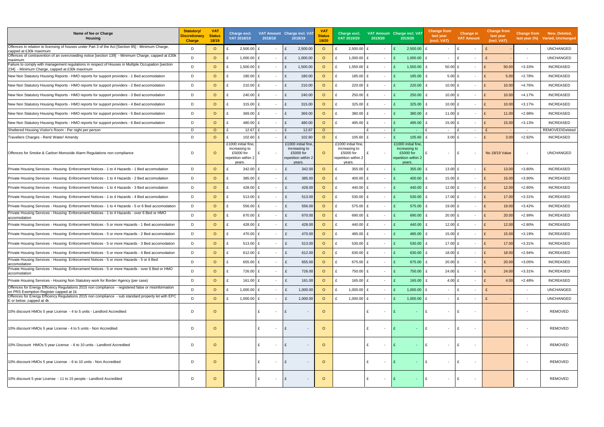| Name of fee or Charge<br><b>Housing</b>                                                                                                             | <b>Statutory/</b><br><b>Discretionary</b><br><b>Charge</b> | <b>VAT</b><br><b>Status</b><br>18/19 | Charge excl.<br>VAT 2018/19                                                     | 2018/19    |        | VAT Amount Charge incl. VAT<br>2018/19                                            | <b>VAT</b><br><b>Status</b><br>19/20 | Charge excl.<br>VAT 2019/20                                                        | 2019/20                  | VAT Amount Charge incl. VAT<br>2019/20                                            | Change from<br>last year<br>(excl. VAT) |                          | Change in<br><b>VAT Amount</b> |    | <b>Change from</b><br>last year<br>(incl. VAT) | <b>Change from</b><br>last year $(\%)$ | New, Deleted,<br>Varied, Unchanged |
|-----------------------------------------------------------------------------------------------------------------------------------------------------|------------------------------------------------------------|--------------------------------------|---------------------------------------------------------------------------------|------------|--------|-----------------------------------------------------------------------------------|--------------------------------------|------------------------------------------------------------------------------------|--------------------------|-----------------------------------------------------------------------------------|-----------------------------------------|--------------------------|--------------------------------|----|------------------------------------------------|----------------------------------------|------------------------------------|
| Offences in relation to licensing of houses under Part 3 of the Act [Section 95] - Minimum Charge,<br>capped at £30k maximum                        | D                                                          | $\circ$                              | 2,500.00<br>£                                                                   | £          |        | 2,500.00<br>£                                                                     | $\circ$                              | $2,500.00$ £<br>£                                                                  | $\overline{\phantom{a}}$ | $2,500.00$ £                                                                      |                                         |                          | ۱£<br>$\overline{\phantom{a}}$ |    |                                                | $\overline{\phantom{a}}$               | <b>UNCHANGED</b>                   |
| Offences of contravention of an overcrowding notice [section 139] - Minimum Charge, capped at £30k<br>maximum                                       | D                                                          | $\circ$                              | 1,000.00                                                                        | £          |        | 1,000.00<br>£                                                                     | $\circ$                              | 1,000.00 £                                                                         | $\sim$                   |                                                                                   | $1,000.00$ £                            | $\overline{\phantom{0}}$ | ۱£<br>$\overline{\phantom{a}}$ |    |                                                | $\sim$                                 | <b>UNCHANGED</b>                   |
| Failure to comply with management regulations in respect of Houses in Multiple Occupation [section<br>234] - Minimum Charge, capped at £30k maximum | D                                                          | $\circ$                              | 1,500.00                                                                        |            | $\sim$ | 1,500.00<br>£                                                                     | $\circ$                              | 1,550.00                                                                           | $\sim$                   | 1,550.00                                                                          | £                                       | $50.00$ £                | $\overline{\phantom{a}}$       |    | 50.00                                          | $+3.33%$                               | <b>INCREASED</b>                   |
| New Non Statutory Housing Reports - HMO reports for support providers - 1 Bed accomodation                                                          | D                                                          | $\circ$                              | 180.00<br>£                                                                     | £          | $\sim$ | 180.00<br>£                                                                       | $\circ$                              | 185.00 £<br>£                                                                      | $\overline{\phantom{a}}$ |                                                                                   | $185.00$ £                              | 5.00 $E$                 | $\overline{\phantom{a}}$       | £  | 5.00                                           | $+2.78%$                               | <b>INCREASED</b>                   |
| New Non Statutory Housing Reports - HMO reports for support providers - 2 Bed accomodation                                                          | D                                                          | $\circ$                              | 210.00<br>£                                                                     |            | $\sim$ | 210.00<br>£                                                                       | $\circ$                              | 220.00<br>£                                                                        | $\sim$                   | 220.00                                                                            | £                                       | $10.00$ £                | $\overline{\phantom{a}}$       | E  | 10.00                                          | +4.76%                                 | <b>INCREASED</b>                   |
| New Non Statutory Housing Reports - HMO reports for support providers - 3 Bed accomodation                                                          | D                                                          | $\circ$                              | 240.00<br>£                                                                     | £          | $\sim$ | 240.00<br>£                                                                       | $\circ$                              | 250.00 £<br>£                                                                      | $\overline{\phantom{a}}$ | 250.00                                                                            | £                                       | 10.00 £                  | $\sim$                         | E  | 10.00                                          | $+4.17%$                               | <b>INCREASED</b>                   |
| New Non Statutory Housing Reports - HMO reports for support providers - 4 Bed accomodation                                                          | D                                                          | $\circ$                              | 315.00<br>£                                                                     | £          | $\sim$ | 315.00<br>£                                                                       | $\circ$                              | 325.00 $E$                                                                         | $\sim$                   | 325.00                                                                            | £                                       | 10.00 £                  | $\overline{\phantom{a}}$       | E  | 10.00                                          | $+3.17%$                               | <b>INCREASED</b>                   |
| New Non Statutory Housing Reports - HMO reports for support providers - 5 Bed accomodation                                                          | D                                                          | $\circ$                              | 369.00<br>£                                                                     | £          | $\sim$ | £<br>369.00                                                                       | $\circ$                              | 380.00 £<br>£                                                                      | $\sim$                   |                                                                                   | $380.00$ £                              | 11.00 £                  | $\sim$                         | E  | 11.00                                          | +2.98%                                 | <b>INCREASED</b>                   |
| New Non Statutory Housing Reports - HMO reports for support providers - 6 Bed accomodation                                                          | D                                                          | $\circ$                              | 480.00<br>£                                                                     | £          | $\sim$ | 480.00<br>£                                                                       | $\circ$                              | 495.00 £<br>£                                                                      | $\sim$                   |                                                                                   | 495.00 $E$                              | 15.00 £                  | $\overline{\phantom{a}}$       | E  | 15.00                                          | $+3.13%$                               | <b>INCREASED</b>                   |
| Sheltered Housing Visitor's Room - Per night per person                                                                                             | D                                                          | $\circ$                              | 12.67                                                                           | £          | $\sim$ | 12.67<br>£                                                                        | $\circ$                              |                                                                                    | $\overline{\phantom{a}}$ | $\sim$                                                                            |                                         | $\sim$                   | ۱£<br>$\overline{\phantom{a}}$ |    |                                                | $\sim$                                 | REMOVED\Deleted                    |
| Travellers Charges - Rent/ Water/ Amenity                                                                                                           | D                                                          | $\circ$                              | 102.60<br>£                                                                     | £          |        | 102.60<br>£                                                                       | $\circ$                              | $105.60$ £                                                                         | $\overline{\phantom{a}}$ | 105.60                                                                            | £                                       | 3.00 E                   | $\sim$                         |    | 3.00                                           | $+2.92%$                               | <b>INCREASED</b>                   |
| Offences for Smoke & Carbon Monoxide Alarm Regulations non compliance                                                                               | D                                                          | $\circ$                              | £1000 initial fine<br>increasing to<br>£5000 for<br>epetition within 2<br>years |            |        | £1000 initial fine<br>increasing to<br>£5000 for<br>repetition within 2<br>years. | $\circ$                              | £1000 initial fine,<br>increasing to<br>£5000 for<br>repetition within 2<br>years. |                          | £1000 initial fine<br>increasing to<br>£5000 for<br>repetition within 2<br>years. |                                         | $\sim$                   | ۱£                             |    | No 18/19 Value                                 | $\overline{\phantom{a}}$               | <b>UNCHANGED</b>                   |
| Private Housing Services - Housing Enforcement Notices - 1 to 4 Hazards - 1 Bed accomodation                                                        | D                                                          | $\circ$                              | 342.00<br>£                                                                     | £          |        | £<br>342.00                                                                       | $\circ$                              | 355.00 $E$<br>£                                                                    | $\overline{\phantom{a}}$ | 355.00                                                                            | £                                       | 13.00 $E$                | $\overline{\phantom{a}}$       | E  | 13.00                                          | +3.80%                                 | <b>INCREASED</b>                   |
| Private Housing Services - Housing Enforcement Notices - 1 to 4 Hazards - 2 Bed accomodation                                                        | D                                                          | $\circ$                              | 385.00<br>£                                                                     | £          |        | 385.00<br>£                                                                       | $\circ$                              | £<br>400.00 $E$                                                                    | $\overline{\phantom{a}}$ |                                                                                   | $400.00$ £                              | 15.00 £                  | $\overline{\phantom{a}}$       | E  | 15.00                                          | +3.90%                                 | <b>INCREASED</b>                   |
| Private Housing Services - Housing Enforcement Notices - 1 to 4 Hazards - 3 Bed accomodation                                                        | D                                                          | $\circ$                              | 428.00<br>£                                                                     | £          |        | 428.00<br>£                                                                       | $\circ$                              | 440.00 £<br>£                                                                      | $\overline{\phantom{a}}$ |                                                                                   | 440.00 £                                | 12.00 £                  | $\overline{\phantom{a}}$       | E  | 12.00                                          | $+2.80%$                               | <b>INCREASED</b>                   |
| Private Housing Services - Housing Enforcement Notices - 1 to 4 Hazards - 4 Bed accomodation                                                        | D                                                          | $\circ$                              | 513.00                                                                          | £          |        | 513.00<br>£                                                                       | $\circ$                              | 530.00 $E$                                                                         | $\overline{\phantom{a}}$ | 530.00                                                                            | £                                       | 17.00 £                  | $\sim$                         | E  | 17.00                                          | $+3.31%$                               | <b>INCREASED</b>                   |
| Private Housing Services - Housing Enforcement Notices - 1 to 4 Hazards - 5 or 6 Bed accomodation                                                   | D                                                          | $\circ$                              | 556.00<br>£                                                                     | £          |        | 556.00<br>£                                                                       | $\circ$                              | £<br>575.00 £                                                                      | $\overline{\phantom{a}}$ |                                                                                   | 575.00 £                                | 19.00 £                  | $\overline{\phantom{a}}$       | E  | 19.00                                          | $+3.42%$                               | <b>INCREASED</b>                   |
| Private Housing Services - Housing Enforcement Notices - 1 to 4 Hazards - over 6 Bed or HMO<br>accomodation                                         | D                                                          | $\circ$                              | 670.00<br>£                                                                     | f          |        | 670.00<br>£                                                                       | $\circ$                              | £<br>690.00 £                                                                      | $\overline{\phantom{a}}$ |                                                                                   | 690.00 $E$                              | $20.00$ £                | $\overline{\phantom{a}}$       | £  | 20.0                                           | $+2.99%$                               | <b>INCREASED</b>                   |
| Private Housing Services - Housing Enforcement Notices - 5 or more Hazards - 1 Bed accomodation                                                     | D                                                          | $\circ$                              | 428.00<br>£                                                                     | £          | $\sim$ | 428.00<br>£                                                                       | $\circ$                              | £<br>440.00 £                                                                      | $\overline{\phantom{a}}$ | 440.00                                                                            | £                                       | 12.00 £                  | $\overline{\phantom{a}}$       | E  | 12.00                                          | $+2.80%$                               | <b>INCREASED</b>                   |
| Private Housing Services - Housing Enforcement Notices - 5 or more Hazards - 2 Bed accomodation                                                     | D                                                          | $\circ$                              | 470.00<br>£                                                                     | £          | $\sim$ | 470.00<br>£                                                                       | $\circ$                              | 485.00 £<br>£                                                                      | $\overline{\phantom{a}}$ |                                                                                   | 485.00 £                                | $15.00 \text{ E}$        | $\overline{\phantom{a}}$       | Ι£ | 15.00                                          | $+3.19%$                               | <b>INCREASED</b>                   |
| Private Housing Services - Housing Enforcement Notices - 5 or more Hazards - 3 Bed accomodation                                                     | D                                                          | $\circ$                              | 513.00                                                                          |            |        | 513.00                                                                            | $\circ$                              | 530.00                                                                             | $\sim$                   | 530.00                                                                            | £                                       | 17.00 £                  | $\sim$                         |    | 17.00                                          | $+3.31%$                               | <b>INCREASED</b>                   |
| Private Housing Services - Housing Enforcement Notices - 5 or more Hazards - 4 Bed accomodation                                                     | D.                                                         | $\circ$                              | 612.00                                                                          |            |        | 612.00<br>$\mathbf{r}$                                                            | $\circ$                              | 630.00                                                                             |                          | 630.00                                                                            | $\mathbf{r}$                            | 18.00 £                  | $\sim$                         |    | 18.00                                          | $+2.94%$                               | <b>INCREASED</b>                   |
| Private Housing Services - Housing Enforcement Notices - 5 or more Hazards - 5 or 6 Bed<br>accomodation                                             | D                                                          | $\circ$                              | 655.00<br>£                                                                     | £          | $\sim$ | 655.00<br>£                                                                       | $\circ$                              | 675.00 £<br>£                                                                      | $\sim$                   | 675.00                                                                            | £                                       | $20.00$ £                | $\overline{\phantom{a}}$       | E  | 20.00                                          | +3.05%                                 | <b>INCREASED</b>                   |
| Private Housing Services - Housing Enforcement Notices - 5 or more Hazards - over 6 Bed or HMO<br>accomodation                                      | D                                                          | $\circ$                              | 726.00<br>£                                                                     | £          | $\sim$ | 726.00<br>£                                                                       | $\circ$                              | 750.00 £<br>f                                                                      | $\sim$                   | £                                                                                 | 750.00 £                                | 24.00 £                  | $\overline{\phantom{a}}$       | E  | 24.00                                          | $+3.31%$                               | <b>INCREASED</b>                   |
| Private Housing Services - Housing Non Statutory work for Border Agency (per case)                                                                  | D                                                          | $\circ$                              | £                                                                               | 161.00 $E$ | $\sim$ | £<br>161.00                                                                       | $\circ$                              | 165.00 £<br>£                                                                      | $\sim$                   |                                                                                   | $165.00$ £                              | 4.00 $E$                 | $\overline{\phantom{a}}$       | E  | 4.00                                           | $+2.48%$                               | <b>INCREASED</b>                   |
| Offences for Energy Efficency Regulations 2015 non compliance - registered false or misinformation<br>on PRS Exemption Register capped at 1k        | D                                                          | $\circ$                              | 1,000.00<br>£                                                                   | £          | $\sim$ | 1,000.00<br>£                                                                     | $\circ$                              | 1,000.00 £                                                                         | $\sim$                   |                                                                                   | $1,000.00$ £                            | $\sim$                   | ۱£<br>$\overline{\phantom{a}}$ |    |                                                | $\sim$                                 | <b>UNCHANGED</b>                   |
| Offences for Energy Efficency Regulations 2015 non compliance - sub standard property let with EPC<br>E or below , capped at 4k                     | D                                                          | $\circ$                              | 1,000.00<br>£                                                                   | £          | $\sim$ | 1,000.00<br>£                                                                     | $\circ$                              | 1,000.00 $E$<br>f                                                                  | $\sim$                   |                                                                                   | 1,000.00 $E$                            | $\sim$                   | ۱£<br>$\overline{\phantom{a}}$ |    |                                                | $\overline{\phantom{a}}$               | <b>UNCHANGED</b>                   |
| 10% discount HMOs 5 year License - 4 to 5 units - Landlord Accredited                                                                               | D                                                          | $\circ$                              |                                                                                 |            |        | £<br>$\sim$                                                                       | $\circ$                              |                                                                                    | $\overline{\phantom{a}}$ |                                                                                   | £                                       | $\sim$                   | ۱£                             |    |                                                | $\sim$                                 | <b>REMOVED</b>                     |
| 10% discount HMOs 5 year License - 4 to 5 units - Non Accredited                                                                                    | D                                                          | $\circ$                              |                                                                                 | £          |        | £<br>$\sim$                                                                       | $\circ$                              |                                                                                    | $\overline{\phantom{a}}$ |                                                                                   | £                                       | $\overline{\phantom{0}}$ | £                              |    |                                                | $\overline{\phantom{a}}$               | <b>REMOVED</b>                     |
| 10% Discount HMOs 5 year License - 6 to 10 units - Landlord Accredited                                                                              | D                                                          | $\circ$                              |                                                                                 | £          |        | £                                                                                 | $\circ$                              |                                                                                    | $\overline{\phantom{a}}$ |                                                                                   | £                                       | $\overline{\phantom{0}}$ | £                              |    |                                                | $\overline{\phantom{a}}$               | <b>REMOVED</b>                     |
| 10% discount HMOs 5 year License - 6 to 10 units - Non Accredited                                                                                   | D                                                          | $\circ$                              |                                                                                 | £          | $\sim$ | $\overline{\phantom{a}}$                                                          | $\circ$                              |                                                                                    | $\overline{\phantom{a}}$ |                                                                                   | £                                       | $\overline{\phantom{0}}$ | ۱£                             |    |                                                | $\overline{\phantom{a}}$               | <b>REMOVED</b>                     |
| 10% discount 5 year License - 11 to 15 people - Landlord Accredited                                                                                 | D                                                          | $\circ$                              |                                                                                 | £          |        | £                                                                                 | $\circ$                              |                                                                                    | $\overline{\phantom{a}}$ |                                                                                   | £                                       | $\sim$                   | Ι£                             |    |                                                | $\overline{\phantom{a}}$               | <b>REMOVED</b>                     |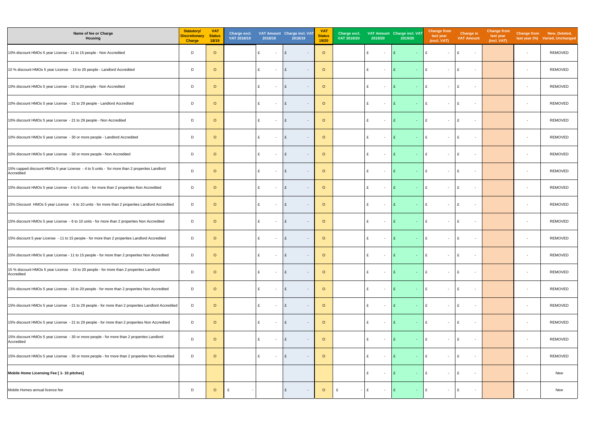| Name of fee or Charge<br><b>Housing</b>                                                                    | <b>Statutory/</b><br><b>Discretionary</b><br><b>Charge</b> | <b>VAT</b><br><b>Status</b><br>18/19 | Charge excl.<br>VAT 2018/19 | 2018/19 |                          | VAT Amount Charge incl. VAT<br>2018/19   | <b>VAT</b><br><b>Status</b><br>19/20 | Charge excl.<br>VAT 2019/20 | 2019/20                       | VAT Amount Charge incl. VAT<br>2019/20 | <b>Change from</b><br>last year<br>(excl. VAT) | <b>Change in</b><br><b>VAT Amount</b> | <b>Change from</b><br>last year<br>(incl. VAT) |                          | Change from New, Deleted,<br>last year (%) Varied, Unchanged |
|------------------------------------------------------------------------------------------------------------|------------------------------------------------------------|--------------------------------------|-----------------------------|---------|--------------------------|------------------------------------------|--------------------------------------|-----------------------------|-------------------------------|----------------------------------------|------------------------------------------------|---------------------------------------|------------------------------------------------|--------------------------|--------------------------------------------------------------|
| 10% discount HMOs 5 year License - 11 to 15 people - Non Accredited                                        | D                                                          | $\circ$                              |                             | £       |                          | £<br>$\overline{\phantom{a}}$            | $\circ$                              |                             | £<br>$\sim$                   | £<br>$\sim 100$                        | E<br>$\overline{\phantom{a}}$                  | £<br>$\sim$                           |                                                | $\sim$                   | REMOVED                                                      |
| 10 % discount HMOs 5 year License - 16 to 20 people - Landlord Accredited                                  | D                                                          | $\circ$                              |                             | £       | $\sim$                   | E<br>$\overline{\phantom{a}}$            | $\circ$                              |                             | £<br>$\sim$                   | E                                      | £<br>$\overline{\phantom{a}}$                  | E<br>$\overline{\phantom{a}}$         |                                                | $\overline{\phantom{a}}$ | <b>REMOVED</b>                                               |
| 10% discount HMOs 5 year License - 16 to 20 people - Non Accredited                                        | D                                                          | $\circ$                              |                             | £       |                          | £<br>$\overline{\phantom{a}}$            | $\circ$                              |                             | £<br>$\sim$                   | $\mathbf{f}$<br>$\sim$ 10 $\pm$        | £<br>$\sim$                                    | E<br>$\overline{\phantom{a}}$         |                                                | $\overline{\phantom{a}}$ | <b>REMOVED</b>                                               |
| 10% discount HMOs 5 year License - 21 to 29 people - Landlord Accredited                                   | D                                                          | $\circ$                              |                             | £       | $\sim$                   | £<br>$\overline{\phantom{a}}$            | $\circ$                              |                             | £<br>$\overline{\phantom{a}}$ | <b>Section</b>                         | £<br>$\overline{\phantom{a}}$                  | £<br>$\overline{\phantom{a}}$         |                                                | $\sim$                   | <b>REMOVED</b>                                               |
| 10% discount HMOs 5 year License - 21 to 29 people - Non Accredited                                        | D                                                          | $\circ$                              |                             | £       | $\sim$                   | £<br>$\overline{\phantom{a}}$            | $\circ$                              |                             | £<br>$\overline{\phantom{a}}$ | £<br><b>Section</b>                    | £<br>$\overline{\phantom{a}}$                  | £<br>$\overline{\phantom{a}}$         |                                                | $\sim$                   | <b>REMOVED</b>                                               |
| 10% discount HMOs 5 year License - 30 or more people - Landlord Accredited                                 | D                                                          | $\circ$                              |                             | £       | $\sim$                   | £<br>$\overline{\phantom{a}}$            | $\circ$                              |                             | £<br>$\sim$                   | £                                      | £<br>$\overline{\phantom{a}}$                  | £<br>$\overline{\phantom{a}}$         |                                                | $\overline{\phantom{0}}$ | <b>REMOVED</b>                                               |
| 10% discount HMOs 5 year License - 30 or more people - Non Accredited                                      | D                                                          | $\circ$                              |                             | £       |                          | £<br>$\overline{\phantom{a}}$            | $\circ$                              |                             | £<br>$\overline{\phantom{a}}$ | £.<br>$\sim$ 10 $\,$                   | £<br>$\overline{\phantom{a}}$                  | £<br>$\overline{\phantom{a}}$         |                                                | $\overline{\phantom{a}}$ | <b>REMOVED</b>                                               |
| 15% capped discount HMOs 5 year License - 4 to 5 units - for more than 2 properites Landlord<br>Accredited | D                                                          | $\circ$                              |                             | £       |                          | $\mathbf{f}$<br>$\overline{\phantom{a}}$ | $\circ$                              |                             | £<br>$\overline{\phantom{a}}$ |                                        | £<br>$\overline{\phantom{a}}$                  | E<br>$\overline{\phantom{a}}$         |                                                | $\overline{\phantom{a}}$ | <b>REMOVED</b>                                               |
| 15% discount HMOs 5 year License - 4 to 5 units - for more than 2 properites Non Accredited                | D                                                          | $\circ$                              |                             | £       |                          | $\mathbf{f}$<br>$\overline{\phantom{a}}$ | $\circ$                              |                             | £<br>$\overline{\phantom{a}}$ |                                        | £<br>$\overline{\phantom{a}}$                  | £<br>$\overline{\phantom{a}}$         |                                                | $\overline{\phantom{a}}$ | <b>REMOVED</b>                                               |
| 15% Discount HMOs 5 year License - 6 to 10 units - for more than 2 properites Landlord Accredited          | D                                                          | $\circ$                              |                             | £       | $\overline{\phantom{a}}$ | £<br>$\sim$                              | $\circ$                              |                             | £<br>$\sim$                   | E<br>$\sim 100$                        | £<br>$\sim$                                    | E<br>$\sim$                           |                                                | $\overline{\phantom{a}}$ | <b>REMOVED</b>                                               |
| 15% discount HMOs 5 year License - 6 to 10 units - for more than 2 properites Non Accredited               | D                                                          | $\circ$                              |                             | £       | $\sim$                   | £<br>$\sim$                              | $\circ$                              |                             | £<br>$\sim$                   | £<br>$\sim$ 10 $\pm$                   | £<br>$\overline{\phantom{a}}$                  | £<br>$\overline{\phantom{a}}$         |                                                | $\overline{\phantom{0}}$ | <b>REMOVED</b>                                               |
| 15% discount 5 year License - 11 to 15 people - for more than 2 properites Landlord Accredited             | D                                                          | $\circ$                              |                             | £       | $\sim$                   | £<br>$\overline{\phantom{a}}$            | $\circ$                              |                             | £<br>$\sim$                   | E<br><b>Service</b>                    | £<br>$\sim$                                    | E<br>$\sim$                           |                                                | $\overline{\phantom{0}}$ | <b>REMOVED</b>                                               |
| 15% discount HMOs 5 year License - 11 to 15 people - for more than 2 properites Non Accredited             | D                                                          | $\circ$                              |                             | £       | $\sim$                   | E<br>$\sim$                              | $\circ$                              |                             | $\sim$                        |                                        | £<br>$\sim$                                    | E<br>$\sim$                           |                                                | $\overline{\phantom{a}}$ | <b>REMOVED</b>                                               |
| 15 % discount HMOs 5 year License - 16 to 20 people - for more than 2 properites Landlord<br>Accredited    | D                                                          | $\circ$                              |                             | £       | $\overline{\phantom{a}}$ | E<br>$\overline{\phantom{a}}$            | $\circ$                              |                             | £<br>$\sim$                   | E<br>$\sim$ 10 $\pm$                   | £<br>$\overline{\phantom{a}}$                  | E<br>$\overline{\phantom{a}}$         |                                                | $\overline{\phantom{a}}$ | <b>REMOVED</b>                                               |
| 15% discount HMOs 5 year License - 16 to 20 people - for more than 2 properites Non Accredited             | D                                                          | $\circ$                              |                             | £       | $\overline{\phantom{a}}$ | £<br>$\overline{\phantom{a}}$            | $\circ$                              |                             | £<br>$\sim$                   | £                                      | £<br>$\overline{\phantom{a}}$                  | E<br>$\overline{\phantom{a}}$         |                                                | $\overline{\phantom{a}}$ | <b>REMOVED</b>                                               |
| 15% discount HMOs 5 year License - 21 to 29 people - for more than 2 properites Landlord Accredited        | D                                                          | $\circ$                              |                             | £       | $\sim$                   | £<br>$\sim$                              | $\circ$                              |                             | £<br>$\sim$                   | E<br>$\sim$ 10 $\pm$                   | £<br>$\overline{\phantom{a}}$                  | £<br>$\overline{\phantom{a}}$         |                                                | $\sim$                   | <b>REMOVED</b>                                               |
| 15% discount HMOs 5 year License - 21 to 29 people - for more than 2 properites Non Accredited             | D                                                          | $\circ$                              |                             | £       | $\overline{\phantom{a}}$ | £<br>$\overline{\phantom{a}}$            | $\circ$                              |                             | £<br>$\sim$                   | l £<br>$\sim$ 10 $\pm$                 | £<br>$\overline{\phantom{a}}$                  | £<br>$\overline{\phantom{a}}$         |                                                | $\overline{\phantom{a}}$ | REMOVED                                                      |
| 15% discount HMOs 5 year License - 30 or more people - for more than 2 properites Landlord<br>Accredited   | D                                                          | $\circ$                              |                             | £       | $\sim$                   | £<br>$\overline{\phantom{a}}$            | $\circ$                              |                             | £<br>$\sim$                   | £<br>$\sim$ 10 $\pm$                   | £<br>$\overline{\phantom{a}}$                  | £<br>$\overline{\phantom{a}}$         |                                                | $\overline{\phantom{a}}$ | <b>REMOVED</b>                                               |
| 15% discount HMOs 5 year License - 30 or more people - for more than 2 properites Non Accredited           | D                                                          | $\circ$                              |                             | £       | $\overline{\phantom{a}}$ | £<br>$\overline{\phantom{a}}$            | $\circ$                              |                             | £<br>$\sim$                   | <b>Section</b>                         | £<br>$\overline{\phantom{a}}$                  | £<br>$\overline{\phantom{a}}$         |                                                | $\overline{\phantom{a}}$ | <b>REMOVED</b>                                               |
| Mobile Home Licensing Fee [ 1- 10 pitches]                                                                 |                                                            |                                      |                             |         |                          |                                          |                                      |                             | £<br>$\sim$                   | £                                      | £<br>$\overline{\phantom{a}}$                  | £<br>$\overline{\phantom{a}}$         |                                                | $\overline{\phantom{a}}$ | New                                                          |
| Mobile Homes annual licence fee                                                                            | D                                                          | $\circ$                              | £                           |         |                          | £<br>$\overline{\phantom{a}}$            | $\circ$                              | £                           | $-$ £<br>$\sim$               | l £<br>$\sim$ .                        | £<br>$\overline{\phantom{a}}$                  | £<br>$\overline{\phantom{a}}$         |                                                | $\sim$                   | New                                                          |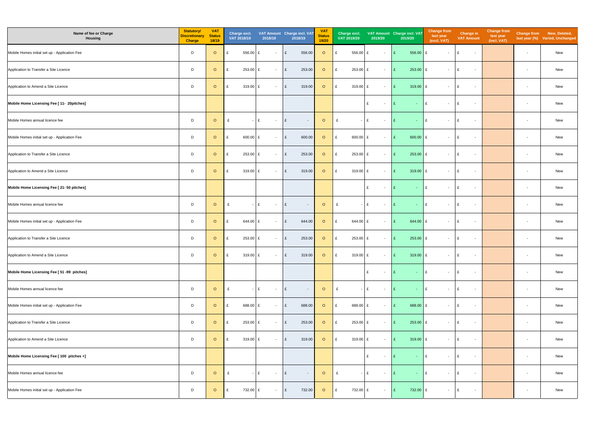| Name of fee or Charge<br>Housing              | <b>Statutory/</b><br><b>Discretionary</b><br><b>Charge</b> | <b>VAT</b><br><b>Status</b><br>18/19 | Charge excl.<br>VAT 2018/19 | 2018/19     | VAT Amount Charge incl. VAT<br>2018/19 | <b>VAT</b><br><b>Status</b><br>19/20 | Charge excl.<br>VAT 2019/20<br>2019/20 | VAT Amount Charge incl. VAT<br>2019/20 | <b>Change from</b><br>last year<br>(excl. VAT) | <b>Change in</b><br><b>VAT Amount</b> | <b>Change from</b><br>last year<br>(incl. VAT) |                          | Change from New, Deleted,<br>last year (%) Varied, Unchanged |
|-----------------------------------------------|------------------------------------------------------------|--------------------------------------|-----------------------------|-------------|----------------------------------------|--------------------------------------|----------------------------------------|----------------------------------------|------------------------------------------------|---------------------------------------|------------------------------------------------|--------------------------|--------------------------------------------------------------|
| Mobile Homes initial set up - Application Fee | D                                                          | $\circ$                              | 556.00<br>£                 | £<br>$\sim$ | E<br>556.00                            | $\circ$                              | 556.00 £<br>£<br>$\sim$                | E<br>556.00 £                          | $\sim$                                         | £<br>$\sim$                           |                                                | $\overline{\phantom{a}}$ | New                                                          |
| Application to Transfer a Site Licence        | D                                                          | $\circ$                              | 253.00<br>£                 | £<br>$\sim$ | £<br>253.00                            | $\circ$                              | £<br>253.00 £<br>$\sim$                | E<br>$253.00$ £                        | $\sim$                                         | £<br>$\sim$                           |                                                | $\overline{\phantom{a}}$ | New                                                          |
| Application to Amend a Site Licence           | D                                                          | $\circ$                              | £<br>319.00 £               | $\sim$      | £<br>319.00                            | $\circ$                              | £<br>319.00 £<br>$\sim$                | E<br>$319.00$ £                        | $\sim$                                         | £<br>$\sim$                           |                                                | $\overline{\phantom{a}}$ | New                                                          |
| Mobile Home Licensing Fee [ 11- 20pitches]    |                                                            |                                      |                             |             |                                        |                                      | £<br>$\sim$                            | $ E$<br>E                              | $\sim$                                         | £<br>$\sim$                           |                                                | $\sim$                   | New                                                          |
| Mobile Homes annual licence fee               | D                                                          | $\circ$                              | £                           | £<br>$\sim$ | E<br>$\sim$                            | $\circ$                              | $ E$<br>£<br>$\sim$                    | E<br>$\sim 10$                         | E<br>$\sim$                                    | £<br>$\sim$                           |                                                | $\sim$                   | New                                                          |
| Mobile Homes initial set up - Application Fee | D                                                          | $\circ$                              | 600.00<br>£                 | £<br>$\sim$ | 600.00<br>£                            | $\circ$                              | 600.00 £<br>£<br>$\sim$                | 600.00 $E$<br>E                        | $\sim$                                         | E<br>$\sim$                           |                                                | $\sim$                   | New                                                          |
| Application to Transfer a Site Licence        | D                                                          | $\circ$                              | $253.00$ £<br>£             | $\sim$      | £<br>253.00                            | $\circ$                              | 253.00 £<br>£<br>$\sim$                | E<br>$253.00$ £                        | $\sim$                                         | E<br>$\sim$                           |                                                | $\sim$                   | New                                                          |
| Application to Amend a Site Licence           | D                                                          | $\circ$                              | 319.00 £<br>£               | $\sim$      | 319.00<br>£                            | $\circ$                              | 319.00 £<br>£<br>$\sim$                | E<br>319.00 £                          | $\sim$                                         | E<br>$\sim$                           |                                                | $\overline{\phantom{a}}$ | New                                                          |
| Mobile Home Licensing Fee [ 21- 50 pitches]   |                                                            |                                      |                             |             |                                        |                                      | £<br>$\sim$                            | E<br>$\sim 10$                         | $\mathsf{I}$ £<br>$\sim$                       | £<br>$\sim$                           |                                                | $\overline{\phantom{a}}$ | New                                                          |
| Mobile Homes annual licence fee               | D                                                          | $\circ$                              | £                           | £<br>$\sim$ | E<br>$\sim$                            | $\circ$                              | $ E$<br>£<br>$\sim$                    | E<br>$-$ E                             | $\sim$                                         | £<br>$\sim$                           |                                                | $\overline{\phantom{a}}$ | New                                                          |
| Mobile Homes initial set up - Application Fee | D                                                          | $\circ$                              | 644.00<br>£                 | £<br>$\sim$ | £<br>644.00                            | $\circ$                              | 644.00 £<br>$\mathbf{f}$<br>$\sim$     | 644.00 £<br>E                          | $\sim$                                         | E<br>$\sim$                           |                                                | $\overline{\phantom{a}}$ | New                                                          |
| Application to Transfer a Site Licence        | D                                                          | $\circ$                              | 253.00<br>£                 | £<br>$\sim$ | 253.00<br>£                            | $\circ$                              | 253.00 £<br>£<br>$\sim$                | E<br>$253.00$ £                        | $\sim$                                         | E<br>$\sim$                           |                                                | $\sim$                   | New                                                          |
| Application to Amend a Site Licence           | D                                                          | $\circ$                              | 319.00 £<br>E               | $ E$        | 319.00                                 | O E                                  | 319.00 £                               | 319.00 £<br>$ E$                       | $\sim$ $-$                                     | E<br>$\sim$                           |                                                | $\overline{\phantom{a}}$ | New                                                          |
| Mobile Home Licensing Fee [ 51 -99 pitches]   |                                                            |                                      |                             |             |                                        |                                      | £<br>$\sim$                            | $-$ E<br>E                             | $\sim$                                         | E<br>$\sim$                           |                                                | $\sim$                   | New                                                          |
| Mobile Homes annual licence fee               | D                                                          | $\circ$                              | £                           | £<br>$\sim$ | £<br>$\sim$                            | $\circ$                              | £<br>$ E$<br>$\sim$                    | $ E$<br>E                              | $\sim$                                         | £<br>$\sim$                           |                                                | $\overline{\phantom{a}}$ | New                                                          |
| Mobile Homes initial set up - Application Fee | D                                                          | $\circ$                              | 688.00 £<br>£               | $\sim$      | £<br>688.00                            | $\circ$                              | E<br>688.00 £<br>$\sim$                | 688.00 £<br>E                          | $\sim$                                         | E<br>$\sim$                           |                                                | $\overline{\phantom{a}}$ | New                                                          |
| Application to Transfer a Site Licence        | D                                                          | $\circ$                              | 253.00 £<br>£               | $\sim$      | £<br>253.00                            | $\circ$                              | £<br>253.00 £<br>$\sim$                | E<br>$253.00$ £                        | $\sim$                                         | E<br>$\sim$                           |                                                | $\sim$                   | New                                                          |
| Application to Amend a Site Licence           | D                                                          | $\circ$                              | 319.00 £<br>£               | $\sim$      | £<br>319.00                            | $\circ$                              | £<br>319.00 £<br>$\sim$                | E<br>319.00 £                          | $\sim$                                         | E<br>$\sim$                           |                                                | $\sim$                   | New                                                          |
| Mobile Home Licensing Fee [ 100 pitches +]    |                                                            |                                      |                             |             |                                        |                                      | £<br>$\sim$                            | E<br>$\sim 100$                        | E<br>$\sim$                                    | E<br>$\sim$                           |                                                | $\overline{\phantom{a}}$ | New                                                          |
| Mobile Homes annual licence fee               | D                                                          | $\circ$                              | £                           | £<br>$\sim$ | E<br>$\sim$                            | $\circ$                              | £<br>$ E$<br>$\sim$                    | E<br>$\sim$ 10 $\pm$                   | E<br>$\sim$                                    | E<br>$\sim$                           |                                                | $\overline{\phantom{a}}$ | New                                                          |
| Mobile Homes initial set up - Application Fee | D                                                          | $\circ$                              | 732.00 £<br>£               | $\sim$      | 732.00<br>E                            | $\circ$                              | £<br>732.00 £<br>$\sim$                | 732.00 £<br>E                          | $\sim 10$                                      | E<br>$\sim$                           |                                                | $\overline{\phantom{a}}$ | New                                                          |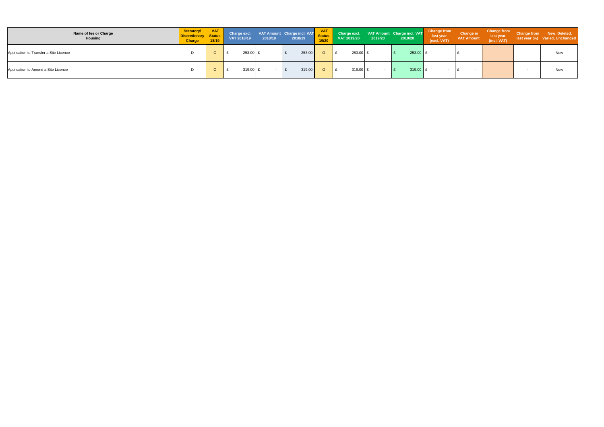| Name of fee or Charge<br>Housing       | <b>Statutory/</b><br><b>Discretionary Status</b><br><b>Charge</b> | <b>VAT</b><br>18/19 | Charge excl.<br>VAT 2018/19 | 2018/19 | VAT Amount Charge incl. VAT<br>2018/19 | <b>VAT</b><br>Status  <br>19/20 | VAT 2019/20 | 2019/20 | Charge excl. VAT Amount Charge incl. VAT<br>2019/20 | <b>Change from</b><br>last year<br>(excl. VAT) | <b>Change in</b><br><b>VAT Amount</b> | <b>Change from</b><br>last year<br>(incl. VAT) | Change from New, Deleted,<br>last year (%) Varied, Unchanged |
|----------------------------------------|-------------------------------------------------------------------|---------------------|-----------------------------|---------|----------------------------------------|---------------------------------|-------------|---------|-----------------------------------------------------|------------------------------------------------|---------------------------------------|------------------------------------------------|--------------------------------------------------------------|
| Application to Transfer a Site Licence |                                                                   | $\circ$             | 253.00 ±                    |         | 253.00                                 |                                 | 253.00      |         | 253.00 E                                            |                                                |                                       |                                                | <b>New</b>                                                   |
| Application to Amend a Site Licence    |                                                                   | $\circ$             | 319.00 }                    |         | 319.00                                 |                                 | 319.00 £    |         | 319.00 £                                            |                                                |                                       |                                                | New                                                          |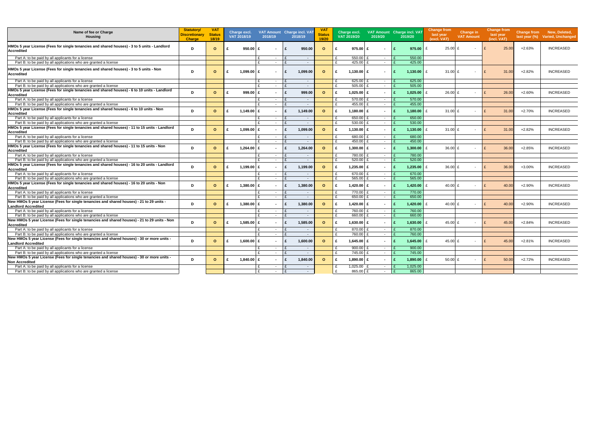| Name of fee or Charge<br><b>Housing</b>                                                                                | <b>Statutory/</b><br><b>Discretionary</b><br><b>Charge</b> | <b>VAT</b><br><b>Status</b><br>18/19 |   | Charge excl.<br>VAT 2018/19 | VAT Amount Charge incl. VAT<br>2018/19 |              | 2018/19    | <b>VAT</b><br><b>Status</b><br>19/20 | Charge excl.<br>VAT 2019/20 |              | 2019/20        |              | VAT Amount Charge incl. VAT<br>2019/20 | <b>Change from</b><br>last year<br>(excl. VAT) | Change in<br><b>VAT Amount</b> | <b>Change from</b><br>last year<br>(incl. VAT) |          | Change from New, Deleted,<br>last year (%) Varied, Unchanged |
|------------------------------------------------------------------------------------------------------------------------|------------------------------------------------------------|--------------------------------------|---|-----------------------------|----------------------------------------|--------------|------------|--------------------------------------|-----------------------------|--------------|----------------|--------------|----------------------------------------|------------------------------------------------|--------------------------------|------------------------------------------------|----------|--------------------------------------------------------------|
| HMOs 5 year License (Fees for single tenancies and shared houses) - 3 to 5 units - Landlord<br><b>Accredited</b>       | D                                                          | $\circ$                              |   | $950.00$ £                  |                                        | £            | 950.00     | $\circ$                              | £                           | 975.00       | $\sim$         |              | 975.00                                 | £<br>$25.00$ £                                 | $\sim$                         | 25.00                                          | $+2.63%$ | <b>INCREASED</b>                                             |
| Part A: to be paid by all applicants for a license                                                                     |                                                            |                                      |   |                             | $\sim$                                 |              | $\sim$     |                                      | 550.00                      |              | $\sim$         |              | 550.00                                 |                                                |                                |                                                |          |                                                              |
| Part B: to be paid by all applications who are granted a license                                                       |                                                            |                                      |   |                             | £.<br>$\sim$                           | £            | $\sim$     |                                      | 425.00<br>₽                 |              | $\sim$         |              | 425.00                                 |                                                |                                |                                                |          |                                                              |
| HMOs 5 year License (Fees for single tenancies and shared houses) - 3 to 5 units - Non<br><b>Accredited</b>            | D                                                          | $\circ$                              | £ | $1,099.00$ £                |                                        | £            | 1.099.00   | $\Omega$                             | £                           | $1,130.00$ £ | $\sim$         |              | 1,130.00                               | 31.00 $E$<br>£                                 | $\sim$                         | 31.00<br>$\mathsf{F}$                          | $+2.82%$ | <b>INCREASED</b>                                             |
| Part A: to be paid by all applicants for a license                                                                     |                                                            |                                      |   |                             | $\sim$                                 |              | $\sim$     |                                      | 625.00                      |              | $\sim$         |              | 625.00                                 |                                                |                                |                                                |          |                                                              |
| Part B: to be paid by all applications who are granted a license                                                       |                                                            |                                      |   |                             | £<br>$\sim$                            | $\mathbf{f}$ | $\sim$ $-$ |                                      | 505.00<br>£                 |              | $\sim$         | $\mathbf{f}$ | 505.00                                 |                                                |                                |                                                |          |                                                              |
| HMOs 5 year License (Fees for single tenancies and shared houses) - 6 to 10 units - Landlord<br>Accredited             | D                                                          | $\circ$                              | £ | 999.00 $E$                  |                                        | £            | 999.00     | $\mathbf{o}$                         | £                           | $1,025.00$ £ | $\sim$         |              | 1,025.00                               | $26.00$ £<br>£                                 | $\overline{\phantom{a}}$       | $\mathbf{f}$<br>26.00                          | $+2.60%$ | <b>INCREASED</b>                                             |
| Part A: to be paid by all applicants for a license                                                                     |                                                            |                                      |   |                             | £<br>$\sim$                            | $\mathbf{f}$ | $\sim$ $-$ |                                      | £                           | 570.00       | $\sim$         |              | 570.00                                 |                                                |                                |                                                |          |                                                              |
| Part B: to be paid by all applications who are granted a license                                                       |                                                            |                                      |   |                             | £<br>$\sim$                            | $\mathbf{f}$ | $\sim$     |                                      | £                           | 455.00       | $\sim$         |              | 455.00                                 |                                                |                                |                                                |          |                                                              |
| HMOs 5 year License (Fees for single tenancies and shared houses) - 6 to 10 units - Non<br><b>Accredited</b>           | D                                                          | $\Omega$                             |   | 1.149.00 £                  |                                        |              | 1.149.00   | $\Omega$                             | £                           | 1,180.00 $E$ | $\sim$         |              | 1,180.00                               | 31.00 $E$<br>£                                 | $\overline{\phantom{a}}$       | 31.00                                          | $+2.70%$ | <b>INCREASED</b>                                             |
| Part A: to be paid by all applicants for a license                                                                     |                                                            |                                      |   |                             | £<br>$\sim$                            | $\mathbf{f}$ | $\sim$ $-$ |                                      | £                           | 650.00       | $\sim$         |              | 650.00                                 |                                                |                                |                                                |          |                                                              |
| Part B: to be paid by all applications who are granted a license                                                       |                                                            |                                      |   |                             | £<br>$\sim$                            | $\mathbf{f}$ | $\sim$ $-$ |                                      | £                           | 530.00       | $\sim$         | $\mathbf{f}$ | 530.00                                 |                                                |                                |                                                |          |                                                              |
| HMOs 5 year License (Fees for single tenancies and shared houses) - 11 to 15 units - Landlord<br><b>Accredited</b>     | D                                                          | $\circ$                              |   | $1,099.00$ £                |                                        | £            | 1.099.00   | $\Omega$                             | £                           | $1,130.00$ £ | $\sim$         |              | 1,130.00                               | 31.00 $E$<br>$\mathbf{f}$                      | $\sim$                         | $\mathbf{f}$<br>31.00                          | $+2.82%$ | <b>INCREASED</b>                                             |
| Part A: to be paid by all applicants for a license                                                                     |                                                            |                                      |   |                             | $\sim$                                 |              | $\sim$ $-$ |                                      | 680.00<br>£                 |              | $\sim$         |              | 680.00                                 |                                                |                                |                                                |          |                                                              |
| Part B: to be paid by all applications who are granted a license                                                       |                                                            |                                      |   |                             | £<br>$\sim$                            | £            | $\sim$     |                                      | £                           | 450.00       | $\sim$         |              | 450.00                                 |                                                |                                |                                                |          |                                                              |
| HMOs 5 year License (Fees for single tenancies and shared houses) - 11 to 15 units - Non<br><b>Accredited</b>          | D                                                          | $\Omega$                             |   | 1,264.00                    | £                                      | £            | 1.264.00   | $\circ$                              | £                           | 1,300.00 $E$ | $\sim$         |              | 1,300.00                               | 36.00 £<br>£                                   | $\overline{\phantom{a}}$       | 36.00<br>$\mathsf{F}$                          | $+2.85%$ | <b>INCREASED</b>                                             |
| Part A: to be paid by all applicants for a license                                                                     |                                                            |                                      |   |                             | £<br>$\sim$                            | £            | $\sim$ $-$ |                                      | £<br>780.00                 |              | $\sim$         |              | 780.00                                 |                                                |                                |                                                |          |                                                              |
| Part B: to be paid by all applications who are granted a license                                                       |                                                            |                                      |   |                             | £<br>$\sim$                            | £            | $\sim$     |                                      | £<br>520.00                 |              | $\sim$         |              | 520.00                                 |                                                |                                |                                                |          |                                                              |
| HMOs 5 year License (Fees for single tenancies and shared houses) - 16 to 20 units - Landlord<br><b>Accredited</b>     | D                                                          | $\circ$                              |   | 1,199.00                    | £                                      |              | 1.199.00   | $\circ$                              | £                           | 1,235.00 $E$ | $\sim$         |              | 1,235.00                               | £<br>$36.00 \text{ E}$                         | $\overline{\phantom{a}}$       | 36.00                                          | $+3.00%$ | <b>INCREASED</b>                                             |
| Part A: to be paid by all applicants for a license                                                                     |                                                            |                                      |   |                             | $\sim$                                 | $\mathbf{f}$ | $\sim$     |                                      | £<br>670.00                 |              | $\sim$         |              | 670.00                                 |                                                |                                |                                                |          |                                                              |
| Part B: to be paid by all applications who are granted a license                                                       |                                                            |                                      |   |                             | $\sim$                                 | £            | $\sim$     |                                      | 565.00                      |              | $\sim$         |              | 565.00                                 |                                                |                                |                                                |          |                                                              |
| HMOs 5 year License (Fees for single tenancies and shared houses) - 16 to 20 units - Non<br>Accredited                 | D                                                          | $\circ$                              |   | 1,380.00                    | £                                      | £            | 1.380.00   | $\mathbf{o}$                         | £                           | $1,420.00$ £ | $\sim$         |              | 1,420.00                               | 40.00 £                                        | $\overline{\phantom{a}}$       | 40.00                                          | $+2.90%$ | <b>INCREASED</b>                                             |
| Part A: to be paid by all applicants for a license                                                                     |                                                            |                                      |   |                             | $\sim$                                 | $\mathbf{f}$ | $\sim$ $-$ |                                      |                             | 770.00       | $\sim$         |              | 770.00                                 |                                                |                                |                                                |          |                                                              |
| Part B: to be paid by all applications who are granted a license                                                       |                                                            |                                      |   |                             | $\sim$                                 | $\mathbf{f}$ | $\sim$     |                                      | £                           | 650.00       | $\sim$         |              | 650.00                                 |                                                |                                |                                                |          |                                                              |
| New HMOs 5 year License (Fees for single tenancies and shared houses) - 21 to 29 units -<br><b>Landlord Accredited</b> | D                                                          | $\circ$                              |   | 1.380.00                    | £                                      |              | 1.380.00   | $\Omega$                             | £                           | $1,420.00$ £ | $\blacksquare$ |              | 1,420.00                               | 40.00 £<br>$\mathbf{f}$                        | $\overline{\phantom{0}}$       | 40.00                                          | $+2.90%$ | <b>INCREASED</b>                                             |
| Part A: to be paid by all applicants for a license                                                                     |                                                            |                                      |   |                             | £<br>$\sim$                            | $\mathbf{f}$ | $\sim$     |                                      | £                           | 760.00       | $\sim$         |              | 760.00                                 |                                                |                                |                                                |          |                                                              |
| Part B: to be paid by all applications who are granted a license                                                       |                                                            |                                      |   |                             | £<br>$\sim$                            | £            | $\sim$     |                                      | £                           | 660.00       | $\sim$         |              | 660.00                                 |                                                |                                |                                                |          |                                                              |
| New HMOs 5 year License (Fees for single tenancies and shared houses) - 21 to 29 units - Non<br><b>Accredited</b>      | D                                                          | $\circ$                              |   | $1.585.00$ £                |                                        | $\mathbf{f}$ | 1.585.00   | $\Omega$                             | £                           | $1,630.00$ £ | $\sim$         |              | 1,630.00                               | 45.00 $E$<br>$\mathbf{f}$                      | $\overline{\phantom{a}}$       | 45.00<br>$\mathbf{f}$                          | $+2.84%$ | <b>INCREASED</b>                                             |
| Part A: to be paid by all applicants for a license                                                                     |                                                            |                                      |   |                             | $\sim$                                 | £            | $\sim$     |                                      | £                           | 870.00       | $\sim$         |              | 870.00                                 |                                                |                                |                                                |          |                                                              |
| Part B: to be paid by all applications who are granted a license                                                       |                                                            |                                      |   |                             | $\sim$                                 | $\mathbf{f}$ | $\sim$     |                                      |                             | 760.00       | $\sim$         |              | 760.00                                 |                                                |                                |                                                |          |                                                              |
| New HMOs 5 year License (Fees for single tenancies and shared houses) - 30 or more units -                             |                                                            |                                      |   |                             |                                        |              |            |                                      |                             |              |                |              |                                        |                                                |                                |                                                |          |                                                              |
| <b>Landlord Accredited</b>                                                                                             | D                                                          | $\Omega$                             |   | $1.600.00$ £                |                                        | £            | 1.600.00   | $\Omega$                             | £                           | $1,645.00$ £ | $\sim$         |              | 1,645.00                               | 45.00 £<br>£                                   | $\sim$                         | 45.00<br>$\mathsf{F}$                          | $+2.81%$ | <b>INCREASED</b>                                             |
| Part A: to be paid by all applicants for a license                                                                     |                                                            |                                      |   |                             | $\sim$                                 | £            | $\sim$     |                                      | 900.00<br>£                 |              | $\sim$         |              | 900.00                                 |                                                |                                |                                                |          |                                                              |
| Part B: to be paid by all applications who are granted a license                                                       |                                                            |                                      |   |                             | $\sim$                                 |              | $\sim$     |                                      | £<br>745.00                 |              | $\sim$         |              | 745.00                                 |                                                |                                |                                                |          |                                                              |
| New HMOs 5 year License (Fees for single tenancies and shared houses) - 30 or more units -<br><b>Non Accredited</b>    | D                                                          | $\circ$                              |   | 1,840.00                    | £                                      | £            | 1.840.00   | $\circ$                              | £                           | 1,890.00 £   | $\sim$         |              | 1,890.00                               | 50.00 $E$<br>£                                 | $\sim$                         | 50.00                                          | $+2.72%$ | <b>INCREASED</b>                                             |
| Part A: to be paid by all applicants for a license                                                                     |                                                            |                                      |   |                             | £<br>$\sim$                            | $\mathbf{f}$ | $\sim$     |                                      | £                           | $1.025.00$ £ | $\sim$         |              | 1.025.00                               |                                                |                                |                                                |          |                                                              |
| Part B: to be paid by all applications who are granted a license                                                       |                                                            |                                      |   |                             | £<br>$\sim$                            | £            | $\sim$ $-$ |                                      |                             | 865.00 £     | $\sim$         |              | 865.00                                 |                                                |                                |                                                |          |                                                              |
|                                                                                                                        |                                                            |                                      |   |                             |                                        |              |            |                                      |                             |              |                |              |                                        |                                                |                                |                                                |          |                                                              |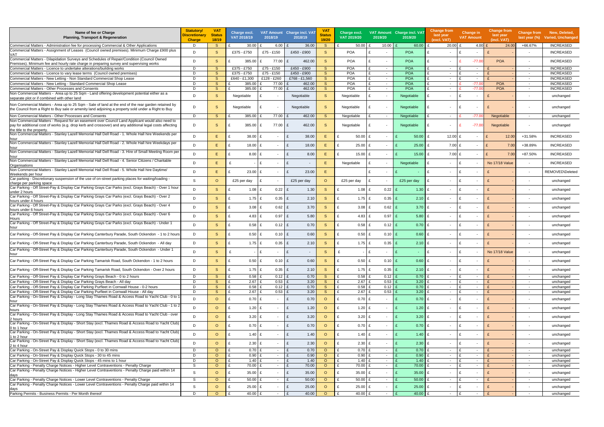| Name of fee or Charge<br><b>Planning, Transport &amp; Regeneration</b>                                                                                                                                                                    | <b>Statutory/</b><br>Discretionary<br><b>Charge</b> | <b>VAT</b><br>Status<br>18/19 | Charge excl.<br>VAT 2018/19 | 2018/19                  |                  | VAT Amount Charge incl. VAT<br>2018/19 | <b>VAT</b><br>Status<br>19/20 | Charge excl.<br>VAT 2019/20   | 2019/20                       | <b>VAT Amount</b> Charge incl. VAT<br>2019/20 | <b>Change from</b><br>last year<br>(excl. VAT) | <b>Change in</b><br><b>VAT Amount</b>                          | <b>Change from</b><br>last year<br>(incl. VAT) | <b>Change from</b><br>last year $(\%)$ | New, Deleted,<br><b>Varied, Unchanged</b> |
|-------------------------------------------------------------------------------------------------------------------------------------------------------------------------------------------------------------------------------------------|-----------------------------------------------------|-------------------------------|-----------------------------|--------------------------|------------------|----------------------------------------|-------------------------------|-------------------------------|-------------------------------|-----------------------------------------------|------------------------------------------------|----------------------------------------------------------------|------------------------------------------------|----------------------------------------|-------------------------------------------|
| Commercial Matters - Administration fee for processing Commercial & Other Applications                                                                                                                                                    | D                                                   | S.                            | 30.00                       |                          | 6.00             | 36.00                                  | -S                            | 50.00                         | 10.00                         | $60.00$ £                                     | $20.00$ £                                      |                                                                | 4.00 $E$<br>24.00                              | +66.67%                                | <b>INCREASED</b>                          |
| Commercial Matters - Assignment of Leases (Council owned premises). Minimum Charge £900 plus<br>VAT                                                                                                                                       | D                                                   | S                             | £375 - £750                 | £75 - £150               |                  | £450 - £900                            | <sub>S</sub>                  | <b>POA</b>                    | $\overline{\phantom{a}}$      | POA                                           | £                                              | £                                                              |                                                | $\overline{\phantom{a}}$               | <b>INCREASED</b>                          |
| Commercial Matters - Dilapidation Surveys and Schedules of Repair/Condition (Council Owned<br>Premises). Minimum fee and hourly rate charge in preparing survey and supervising works                                                     | D                                                   | S.                            | 385.00                      | $\mathbf{f}$             | 77.00            | 462.00<br>$\mathbf{f}$                 | <sub>S</sub>                  | <b>POA</b>                    | $\sim$                        | <b>POA</b>                                    | £<br>$\sim$                                    | $-77.00$                                                       | <b>POA</b>                                     | $\overline{\phantom{a}}$               | <b>INCREASED</b>                          |
| Commercial Matters - Licence to undertake alterations/building works<br>Commercial Matters - Licence to vary lease terms (Council owned premises)                                                                                         | D<br>D                                              | S.<br>S.                      | £375 - £750<br>£375 - £750  | £75 - £150<br>£75 - £150 |                  | £450 - £900<br>£450 - £900             | S.<br>S.                      | <b>POA</b><br><b>POA</b>      | £<br>$\sim$<br>$\sim$         | <b>POA</b><br>POA                             | $\sim$<br>$\sim$                               | £<br>$\overline{\phantom{a}}$<br>£<br>$\overline{\phantom{a}}$ |                                                | $\sim$<br>$\sim$                       | <b>INCREASED</b><br><b>INCREASED</b>      |
| Commercial Matters - New Letting - Non Standard Commercial Shop Lease                                                                                                                                                                     | D                                                   | <sub>S</sub>                  | £640 - £1,300               | £128 - £260              |                  | £768 - £1,560                          | S                             | <b>POA</b>                    | $\sim$                        | <b>POA</b>                                    | $\sim$                                         | $\sim$                                                         |                                                | $\sim$                                 | <b>INCREASED</b>                          |
| Commercial Matters - New Letting - Standard Commercial Shop Lease                                                                                                                                                                         | D                                                   | <sub>S</sub>                  | 385.00                      |                          | 77.00            | 462.00                                 | <sub>S</sub>                  | <b>POA</b>                    | $\sim$                        | <b>POA</b>                                    | $\sim$                                         | $-77.00$                                                       | <b>POA</b>                                     | $\sim$                                 | <b>INCREASED</b>                          |
| Commercial Matters - Other Processes and Consents                                                                                                                                                                                         | D                                                   | <sub>S</sub>                  | 385.00                      |                          | 77.00            | 462.00                                 | <sub>S</sub>                  | <b>POA</b>                    | $\sim$                        | <b>POA</b>                                    | $\sim$                                         | $-77.0$                                                        | <b>POA</b>                                     | $\sim$                                 | <b>INCREASED</b>                          |
| Non Commercial Matters - Area up to 25 Sqm - Land offering development potential either as a<br>separate plot or if combined with other land                                                                                              | D                                                   | S                             | Negotiable                  |                          |                  | Negotiable                             | S                             | Negotiable                    | $\overline{\phantom{a}}$      | Negotiable                                    |                                                |                                                                |                                                | $\overline{\phantom{a}}$               | unchanged                                 |
| Non Commercial Matters - Area up to 25 Sqm - Sale of land at the end of the rear garden retained by<br>the Council from a Right to Buy sale or amenity land adjoining a property sold under a Right to Buy                                | D                                                   | S                             | Negotiable                  |                          |                  | Negotiable                             | <sub>S</sub>                  | Negotiable                    | $\sim$                        | Negotiable                                    |                                                | £                                                              |                                                |                                        | unchanged                                 |
| Non Commercial Matters - Other Processes and Consents                                                                                                                                                                                     | D                                                   | S.                            | 385.00                      |                          | 77.00            | 462.00                                 | <sub>S</sub>                  | Negotiable                    | $\sim$                        | Negotiable                                    | $\sim$                                         | $-77.00$                                                       | <b>Negotiable</b>                              | $\sim$                                 | unchanged                                 |
| Non Commercial Matters - Request for an easement over Council Land Applicant would also need to<br>pay for additional cost of works (e.g. drop kerb and crossover) and any additional legal costs affecting<br>the title to the property. | D                                                   | S.                            | 385.00                      |                          | 77.00            | 462.00<br>£                            | <sub>S</sub>                  | Negotiable                    | $\overline{\phantom{a}}$      | Negotiable                                    | $\sim$                                         | $-77.00$                                                       | <b>Negotiable</b>                              | $\sim$                                 | unchanged                                 |
| Non Commercial Matters - Stanley Lazell Memorial Hall Dell Road - 1. Whole Hall hire Weekends per<br>hour                                                                                                                                 | D                                                   | E.                            | 38.00                       | £                        | $\sim$           | £<br>38.00                             | Е                             | $50.00$ £                     | $\sim$                        | 50.00                                         | 12.00 £<br>£                                   | $\sim$                                                         | £<br>12.00                                     | +31.58%                                | <b>INCREASED</b>                          |
| Non Commercial Matters - Stanley Lazell Memorial Hall Dell Road - 2. Whole Hall hire Weekdays per<br>hour                                                                                                                                 | D                                                   | E.                            | £                           | 18.00<br>£               | $\sim$           | £<br>18.00                             | Ε                             | $25.00$ £<br>f                | $\sim$                        | 25.00                                         | £                                              | $7.00$ £<br>$\overline{\phantom{a}}$                           | $\mathbf{f}$<br>7.00                           | +38.89%                                | <b>INCREASED</b>                          |
| Non Commercial Matters - Stanley Lazell Memorial Hall Dell Road - 3. Hire of Small Meeting Room per<br>hour                                                                                                                               | D                                                   | E.                            | £                           | $8.00 \quad \text{£}$    | $\sim$           | £<br>8.00                              | E.                            | $15.00 \, \text{E}$           | $\sim$                        | 15.00                                         | £                                              | 7.00 £<br>$\sim$                                               | $\mathbf{f}$<br>7.00                           | +87.50%                                | <b>INCREASED</b>                          |
| Non Commercial Matters - Stanley Lazell Memorial Hall Dell Road - 4. Senior Citizens / Charitable<br>Organisations                                                                                                                        | D                                                   | Е                             | £                           | £                        | $\sim$           | £<br>$\sim$                            | E.                            | Negotiable                    | $\sim$                        | Negotiable                                    | $\sim$                                         | £<br>$\overline{\phantom{a}}$                                  | <b>No 17/18 Value</b>                          | $\blacksquare$                         | <b>INCREASED</b>                          |
| Non Commercial Matters - Stanley Lazell Memorial Hall Dell Road - 5. Whole Hall hire Daytime/<br>Weekends per hour                                                                                                                        | D                                                   | E                             | 23.00                       | £                        | $\sim$           | £<br>23.00                             | Ε                             |                               | £<br>$\overline{\phantom{a}}$ |                                               | £<br>$\overline{\phantom{a}}$                  | £                                                              |                                                | $\overline{\phantom{a}}$               | REMOVED\Deleted                           |
| Car parking - Discretionary suspension of the use of on-street parking places for waiting/loading -<br>charge per parking space                                                                                                           | S                                                   | $\circ$                       | £25 per day                 |                          |                  | £25 per day                            | $\circ$                       | £25 per day                   | £<br>$\overline{\phantom{a}}$ | £25 per day                                   | £                                              | £                                                              |                                                | $\overline{\phantom{a}}$               | unchanged                                 |
| Car Parking - Off Street-Pay & Display Car Parking Grays Car Parks (excl. Grays Beach) - Over 1 hour<br>under 2 hours                                                                                                                     | D                                                   | S                             |                             | 1.08                     | 0.22             | 1.30<br>£                              | <sub>S</sub>                  | 1.08                          | 0.22                          | 1.30                                          | £<br>$\blacksquare$                            | £                                                              |                                                | $\overline{\phantom{a}}$               | unchanged                                 |
| Car Parking - Off Street-Pay & Display Car Parking Grays Car Parks (excl. Grays Beach) - Over 2<br>hours under 4 hours                                                                                                                    | D                                                   | S                             | £                           | 1.75 $E$                 | $0.35$ £         | 2.10                                   | S                             | 1.75 $E$<br>£                 | $0.35$ £                      | 2.10                                          | £<br>$\sim$                                    | £<br>$\overline{\phantom{a}}$                                  |                                                | $\overline{\phantom{a}}$               | unchanged                                 |
| Car Parking - Off Street-Pay & Display Car Parking Grays Car Parks (excl. Grays Beach) - Over 4<br>hours under 6 hours                                                                                                                    | D                                                   | S                             | £                           | 3.08                     | $0.62$ £         | 3.70                                   | <sub>S</sub>                  | 3.08                          | $0.62$ £                      | $3.70$ £                                      | $\sim$                                         | £                                                              |                                                |                                        | unchanged                                 |
| Car Parking - Off Street-Pay & Display Car Parking Grays Car Parks (excl. Grays Beach) - Over 6<br>Hours                                                                                                                                  | D                                                   | S                             | £                           | 4.83<br>$\mathbf{f}$     | 0.97             | 5.80<br>£                              | <sub>S</sub>                  | 4.83                          | $0.97$ £                      | 5.80                                          | £<br>$\sim$                                    | £<br>$\overline{\phantom{a}}$                                  |                                                | $\overline{\phantom{a}}$               | unchanged                                 |
| Car Parking - Off Street-Pay & Display Car Parking Grays Car Parks (excl. Grays Beach) - Under 1<br>hour                                                                                                                                  | D                                                   | S.                            |                             | 0.58                     | $0.12$ E         | 0.70                                   | S                             | 0.58<br>£                     | $0.12$ £                      | 0.70                                          | E<br>$\sim$                                    | £<br>$\overline{\phantom{a}}$                                  |                                                |                                        | unchanged                                 |
| Car Parking - Off-Street Pay & Display Car Parking Canterbury Parade, South Ockendon - 1 to 2 hours                                                                                                                                       | D                                                   | <sub>S</sub>                  | £                           | 0.50                     | $0.10$ £         | 0.60                                   | S                             | 0.50<br>£                     | $0.10$ £                      | 0.60                                          | £<br>$\sim$                                    | £                                                              |                                                |                                        | unchanged                                 |
| Car Parking - Off-Street Pay & Display Car Parking Canterbury Parade, South Ockendon - All day                                                                                                                                            | D                                                   | S.                            | £                           | $1.75 \tE$               | $0.35$ $E$       | 2.10                                   | <sub>S</sub>                  | 1.75 $E$                      | $0.35$ $E$                    | 2.10                                          | £<br>$\sim$                                    | Ι£<br>$\overline{\phantom{a}}$                                 |                                                |                                        | unchanged                                 |
| Car Parking - Off-Street Pay & Display Car Parking Canterbury Parade, South Ockendon - Under 1                                                                                                                                            | D                                                   | S                             |                             | £                        |                  | £<br>$\sim$                            | S                             |                               | $-1E$<br>$\sim$               |                                               | $\sim$                                         | £                                                              | No 17/18 Value                                 |                                        | unchanged                                 |
| Car Parking - Off-Street Pay & Display Car Parking Tamarisk Road, South Ockendon - 1 to 2 hours                                                                                                                                           | D                                                   | <sub>S</sub>                  | £                           | 0.50<br>£                | $0.10$ £         | 0.60                                   | <sub>S</sub>                  | $0.50$ £<br>£                 | $0.10$ £                      | $0.60$ £                                      | $\sim$                                         | £<br>$\overline{\phantom{a}}$                                  |                                                | $\overline{\phantom{a}}$               | unchanged                                 |
| Car Parking - Off-Street Pav & Display Car Parking Tamarisk Road. South Ockendon - Over 2 hours                                                                                                                                           | D                                                   | <sub>S</sub>                  | £                           | 1.75 $E$                 | $0.35$ £         | 2.10                                   | <sub>S</sub>                  | $1.75$ £<br>£                 | $0.35$ £                      | $2.10$ £                                      | $\sim$                                         | E<br>$\sim$                                                    |                                                | $\overline{\phantom{a}}$               | unchanged                                 |
| Car Parking - Off-Street Pay & Display Car Parking Grays Beach - 0 to 2 hours                                                                                                                                                             | D                                                   | <sub>S</sub>                  | £                           | 0.58<br>- F              | $0.12$ £         | 0.70                                   | <sub>S</sub>                  | $0.58$ £                      | $0.12$ £                      | $0.70$ £                                      | $\sim$                                         | £<br>$\sim$                                                    |                                                | $\overline{\phantom{a}}$               | unchanged                                 |
| Car Parking - Off-Street Pay & Display Car Parking Grays Beach - All day                                                                                                                                                                  | D                                                   | S                             | £                           | 2.67<br>£                | 0.53             | 3.20<br>E                              | <sub>S</sub>                  | £<br>$2.67$ £                 | 0.53                          | 3.20                                          | $\sim$                                         | £<br>$\sim$                                                    |                                                | $\sim$                                 | unchanged                                 |
| Car Parking - Off-Street Pay & Display Car Parking Purfleet in Cornwall House - 0-2 hours                                                                                                                                                 | D                                                   | <sub>S</sub>                  | £                           | 0.58<br>£                | $0.12$ £         | 0.70                                   | S                             | $0.58$ £                      | $0.12$ £                      | 0.70                                          | £<br>$\sim$                                    | £<br>$\sim$                                                    |                                                | $\sim$                                 | unchanged                                 |
| Car Parking - Off-Street Pay & Display Car Parking Purfleet in Cornwall House - All day<br>Car Parking - On-Street Pay & Display - Long Stay Thames Road & Access Road to Yacht Club - 0 to 1                                             | D                                                   | S                             | £                           | 2.67<br>£                | 0.53             | 3.20<br>£                              | S                             | $2.67$ £<br>£                 | 0.53                          | 3.20<br>$\mathbf{f}$                          | £<br>$\sim$                                    | £<br>$\sim$                                                    |                                                | $\overline{\phantom{a}}$               | unchanged                                 |
| hour<br>Car Parking - On-Street Pay & Display - Long Stay Thames Road & Access Road to Yacht Club - 1 to 2                                                                                                                                | D                                                   | $\circ$                       | £                           | $0.70$ £                 | $\sim$           | 0.70<br>£                              | $\circ$                       | $0.70$ £<br>$\mathbf{f}$      | $\sim$                        | $0.70$ £<br>$\mathbf{f}$                      | $\sim$                                         | £<br>$\overline{\phantom{a}}$                                  |                                                | $\overline{\phantom{a}}$               | unchanged                                 |
| hours<br>Car Parking - On-Street Pay & Display - Long Stay Thames Road & Access Road to Yacht Club - over                                                                                                                                 | D                                                   | $\circ$                       | £                           | $1.20$ £                 |                  | £<br>1.20                              | $\circ$                       | £<br>$1.20$ £                 | $\sim$                        | $1.20$ £<br>$\mathbf{f}$                      | $\sim$                                         | E<br>$\overline{\phantom{a}}$                                  |                                                | $\overline{\phantom{a}}$               | unchanged                                 |
| 2 hours<br>Car Parking - On-Street Pay & Display - Short Stay (excl. Thames Road & Access Road to Yacht Club)                                                                                                                             | D                                                   | $\circ$                       | £                           | $3.20 \text{ E}$         | $\sim$           | 3.20<br>£                              | $\circ$                       | 3.20 $E$<br>$\mathbf{f}$      | $\sim$                        | $3.20$ £<br>$\mathbf{f}$                      | $\sim$                                         | E<br>$\sim$                                                    |                                                | $\overline{\phantom{a}}$               | unchanged                                 |
| 0 to 1 hour<br>Car Parking - On-Street Pay & Display - Short Stay (excl. Thames Road & Access Road to Yacht Club)                                                                                                                         | D                                                   | $\circ$                       | £                           | $0.70$ £                 |                  | £<br>0.70                              | $\circ$                       | $\mathbf{f}$<br>$0.70$ £      | $\sim$                        | $0.70$ £<br>E                                 | $\sim$                                         | E<br>$\overline{\phantom{a}}$                                  | $\mathbf{f}$                                   | $\overline{\phantom{a}}$               | unchanged                                 |
| 1 to 2 hour<br>Car Parking - On-Street Pay & Display - Short Stay (excl. Thames Road & Access Road to Yacht Club)                                                                                                                         | D                                                   | $\circ$                       | £                           | 1.40 $E$                 |                  | £<br>1.40                              | $\circ$                       | £<br>1.40 $E$                 | $\overline{\phantom{a}}$      | $1.40$ £<br>E                                 | $\sim$                                         | E<br>$\overline{\phantom{a}}$                                  | $\mathbf{f}$                                   |                                        | unchanged                                 |
| 2 to 4 hour                                                                                                                                                                                                                               | D<br>D                                              | $\circ$<br>$\circ$            | £                           | 2.30 E<br>$0.70$ £       | $\sim$           | £<br>2.30<br>0.70<br>£                 | $\circ$<br>$\circ$            | £<br>2.30 E<br>$0.70$ £       | $\sim$                        | $2.30 \text{ E}$<br>$\mathbf{f}$<br>0.70      | $\sim$                                         | E<br>$\overline{\phantom{a}}$<br>£                             |                                                | $\blacksquare$                         | unchanged                                 |
| Car Parking - On-Street Pay & Display Quick Stops - 0 to 30 mins<br>Car Parking - On-Street Pay & Display Quick Stops - 30 to 45 mins                                                                                                     | D                                                   | $\circ$                       | £                           | $0.90$ £                 | $\sim$<br>$\sim$ | 0.90<br>£                              | $\circ$                       | $0.90$ £<br>£                 | $\sim$<br>$\sim$              | 0.90                                          | $\sim$<br>£<br>$\sim$                          | $\sim$<br>£<br>$\sim$                                          |                                                | $\sim$<br>$\sim$                       | unchanged<br>unchanged                    |
| Car Parking - On-Street Pay & Display Quick Stops - 45 mins to 1 hour                                                                                                                                                                     | D                                                   | $\circ$                       | £                           | 1.40<br>£                | $\sim 10$        | £<br>1.40                              | $\circ$                       | 1.40 $E$                      | $\sim$                        | 1.40                                          | £<br>$\sim$                                    | £<br>$\sim$                                                    |                                                | $\sim$                                 | unchanged                                 |
| Car Parking - Penalty Charge Notices - Higher Level Contraventions - Penalty Charge                                                                                                                                                       | S                                                   | $\circ$                       | £<br>70.00                  | £                        | $\sim$           | 70.00<br>£                             | $\circ$                       | £<br>70.00 £                  | $\sim$                        | 70.00                                         | £<br>$\sim$                                    | £<br>$\sim$                                                    |                                                | $\sim$                                 | unchanged                                 |
| Car Parking - Penalty Charge Notices - Higher Level Contraventions - Penalty Charge paid within 14<br>days                                                                                                                                | S                                                   | $\circ$                       | 35.00<br>£                  | £                        | $\sim$           | £<br>35.00                             | $\circ$                       | £<br>$35.00 \text{ } \pounds$ | $\sim$                        | 35.00                                         | £<br>$\sim$                                    | £<br>$\overline{\phantom{a}}$                                  |                                                | $\overline{\phantom{a}}$               | unchanged                                 |
| Car Parking - Penalty Charge Notices - Lower Level Contraventions - Penalty Charge                                                                                                                                                        | S                                                   | $\circ$                       |                             | 50.00 £                  | $\sim$           | £<br>50.00                             | $\circ$                       | £<br>50.00 $E$                | $\sim$                        | 50.00                                         | £<br>$\sim$                                    | £<br>$\overline{\phantom{a}}$                                  |                                                | $\sim$                                 | unchanged                                 |
| Car Parking - Penalty Charge Notices - Lower Level Contraventions - Penalty Charge paid within 14<br>days                                                                                                                                 | S                                                   | $\circ$                       | 25.00                       | £                        | $\sim$           | 25.00<br>£                             | $\circ$                       | $25.00$ £<br>£                | $\sim$                        | 25.00                                         | £<br>$\sim$                                    | £<br>$\overline{\phantom{a}}$                                  |                                                | $\sim$                                 | unchanged                                 |
| Parking Permits - Business Permits - Per Month thereof                                                                                                                                                                                    | D                                                   | $\circ$                       | £                           | 40.00 £                  | $\sim$           | £<br>40.00                             | $\circ$                       | £<br>40.00 £                  | $\sim$                        | $40.00$ £                                     | $\sim$                                         | £<br>$\sim$                                                    | $\mathbf{f}$                                   | $\sim$                                 | unchanged                                 |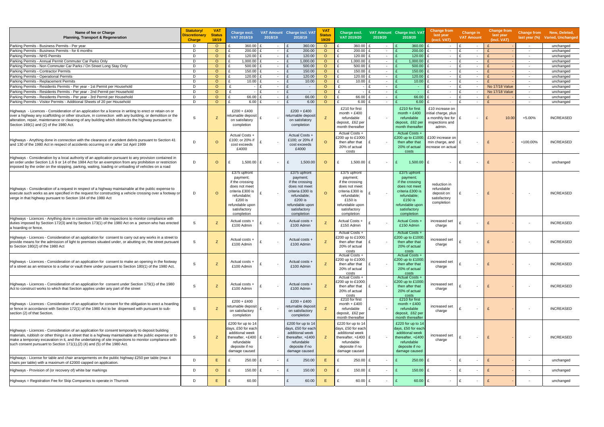| Name of fee or Charge<br><b>Planning, Transport &amp; Regeneration</b>                                                                                                                                                                                                                                                                                                                               | <b>Statutory/</b><br><b>Discretionary</b><br><b>Charge</b> | <b>VAT</b><br><b>Status</b><br>18/19 | Charge excl.<br>VAT 2018/19                                                                                                                                 | 2018/19                                  | VAT Amount Charge incl. VAT<br>2018/19                                                                                                                        | <b>VAT</b><br><b>Status</b><br>19/20 | Charge excl.<br>VAT 2019/20                                                                                                                                   | 2019/20                  | VAT Amount Charge incl. VAT<br>2019/20                                                                                                                      | <b>Change from</b><br>last year<br>(excl. VAT)                                                | Change in<br><b>VAT Amount</b>           | <b>Change from</b><br>last year<br>(incl. VAT) | last year $(\%)$         | Change from New, Deleted,<br><b>Varied, Unchanged</b> |
|------------------------------------------------------------------------------------------------------------------------------------------------------------------------------------------------------------------------------------------------------------------------------------------------------------------------------------------------------------------------------------------------------|------------------------------------------------------------|--------------------------------------|-------------------------------------------------------------------------------------------------------------------------------------------------------------|------------------------------------------|---------------------------------------------------------------------------------------------------------------------------------------------------------------|--------------------------------------|---------------------------------------------------------------------------------------------------------------------------------------------------------------|--------------------------|-------------------------------------------------------------------------------------------------------------------------------------------------------------|-----------------------------------------------------------------------------------------------|------------------------------------------|------------------------------------------------|--------------------------|-------------------------------------------------------|
| Parking Permits - Business Permits - Per year                                                                                                                                                                                                                                                                                                                                                        | D                                                          | $\circ$                              | 360.00 £                                                                                                                                                    |                                          | 360.00                                                                                                                                                        | $\circ$                              | 360.00 £                                                                                                                                                      | $\sim$                   | 360.00                                                                                                                                                      | $\mathbf{f}$<br>$\sim$                                                                        | - F<br>$\sim$                            |                                                | $\sim$                   | unchanged                                             |
| Parking Permits - Business Permits - for 6 months                                                                                                                                                                                                                                                                                                                                                    | D                                                          | $\circ$                              | 200.00                                                                                                                                                      | $\sim$                                   | 200.00                                                                                                                                                        | $\circ$                              | 200.00                                                                                                                                                        | $\overline{\phantom{a}}$ | 200.00                                                                                                                                                      | $\sim$                                                                                        | $\mathbf{f}$<br>$\sim$                   |                                                | $\overline{\phantom{a}}$ | unchanged                                             |
| Parking Permits - NHS Permits                                                                                                                                                                                                                                                                                                                                                                        | D                                                          | $\Omega$                             | $120.00$ £                                                                                                                                                  | $\sim$                                   | 120.00                                                                                                                                                        | $\circ$                              | 120.00                                                                                                                                                        | $\sim$                   | 120.00                                                                                                                                                      | $\sim$                                                                                        | $\mathbf{f}$<br>$\sim$                   |                                                | $\sim$                   | unchanged                                             |
| Parking Permits - Annual Permit Commuter Car Parks Only                                                                                                                                                                                                                                                                                                                                              | D                                                          | $\circ$                              | $1,000.00$ £                                                                                                                                                | $\sim$                                   | 1,000.00                                                                                                                                                      | $\circ$                              | 1,000.00                                                                                                                                                      | $\sim$                   | 1,000.00                                                                                                                                                    | $\overline{\phantom{0}}$                                                                      | $\mathbf{f}$<br>$\sim$                   |                                                | $\sim$                   | unchanged                                             |
| Parking Permits - Non Commuter Car Parks / On Street Long Stay Only                                                                                                                                                                                                                                                                                                                                  | D                                                          | $\circ$                              | $500.00$ £                                                                                                                                                  | $\sim$                                   | 500.00                                                                                                                                                        | $\circ$                              | $500.00$ £                                                                                                                                                    | $\sim$                   | 500.00                                                                                                                                                      | $\overline{\phantom{0}}$                                                                      | £<br>$\sim$                              |                                                | $\sim$                   | unchanged                                             |
| Parking Permits - Contractor Permits                                                                                                                                                                                                                                                                                                                                                                 | D                                                          | $\circ$                              | 150.00                                                                                                                                                      | $\sim$                                   | 150.00                                                                                                                                                        | $\circ$                              | 150.00                                                                                                                                                        | $\sim$                   | 150.00                                                                                                                                                      | $\sim$                                                                                        | $\mathbf{f}$<br>$\sim$                   |                                                | $\overline{\phantom{a}}$ | unchanged                                             |
| Parking Permits - Operational Permits                                                                                                                                                                                                                                                                                                                                                                | D                                                          | $\circ$                              | 120.00                                                                                                                                                      | f<br>$\sim$                              | 120.00<br>$\mathbf{f}$                                                                                                                                        | $\circ$                              | 120.00                                                                                                                                                        | $\sim$                   | 120.00                                                                                                                                                      | $\sim$                                                                                        | $\mathbf{f}$<br>$\sim$                   |                                                | $\sim$                   | unchanged                                             |
| Parking Permits - Replacement Permits                                                                                                                                                                                                                                                                                                                                                                | D                                                          | $\circ$                              | 10.00                                                                                                                                                       | $\sim$                                   | 10.00                                                                                                                                                         | $\circ$                              | 10.00                                                                                                                                                         | $\sim$                   | 10.00                                                                                                                                                       | $\overline{\phantom{0}}$                                                                      | £<br>$\sim$                              |                                                | $\sim$                   | unchanged                                             |
| Parking Permits - Residents Permits - Per year - 1st Permit per Household                                                                                                                                                                                                                                                                                                                            | D                                                          | $\circ$                              | $\mathbf{f}$                                                                                                                                                | $\mathbf{f}$<br>$\sim$                   | $\sim$                                                                                                                                                        | $\circ$                              |                                                                                                                                                               | $\overline{\phantom{a}}$ | $\sim$                                                                                                                                                      | $\sim$                                                                                        | $\mathbf{f}$<br>$\sim$                   | <b>No 17/18 Value</b>                          | $\overline{\phantom{a}}$ | unchanged                                             |
| Parking Permits - Residents Permits - Per year - 2nd Permit per Household                                                                                                                                                                                                                                                                                                                            | D                                                          | $\circ$                              | £                                                                                                                                                           | $\mathbf{f}$<br>$\overline{\phantom{a}}$ | $\mathbf{f}$<br>$\sim$                                                                                                                                        | $\circ$                              |                                                                                                                                                               | $\overline{\phantom{a}}$ |                                                                                                                                                             | $\overline{\phantom{0}}$                                                                      | $\mathbf{f}$<br>$\sim$                   | No 17/18 Value                                 | $\sim$                   | unchanged                                             |
| Parking Permits - Residents Permits - Per year - 3rd Permit per Household                                                                                                                                                                                                                                                                                                                            | D                                                          | $\circ$                              | 66.00 £                                                                                                                                                     | $\overline{\phantom{a}}$                 | 66.00                                                                                                                                                         | $\circ$                              | 66.00 £                                                                                                                                                       | $\overline{\phantom{a}}$ | 66.00                                                                                                                                                       | $\overline{\phantom{0}}$                                                                      | £<br>$\sim$                              |                                                | $\sim$                   | unchanged                                             |
| Parking Permits - Visitor Permits - Additional Sheets of 20 per Household                                                                                                                                                                                                                                                                                                                            | D                                                          | $\Omega$                             | 6.00 E                                                                                                                                                      |                                          | 6.00                                                                                                                                                          | $\circ$                              | 6.00                                                                                                                                                          | $\sim$                   | 6.00                                                                                                                                                        | $\overline{\phantom{0}}$                                                                      | $\mathbf{f}$<br>$\overline{\phantom{a}}$ |                                                | $\sim$                   | unchanged                                             |
| Highways - Licences - Consideration of an application for a licence in writing to erect or retain on or<br>over a highway any scaffolding or other structure, in connection with any building, or demolition or the<br>alteration, repair, maintenance or cleaning of any building which obstructs the highway pursuant to<br>Section 169(1) and (2) of the 1980 Act.                                | -S                                                         | Z                                    | $£200 + £400$<br>eturnable deposit<br>on satisfatory<br>completion                                                                                          |                                          | $£200 + £400$<br>eturnable deposi<br>on satisfatory<br>completion                                                                                             |                                      | £210 for first<br>month $+ £400$<br>refundable<br>deposit, £62 per<br>month thereafter                                                                        | $\overline{\phantom{a}}$ | £210 for first<br>month $+ £400$<br>refundable<br>deposit, £62 per<br>month thereafter                                                                      | £10 increase on<br>initial charge, plus<br>a monthly fee for $E$<br>inspections and<br>admin. | $\sim$                                   | 10.00<br>$\mathbf{f}$                          | $+5.00%$                 | <b>INCREASED</b>                                      |
| Highways - Anything done in connection with the clearance of accident debris pursuant to Section 41<br>and 130 of the 1980 Act in respect of accidents occurring on or after 1st April 1999                                                                                                                                                                                                          | $\mathsf{D}$                                               | $\circ$                              | Actual Costs +<br>£100; or 20% if<br>cost exceeds<br>£4000                                                                                                  |                                          | Actual Costs +<br>£100; or 20% if<br>cost exceeds<br>£4000                                                                                                    | $\circ$                              | Actual Costs +<br>£200 up to £1000:<br>then after that<br>20% of actual<br>costs                                                                              | $\overline{\phantom{a}}$ | Actual Costs +<br>£200 up to £1000<br>then after that<br>20% of actual<br>costs                                                                             | £100 increase on<br>min charge, and<br>increase on actual                                     | $\overline{\phantom{a}}$                 |                                                | +100.00%                 | <b>INCREASED</b>                                      |
| Highways - Consideration by a local authority of an application pursuant to any provision contained in<br>an order under Section 1,6 9 or 14 of the 1984 Act for an exemption from any prohibition or restriction<br>imposed by the order on the stopping, parking, waiting, loading or unloading of vehicles on a road                                                                              | D                                                          | $\circ$                              | 1,500.00                                                                                                                                                    |                                          | 1,500.00<br>£                                                                                                                                                 | $\circ$                              | 1,500.00                                                                                                                                                      |                          | 1,500.00                                                                                                                                                    | £                                                                                             |                                          |                                                | $\overline{\phantom{a}}$ | unchanged                                             |
| Highways - Consideration of a request in respect of a highway maintainable at the public expense to<br>execute such works as are specified in the request for constructing a vehicle crossing over a footway or<br>verge in that highway pursuant to Section 184 of the 1980 Act                                                                                                                     | D                                                          | $\circ$                              | £375 upfront<br>payment;<br>if the crossing<br>does not meet<br>criteria £300 is<br>refundable;<br>£200 is<br>refundable upon<br>satisfactory<br>completion |                                          | £375 upfront<br>payment;<br>if the crossing<br>does not meet<br>criteria £300 is<br>refundable;<br>$£200$ is<br>refundable upon<br>satisfactory<br>completion | $\Omega$                             | £375 upfront<br>payment;<br>if the crossing<br>does not meet<br>criteria £300 is<br>refundable;<br>$£150$ is<br>refundable upon<br>satisfactory<br>completion | $\sim$                   | £375 upfront<br>payment;<br>if the crossing<br>does not meet<br>criteria £300 is<br>refundable:<br>£150 is<br>refundable upon<br>satisfactory<br>completion | reduction in<br>refundable<br>deposit on<br>satisfactory<br>completion                        | $\blacksquare$                           |                                                | $\sim$                   | <b>INCREASED</b>                                      |
| Highways - Licences - Anything done in connection with site inspections to monitor compliance with<br>duties imposed by Section 172(3) and by Section 173(1) of the 1980 Act on a person who has erected<br>a hoarding or fence.                                                                                                                                                                     | -S                                                         | Z                                    | Actual costs +<br>£100 Admin                                                                                                                                |                                          | Actual costs -<br>£100 Admin                                                                                                                                  |                                      | Actual Costs +<br>£150 Admin                                                                                                                                  | $\overline{\phantom{a}}$ | <b>Actual Costs +</b><br>£150 Admin                                                                                                                         | increased set<br>charge                                                                       |                                          |                                                |                          | <b>INCREASED</b>                                      |
| Highways - Licences - Consideration of an application for consent to carry out any works in a street to<br>provide means for the admission of light to premises situated under, or abutting on, the street pursuant<br>to Section 180(2) of the 1980 Act                                                                                                                                             | -S                                                         | Z                                    | Actual costs +<br>£100 Admin                                                                                                                                |                                          | Actual costs -<br>£100 Admin                                                                                                                                  | Z                                    | <b>Actual Costs +</b><br>£200 up to £1000<br>then after that<br>20% of actual<br>costs                                                                        | $\sim$                   | <b>Actual Costs +</b><br>£200 up to £1000<br>then after that<br>20% of actual<br>costs                                                                      | increased set<br>charge                                                                       | $\sim$                                   |                                                | $\overline{\phantom{a}}$ | <b>INCREASED</b>                                      |
| Highways - Licences - Consideration of an application for consent to make an opening in the footway<br>of a street as an entrance to a cellar or vault there under pursuant to Section 180(1) of the 1980 Act.                                                                                                                                                                                       | -S                                                         | z                                    | Actual costs +<br>£100 Admin                                                                                                                                |                                          | Actual costs +<br>£100 Admin                                                                                                                                  | Z                                    | Actual Costs +<br>£200 up to £1000;<br>then after that<br>20% of actual<br>costs                                                                              | $\overline{\phantom{a}}$ | Actual Costs +<br>£200 up to £1000;<br>then after that<br>20% of actual<br>costs                                                                            | increased set<br>charge                                                                       | $\overline{\phantom{a}}$                 |                                                |                          | <b>INCREASED</b>                                      |
| Highways - Licences - Consideration of an application for consent under Section 179(1) of the 1980<br>Act to construct works to which that Section applies under any part of the street                                                                                                                                                                                                              | -S                                                         | Z                                    | Actual costs +<br>£100 Admin                                                                                                                                |                                          | Actual costs +<br>£100 Admin                                                                                                                                  |                                      | <b>Actual Costs -</b><br>£200 up to £1000;<br>then after that<br>20% of actual<br>costs                                                                       | $\overline{\phantom{a}}$ | <b>Actual Costs +</b><br>£200 up to £1000<br>then after that<br>20% of actual<br>costs                                                                      | increased set<br>charge                                                                       |                                          |                                                |                          | <b>INCREASED</b>                                      |
| Highways - Licences - Consideration of an application for consent for the obligation to erect a hoarding<br>or fence in accordance with Section 172(1) of the 1980 Act to be dispensed with pursuant to sub-<br>section (2) of that Section.                                                                                                                                                         | S                                                          | Z                                    | $£200 + £400$<br>eturnable deposit  <br>on satisfactory<br>completion                                                                                       |                                          | $£200 + £400$<br>eturnable deposit<br>on satisfactory<br>completion                                                                                           |                                      | £210 for first<br>month $+ £400$<br>refundable<br>deposit, £62 per<br>month thereafter                                                                        |                          | £210 for first<br>month $+ £400$<br>refundable<br>deposit, £62 per<br>month thereafter                                                                      | increased set<br>charge                                                                       | $\blacksquare$                           |                                                |                          | <b>INCREASED</b>                                      |
| Highways - Licences - Consideration of an application for consent temporarily to deposit building<br>materials, rubbish or other things in a street that is a highway maintainable at the public expense or to<br>make a temporary excavation in it, and the undertaking of site inspections to monitor compliance with<br>such consent pursuant to Section 171(1), (2) (4) and (5) of the 1980 Act. | S                                                          | Z                                    | £200 for up to $14$<br>days, £50 for each<br>additional week<br>thereafter, +£400   £<br>refundable<br>deposite if no<br>damage caused                      |                                          | £200 for up to 14<br>days, £50 for each<br>additional week<br>thereafter, +£400<br>refundable<br>deposite if no<br>damage caused                              | z                                    | £220 for up to 14<br>days, £50 for each<br>additional week<br>thereafter, +£400   £<br>refundable<br>deposite if no<br>damage caused                          |                          | £220 for up to 14<br>days, £50 for each<br>additional week<br>thereafter, +£400<br>refundable<br>deposite if no<br>damage caused                            | increased set<br>charge                                                                       | $\blacksquare$                           |                                                | $\overline{\phantom{a}}$ | <b>INCREASED</b>                                      |
| Highways - License for table and chair arrangements on the public highway £250 per table (max 4<br>chairs per table) with a maximum of £2000 capped on application.                                                                                                                                                                                                                                  | D                                                          | Ε                                    | 250.00 £                                                                                                                                                    |                                          | 250.00<br>£                                                                                                                                                   | E.                                   | $250.00$ £                                                                                                                                                    | $\overline{\phantom{a}}$ | $250.00$ £                                                                                                                                                  | $\sim$                                                                                        | £<br>$\sim$                              |                                                | $\sim$                   | unchanged                                             |
| Highways - Provision of (or recovery of) white bar markings                                                                                                                                                                                                                                                                                                                                          | D                                                          | $\circ$                              | $150.00$ £                                                                                                                                                  |                                          | £<br>150.00                                                                                                                                                   | $\circ$                              | 150.00 £                                                                                                                                                      | $\overline{\phantom{a}}$ | $150.00$ £                                                                                                                                                  | $\sim$                                                                                        | £<br>$\blacksquare$                      |                                                | $\overline{\phantom{a}}$ | unchanged                                             |
| Highways = Registration Fee for Skip Companies to operate in Thurrock                                                                                                                                                                                                                                                                                                                                | D                                                          | Ε                                    | 60.00                                                                                                                                                       |                                          | £<br>60.00                                                                                                                                                    | E.                                   | 60.00 £                                                                                                                                                       | $\sim$                   | $60.00$ £                                                                                                                                                   | $\sim$                                                                                        | £<br>$\blacksquare$                      |                                                |                          | unchanged                                             |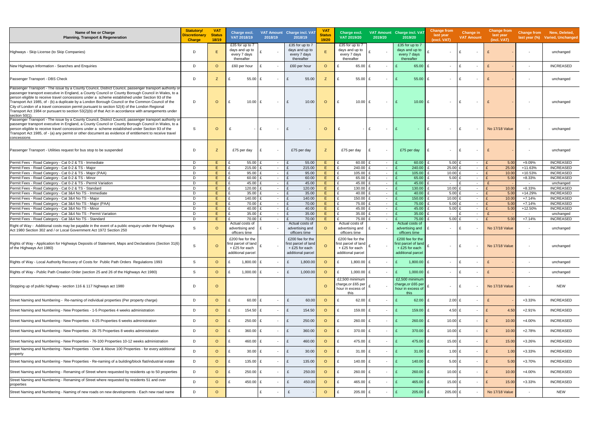| Name of fee or Charge<br><b>Planning, Transport &amp; Regeneration</b>                                                                                                                                                                                                                                                                                                                                                                                                                                                                                                                                                                           | <b>Statutory/</b><br><b>Discretionary</b><br><b>Charge</b> | <b>VAT</b><br><b>Status</b><br>18/19 | Charge excl.<br>VAT 2018/19                                                    | 2018/19                | VAT Amount Charge incl. VAT<br>2018/19                                         | V <sub>A</sub><br><b>Status</b><br>19/20 | Charge excl.<br>VAT 2019/20                                                     | 2019/20                            | VAT Amount Charge incl. VAT<br>2019/20                                          | <b>Change from</b><br>last year<br>(excl. VAT) | Change in<br><b>VAT Amount</b>           | <b>Change from</b><br>last year<br>(incl. VAT) |                          | Change from New, Deleted,<br>last year (%) Varied, Unchanged |
|--------------------------------------------------------------------------------------------------------------------------------------------------------------------------------------------------------------------------------------------------------------------------------------------------------------------------------------------------------------------------------------------------------------------------------------------------------------------------------------------------------------------------------------------------------------------------------------------------------------------------------------------------|------------------------------------------------------------|--------------------------------------|--------------------------------------------------------------------------------|------------------------|--------------------------------------------------------------------------------|------------------------------------------|---------------------------------------------------------------------------------|------------------------------------|---------------------------------------------------------------------------------|------------------------------------------------|------------------------------------------|------------------------------------------------|--------------------------|--------------------------------------------------------------|
| Highways - Skip License (to Skip Companies)                                                                                                                                                                                                                                                                                                                                                                                                                                                                                                                                                                                                      | D                                                          | E.                                   | £35 for up to 7<br>days and up to<br>every 7 days<br>thereafter                |                        | £35 for up to 7<br>days and up to<br>every 7 days<br>thereafter                | E                                        | £35 for up to 7<br>days and up to<br>every 7 days<br>thereafter                 | $\sim$                             | £35 for up to 7<br>days and up to<br>every 7 days<br>thereafter                 |                                                | $\mathbf{f}$<br>$\overline{\phantom{a}}$ |                                                | $\overline{\phantom{a}}$ | unchanged                                                    |
| New Highways Information - Searches and Enquiries                                                                                                                                                                                                                                                                                                                                                                                                                                                                                                                                                                                                | D                                                          | $\circ$                              | £60 per hour                                                                   | £                      | £60 per hour                                                                   | $\Omega$                                 | $\mathbf{f}$<br>65.00 £                                                         | $\overline{\phantom{a}}$           | 65.00                                                                           | £<br>$\sim$                                    | l £<br>$\sim$                            |                                                | $\overline{\phantom{a}}$ | <b>INCREASED</b>                                             |
| Passenger Transport - DBS Check                                                                                                                                                                                                                                                                                                                                                                                                                                                                                                                                                                                                                  | D                                                          | Z                                    | 55.00                                                                          |                        | 55.00<br>£                                                                     | Z                                        | 55.00                                                                           | $\overline{\phantom{a}}$           | 55.00                                                                           | £<br>$\sim$                                    | ∣£<br>$\overline{\phantom{a}}$           |                                                |                          | unchanged                                                    |
| Passenger Transport - The issue by a County Council, District Council, passenger transport authority o<br>passenger transport executive in England, a County Council or County Borough Council in Wales, to a<br>person eligible to receive travel concessions under a scheme established under Section 93 of the<br>Transport Act 1985, of - (b) a duplicate by a London Borough Council or the Common Council of the<br>City of London of a travel concession permit pursuant to section 52(4) of the London Regional<br>Transport Act 1984 or pursuant to section 53(2)(b) of that Act in accordance with arrangements under<br>section 50(1) | D                                                          | $\circ$                              | £                                                                              | $10.00$ £<br>$\sim$    | £<br>10.00                                                                     | $\circ$                                  | £<br>$10.00$ £                                                                  | $\sim$                             | 10.00                                                                           | £<br>$\sim$                                    | ۱£<br>$\sim$                             |                                                | $\overline{\phantom{a}}$ | unchanged                                                    |
| Passenger Transport - The issue by a County Council, District Council, passenger transport authority or<br>passenger transport executive in England, a County Council or County Borough Council in Wales, to a<br>person eligible to receive travel concessions under a scheme established under Section 93 of the<br>Transport Act 1985, of - (a) any permit or other document as evidence of entitlement to receive travel<br>concessions                                                                                                                                                                                                      | -S                                                         | $\circ$                              | £                                                                              | $\mathbf{f}$           | £                                                                              | $\circ$                                  |                                                                                 | $\overline{\phantom{a}}$           |                                                                                 | $\sim$                                         | ۱F<br>$\sim$                             | <b>No 17/18 Value</b>                          | $\overline{\phantom{a}}$ | unchanged                                                    |
| Passenger Transport - Utilities request for bus stop to be suspended                                                                                                                                                                                                                                                                                                                                                                                                                                                                                                                                                                             | D                                                          | Z                                    | £75 per day                                                                    | £                      | £75 per day                                                                    | Z                                        | £75 per day                                                                     | $\overline{\phantom{a}}$           | £75 per day                                                                     | £<br>$\overline{\phantom{0}}$                  | l £<br>$\sim$                            |                                                | $\overline{\phantom{a}}$ | unchanged                                                    |
| Permit Fees - Road Category - Cat 0-2 & TS - Immediate                                                                                                                                                                                                                                                                                                                                                                                                                                                                                                                                                                                           | D                                                          | E.                                   | 55.00                                                                          | $\sim$                 | 55.00                                                                          | Ε.                                       | 60.00 £                                                                         | $\sim$                             | 60.00                                                                           | 5.00 $E$                                       | $\sim$                                   | 5.00                                           | +9.09%                   | <b>INCREASED</b>                                             |
| Permit Fees - Road Category - Cat 0-2 & TS - Major<br>Permit Fees - Road Category - Cat 0-2 & TS - Major (PAA)                                                                                                                                                                                                                                                                                                                                                                                                                                                                                                                                   | D<br>D                                                     | E<br>E.                              | £<br>215.00<br>£<br>95.00                                                      | $\sim$                 | 215.00<br>95.00                                                                | E.<br>E.                                 | £<br>240.00 £<br>105.00 £<br>£                                                  | $\sim$                             | 240.00<br>105.00                                                                | 25.00 £<br>£<br>10.00 $E$<br>£                 | $\sim$                                   | $\mathbf{f}$<br>25.0<br>10.00<br>$\mathbf{f}$  | +11.63%<br>+10.53%       | <b>INCREASED</b><br><b>INCREASED</b>                         |
| Permit Fees - Road Category - Cat 0-2 & TS - Minor                                                                                                                                                                                                                                                                                                                                                                                                                                                                                                                                                                                               | D                                                          | E.                                   | 60.00                                                                          | $\sim$<br>$\sim$       | 60.00                                                                          | E.                                       | 65.00 £                                                                         | $\sim$<br>$\sim$                   | 65.00                                                                           | $5.00$ £                                       | $\sim$<br>$\sim$                         | $\mathbf{f}$<br>5.00                           | $+8.33%$                 | <b>INCREASED</b>                                             |
| Permit Fees - Road Category - Cat 0-2 & TS - Permit Variation                                                                                                                                                                                                                                                                                                                                                                                                                                                                                                                                                                                    | D                                                          | E.                                   | £<br>45.00                                                                     | $\sim$                 | 45.00                                                                          | E.                                       | 45.00 £                                                                         | $\sim$                             | 45.00                                                                           | $\sim$                                         | $\mathbf{f}$<br>$\sim$                   | $\mathbf{f}$                                   | $\sim$                   | unchanged                                                    |
| Permit Fees - Road Category - Cat 0-2 & TS - Standard                                                                                                                                                                                                                                                                                                                                                                                                                                                                                                                                                                                            | D                                                          | E                                    | £<br>120.00                                                                    | $\sim$                 | 120.00                                                                         | E                                        | 130.00 £<br>£                                                                   | $\sim$                             | 130.00                                                                          | 10.00 $E$<br>£                                 | $\sim$                                   | 10.00<br>$\mathbf{f}$                          | $+8.33%$                 | <b>INCREASED</b>                                             |
| Permit Fees - Road Category - Cat 3&4 No TS - Immediate<br>Permit Fees - Road Category - Cat 3&4 No TS - Major                                                                                                                                                                                                                                                                                                                                                                                                                                                                                                                                   | D<br>D                                                     | E<br>E.                              | £<br>35.00<br>140.00<br>£                                                      | $\sim$<br>$\sim$       | 35.00<br>140.00                                                                | E.<br>E.                                 | 40.00 £<br>£<br>150.00 £<br>£                                                   | $\sim$                             | 40.00<br>150.00                                                                 | $5.00$ £<br>£<br>10.00 E<br>£                  | $\sim$<br>$\sim$                         | 5.00<br>$\mathbf{f}$<br>10.00                  | $+14.29%$<br>$+7.14%$    | <b>INCREASED</b><br><b>INCREASED</b>                         |
| Permit Fees - Road Category - Cat 3&4 No TS - Major (PAA)                                                                                                                                                                                                                                                                                                                                                                                                                                                                                                                                                                                        | D                                                          | E.                                   | £<br>70.00                                                                     | $\sim$                 | 70.00                                                                          | E                                        | $\mathbf{f}$<br>75.00 £                                                         | $\overline{\phantom{a}}$<br>$\sim$ | 75.00                                                                           | 5.00 E<br>£                                    | $\sim$                                   | $\mathbf{f}$<br>5.00                           | $+7.14%$                 | <b>INCREASED</b>                                             |
| Permit Fees - Road Category - Cat 3&4 No TS - Minor                                                                                                                                                                                                                                                                                                                                                                                                                                                                                                                                                                                              | D                                                          | E                                    | £<br>40.00                                                                     | $\sim$                 | 40.00                                                                          | E.                                       | 45.00 £<br>£                                                                    | $\overline{\phantom{a}}$           | 45.00                                                                           | 5.00 E                                         | $\sim$                                   | 5.00<br>$\mathbf{f}$                           | +12.50%                  | <b>INCREASED</b>                                             |
| Permit Fees - Road Category - Cat 3&4 No TS - Permit Variation                                                                                                                                                                                                                                                                                                                                                                                                                                                                                                                                                                                   | D                                                          | E.                                   | 35.00<br>£                                                                     | $\sim$                 | 35.00                                                                          | Ε.                                       | 35.00 £<br>£                                                                    | $\overline{\phantom{a}}$           | 35.00                                                                           | $\sim$                                         | $\overline{\phantom{a}}$                 |                                                | $\sim$                   | unchanged                                                    |
| Permit Fees - Road Category - Cat 3&4 No TS - Standard                                                                                                                                                                                                                                                                                                                                                                                                                                                                                                                                                                                           | D                                                          | E                                    | 70.00<br>Actual costs of                                                       | $\mathbf{f}$<br>$\sim$ | 70.00<br>Actual costs of                                                       | E.                                       | 75.00 £<br>Actual costs of                                                      | $\sim$                             | 75.00<br>Actual costs of                                                        | 5.00 E                                         | $\sim$                                   | 5.00                                           | $+7.14%$                 | <b>INCREASED</b>                                             |
| Right of Way - Additional costs may be payable in the event of a public enquiry under the Highways<br>Act 1980 Section 302 and / or Local Government Act 1972 Section 250                                                                                                                                                                                                                                                                                                                                                                                                                                                                        | -S                                                         | $\circ$                              | advertising and<br>officers time                                               |                        | advertising and<br>officers time                                               | $\Omega$                                 | advertising and<br>officers time                                                | $\overline{\phantom{a}}$           | advertising and<br>officers time                                                | £<br>$\sim$                                    | Ι£<br>$\overline{\phantom{a}}$           | <b>No 17/18 Value</b>                          | $\sim$                   | unchanged                                                    |
| Rights of Way - Application for Highways Deposits of Statement, Maps and Declarations (Section 31(6)<br>of the Highways Act 1980)                                                                                                                                                                                                                                                                                                                                                                                                                                                                                                                | -S                                                         | $\circ$                              | £200 fee for the<br>irst parcel of land<br>+ £25 for each<br>additional parcel |                        | £200 fee for the<br>irst parcel of land<br>+ £25 for each<br>additional parcel | $\Omega$                                 | £200 fee for the<br>first parcel of land<br>+ £25 for each<br>additional parcel |                                    | £200 fee for the<br>first parcel of land<br>+ £25 for each<br>additional parcel | $\overline{\phantom{a}}$                       | Ι£                                       | <b>No 17/18 Value</b>                          |                          | unchanged                                                    |
| Rights of Way - Local Authority Recovery of Costs for Public Path Orders Regulations 1993                                                                                                                                                                                                                                                                                                                                                                                                                                                                                                                                                        | S                                                          | $\circ$                              | 1,800.00 £                                                                     |                        | 1,800.00<br>£                                                                  | $\circ$                                  | 1,800.00                                                                        |                                    | 1,800.00                                                                        | £<br>$\sim$                                    | £<br>$\overline{\phantom{a}}$            |                                                | $\overline{\phantom{a}}$ | unchanged                                                    |
| Rights of Way - Public Path Creation Order (section 25 and 26 of the Highways Act 1980)                                                                                                                                                                                                                                                                                                                                                                                                                                                                                                                                                          | S                                                          | $\circ$                              | 1,000.00 $£$<br>£                                                              | $\sim$                 | £<br>1,000.00                                                                  | $\circ$                                  | £<br>1,000.00 $E$                                                               | $\sim$                             | 1,000.00 $E$<br>E                                                               | $\sim$ $-$                                     | £<br>$\overline{\phantom{a}}$            |                                                | $\overline{\phantom{a}}$ | unchanged                                                    |
| Stopping up of public highway - section 116 & 117 highways act 1980                                                                                                                                                                                                                                                                                                                                                                                                                                                                                                                                                                              | D                                                          | $\circ$                              |                                                                                |                        |                                                                                | $\circ$                                  | £2,500 minimum<br>charge, or £65 per<br>hour in excess of<br>this               | $\overline{a}$                     | £2,500 minimum<br>charge, or £65 per<br>hour in excess of<br>this               | $\overline{\phantom{0}}$                       | £<br>$\overline{\phantom{a}}$            | No 17/18 Value                                 |                          | <b>NEW</b>                                                   |
| Street Naming and Numbering - Re-naming of individual properties (Per property charge)                                                                                                                                                                                                                                                                                                                                                                                                                                                                                                                                                           | D                                                          | $\circ$                              | £                                                                              | 60.00 £                | £<br>60.00                                                                     | $\circ$                                  | £<br>62.00 $E$                                                                  | $\overline{\phantom{a}}$           | 62.00                                                                           | $2.00$ £<br>£                                  | $\sim$                                   | £                                              | $+3.33%$                 | <b>INCREASED</b>                                             |
| Street Naming and Numbering - New Properties - 1-5 Properties 4 weeks administration                                                                                                                                                                                                                                                                                                                                                                                                                                                                                                                                                             | D                                                          | $\circ$                              | $154.50$ £                                                                     |                        | £<br>154.50                                                                    | $\circ$                                  | £<br>159.00 £                                                                   | $\overline{a}$                     | $159.00$ £                                                                      | 4.50 $E$                                       | $\overline{\phantom{a}}$                 | £<br>4.50                                      | $+2.91%$                 | <b>INCREASED</b>                                             |
| Street Naming and Numbering - New Properties - 6-25 Properties 6 weeks administration                                                                                                                                                                                                                                                                                                                                                                                                                                                                                                                                                            | D                                                          | $\circ$                              | 250.00 £<br>£                                                                  | $\sim$                 | 250.00<br>£                                                                    | $\circ$                                  | 260.00 £<br>£                                                                   | $\sim$                             | $260.00$ £                                                                      | 10.00 £                                        | $\sim$                                   | E<br>10.00                                     | +4.00%                   | <b>INCREASED</b>                                             |
| Street Naming and Numbering - New Properties - 26-75 Properties 8 weeks administration                                                                                                                                                                                                                                                                                                                                                                                                                                                                                                                                                           | D                                                          | $\circ$                              | 360.00 $E$                                                                     |                        | £<br>360.00                                                                    | $\circ$                                  | £<br>$370.00$ £                                                                 | $\overline{\phantom{a}}$           | $370.00$ £                                                                      | 10.00 $E$                                      | $\sim$                                   | £<br>10.00                                     | $+2.78%$                 | <b>INCREASED</b>                                             |
| Street Naming and Numbering - New Properties - 76-100 Properties 10-12 weeks administration                                                                                                                                                                                                                                                                                                                                                                                                                                                                                                                                                      | D                                                          | $\circ$                              | 460.00 £                                                                       |                        | 460.00<br>£                                                                    | $\circ$                                  | 475.00 £<br>£                                                                   | $\overline{\phantom{a}}$           | 475.00                                                                          | £<br>15.00 £                                   | $\sim$                                   | £<br>15.00                                     | +3.26%                   | <b>INCREASED</b>                                             |
| Street Naming and Numbering - New Properties - Over & Above 100 Properties - for every additional<br>property                                                                                                                                                                                                                                                                                                                                                                                                                                                                                                                                    | D                                                          | $\circ$                              | $30.00$ £<br>£                                                                 | $\sim$                 | 30.00<br>£                                                                     | $\circ$                                  | £<br>$31.00$ £                                                                  | $\sim$                             | $31.00$ £<br>E                                                                  | 1.00 $E$                                       | $\sim$                                   | E<br>1.00                                      | $+3.33%$                 | <b>INCREASED</b>                                             |
| Street Naming and Numbering - New Properties - Re-naming of a building/block flat/industrial estate                                                                                                                                                                                                                                                                                                                                                                                                                                                                                                                                              | D                                                          | $\circ$                              | $135.00$ £                                                                     |                        | 135.00<br>£                                                                    | $\circ$                                  | 140.00 £                                                                        | $\overline{\phantom{a}}$           | $140.00$ £                                                                      | 5.00 $E$                                       | $\sim$                                   | £<br>5.00                                      | +3.70%                   | <b>INCREASED</b>                                             |
| Street Naming and Numbering - Renaming of Street where requested by residents up to 50 properties                                                                                                                                                                                                                                                                                                                                                                                                                                                                                                                                                | D                                                          | $\circ$                              | 250.00 £                                                                       | $\sim$                 | 250.00<br>£                                                                    | $\circ$                                  | £<br>260.00 £                                                                   | $\overline{\phantom{a}}$           | $260.00$ £                                                                      | 10.00 $E$                                      | $\sim$                                   | £<br>10.00                                     | +4.00%                   | <b>INCREASED</b>                                             |
| Street Naming and Numbering - Renaming of Street where requested by residents 51 and over<br>properties                                                                                                                                                                                                                                                                                                                                                                                                                                                                                                                                          | D                                                          | $\circ$                              | 450.00 £                                                                       |                        | £<br>450.00                                                                    | $\circ$                                  | 465.00 £<br>£                                                                   | $\overline{\phantom{a}}$           | 465.00                                                                          | 15.00 £<br>£                                   | $\sim$                                   | £<br>15.00                                     | $+3.33%$                 | <b>INCREASED</b>                                             |
| Street Naming and Numbering - Naming of new roads on new developments - Each new road name                                                                                                                                                                                                                                                                                                                                                                                                                                                                                                                                                       | D                                                          | $\circ$                              |                                                                                | £                      | £                                                                              | $\circ$                                  | 205.00 £                                                                        | $\overline{\phantom{0}}$           | 205.00                                                                          | 205.00 £<br>£                                  | $\sim$                                   | No 17/18 Value                                 | $\overline{\phantom{a}}$ | NEW                                                          |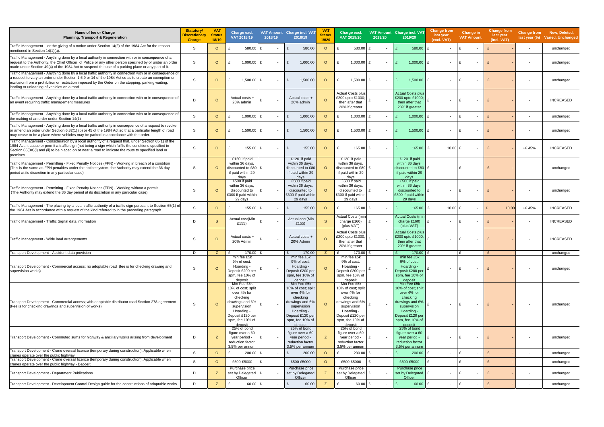| Name of fee or Charge<br><b>Planning, Transport &amp; Regeneration</b>                                                                                                                                                                                                                                                                                               | <b>Statutory/</b><br>Discretionary<br><b>Charge</b> | <b>VAT</b><br><b>Status</b><br>18/19 | Charge excl.<br>VAT 2018/19                                                                                                                                    | 2018/19 | VAT Amount Charge incl. VAT<br>2018/19                                                                                                                                    | <b>VAT</b><br><b>Status</b><br>19/20 | Charge excl.<br>VAT 2019/20                                                                                                                                               | 2019/20                  | VAT Amount Charge incl. VAT<br>2019/20                                                                                                                                    | Change from<br>last year<br>(excl. VAT) | <b>Change in</b><br><b>VAT Amount</b> | <b>Change from</b><br>last year<br>(incl. VAT) |                          | Change from New, Deleted,<br>last year (%) Varied, Unchanged |
|----------------------------------------------------------------------------------------------------------------------------------------------------------------------------------------------------------------------------------------------------------------------------------------------------------------------------------------------------------------------|-----------------------------------------------------|--------------------------------------|----------------------------------------------------------------------------------------------------------------------------------------------------------------|---------|---------------------------------------------------------------------------------------------------------------------------------------------------------------------------|--------------------------------------|---------------------------------------------------------------------------------------------------------------------------------------------------------------------------|--------------------------|---------------------------------------------------------------------------------------------------------------------------------------------------------------------------|-----------------------------------------|---------------------------------------|------------------------------------------------|--------------------------|--------------------------------------------------------------|
| Traffic Management - or the giving of a notice under Section 14(2) of the 1984 Act for the reason<br>mentioned in Section 14(1)(a).                                                                                                                                                                                                                                  | S                                                   | $\circ$                              | 580.00                                                                                                                                                         | £       | 580.00<br>£                                                                                                                                                               | $\circ$                              | 580.00                                                                                                                                                                    |                          | 580.00                                                                                                                                                                    | £<br>$\overline{\phantom{a}}$           | £<br>$\overline{\phantom{a}}$         |                                                | $\sim$                   | unchanged                                                    |
| Traffic Management - Anything done by a local authority in connection with or in consequence of a<br>request to the Authority, the Chief Officer of Police or any other person specified by or under an order<br>made under Section 49(4) of the 1984 Act to suspend the use of a parking place or any part of it                                                    | S                                                   | $\circ$                              | $1,000.00$ £                                                                                                                                                   |         | 1,000.00<br>£                                                                                                                                                             | $\circ$                              | $1,000.00$   \$                                                                                                                                                           | $\overline{\phantom{a}}$ | 1,000.00                                                                                                                                                                  | £<br>$\overline{\phantom{a}}$           | $\overline{\phantom{a}}$              |                                                |                          | unchanged                                                    |
| Traffic Management - Anything done by a local traffic authority in connection with or in consequence of<br>a request to vary an order under Section 1,6,9 or 14 of the 1984 Act so as to create an exemption or<br>exclusion from a prohibition or restriction imposed by the Order on the stopping, parking waiting,<br>loading or unloading of vehicles on a road. | S                                                   | $\circ$                              | 1,500.00                                                                                                                                                       | f       | 1,500.00<br>$\mathbf{f}$                                                                                                                                                  | $\circ$                              | $1,500.00$ £<br>£                                                                                                                                                         |                          | 1,500.00                                                                                                                                                                  | £                                       | f                                     |                                                |                          | unchanged                                                    |
| Traffic Management - Anything done by a local traffic authority in connection with or in consequence of<br>an event requiring traffic management measures                                                                                                                                                                                                            | D                                                   | $\circ$                              | Actual costs +<br>20% admin                                                                                                                                    |         | Actual costs +<br>20% admin                                                                                                                                               | $\Omega$                             | <b>Actual Costs plus</b><br>£200 upto £1000;<br>then after that<br>20% if greater                                                                                         |                          | <b>Actual Costs plus</b><br>£200 upto £1000;<br>then after that<br>20% if greater                                                                                         | $\overline{\phantom{a}}$                | f<br>$\overline{\phantom{a}}$         |                                                |                          | <b>INCREASED</b>                                             |
| Traffic Management - Anything done by a local traffic authority in connection with or in consequence of<br>the making of an order under Section 14(1)                                                                                                                                                                                                                | S                                                   | $\circ$                              | 1,000.00                                                                                                                                                       | £       | 1,000.00<br>$\mathbf{f}$                                                                                                                                                  | $\circ$                              | 1,000.00 £<br>£                                                                                                                                                           |                          | 1,000.00 $E$                                                                                                                                                              | $\overline{\phantom{a}}$                | E<br>$\overline{\phantom{a}}$         | $\mathbf{f}$                                   | $\overline{\phantom{a}}$ | unchanged                                                    |
| Traffic Management - Anything done by a local traffic authority in consequence of a request to revoke<br>or amend an order under Section 6,32(1) (b) or 45 of the 1984 Act so that a particular length of road<br>may cease to be a place where vehicles may be parked in accordance with the order.                                                                 | S                                                   | $\circ$                              | $1,500.00$ £                                                                                                                                                   |         | £<br>1,500.00                                                                                                                                                             | $\circ$                              | $1,500.00$ £<br>£                                                                                                                                                         |                          | 1,500.00                                                                                                                                                                  | £                                       | - F                                   |                                                | $\overline{\phantom{a}}$ | unchanged                                                    |
| Traffic Management - Consideration by a local authority of a request that, under Section 65(1) of the<br>1984 Act, it cause or permit a traffic sign (not being a sign which fulfils the conditions specified in<br>Section 65(3A)(i) and (ii) to be placed on or near a road to indicate the route to specified land or<br>premises.                                | S                                                   | $\circ$                              | 155.00 £                                                                                                                                                       |         | 155.00<br>£                                                                                                                                                               | $\circ$                              | 165.00                                                                                                                                                                    | $\overline{\phantom{a}}$ | 165.00                                                                                                                                                                    | 10.00 $E$<br>£                          | $\overline{\phantom{a}}$              |                                                | +6.45%                   | <b>INCREASED</b>                                             |
| Traffic Management - Permitting - Fixed Penalty Notices (FPN) - Working in breach of a condition<br>(This is the same as FPN penalties under the notice system, the Authority may extend the 36 day<br>period at its discretion in any particular case)                                                                                                              | S                                                   | $\Omega$                             | £120 if paid<br>within 36 days,<br>discounted to £80 $E$<br>if paid within 29<br>days                                                                          |         | £120 if paid<br>within 36 days,<br>discounted to £80<br>if paid within 29<br>days                                                                                         | $\circ$                              | £120 if paid<br>within 36 days,<br>discounted to £80 £<br>if paid within 29<br>days                                                                                       |                          | £120 if paid<br>within 36 days,<br>discounted to £80<br>if paid within 29<br>days                                                                                         |                                         | $\overline{\phantom{a}}$              |                                                |                          | unchanged                                                    |
| Traffic Management - Permitting - Fixed Penalty Notices (FPN) - Working without a permit<br>(The Authority may extend the 36 day period at its discretion in any particular case)                                                                                                                                                                                    | S                                                   | $\Omega$                             | £500 if paid<br>within 36 days,<br>discounted to<br>£300 if paid within<br>29 days                                                                             |         | £500 if paid<br>within 36 days,<br>discounted to<br>£300 if paid withir<br>29 days                                                                                        | $\Omega$                             | £500 if paid<br>within 36 days,<br>discounted to<br>£300 if paid within<br>29 days                                                                                        |                          | £500 if paid<br>within 36 days,<br>discounted to<br>£300 if paid withir<br>29 days                                                                                        | $\overline{\phantom{a}}$                | $\overline{\phantom{a}}$              |                                                |                          | unchanged                                                    |
| Traffic Management - The placing by a local traffic authority of a traffic sign pursuant to Section 65(1) of<br>the 1984 Act in accordance with a request of the kind referred to in the preceding paragraph.                                                                                                                                                        | S                                                   | $\circ$                              | $155.00$ £                                                                                                                                                     |         | 155.00<br>£                                                                                                                                                               | $\circ$                              | 165.00 £                                                                                                                                                                  | $\overline{\phantom{a}}$ | 165.00                                                                                                                                                                    | 10.00 £<br>£                            | $\overline{\phantom{a}}$              | 10.00                                          | $+6.45%$                 | <b>INCREASED</b>                                             |
| Traffic Management - Traffic Signal data information                                                                                                                                                                                                                                                                                                                 | D                                                   | <sub>S</sub>                         | Actual cost(Min<br>£155)                                                                                                                                       | £       | Actual cost(Min<br>£155)                                                                                                                                                  | S.                                   | <b>Actual Costs (min</b><br>charge £160)<br>(plus VAT)                                                                                                                    | $\sim$                   | <b>Actual Costs (mir</b><br>charge £160)<br>(plus VAT)                                                                                                                    | £<br>$\sim$                             | ١£<br>$\overline{\phantom{a}}$        |                                                | $\sim$                   | <b>INCREASED</b>                                             |
| Traffic Management - Wide load arrangements                                                                                                                                                                                                                                                                                                                          | S                                                   | $\circ$                              | Actual costs +<br>20% Admin                                                                                                                                    |         | Actual costs +<br>20% Admin                                                                                                                                               | $\circ$                              | Actual Costs plus<br>£200 upto £1000;<br>then after that<br>20% if greater                                                                                                |                          | <b>Actual Costs plus</b><br>£200 upto £1000;<br>then after that<br>20% if greater                                                                                         | £<br>$\overline{\phantom{a}}$           | ١£                                    |                                                |                          | <b>INCREASED</b>                                             |
| Transport Development - Accident data provision                                                                                                                                                                                                                                                                                                                      | D                                                   | Z.                                   | 170.00 £<br>min fee £5k                                                                                                                                        |         | 170.00<br>£<br>min fee £5k                                                                                                                                                | Z                                    | £<br>$170.00$ £<br>min fee £5k                                                                                                                                            | $\sim$                   | 170.00<br>min fee £5k                                                                                                                                                     | $\mathbf{f}$<br>$\sim$                  | E<br>$\overline{\phantom{a}}$         | E                                              | $\sim$                   | unchanged                                                    |
| Transport Development - Commercial access; no adoptable road (fee is for checking drawing and<br>supervision works)                                                                                                                                                                                                                                                  | S                                                   | $\circ$                              | 9% of cost.<br>Hoarding -<br>Deposit £200 per<br>spm, fee 10% of<br><u>deposit</u>                                                                             |         | 9% of cost.<br>Hoarding -<br>Deposit £200 per<br>spm, fee 10% of                                                                                                          | $\circ$                              | 9% of cost.<br>Hoarding -<br>Deposit £200 per<br>spm, fee 10% of                                                                                                          | $\sim$                   | 9% of cost.<br>Hoarding -<br>Deposit £200 per<br>spm, fee 10% of                                                                                                          | $\sim$                                  | E<br>$\overline{\phantom{a}}$         |                                                | $\overline{\phantom{a}}$ | unchanged                                                    |
| Transport Development - Commercial access; with adoptable distributor road Section 278 agreement<br>(Fee is for checking drawings and supervision of works)                                                                                                                                                                                                          | S                                                   | $\circ$                              | Min Fee £5k<br>10% of cost; split<br>over 4% for<br>checking<br>drawings and 6%<br>supervision<br>Hoarding -<br>Deposit £120 per<br>spm, fee 10% of<br>deposit |         | deposit<br>Min Fee £5k<br>10% of cost; split<br>over 4% for<br>checking<br>drawings and 6%<br>supervision<br>Hoarding -<br>Deposit £120 per<br>spm, fee 10% of<br>deposit | $\circ$                              | deposit<br>Min Fee £5k<br>10% of cost; split<br>over 4% for<br>checking<br>drawings and 6%<br>supervision<br>Hoarding -<br>Deposit £120 per<br>spm, fee 10% of<br>deposit |                          | deposit<br>Min Fee £5k<br>10% of cost; split<br>over 4% for<br>checking<br>drawings and 6%<br>supervision<br>Hoarding -<br>Deposit £120 per<br>spm, fee 10% of<br>deposit | $\overline{\phantom{a}}$                | ١£<br>$\overline{\phantom{a}}$        | £                                              | $\overline{\phantom{a}}$ | unchanged                                                    |
| Transport Development - Commuted sums for highway & ancillary works arising from development                                                                                                                                                                                                                                                                         | D                                                   | Z                                    | 25% of bond<br>figure over a 60<br>year period -<br>reduction factor<br>3.5% per annum                                                                         | £       | 25% of bond<br>figure over a 60<br>year period -<br>reduction factor<br>3.5% per annum                                                                                    |                                      | 25% of bond<br>figure over a 60<br>year period -<br>reduction factor<br>3.5% per annum                                                                                    |                          | 25% of bond<br>figure over a 60<br>year period -<br>reduction factor<br>3.5% per annum                                                                                    | £<br>$\overline{\phantom{a}}$           | £<br>$\overline{\phantom{a}}$         |                                                | $\overline{\phantom{a}}$ | unchanged                                                    |
| Transport Development - Crane oversail licence (temporary during construction). Applicable when<br>cranes operate over the public highway<br>Transport Development - Crane oversail licence (temporary during construction). Applicable when                                                                                                                         | S                                                   | $\circ$                              | 200.00                                                                                                                                                         | E       | £<br>200.00                                                                                                                                                               | $\circ$                              | $200.00$ £                                                                                                                                                                | $\overline{\phantom{a}}$ | 200.00                                                                                                                                                                    | £<br>$\overline{\phantom{a}}$           | £<br>$\overline{\phantom{a}}$         | £                                              | $\sim$                   | unchanged                                                    |
| cranes operate over the public highway - Deposit                                                                                                                                                                                                                                                                                                                     | S                                                   | $\circ$                              | £500-£5000<br>Purchase price                                                                                                                                   | £       | £500-£5000<br>Purchase price                                                                                                                                              | $\circ$                              | £500-£5000<br>Purchase price                                                                                                                                              |                          | £500-£5000<br>Purchase price                                                                                                                                              | £<br>$\overline{\phantom{a}}$           | ١£<br>$\overline{\phantom{a}}$        | £                                              | $\overline{\phantom{a}}$ | unchanged                                                    |
| Transport Development - Department Publications                                                                                                                                                                                                                                                                                                                      | D                                                   | Z                                    | set by Delegated   £<br>Officer                                                                                                                                |         | set by Delegated<br>Officer                                                                                                                                               | z                                    | set by Delegated   £<br>Officer                                                                                                                                           |                          | set by Delegated   £<br>Officer                                                                                                                                           | $\overline{\phantom{a}}$                | Ι£<br>$\overline{\phantom{a}}$        | £                                              | $\sim$                   | unchanged                                                    |
| Transport Development - Development Control Design guide for the constructions of adoptable works                                                                                                                                                                                                                                                                    | D                                                   | Z                                    | 60.00                                                                                                                                                          | £       | £<br>60.00                                                                                                                                                                | Z                                    | 60.00 £                                                                                                                                                                   | $\sim$                   | 60.00                                                                                                                                                                     | £<br>$\sim$                             | £<br>$\overline{\phantom{a}}$         |                                                | $\sim$                   | unchanged                                                    |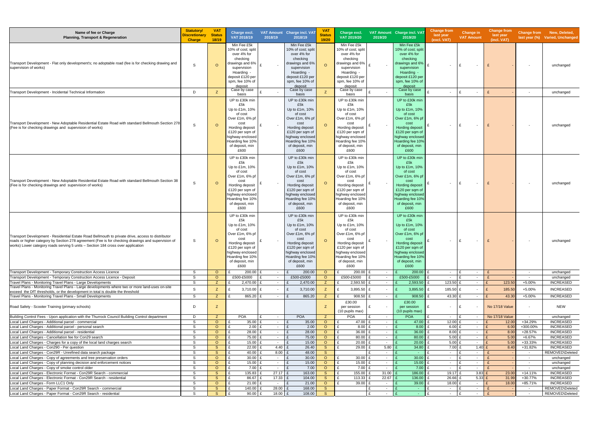| Name of fee or Charge<br><b>Planning, Transport &amp; Regeneration</b>                                                                                                                                                                                                                      | <b>Statutory/</b><br><b>Discretionary</b><br><b>Charge</b> | <b>VAT</b><br><b>Status</b><br>18/19 | Charge excl.<br>VAT 2018/19                                                                                                                                                            | 2018/19                             | VAT Amount Charge incl. VAT<br>2018/19                                                                                                                                                 | V <sub>A</sub><br><b>Status</b><br>19/20 | Charge excl.<br>VAT 2019/20                                                                                                                                                            | 2019/20          | VAT Amount Charge incl. VAT<br>2019/20                                                                                                                                                 | <b>Change from</b><br>last year<br>(excl. VAT) | Change in<br><b>VAT Amount</b>                          | <b>Change from</b><br>last year<br>(incl. VAT) | <b>Change from</b>                 | New, Deleted,<br>last year (%) Varied, Unchanged |
|---------------------------------------------------------------------------------------------------------------------------------------------------------------------------------------------------------------------------------------------------------------------------------------------|------------------------------------------------------------|--------------------------------------|----------------------------------------------------------------------------------------------------------------------------------------------------------------------------------------|-------------------------------------|----------------------------------------------------------------------------------------------------------------------------------------------------------------------------------------|------------------------------------------|----------------------------------------------------------------------------------------------------------------------------------------------------------------------------------------|------------------|----------------------------------------------------------------------------------------------------------------------------------------------------------------------------------------|------------------------------------------------|---------------------------------------------------------|------------------------------------------------|------------------------------------|--------------------------------------------------|
| Transport Development - Flat only development's; no adoptable road (fee is for checking drawing and<br>supervision of works)                                                                                                                                                                | S                                                          | $\Omega$                             | Min Fee £5k<br>10% of cost; split<br>over 4% for<br>checking<br>drawings and 6%<br>supervision<br>Hoarding -<br>deposit £120 per<br>spm, fee 10% of<br>deposit<br>Case by case         |                                     | Min Fee £5k<br>10% of cost; spli<br>over 4% for<br>checking<br>drawings and 6%<br>supervision<br>Hoarding -<br>deposit £120 per<br>spm. fee 10% of<br>deposit<br>Case by case          | $\Omega$                                 | Min Fee £5k<br>10% of cost; split<br>over 4% for<br>checking<br>drawings and 6%<br>supervision<br>Hoarding -<br>deposit £120 per<br>spm, fee 10% of<br>deposit<br>Case by case         |                  | Min Fee £5k<br>10% of cost; split<br>over 4% for<br>checking<br>drawings and 6%<br>supervision<br>Hoarding -<br>deposit £120 per<br>spm, fee 10% of<br>deposit<br>Case by case         | $\sim$                                         | £<br>$\sim$                                             |                                                | $\overline{\phantom{a}}$           | unchanged                                        |
| Transport Development - Incidental Technical Information                                                                                                                                                                                                                                    | D                                                          | Z                                    | basis                                                                                                                                                                                  |                                     | basis                                                                                                                                                                                  | Z                                        | basis                                                                                                                                                                                  |                  | basis                                                                                                                                                                                  | $\sim$                                         | E<br>$\sim$                                             | £                                              | $\overline{\phantom{a}}$           | unchanged                                        |
| Transport Development - New Adoptable Residential Estate Road with standard Bellmouth Section 278<br>(Fee is for checking drawings and supervision of works)                                                                                                                                | S                                                          | $\circ$                              | UP to £30k min<br>£5k<br>Up to £1m, 10%<br>of cost<br>Over £1m, 6% pf<br>cost<br>Hording deposit<br>£120 per sam of<br>highway enclosed<br>Hoarding fee 10%<br>of deposit, min<br>£600 |                                     | UP to £30k min<br>£5k<br>Up to £1m, 10%<br>of cost<br>Over £1m, 6% pf<br>cost<br>Hording deposit<br>£120 per sqm of<br>highway enclosed<br>Hoarding fee 10%<br>of deposit, min<br>£600 | $\circ$                                  | UP to £30k min<br>£5k<br>Up to £1m, 10%<br>of cost<br>Over £1m, 6% pf<br>cost<br>Hording deposit<br>£120 per sqm of<br>highway enclosed<br>Hoarding fee 10%<br>of deposit, min<br>£600 |                  | UP to £30k min<br>£5k<br>Up to £1m, 10%<br>of cost<br>Over £1m, 6% pf<br>cost<br>Hording deposit<br>£120 per sqm of<br>highway enclosed<br>Hoarding fee 10%<br>of deposit, min<br>£600 | $\sim$                                         | £<br>$\sim$                                             |                                                | $\overline{\phantom{a}}$           | unchanged                                        |
| Transport Development - New Adoptable Residential Estate Road with standard Bellmouth Section 38<br>(Fee is for checking drawings and supervision of works)                                                                                                                                 | S                                                          | $\circ$                              | UP to £30k min<br>£5k<br>Up to £1m, 10%<br>of cost<br>Over £1m, 6% pf<br>cost<br>Hording deposit<br>£120 per sqm of<br>highway enclosed<br>Hoarding fee 10%<br>of deposit, min<br>£600 |                                     | UP to £30k min<br>£5k<br>Up to £1m, 10%<br>of cost<br>Over £1m, 6% pf<br>cost<br>Hording deposit<br>£120 per sqm of<br>highway enclosed<br>Hoarding fee 10%<br>of deposit, min<br>£600 | $\circ$                                  | UP to £30k min<br>£5k<br>Up to £1m, 10%<br>of cost<br>Over £1m, 6% pf<br>cost<br>Hording deposit<br>£120 per sqm of<br>highway enclosed<br>Hoarding fee 10%<br>of deposit, min<br>£600 |                  | UP to £30k mir<br>£5k<br>Up to £1m, 10%<br>of cost<br>Over £1m, 6% pf<br>cost<br>Hording deposit<br>£120 per sqm of<br>highway enclosed<br>Hoarding fee 10%<br>of deposit, min<br>£600 | $\sim$                                         | £<br>$\sim$                                             |                                                | $\overline{\phantom{a}}$           | unchanged                                        |
| Transport Development - Residential Estate Road Bellmouth to private drive, access to distributor<br>roads or higher category by Section 278 agreement (Fee is for checking drawings and supervision of<br>works) Lower category roads serving 5 units - Section 184 cross over application | S                                                          | $\circ$                              | UP to £30k min<br>£5k<br>Up to £1m, 10%<br>of cost<br>Over £1m, 6% pf<br>cost<br>Hording deposit<br>£120 per sqm of<br>highway enclosed<br>loarding fee 10%<br>of deposit, min<br>£600 |                                     | UP to £30k min<br>£5k<br>Up to £1m, 10%<br>of cost<br>Over £1m, 6% pf<br>cost<br>Hording deposit<br>£120 per sqm of<br>highway enclosed<br>Hoarding fee 10%<br>of deposit, min<br>£600 | $\circ$                                  | UP to £30k min<br>£5k<br>Up to £1m, 10%<br>of cost<br>Over £1m, 6% pf<br>cost<br>Hording deposit<br>£120 per sqm of<br>highway enclosed<br>Hoarding fee 10%<br>of deposit, min<br>£600 |                  | UP to £30k mir<br>£5k<br>Up to £1m, 10%<br>of cost<br>Over £1m, 6% pf<br>cost<br>Hording deposit<br>£120 per sqm of<br>highway enclosed<br>Hoarding fee 10%<br>of deposit, min<br>£600 | $\sim$                                         | E<br>$\sim$                                             |                                                | $\overline{\phantom{a}}$           | unchanged                                        |
| Transport Development - Temporary Construction Access Licence                                                                                                                                                                                                                               | S                                                          | $\circ$                              | 200.00                                                                                                                                                                                 | $\sim$                              | £<br>200.00                                                                                                                                                                            | $\circ$                                  | 200.00 £<br>£                                                                                                                                                                          | $\sim$           | 200.00                                                                                                                                                                                 | $\sim$                                         | E<br>$\sim$                                             | $\mathbf{f}$                                   | $\sim$                             | unchanged                                        |
| Transport Development - Temporary Construction Access Licence - Deposit<br>Travel Plans - Monitoring Travel Plans - Large Developments                                                                                                                                                      | S<br>S                                                     | $\circ$<br>Z                         | £500-£5000<br>$2,470.00$ £                                                                                                                                                             | $\sim$<br>$\sim$                    | £500-£5000<br>£<br>2,470.00                                                                                                                                                            | $\circ$<br>Z                             | £500-£5000<br>$2,593.50$ £<br>£                                                                                                                                                        | $\sim$<br>$\sim$ | £500-£5000<br>2,593.50                                                                                                                                                                 | $\sim$<br>123.50 £                             | $\mathbf{f}$<br>$\sim$<br>$\sim$                        | 123.50                                         | $\overline{\phantom{a}}$<br>+5.00% | unchanged<br><b>INCREASED</b>                    |
| Travel Plans - Monitoring Travel Plans - Large developments where two or more land-uses on-site<br>exceed the DfT thresholds, or the development in total is double the threshold                                                                                                           | S                                                          | Z                                    | 3,710.00                                                                                                                                                                               | £                                   | 3,710.00<br>£                                                                                                                                                                          | Z                                        | 3,895.50 £<br>£                                                                                                                                                                        | $\sim$           | 3,895.50                                                                                                                                                                               | 185.50 £                                       | $\sim$                                                  | 185.50<br>£                                    | $+5.00%$                           | <b>INCREASED</b>                                 |
| Travel Plans - Monitoring Travel Plans - Small Developments<br>Road Safety - Scooter Training (primary schools)                                                                                                                                                                             | S.<br>D                                                    | Z.<br>Z                              | 865.20                                                                                                                                                                                 | $\mathbf{f}$<br>$\sim$              | 865.20<br>£                                                                                                                                                                            | Z.<br>Z                                  | $908.50$ £<br>£30.00<br>per session<br>(10 pupils max)                                                                                                                                 | $\sim$           | 908.50<br>£30.00<br>per session<br>(10 pupils max)                                                                                                                                     | 43.30 £<br>$\sim$                              | $\sim$<br>f                                             | 43.30<br>No 17/18 Value                        | +5.00%<br>$\sim$                   | <b>INCREASED</b><br><b>NEW</b>                   |
| Building Control Fees - Upon application with the Thurrock Council Building Control department                                                                                                                                                                                              | D                                                          | Z                                    | POA                                                                                                                                                                                    | $\sim$                              | <b>POA</b>                                                                                                                                                                             | Z.                                       | <b>POA</b>                                                                                                                                                                             | $\sim$           | <b>POA</b>                                                                                                                                                                             | $\sim$                                         | $\sim$                                                  | <b>No 17/18 Value</b>                          | $\sim$                             | unchanged                                        |
| Local Land Charges - Additional parcel - commercial                                                                                                                                                                                                                                         | S                                                          | $\circ$                              | 35.00                                                                                                                                                                                  | $\sim 100$                          | 35.00<br>£                                                                                                                                                                             | $\circ$                                  | 47.00 £                                                                                                                                                                                | $\sim$           | 47.00                                                                                                                                                                                  | 12.00 $E$                                      | $\sim$                                                  | 12.00                                          | +34.29%                            | <b>INCREASED</b>                                 |
| Local Land Charges - Additional parcel - personal search<br>Local Land Charges - Additional parcel - residential                                                                                                                                                                            | S<br>S                                                     | $\circ$<br>$\circ$                   | $2.00$ £<br>£<br>28.00                                                                                                                                                                 | $\sim$ 10 $\pm$<br>$\sim 100$       | 2.00<br>£<br>£<br>28.00                                                                                                                                                                | $\circ$<br>$\circ$                       | $8.00$ £<br>$\mathbf{f}$<br>36.00 £<br>£                                                                                                                                               | $\sim$<br>$\sim$ | 8.00<br>36.00                                                                                                                                                                          | $6.00$ £<br>$8.00$ £                           | $\sim$<br>$\sim$                                        | 6.00<br>8.00                                   | +300.00%<br>+28.57%                | <b>INCREASED</b><br><b>INCREASED</b>             |
| Local Land Charges - Cancellation fee for Con29 search                                                                                                                                                                                                                                      | S                                                          | $\circ$                              | 75.00                                                                                                                                                                                  | $\sim 100$                          | £<br>75.00                                                                                                                                                                             | $\circ$                                  | 80.00 £                                                                                                                                                                                | $\sim$           | 80.00                                                                                                                                                                                  | 5.00 $E$                                       | $\sim$                                                  | 5.00                                           | +6.67%                             | <b>INCREASED</b>                                 |
| Local Land Charges - Charges for a copy of the local land charges search                                                                                                                                                                                                                    | S                                                          | $\circ$                              | £<br>15.00                                                                                                                                                                             | $\sim$ $-$                          | £<br>15.00                                                                                                                                                                             | $\circ$                                  | $20.00$ £<br>£                                                                                                                                                                         | $\sim$           | 20.00                                                                                                                                                                                  | 5.00 $E$                                       | $\sim$                                                  | 5.00                                           | +33.33%                            | <b>INCREASED</b>                                 |
| Local Land Charges - Con290 - Per question                                                                                                                                                                                                                                                  | S                                                          | <sub>S</sub>                         | 22.00                                                                                                                                                                                  | 4.40 $E$                            | 26.40                                                                                                                                                                                  | <sub>S</sub>                             | 29.00 £<br>£                                                                                                                                                                           | 5.80             | 34.80                                                                                                                                                                                  | 7.00 E                                         | 1.40                                                    | 8.40                                           | +31.82%                            | <b>INCREASED</b>                                 |
| Local Land Charges - Con29R - Unrefined data search package<br>Local Land Charges - Copy of agreements and tree preservation orders                                                                                                                                                         | S<br>S                                                     | <sub>S</sub><br>$\circ$              | 40.00<br>£<br>30.00                                                                                                                                                                    | 8.00<br>$\sim 100$                  | 48.00<br>£<br>30.00<br>£                                                                                                                                                               | S<br>$\circ$                             | $30.00$ £                                                                                                                                                                              | $\sim$<br>$\sim$ | <b>Contract</b><br>30.00                                                                                                                                                               | $\sim$<br>$\sim$                               | $\mathbf{f}$<br>$\overline{\phantom{a}}$<br>E<br>$\sim$ |                                                | $\sim$<br>$\sim$                   | REMOVED\Deleted<br>unchanged                     |
| Local Land Charges - Copy of planning decision and enforcement notices                                                                                                                                                                                                                      | S                                                          | $\circ$                              | 15.00                                                                                                                                                                                  | $\sim$ 10 $\pm$                     | 15.00<br>£                                                                                                                                                                             | $\circ$                                  | 15.00 £                                                                                                                                                                                | $\sim$           | 15.00                                                                                                                                                                                  | $\sim$                                         | £<br>$\sim$                                             |                                                | $\sim$                             | unchanged                                        |
| Local Land Charges - Copy of smoke control older                                                                                                                                                                                                                                            | S                                                          | $\circ$                              | 7.00                                                                                                                                                                                   | $\sim$                              | £<br>7.00                                                                                                                                                                              | $\circ$                                  | $7.00$ £                                                                                                                                                                               | $\sim$           | 7.00                                                                                                                                                                                   | $\sim$                                         | $\mathbf{f}$<br>$\sim$                                  |                                                | $\sim$                             | unchanged                                        |
| Local Land Charges - Electronic Format - Con29R Search - commercial                                                                                                                                                                                                                         | S                                                          | <sub>S</sub>                         | 135.83                                                                                                                                                                                 | $27.17$ £                           | 163.00                                                                                                                                                                                 | <sub>S</sub>                             | 155.00                                                                                                                                                                                 | 31.00            | 186.00                                                                                                                                                                                 | 19.17 £                                        | 3.83                                                    | 23.00                                          | $+14.11%$                          | <b>INCREASED</b>                                 |
| Local Land Charges - Electronic Format - Con29R Search - residential<br>Local Land Charges - Form LLC1 Only                                                                                                                                                                                 | S<br>S                                                     | <sub>S</sub><br>$\circ$              | 86.67<br>£<br>$21.00$ £                                                                                                                                                                | $17.33$ £<br>$\mathbf{f}$<br>$\sim$ | 104.00<br>£<br>21.00                                                                                                                                                                   | <sub>S</sub><br>$\circ$                  | 113.33 £<br>£<br>$39.00$ £<br>£                                                                                                                                                        | 22.67<br>$\sim$  | 136.00<br>39.00                                                                                                                                                                        | 26.66 £<br>18.00 £                             | 5.33<br>$\sim$                                          | 31.99<br>18.00                                 | +30.77%<br>+85.71%                 | <b>INCREASED</b><br><b>INCREASED</b>             |
| Local Land Charges - Paper Format - Con29R Search - commercial                                                                                                                                                                                                                              | S                                                          | <sub>S</sub>                         | 140.00<br>£                                                                                                                                                                            | $28.00$ £<br>£                      | 168.00                                                                                                                                                                                 | <sub>S</sub>                             |                                                                                                                                                                                        | £<br>$\sim$      | $\sim$                                                                                                                                                                                 | $\sim$                                         | E<br>$\sim$                                             |                                                | $\sim$                             | REMOVED\Deleted                                  |
| Local Land Charges - Paper Format - Con29R Search - residential                                                                                                                                                                                                                             | S                                                          | S                                    | 90.00                                                                                                                                                                                  | 18.00 $E$<br>£                      | 108.00                                                                                                                                                                                 | S                                        |                                                                                                                                                                                        | £<br>$\sim$      | $\sim$ $-$                                                                                                                                                                             | $\sim$                                         | $\mathbf{f}$<br>$\sim$                                  |                                                | $\sim$ $-$                         | REMOVED\Deleted                                  |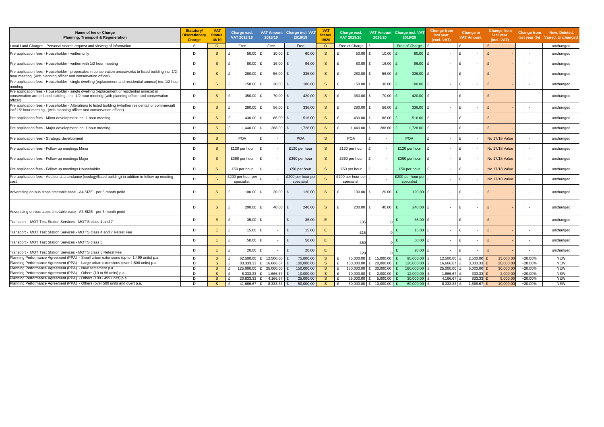| Name of fee or Charge<br><b>Planning, Transport &amp; Regeneration</b>                                                                                                                                        | <b>Statutory/</b><br><b>Discretionary</b><br><b>Charge</b> | <b>VAT</b><br><b>Status</b><br>18/19 | Charge excl.<br>VAT 2018/19    | 2018/19                | VAT Amount Charge incl. VA<br>2018/19 | <b>VAT</b><br><b>Status</b><br>19/20 | Charge excl.<br>VAT 2019/20    | 2019/20                  | VAT Amount Charge incl. VAT<br>2019/20 | Change from<br>last year<br>(excl. VAT)  | Change in<br><b>VAT Amount</b>  | <b>Change from</b><br>last year<br>(incl. VAT) | Change from<br>last year $(\%)$ | New, Deleted,<br>Varied, Unchanged |
|---------------------------------------------------------------------------------------------------------------------------------------------------------------------------------------------------------------|------------------------------------------------------------|--------------------------------------|--------------------------------|------------------------|---------------------------------------|--------------------------------------|--------------------------------|--------------------------|----------------------------------------|------------------------------------------|---------------------------------|------------------------------------------------|---------------------------------|------------------------------------|
| Local Land Charges - Personal search request and viewing of information                                                                                                                                       | S                                                          | $\circ$                              | Free                           | Free                   | Free                                  | $\circ$                              | Free of Charge                 | $\sim$                   | Free of Charge                         | $\sim$                                   | $\sim$                          |                                                | $\sim$                          | unchanged                          |
| Pre application fees - Householder - written only                                                                                                                                                             | D                                                          | <sub>S</sub>                         | 50.00<br>£                     | 10.00                  | £<br>60.00                            | <sub>S</sub>                         | 50.00                          | 10.00<br>$\mathbf{f}$    | 60.00                                  | £<br>$\sim$                              | $\mathbf{f}$<br>$\overline{a}$  |                                                | $\overline{\phantom{0}}$        | unchanged                          |
| Pre application fees - Householder - written with 1/2 hour meeting                                                                                                                                            | D                                                          | <sub>S</sub>                         | £<br>80.00                     | 16.00                  | £<br>96.00                            | <sub>S</sub>                         | £<br>80.00                     | 16.00<br>£               | 96.00                                  | $\mathbf{f}$<br>$\sim$                   | ۱F<br>$\overline{\phantom{a}}$  |                                                | $\overline{\phantom{a}}$        | unchanged                          |
| Pre application fees - Householder - proposales in conservation areas/works to listed building inc. 1/2<br>hour meeting (with planning officer and conservation officer)                                      | D                                                          | <sub>S</sub>                         | 280.00<br>£                    | 56.00                  | 336.00<br>£                           | <sub>S</sub>                         | 280.00                         | 56.00                    | 336.00                                 | $\mathbf{f}$<br>$\overline{\phantom{a}}$ | f<br>$\blacksquare$             |                                                | $\overline{\phantom{a}}$        | unchanged                          |
| Pre application fees - Householder - single dwelling (replacement and residential annexe) inc. 1/2 hour<br>meeting                                                                                            | D                                                          | <sub>S</sub>                         | 150.00<br>£                    | 30.00                  | 180.00<br>E                           | <sub>S</sub>                         | 150.00<br>£                    | 30.00                    | $180.00$ £                             | $\overline{\phantom{0}}$                 | ۱F                              |                                                |                                 | unchanged                          |
| Pre application fees - Householder - single dwelling (replacement or residential annexe) in<br>conservation are or listed building, inc. 1/2 hour meeting (with planning officer and conservation<br>officer) | D                                                          | <sub>S</sub>                         | 350.00<br>£                    | 70.00<br>£             | 420.00<br>£                           | <sub>S</sub>                         | £<br>350.00                    | 70.00                    | 420.00 $E$                             | $\overline{\phantom{0}}$                 | ۱£<br>$\overline{\phantom{a}}$  |                                                | $\overline{\phantom{a}}$        | unchanged                          |
| Pre application fees - Householder - Alterations to listed building (whether residentail or commercial)<br>inc/ 1/2 hour meeting, (with planning officer and conservation officer)                            | D                                                          | S                                    | £<br>280.00                    | 56.00                  | E<br>336.00                           | <sub>S</sub>                         | 280.00                         | 56.00                    | 336.00                                 | £<br>$\sim$                              | l £<br>$\overline{\phantom{a}}$ |                                                | $\overline{\phantom{a}}$        | unchanged                          |
| Pre application fees - Minor development inc. 1 hour meeting                                                                                                                                                  | D                                                          | S                                    | £<br>430.00                    | 86.00<br>£             | 516.00<br>£                           | <sub>S</sub>                         | £<br>430.00                    | 86.00<br>$\mathbf{f}$    | $516.00$ £                             | $\sim$                                   | ۱£<br>$\overline{\phantom{a}}$  |                                                |                                 | unchanged                          |
| Pre application fees - Major development inc. 1 hour meeting                                                                                                                                                  | D                                                          | <sub>S</sub>                         | 1,440.00<br>£                  | 288.00<br>$\mathbf{f}$ | 1,728.00<br>£                         | <sub>S</sub>                         | 1,440.00<br>£                  | 288.00<br>£              | 1,728.00 $E$                           | $\sim$                                   | E<br>$\overline{\phantom{a}}$   |                                                | $\overline{\phantom{0}}$        | unchanged                          |
| Pre application fees - Strategic development                                                                                                                                                                  | D                                                          | <sub>S</sub>                         | <b>POA</b>                     | $\mathbf{f}$           | <b>POA</b>                            | S.                                   | <b>POA</b>                     | $\overline{\phantom{a}}$ | <b>POA</b>                             | £<br>$\sim$                              | ۱£<br>$\overline{\phantom{a}}$  | No 17/18 Value                                 | $\overline{\phantom{a}}$        | unchanged                          |
| Pre application fees - Follow up meetings Minor                                                                                                                                                               | D                                                          | <sub>S</sub>                         | £120 per hour                  | £                      | £120 per hour                         | <sub>S</sub>                         | £120 per hour                  | £                        | £120 per hour                          | £<br>$\sim$                              | E<br>$\overline{\phantom{a}}$   | No 17/18 Value                                 | $\overline{\phantom{a}}$        | unchanged                          |
| Pre application fees - Follow up meetings Major                                                                                                                                                               | D                                                          | S                                    | £360 per hour                  | £                      | £360 per hour                         | <sub>S</sub>                         | £360 per hour                  |                          | £360 per hour                          | £<br>$\overline{\phantom{0}}$            | ۱£                              | No 17/18 Value                                 |                                 | unchanged                          |
| Pre application fees - Follow up meetings Householder                                                                                                                                                         | D                                                          | S.                                   | £50 per hour                   | £                      | £50 per hour                          | <sub>S</sub>                         | £50 per hour                   | £                        | £50 per hour                           | £<br>$\overline{\phantom{0}}$            | E                               | No 17/18 Value                                 | $\overline{\phantom{a}}$        | unchanged                          |
| Pre application fees - Additional attendance (ecology/listed building) in additon to follow up meeting<br>cost                                                                                                | D                                                          | S                                    | 200 per hour per<br>specialist | £                      | £200 per hour pe<br>specialist        | <sub>S</sub>                         | 200 per hour per<br>specialist |                          | £200 per hour per<br>specialist        | $\overline{\phantom{0}}$                 | ۱£                              | No 17/18 Value                                 | $\overline{\phantom{0}}$        | unchanged                          |
| Advertising on bus stops timetable case - A4 SIZE - per 6 month perid                                                                                                                                         | D                                                          | S                                    | 100.00<br>£                    | 20.00<br>$\mathbf{f}$  | 120.00<br>£                           | <sub>S</sub>                         | 100.00                         | 20.00<br>£               | $120.00$ £<br>£.                       | $\sim$                                   | ۱F<br>$\overline{a}$            |                                                | $\overline{\phantom{a}}$        | unchanged                          |
| Advertising on bus stops timetable case - A3 SIZE - per 6 month perid                                                                                                                                         | D                                                          | S                                    | 200.00                         | 40.00                  | 240.00<br>£                           | <sub>S</sub>                         | 200.00                         | 40.00                    | 240.00                                 | £<br>$\sim$                              | f                               |                                                |                                 | unchanged                          |
| Transport - MOT Test Station Services - MOT'S class 4 and 7                                                                                                                                                   | D                                                          | E                                    | 35.00<br>£                     | £                      | 35.00<br>$\mathbf{f}$                 | E                                    | £35                            |                          | 35.00<br>£                             | £<br>$\sim$                              | l £<br>$\overline{\phantom{a}}$ |                                                |                                 | unchanged                          |
| Transport - MOT Test Station Services - MOT'S class 4 and 7 Retest Fee                                                                                                                                        | D                                                          | E.                                   | £<br>15.00                     | $\mathbf{f}$<br>$\sim$ | $\mathbf{f}$<br>15.00                 | Е                                    | £15                            |                          | $15.00$ £<br>£                         | $\sim$                                   | ۱£<br>$\overline{\phantom{a}}$  |                                                | $\overline{\phantom{a}}$        | unchanged                          |
| Transport - MOT Test Station Services - MOT'S class 5                                                                                                                                                         | D                                                          | E                                    | £<br>50.00                     | $\mathbf{f}$<br>$\sim$ | $\mathbf{f}$<br>50.00                 | E                                    | £50                            |                          | £<br>$50.00$ £                         | $\sim$                                   | ۱£<br>$\blacksquare$            |                                                | $\overline{\phantom{a}}$        | unchanged                          |
| Transport - MOT Test Station Services - MOT'S class 5 Retest Fee                                                                                                                                              | D                                                          | E                                    | £<br>20.00                     | £<br>$\sim$            | $\mathbf{f}$<br>20.00                 | Е                                    | £20                            |                          | £<br>20.00                             | £<br>$\sim$                              | $\mathbf{f}$<br>$\overline{a}$  |                                                | $\overline{\phantom{a}}$        | unchanged                          |
| Planning Performance Agreement (PPA) - Small urban extensions (up to 1,499 units) p.a.                                                                                                                        | D                                                          | <sub>S</sub>                         | 62,500.00                      | £ 12,500.00            | 75,000.00<br>$\mathbf{f}$             | S                                    | 75,000.00                      | £ 15,000.00              | 90,000.00                              | 12,500.00 £                              | $2,500.00$ £                    | 15,000.0                                       | +20.00%                         | <b>NEW</b>                         |
| Planning Performance Agreement (PPA) - Large urban extensions (over 1,500 units) p.a.                                                                                                                         | D                                                          | <sub>S</sub>                         | 83,333.33                      | £ 16,666.67            | 100,000.00<br>$\mathbf{f}$            | <sub>S</sub>                         | 100,000.00                     | £ 20,000.00              | 120,000.00                             | 16,666.67                                | 3,333.33 £<br>£                 | 20,000.00                                      | +20.00%                         | <b>NEW</b>                         |
| Planning Performance Agreement (PPA) - New settlement p.a.                                                                                                                                                    | D                                                          | S                                    | £<br>125,000.00                | 25,000.00<br>£         | 150,000.00                            | <sub>S</sub>                         | 150,000.00                     | £ 30,000.00              | 180,000.00                             | 25,000.00 £                              | 5,000.00 $E$                    | 30,000.0                                       | +20.00%                         | <b>NEW</b>                         |
| Planning Performance Agreement (PPA) - Others (10 to 99 units) p.a.                                                                                                                                           | D                                                          | S.                                   | 8,333.33                       | 1,666.67<br>£          | 10,000.00                             | S                                    | 10,000.00                      | 2,000.00<br>£            | 12,000.00                              | 1,666.67                                 | 333.33                          | 2,000.0                                        | +20.00%                         | <b>NEW</b>                         |
| Planning Performance Agreement (PPA) - Others (100 - 499 units) p.a.                                                                                                                                          | D                                                          | S                                    | 20,833.33                      | 4,166.67<br>£          | 25,000.00                             | <sub>S</sub>                         | 25,000.00                      | 5,000.00<br>£            | 30,000.00                              | 4,166.67                                 | 833.33                          | 5,000.00                                       | +20.00%                         | <b>NEW</b>                         |
| Planning Performance Agreement (PPA) - Others (over 500 units and over) p.a.                                                                                                                                  | D.                                                         | S.                                   | 41,666.67<br>£                 | £<br>8,333.33          | 50,000.00<br>£                        | S.                                   | 50,000.00<br>$\mathbf{f}$      | £ 10,000.00              | 60,000.00                              | $8,333.33$ £<br>£                        | 1,666.67 $E$                    | 10,000.00                                      | +20.00%                         | <b>NEW</b>                         |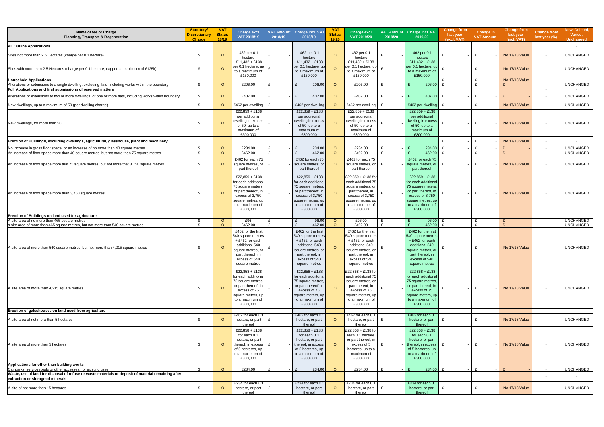| Name of fee or Charge<br><b>Planning, Transport &amp; Regeneration</b>                                                                                                                                    | <b>Statutory/</b><br><b>Discretionary</b><br><b>Charge</b> | <b>VAT</b><br><b>Status</b><br>18/19 | Charge excl.<br>VAT 2018/19                                                                                                                                | 2018/19      | VAT Amount Charge incl. VAT<br>2018/19                                                                                                                   | <b>VAT</b><br><b>Status</b><br>19/20 | Charge excl.<br>VAT 2019/20                                                                                                                              | 2019/20 | VAT Amount Charge incl. VAT<br>2019/20                                                                                                                 | <b>Change from</b><br>last year<br>(excl. VAT) | Change in<br><b>VAT Amount</b> | <b>Change from</b><br>last year<br>(incl. VAT) | <b>Change from</b><br>last year (%) | New, Deleted,<br>Varied,<br><b>Unchanged</b> |
|-----------------------------------------------------------------------------------------------------------------------------------------------------------------------------------------------------------|------------------------------------------------------------|--------------------------------------|------------------------------------------------------------------------------------------------------------------------------------------------------------|--------------|----------------------------------------------------------------------------------------------------------------------------------------------------------|--------------------------------------|----------------------------------------------------------------------------------------------------------------------------------------------------------|---------|--------------------------------------------------------------------------------------------------------------------------------------------------------|------------------------------------------------|--------------------------------|------------------------------------------------|-------------------------------------|----------------------------------------------|
| <b>All Outline Applications</b>                                                                                                                                                                           |                                                            |                                      |                                                                                                                                                            |              |                                                                                                                                                          |                                      |                                                                                                                                                          |         |                                                                                                                                                        |                                                |                                |                                                |                                     |                                              |
| Sites not more than 2.5 Hectares (charge per 0.1 hectare)                                                                                                                                                 | S                                                          | $\circ$                              | 462 per 0.1<br>hectare                                                                                                                                     |              | 462 per 0.1<br>hectare                                                                                                                                   |                                      | 462 per 0.1<br>hectare                                                                                                                                   |         | 462 per 0.1<br>hectare                                                                                                                                 | $\mathbf{f}$                                   | $\mathbf{f}$                   | No 17/18 Value                                 |                                     | <b>UNCHANGED</b>                             |
| Sites with more than 2.5 Hectares (charge per 0.1 hectare, capped at maximum of £125k)                                                                                                                    | S                                                          | $\circ$                              | $£11,432 + £138$<br>per 0.1 hectare; up<br>to a maximum of<br>£150,000                                                                                     |              | $£11,432 + £138$<br>per 0.1 hectare; up<br>to a maximum of<br>£150,000                                                                                   |                                      | $£11,432 + £138$<br>per 0.1 hectare; up<br>to a maximum of<br>£150,000                                                                                   |         | $£11,432 + £138$<br>per 0.1 hectare; up<br>to a maximum o<br>£150,000                                                                                  | £                                              | £                              | No 17/18 Value                                 |                                     | <b>UNCHANGED</b>                             |
| <b>Household Applications</b><br>Alterations or extensions to a single dwelling, excluding flats, including works within the boundary                                                                     | S                                                          | $\circ$                              | £206.00                                                                                                                                                    | £            | 206.00                                                                                                                                                   | $\circ$                              | £206.00                                                                                                                                                  |         | 206.00                                                                                                                                                 | $\mathbf{f}$<br>$\mathbf{r}$                   | $\mathbf{f}$                   | No 17/18 Value                                 | $\sim$<br>$\sim$                    | <b>UNCHANGED</b>                             |
| <b>Full Applications and first submissions of reserved matters</b>                                                                                                                                        |                                                            |                                      |                                                                                                                                                            |              |                                                                                                                                                          |                                      |                                                                                                                                                          |         |                                                                                                                                                        |                                                |                                |                                                | $\sim$                              |                                              |
| Alterations or extensions to two or more dwellings, or one or more flats, including works within boundary                                                                                                 | S                                                          | $\circ$                              | £407.00                                                                                                                                                    | £            | 407.00<br>£                                                                                                                                              | $\Omega$                             | £407.00                                                                                                                                                  | £       | 407.00<br>E                                                                                                                                            | £                                              | $\mathbf{f}$                   | $\mathbf{f}$                                   |                                     | <b>UNCHANGED</b>                             |
| New dwellings, up to a maximum of 50 (per dwelling charge)                                                                                                                                                | S                                                          | $\circ$                              | £462 per dwelling                                                                                                                                          | £            | £462 per dwelling                                                                                                                                        | $\Omega$                             | £462 per dwelling                                                                                                                                        |         | £462 per dwelling                                                                                                                                      | $\mathbf{f}$                                   | $\mathbf{f}$                   | No 17/18 Value                                 |                                     | <b>UNCHANGED</b>                             |
| New dwellings, for more than 50                                                                                                                                                                           | S                                                          | $\circ$                              | $£22,859 + £138$<br>per additional<br>dwelling in excess<br>of 50, up to a<br>maximum of<br>£300,000                                                       |              | £22,859 + £138<br>per additional<br>dwelling in excess<br>of 50, up to a<br>maximum of<br>£300,000                                                       |                                      | $£22,859 + £138$<br>per additional<br>dwelling in excess<br>of 50, up to a<br>maximum of<br>£300,000                                                     |         | £22,859 + £138<br>per additional<br>dwelling in excess<br>of 50, up to a<br>maximum of<br>£300,000                                                     |                                                | $\mathbf{f}$                   | No 17/18 Value                                 |                                     | <b>UNCHANGED</b>                             |
| Erection of Buildings, excluding dwellings, agricultural, glasshouse, plant and machinery                                                                                                                 |                                                            |                                      |                                                                                                                                                            |              |                                                                                                                                                          |                                      |                                                                                                                                                          |         |                                                                                                                                                        | $\mathbf{f}$                                   | $\mathbf{f}$                   | No 17/18 Value                                 | $\overline{a}$                      |                                              |
| No increase in gross floor space, or an increase of no more than 40 square metres                                                                                                                         | S                                                          | $\circ$                              | £234.00                                                                                                                                                    |              | 234.00                                                                                                                                                   | $\circ$                              | £234.00                                                                                                                                                  |         | 234.00                                                                                                                                                 | $\mathbf{f}$                                   |                                |                                                | $\sim$                              | <b>UNCHANGED</b>                             |
| An increase of floor space more than 40 square metres, but not more than 75 square metres<br>An increase of floor space more that 75 square metres, but not more that 3,750 square metres                 | S<br>S                                                     | $\circ$<br>$\circ$                   | £462.00<br>£462 for each 75<br>square metres, or<br>part thereof                                                                                           | £<br>£       | 462.00<br>£462 for each 75<br>square metres, or<br>part thereof                                                                                          | $\circ$<br>$\Omega$                  | £462.00<br>£462 for each 75<br>square metres, or $E$<br>part thereof                                                                                     |         | 462.00<br>£462 for each 75<br>square metres, or<br>part thereof                                                                                        | $\mathbf{f}$                                   | - F<br>£                       | No 17/18 Value                                 | $\sim$ $-$                          | <b>UNCHANGED</b><br><b>UNCHANGED</b>         |
| An increase of floor space more than 3,750 square metres                                                                                                                                                  | S                                                          | $\Omega$                             | $£22,859 + £138$<br>for each additional<br>75 square meters.<br>or part thereof, in<br>excess of 3,750<br>square metres, up<br>to a maximum of<br>£300,000 |              | $£22,859 + £138$<br>for each additiona<br>75 square meters<br>or part thereof, in<br>excess of 3,750<br>square metres, up<br>to a maximum of<br>£300,000 |                                      | £22,859 + £138 for<br>each additional 75<br>square meters, or<br>part thereof, in<br>excess of 3,750<br>square metres, up<br>to a maximum of<br>£300,000 |         | £22,859 + £138<br>for each additiona<br>75 square meters<br>or part thereof, in<br>excess of 3,750<br>square metres, up<br>to a maximum of<br>£300,000 |                                                | £                              | No 17/18 Value                                 |                                     | <b>UNCHANGED</b>                             |
| Erection of Buildings on land used for agriculture                                                                                                                                                        |                                                            |                                      |                                                                                                                                                            |              |                                                                                                                                                          |                                      |                                                                                                                                                          |         |                                                                                                                                                        |                                                |                                |                                                | $\sim$                              |                                              |
| A site area of no more than 465 square metres<br>a site area of more than 465 square metres, but not more than 540 square metres                                                                          | S<br>S                                                     | $\circ$<br>$\circ$                   | £96<br>£462.00                                                                                                                                             | £<br>£       | 96.00<br>462.00<br>£                                                                                                                                     | $\circ$<br>$\Omega$                  | £96.00<br>£462.00                                                                                                                                        |         | 96.00<br>462.00<br>$\mathbf{f}$                                                                                                                        | $\mathbf{f}$<br>$\mathbf{f}$                   | $\mathbf{f}$<br>f              |                                                | $\sim$<br>$\sim$                    | <b>UNCHANGED</b><br><b>UNCHANGED</b>         |
| A site area of more than 540 square metres, but not more than 4,215 square metres                                                                                                                         | S                                                          | $\circ$                              | £462 for the first<br>540 square metres<br>+£462 for each<br>additional 540<br>square metres, or<br>part thereof, in<br>excess of 540<br>square metres     |              | £462 for the first<br>540 square metres<br>+£462 for each<br>additional 540<br>square metres, or<br>part thereof, in<br>excess of 540<br>square metres   |                                      | £462 for the first<br>540 square metres<br>+£462 for each<br>additional 540<br>square metres, or<br>part thereof, in<br>excess of 540<br>square metres   |         | £462 for the first<br>540 square metres<br>+£462 for each<br>additional 540<br>square metres, or<br>part thereof, in<br>excess of 540<br>square metres |                                                | £                              | No 17/18 Value                                 |                                     | <b>UNCHANGED</b>                             |
| A site area of more than 4,215 square metres                                                                                                                                                              | S                                                          | $\circ$                              | £22.858 + £138<br>for each addiitonal<br>75 square metres,<br>or part thereof, in<br>excess of 75<br>square meters, up<br>to a maximum of<br>£300,000      |              | £22,858 + £138<br>for each addiitonal<br>75 square metres<br>or part thereof, in<br>excess of 75<br>square meters, up<br>to a maximum of<br>£300,000     | $\circ$                              | £22,858 + £138 for<br>each addiitonal 75<br>square metres, or<br>part thereof, in<br>excess of 75<br>square meters, up<br>to a maximum of<br>£300,000    |         | £22,858 + £138<br>for each addiitonal<br>75 square metres,<br>or part thereof, in<br>excess of 75<br>square meters, up<br>to a maximum of<br>£300,000  |                                                | £                              | No 17/18 Value                                 |                                     | <b>UNCHANGED</b>                             |
| Erection of galsshouses on land used from agriculture                                                                                                                                                     |                                                            |                                      | £462 for each 0.1                                                                                                                                          |              | £462 for each 0.1                                                                                                                                        |                                      | £462 for each 0.1                                                                                                                                        |         | £462 for each 0.1                                                                                                                                      |                                                |                                |                                                |                                     | $\sim$                                       |
| A site area of not more than 5 hectares                                                                                                                                                                   | S                                                          | $\circ$                              | hectare, or part<br>thereof                                                                                                                                | £            | hectare, or part<br>thereof                                                                                                                              | $\circ$                              | hectare, or part<br>thereof                                                                                                                              |         | hectare, or part<br>thereof                                                                                                                            | £                                              | £                              | No 17/18 Value                                 |                                     | <b>UNCHANGED</b>                             |
| A site area of more than 5 hectares                                                                                                                                                                       | S                                                          | $\circ$                              | £22,858 + £138<br>for each 0.1<br>hectare, or part<br>thereof, in excess<br>of 5 hectares, up<br>to a maximum of<br>£300,000                               |              | £22,858 + £138<br>for each 0.1<br>hectare, or part<br>thereof, in excess<br>of 5 hectares, up<br>to a maximum of<br>£300,000                             | $\circ$                              | £22,858 + £138 for<br>each 0.1 hectare,<br>or part thereof, in<br>excess of 5<br>hectares, up to a<br>maximum of<br>£300,000                             |         | £22,858 + £138<br>for each 0.1<br>hectare, or part<br>thereof, in excess<br>of 5 hectares, up<br>to a maximum of<br>£300,000                           |                                                | £                              | No 17/18 Value                                 |                                     | <b>UNCHANGED</b>                             |
| Applications for other than building works                                                                                                                                                                |                                                            |                                      |                                                                                                                                                            |              |                                                                                                                                                          |                                      |                                                                                                                                                          |         |                                                                                                                                                        |                                                |                                |                                                | $\sim$                              |                                              |
| Car parks, service roads or other accesses, for existing uses<br>Waste, use of land for disposal of refuse or waste materials or deposit of material remaining after<br>extraction or storage of minerals | S                                                          | $\circ$                              | £234.00                                                                                                                                                    | $\mathbf{f}$ | 234.00<br>$\mathbf{f}$                                                                                                                                   | $\circ$                              | £234.00                                                                                                                                                  |         | 234.00<br>F                                                                                                                                            |                                                | $\mathbf{f}$                   | $\mathbf{f}$                                   | $\sim$                              | <b>UNCHANGED</b>                             |
| A site of not more than 15 hectares                                                                                                                                                                       | S                                                          | $\circ$                              | £234 for each 0.1<br>hectare, or part<br>thereof                                                                                                           | £            | £234 for each 0.1<br>hectare, or part<br>thereof                                                                                                         | $\circ$                              | £234 for each 0.1<br>hectare, or part<br>thereof                                                                                                         |         | £234 for each 0.1<br>hectare, or part<br>thereof                                                                                                       | £                                              | £                              | No 17/18 Value                                 |                                     | <b>UNCHANGED</b>                             |